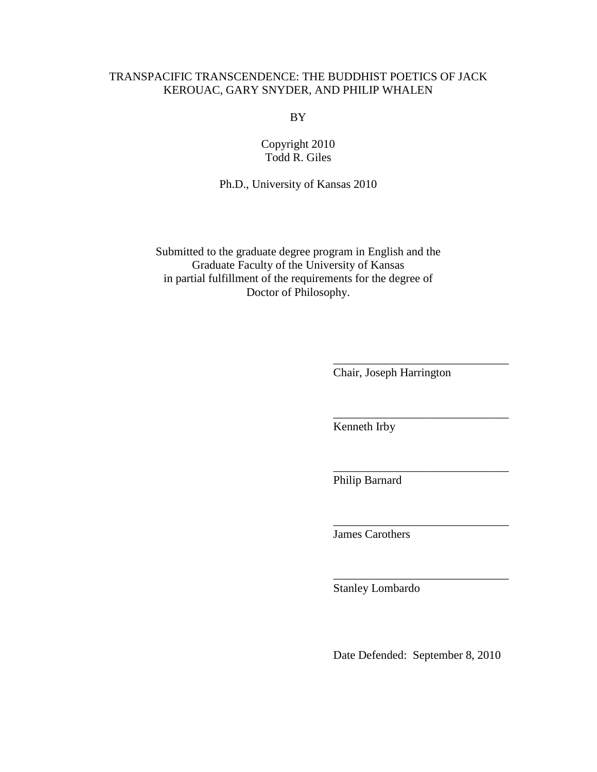# TRANSPACIFIC TRANSCENDENCE: THE BUDDHIST POETICS OF JACK KEROUAC, GARY SNYDER, AND PHILIP WHALEN

BY

Copyright 2010 Todd R. Giles

Ph.D., University of Kansas 2010

Submitted to the graduate degree program in English and the Graduate Faculty of the University of Kansas in partial fulfillment of the requirements for the degree of Doctor of Philosophy.

 $\overline{\phantom{a}}$  , and the contract of the contract of the contract of the contract of the contract of the contract of the contract of the contract of the contract of the contract of the contract of the contract of the contrac

 $\overline{\phantom{a}}$  , and the contract of the contract of the contract of the contract of the contract of the contract of the contract of the contract of the contract of the contract of the contract of the contract of the contrac

 $\overline{\phantom{a}}$  , and the contract of the contract of the contract of the contract of the contract of the contract of the contract of the contract of the contract of the contract of the contract of the contract of the contrac

 $\overline{\phantom{a}}$  , and the contract of the contract of the contract of the contract of the contract of the contract of the contract of the contract of the contract of the contract of the contract of the contract of the contrac

 $\overline{\phantom{a}}$  , and the contract of the contract of the contract of the contract of the contract of the contract of the contract of the contract of the contract of the contract of the contract of the contract of the contrac

Chair, Joseph Harrington

Kenneth Irby

Philip Barnard

James Carothers

Stanley Lombardo

Date Defended: September 8, 2010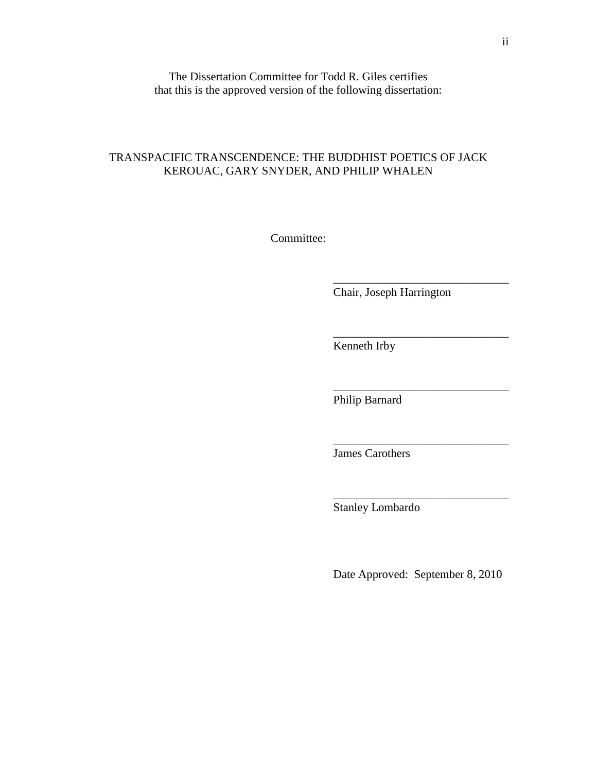The Dissertation Committee for Todd R. Giles certifies that this is the approved version of the following dissertation:

## TRANSPACIFIC TRANSCENDENCE: THE BUDDHIST POETICS OF JACK KEROUAC, GARY SNYDER, AND PHILIP WHALEN

Committee:

 $\overline{\phantom{a}}$  , and the contract of the contract of the contract of the contract of the contract of the contract of the contract of the contract of the contract of the contract of the contract of the contract of the contrac

 $\overline{\phantom{a}}$  , and the contract of the contract of the contract of the contract of the contract of the contract of the contract of the contract of the contract of the contract of the contract of the contract of the contrac

 $\overline{\phantom{a}}$  , and the contract of the contract of the contract of the contract of the contract of the contract of the contract of the contract of the contract of the contract of the contract of the contract of the contrac

 $\overline{\phantom{a}}$  , and the contract of the contract of the contract of the contract of the contract of the contract of the contract of the contract of the contract of the contract of the contract of the contract of the contrac

 $\overline{\phantom{a}}$  , and the contract of the contract of the contract of the contract of the contract of the contract of the contract of the contract of the contract of the contract of the contract of the contract of the contrac

Chair, Joseph Harrington

Kenneth Irby

Philip Barnard

James Carothers

Stanley Lombardo

Date Approved: September 8, 2010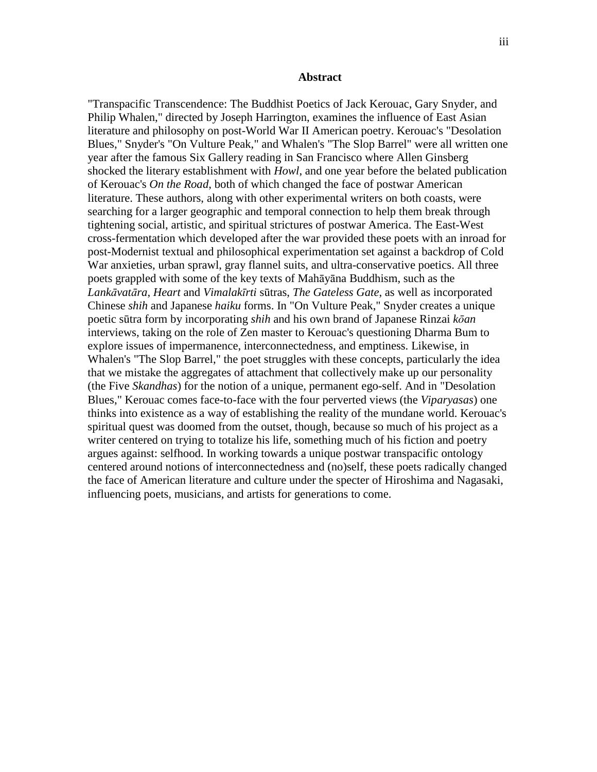#### **Abstract**

"Transpacific Transcendence: The Buddhist Poetics of Jack Kerouac, Gary Snyder, and Philip Whalen," directed by Joseph Harrington, examines the influence of East Asian literature and philosophy on post-World War II American poetry. Kerouac's "Desolation Blues," Snyder's "On Vulture Peak," and Whalen's "The Slop Barrel" were all written one year after the famous Six Gallery reading in San Francisco where Allen Ginsberg shocked the literary establishment with *Howl*, and one year before the belated publication of Kerouac's *On the Road*, both of which changed the face of postwar American literature. These authors, along with other experimental writers on both coasts, were searching for a larger geographic and temporal connection to help them break through tightening social, artistic, and spiritual strictures of postwar America. The East-West cross-fermentation which developed after the war provided these poets with an inroad for post-Modernist textual and philosophical experimentation set against a backdrop of Cold War anxieties, urban sprawl, gray flannel suits, and ultra-conservative poetics. All three poets grappled with some of the key texts of Mahāyāna Buddhism, such as the *Lank*ā*vat*ā*ra*, *Heart* and *Vimalak*ī*rti* sūtras, *The Gateless Gate*, as well as incorporated Chinese *shih* and Japanese *haiku* forms. In "On Vulture Peak," Snyder creates a unique poetic sūtra form by incorporating *shih* and his own brand of Japanese Rinzai *k*ō*an* interviews, taking on the role of Zen master to Kerouac's questioning Dharma Bum to explore issues of impermanence, interconnectedness, and emptiness. Likewise, in Whalen's "The Slop Barrel," the poet struggles with these concepts, particularly the idea that we mistake the aggregates of attachment that collectively make up our personality (the Five *Skandhas*) for the notion of a unique, permanent ego-self. And in "Desolation Blues," Kerouac comes face-to-face with the four perverted views (the *Viparyasas*) one thinks into existence as a way of establishing the reality of the mundane world. Kerouac's spiritual quest was doomed from the outset, though, because so much of his project as a writer centered on trying to totalize his life, something much of his fiction and poetry argues against: selfhood. In working towards a unique postwar transpacific ontology centered around notions of interconnectedness and (no)self, these poets radically changed the face of American literature and culture under the specter of Hiroshima and Nagasaki, influencing poets, musicians, and artists for generations to come.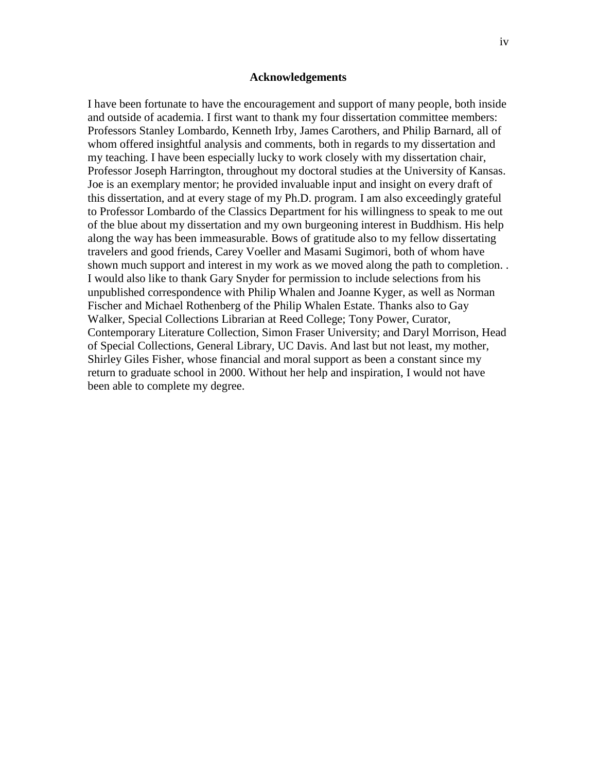### **Acknowledgements**

I have been fortunate to have the encouragement and support of many people, both inside and outside of academia. I first want to thank my four dissertation committee members: Professors Stanley Lombardo, Kenneth Irby, James Carothers, and Philip Barnard, all of whom offered insightful analysis and comments, both in regards to my dissertation and my teaching. I have been especially lucky to work closely with my dissertation chair, Professor Joseph Harrington, throughout my doctoral studies at the University of Kansas. Joe is an exemplary mentor; he provided invaluable input and insight on every draft of this dissertation, and at every stage of my Ph.D. program. I am also exceedingly grateful to Professor Lombardo of the Classics Department for his willingness to speak to me out of the blue about my dissertation and my own burgeoning interest in Buddhism. His help along the way has been immeasurable. Bows of gratitude also to my fellow dissertating travelers and good friends, Carey Voeller and Masami Sugimori, both of whom have shown much support and interest in my work as we moved along the path to completion. . I would also like to thank Gary Snyder for permission to include selections from his unpublished correspondence with Philip Whalen and Joanne Kyger, as well as Norman Fischer and Michael Rothenberg of the Philip Whalen Estate. Thanks also to Gay Walker, Special Collections Librarian at Reed College; Tony Power, Curator, Contemporary Literature Collection, Simon Fraser University; and Daryl Morrison, Head of Special Collections, General Library, UC Davis. And last but not least, my mother, Shirley Giles Fisher, whose financial and moral support as been a constant since my return to graduate school in 2000. Without her help and inspiration, I would not have been able to complete my degree.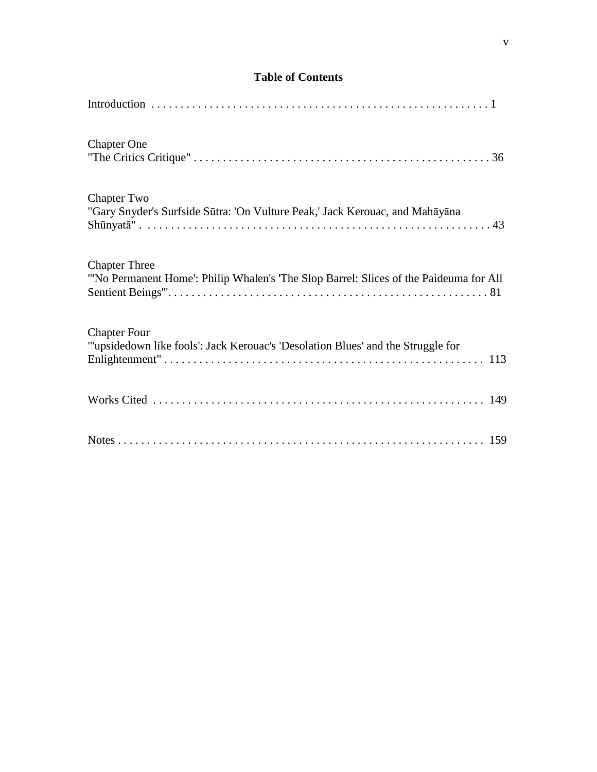# **Table of Contents**

| <b>Chapter One</b>                                                                                            |
|---------------------------------------------------------------------------------------------------------------|
| <b>Chapter Two</b><br>"Gary Snyder's Surfside Sūtra: 'On Vulture Peak,' Jack Kerouac, and Mahāyāna            |
| <b>Chapter Three</b><br>"No Permanent Home': Philip Whalen's 'The Slop Barrel: Slices of the Paideuma for All |
| <b>Chapter Four</b><br>"'upsidedown like fools': Jack Kerouac's 'Desolation Blues' and the Struggle for       |
|                                                                                                               |
|                                                                                                               |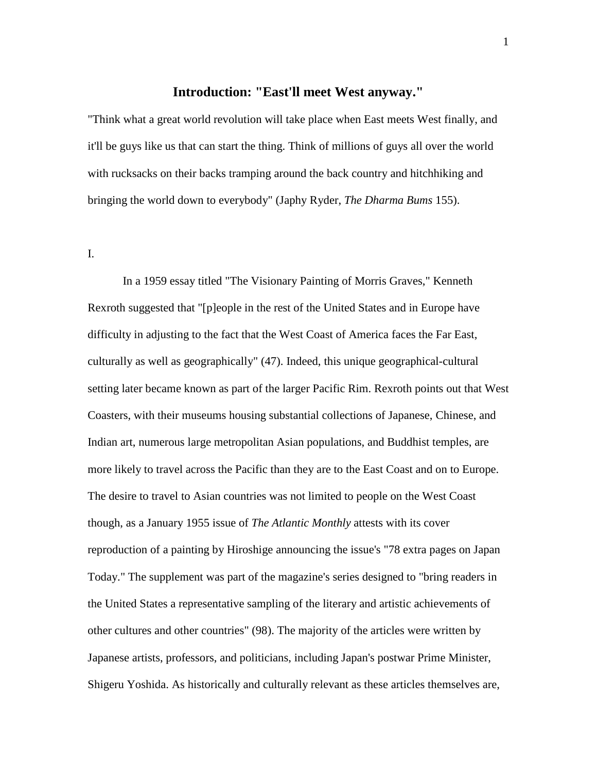## **Introduction: "East'll meet West anyway."**

"Think what a great world revolution will take place when East meets West finally, and it'll be guys like us that can start the thing. Think of millions of guys all over the world with rucksacks on their backs tramping around the back country and hitchhiking and bringing the world down to everybody" (Japhy Ryder, *The Dharma Bums* 155).

I.

 In a 1959 essay titled "The Visionary Painting of Morris Graves," Kenneth Rexroth suggested that "[p]eople in the rest of the United States and in Europe have difficulty in adjusting to the fact that the West Coast of America faces the Far East, culturally as well as geographically" (47). Indeed, this unique geographical-cultural setting later became known as part of the larger Pacific Rim. Rexroth points out that West Coasters, with their museums housing substantial collections of Japanese, Chinese, and Indian art, numerous large metropolitan Asian populations, and Buddhist temples, are more likely to travel across the Pacific than they are to the East Coast and on to Europe. The desire to travel to Asian countries was not limited to people on the West Coast though, as a January 1955 issue of *The Atlantic Monthly* attests with its cover reproduction of a painting by Hiroshige announcing the issue's "78 extra pages on Japan Today." The supplement was part of the magazine's series designed to "bring readers in the United States a representative sampling of the literary and artistic achievements of other cultures and other countries" (98). The majority of the articles were written by Japanese artists, professors, and politicians, including Japan's postwar Prime Minister, Shigeru Yoshida. As historically and culturally relevant as these articles themselves are,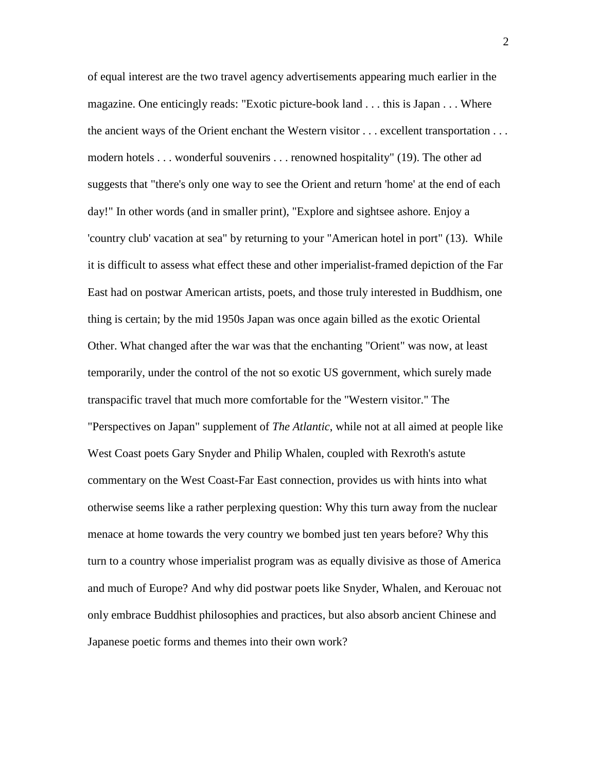of equal interest are the two travel agency advertisements appearing much earlier in the magazine. One enticingly reads: "Exotic picture-book land . . . this is Japan . . . Where the ancient ways of the Orient enchant the Western visitor . . . excellent transportation . . . modern hotels . . . wonderful souvenirs . . . renowned hospitality" (19). The other ad suggests that "there's only one way to see the Orient and return 'home' at the end of each day!" In other words (and in smaller print), "Explore and sightsee ashore. Enjoy a 'country club' vacation at sea" by returning to your "American hotel in port" (13). While it is difficult to assess what effect these and other imperialist-framed depiction of the Far East had on postwar American artists, poets, and those truly interested in Buddhism, one thing is certain; by the mid 1950s Japan was once again billed as the exotic Oriental Other. What changed after the war was that the enchanting "Orient" was now, at least temporarily, under the control of the not so exotic US government, which surely made transpacific travel that much more comfortable for the "Western visitor." The "Perspectives on Japan" supplement of *The Atlantic*, while not at all aimed at people like West Coast poets Gary Snyder and Philip Whalen, coupled with Rexroth's astute commentary on the West Coast-Far East connection, provides us with hints into what otherwise seems like a rather perplexing question: Why this turn away from the nuclear menace at home towards the very country we bombed just ten years before? Why this turn to a country whose imperialist program was as equally divisive as those of America and much of Europe? And why did postwar poets like Snyder, Whalen, and Kerouac not only embrace Buddhist philosophies and practices, but also absorb ancient Chinese and Japanese poetic forms and themes into their own work?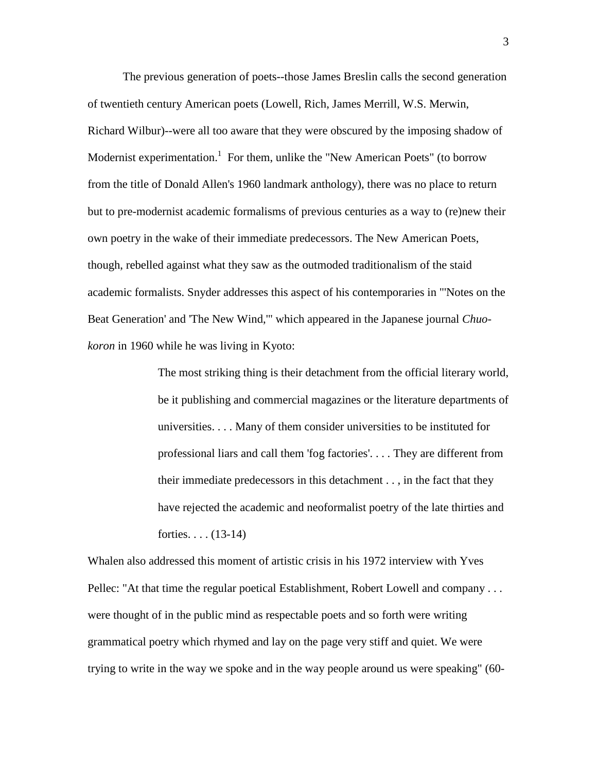The previous generation of poets--those James Breslin calls the second generation of twentieth century American poets (Lowell, Rich, James Merrill, W.S. Merwin, Richard Wilbur)--were all too aware that they were obscured by the imposing shadow of Modernist experimentation.<sup>1</sup> For them, unlike the "New American Poets" (to borrow from the title of Donald Allen's 1960 landmark anthology), there was no place to return but to pre-modernist academic formalisms of previous centuries as a way to (re)new their own poetry in the wake of their immediate predecessors. The New American Poets, though, rebelled against what they saw as the outmoded traditionalism of the staid academic formalists. Snyder addresses this aspect of his contemporaries in "'Notes on the Beat Generation' and 'The New Wind,'" which appeared in the Japanese journal *Chuokoron* in 1960 while he was living in Kyoto:

> The most striking thing is their detachment from the official literary world, be it publishing and commercial magazines or the literature departments of universities. . . . Many of them consider universities to be instituted for professional liars and call them 'fog factories'. . . . They are different from their immediate predecessors in this detachment . . , in the fact that they have rejected the academic and neoformalist poetry of the late thirties and forties.  $\ldots$  (13-14)

Whalen also addressed this moment of artistic crisis in his 1972 interview with Yves Pellec: "At that time the regular poetical Establishment, Robert Lowell and company . . . were thought of in the public mind as respectable poets and so forth were writing grammatical poetry which rhymed and lay on the page very stiff and quiet. We were trying to write in the way we spoke and in the way people around us were speaking" (60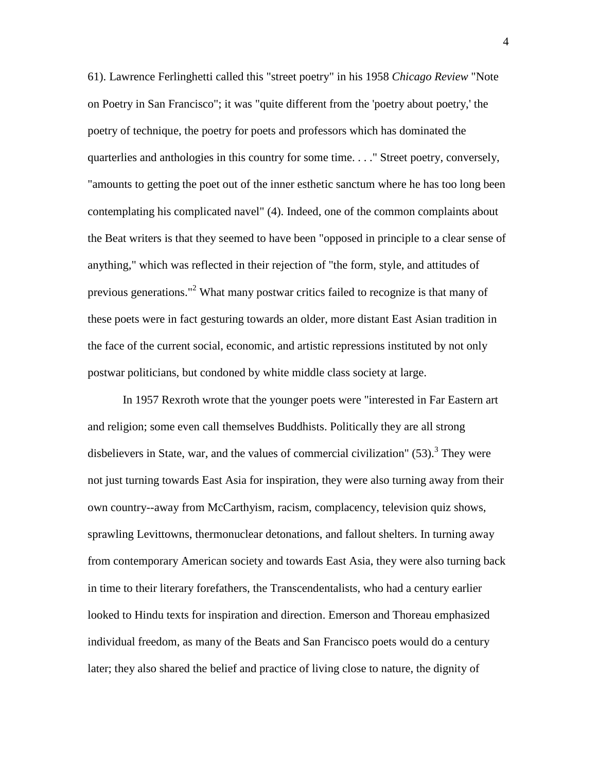61). Lawrence Ferlinghetti called this "street poetry" in his 1958 *Chicago Review* "Note on Poetry in San Francisco"; it was "quite different from the 'poetry about poetry,' the poetry of technique, the poetry for poets and professors which has dominated the quarterlies and anthologies in this country for some time. . . ." Street poetry, conversely, "amounts to getting the poet out of the inner esthetic sanctum where he has too long been contemplating his complicated navel" (4). Indeed, one of the common complaints about the Beat writers is that they seemed to have been "opposed in principle to a clear sense of anything," which was reflected in their rejection of "the form, style, and attitudes of previous generations."<sup>2</sup> What many postwar critics failed to recognize is that many of these poets were in fact gesturing towards an older, more distant East Asian tradition in the face of the current social, economic, and artistic repressions instituted by not only postwar politicians, but condoned by white middle class society at large.

 In 1957 Rexroth wrote that the younger poets were "interested in Far Eastern art and religion; some even call themselves Buddhists. Politically they are all strong disbelievers in State, war, and the values of commercial civilization"  $(53)$ .<sup>3</sup> They were not just turning towards East Asia for inspiration, they were also turning away from their own country--away from McCarthyism, racism, complacency, television quiz shows, sprawling Levittowns, thermonuclear detonations, and fallout shelters. In turning away from contemporary American society and towards East Asia, they were also turning back in time to their literary forefathers, the Transcendentalists, who had a century earlier looked to Hindu texts for inspiration and direction. Emerson and Thoreau emphasized individual freedom, as many of the Beats and San Francisco poets would do a century later; they also shared the belief and practice of living close to nature, the dignity of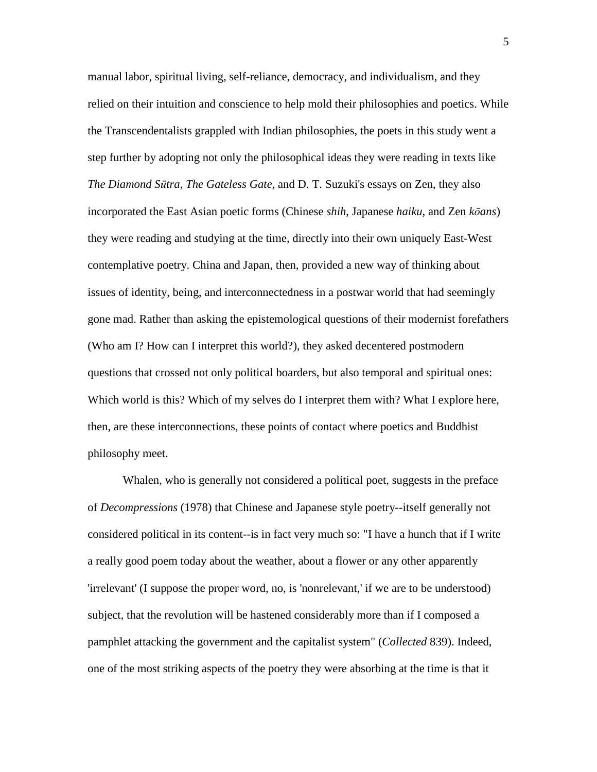manual labor, spiritual living, self-reliance, democracy, and individualism, and they relied on their intuition and conscience to help mold their philosophies and poetics. While the Transcendentalists grappled with Indian philosophies, the poets in this study went a step further by adopting not only the philosophical ideas they were reading in texts like *The Diamond S*ū*tra*, *The Gateless Gate*, and D. T. Suzuki's essays on Zen, they also incorporated the East Asian poetic forms (Chinese *shih*, Japanese *haiku*, and Zen *k*ō*ans*) they were reading and studying at the time, directly into their own uniquely East-West contemplative poetry. China and Japan, then, provided a new way of thinking about issues of identity, being, and interconnectedness in a postwar world that had seemingly gone mad. Rather than asking the epistemological questions of their modernist forefathers (Who am I? How can I interpret this world?), they asked decentered postmodern questions that crossed not only political boarders, but also temporal and spiritual ones: Which world is this? Which of my selves do I interpret them with? What I explore here, then, are these interconnections, these points of contact where poetics and Buddhist philosophy meet.

 Whalen, who is generally not considered a political poet, suggests in the preface of *Decompressions* (1978) that Chinese and Japanese style poetry--itself generally not considered political in its content--is in fact very much so: "I have a hunch that if I write a really good poem today about the weather, about a flower or any other apparently 'irrelevant' (I suppose the proper word, no, is 'nonrelevant,' if we are to be understood) subject, that the revolution will be hastened considerably more than if I composed a pamphlet attacking the government and the capitalist system" (*Collected* 839). Indeed, one of the most striking aspects of the poetry they were absorbing at the time is that it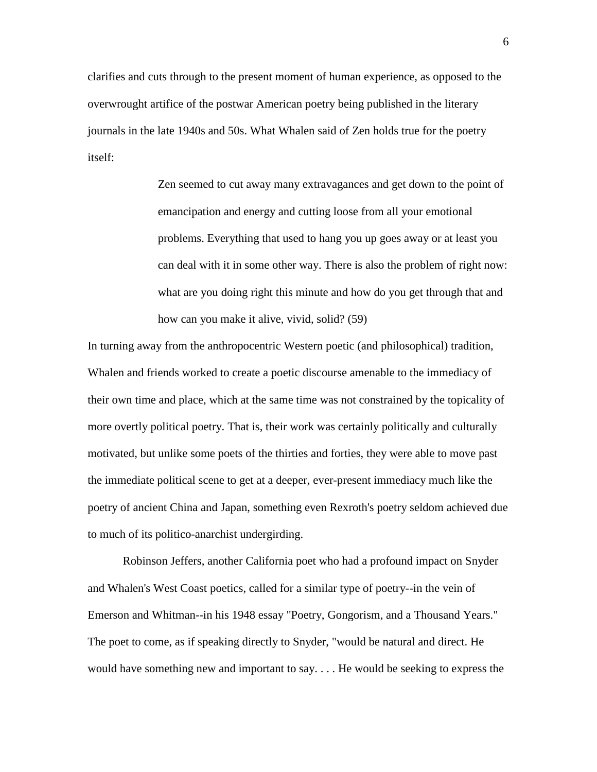clarifies and cuts through to the present moment of human experience, as opposed to the overwrought artifice of the postwar American poetry being published in the literary journals in the late 1940s and 50s. What Whalen said of Zen holds true for the poetry itself:

> Zen seemed to cut away many extravagances and get down to the point of emancipation and energy and cutting loose from all your emotional problems. Everything that used to hang you up goes away or at least you can deal with it in some other way. There is also the problem of right now: what are you doing right this minute and how do you get through that and how can you make it alive, vivid, solid? (59)

In turning away from the anthropocentric Western poetic (and philosophical) tradition, Whalen and friends worked to create a poetic discourse amenable to the immediacy of their own time and place, which at the same time was not constrained by the topicality of more overtly political poetry. That is, their work was certainly politically and culturally motivated, but unlike some poets of the thirties and forties, they were able to move past the immediate political scene to get at a deeper, ever-present immediacy much like the poetry of ancient China and Japan, something even Rexroth's poetry seldom achieved due to much of its politico-anarchist undergirding.

 Robinson Jeffers, another California poet who had a profound impact on Snyder and Whalen's West Coast poetics, called for a similar type of poetry--in the vein of Emerson and Whitman--in his 1948 essay "Poetry, Gongorism, and a Thousand Years." The poet to come, as if speaking directly to Snyder, "would be natural and direct. He would have something new and important to say. . . . He would be seeking to express the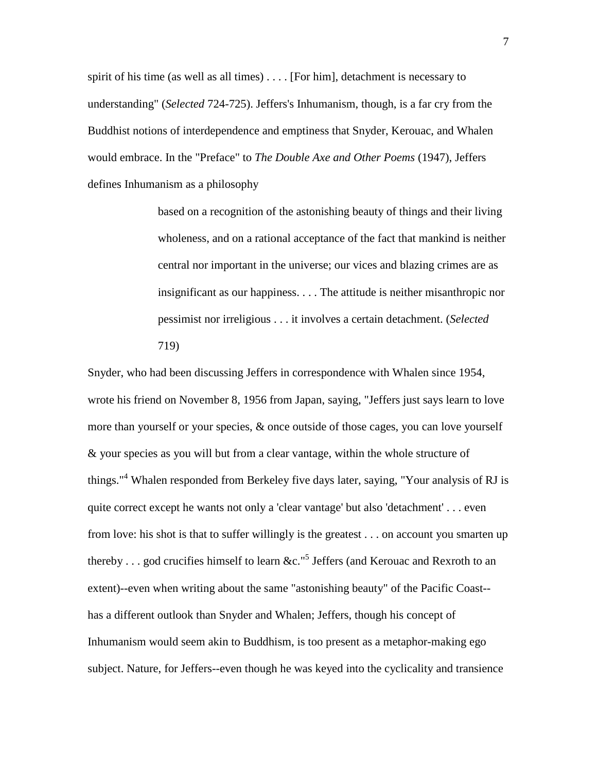spirit of his time (as well as all times) . . . . [For him], detachment is necessary to understanding" (*Selected* 724-725). Jeffers's Inhumanism, though, is a far cry from the Buddhist notions of interdependence and emptiness that Snyder, Kerouac, and Whalen would embrace. In the "Preface" to *The Double Axe and Other Poems* (1947), Jeffers defines Inhumanism as a philosophy

> based on a recognition of the astonishing beauty of things and their living wholeness, and on a rational acceptance of the fact that mankind is neither central nor important in the universe; our vices and blazing crimes are as insignificant as our happiness. . . . The attitude is neither misanthropic nor pessimist nor irreligious . . . it involves a certain detachment. (*Selected* 719)

Snyder, who had been discussing Jeffers in correspondence with Whalen since 1954, wrote his friend on November 8, 1956 from Japan, saying, "Jeffers just says learn to love more than yourself or your species, & once outside of those cages, you can love yourself & your species as you will but from a clear vantage, within the whole structure of things."<sup>4</sup> Whalen responded from Berkeley five days later, saying, "Your analysis of RJ is quite correct except he wants not only a 'clear vantage' but also 'detachment' . . . even from love: his shot is that to suffer willingly is the greatest . . . on account you smarten up thereby . . . god crucifies himself to learn &c."<sup>5</sup> Jeffers (and Kerouac and Rexroth to an extent)--even when writing about the same "astonishing beauty" of the Pacific Coast- has a different outlook than Snyder and Whalen; Jeffers, though his concept of Inhumanism would seem akin to Buddhism, is too present as a metaphor-making ego subject. Nature, for Jeffers--even though he was keyed into the cyclicality and transience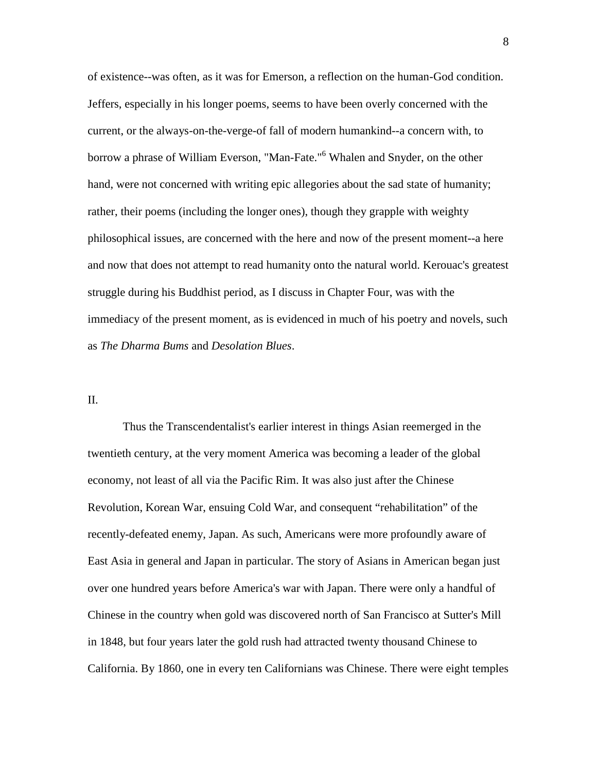of existence--was often, as it was for Emerson, a reflection on the human-God condition. Jeffers, especially in his longer poems, seems to have been overly concerned with the current, or the always-on-the-verge-of fall of modern humankind--a concern with, to borrow a phrase of William Everson, "Man-Fate."<sup>6</sup> Whalen and Snyder, on the other hand, were not concerned with writing epic allegories about the sad state of humanity; rather, their poems (including the longer ones), though they grapple with weighty philosophical issues, are concerned with the here and now of the present moment--a here and now that does not attempt to read humanity onto the natural world. Kerouac's greatest struggle during his Buddhist period, as I discuss in Chapter Four, was with the immediacy of the present moment, as is evidenced in much of his poetry and novels, such as *The Dharma Bums* and *Desolation Blues*.

### II.

 Thus the Transcendentalist's earlier interest in things Asian reemerged in the twentieth century, at the very moment America was becoming a leader of the global economy, not least of all via the Pacific Rim. It was also just after the Chinese Revolution, Korean War, ensuing Cold War, and consequent "rehabilitation" of the recently-defeated enemy, Japan. As such, Americans were more profoundly aware of East Asia in general and Japan in particular. The story of Asians in American began just over one hundred years before America's war with Japan. There were only a handful of Chinese in the country when gold was discovered north of San Francisco at Sutter's Mill in 1848, but four years later the gold rush had attracted twenty thousand Chinese to California. By 1860, one in every ten Californians was Chinese. There were eight temples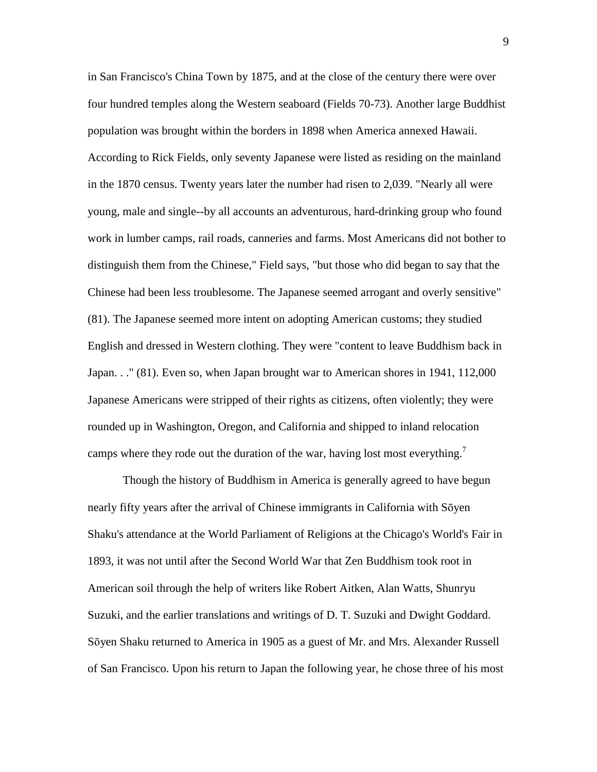in San Francisco's China Town by 1875, and at the close of the century there were over four hundred temples along the Western seaboard (Fields 70-73). Another large Buddhist population was brought within the borders in 1898 when America annexed Hawaii. According to Rick Fields, only seventy Japanese were listed as residing on the mainland in the 1870 census. Twenty years later the number had risen to 2,039. "Nearly all were young, male and single--by all accounts an adventurous, hard-drinking group who found work in lumber camps, rail roads, canneries and farms. Most Americans did not bother to distinguish them from the Chinese," Field says, "but those who did began to say that the Chinese had been less troublesome. The Japanese seemed arrogant and overly sensitive" (81). The Japanese seemed more intent on adopting American customs; they studied English and dressed in Western clothing. They were "content to leave Buddhism back in Japan. . ." (81). Even so, when Japan brought war to American shores in 1941, 112,000 Japanese Americans were stripped of their rights as citizens, often violently; they were rounded up in Washington, Oregon, and California and shipped to inland relocation camps where they rode out the duration of the war, having lost most everything.<sup>7</sup>

 Though the history of Buddhism in America is generally agreed to have begun nearly fifty years after the arrival of Chinese immigrants in California with Sōyen Shaku's attendance at the World Parliament of Religions at the Chicago's World's Fair in 1893, it was not until after the Second World War that Zen Buddhism took root in American soil through the help of writers like Robert Aitken, Alan Watts, Shunryu Suzuki, and the earlier translations and writings of D. T. Suzuki and Dwight Goddard. Sōyen Shaku returned to America in 1905 as a guest of Mr. and Mrs. Alexander Russell of San Francisco. Upon his return to Japan the following year, he chose three of his most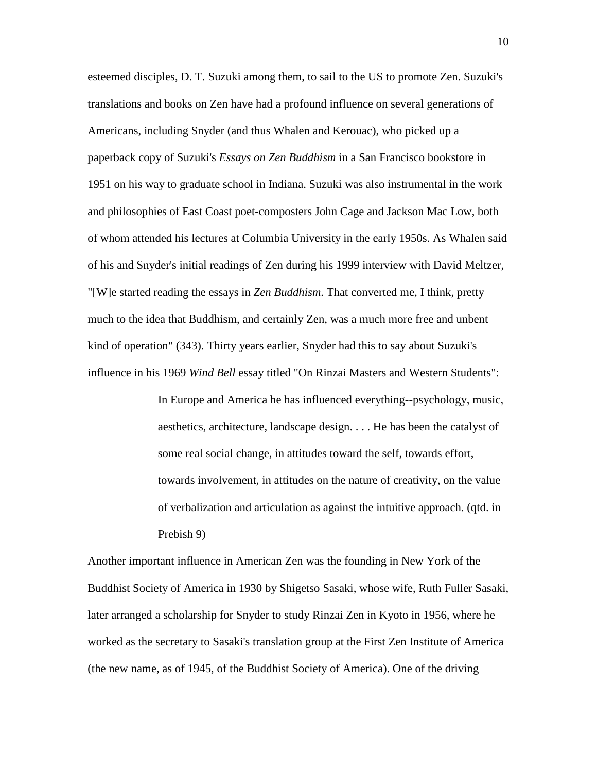esteemed disciples, D. T. Suzuki among them, to sail to the US to promote Zen. Suzuki's translations and books on Zen have had a profound influence on several generations of Americans, including Snyder (and thus Whalen and Kerouac), who picked up a paperback copy of Suzuki's *Essays on Zen Buddhism* in a San Francisco bookstore in 1951 on his way to graduate school in Indiana. Suzuki was also instrumental in the work and philosophies of East Coast poet-composters John Cage and Jackson Mac Low, both of whom attended his lectures at Columbia University in the early 1950s. As Whalen said of his and Snyder's initial readings of Zen during his 1999 interview with David Meltzer, "[W]e started reading the essays in *Zen Buddhism*. That converted me, I think, pretty much to the idea that Buddhism, and certainly Zen, was a much more free and unbent kind of operation" (343). Thirty years earlier, Snyder had this to say about Suzuki's influence in his 1969 *Wind Bell* essay titled "On Rinzai Masters and Western Students":

> In Europe and America he has influenced everything--psychology, music, aesthetics, architecture, landscape design. . . . He has been the catalyst of some real social change, in attitudes toward the self, towards effort, towards involvement, in attitudes on the nature of creativity, on the value of verbalization and articulation as against the intuitive approach. (qtd. in Prebish 9)

Another important influence in American Zen was the founding in New York of the Buddhist Society of America in 1930 by Shigetso Sasaki, whose wife, Ruth Fuller Sasaki, later arranged a scholarship for Snyder to study Rinzai Zen in Kyoto in 1956, where he worked as the secretary to Sasaki's translation group at the First Zen Institute of America (the new name, as of 1945, of the Buddhist Society of America). One of the driving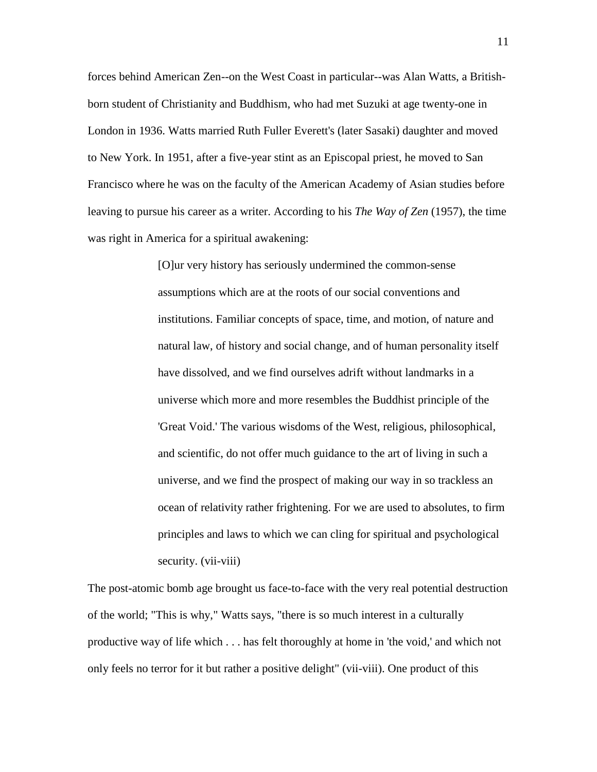forces behind American Zen--on the West Coast in particular--was Alan Watts, a Britishborn student of Christianity and Buddhism, who had met Suzuki at age twenty-one in London in 1936. Watts married Ruth Fuller Everett's (later Sasaki) daughter and moved to New York. In 1951, after a five-year stint as an Episcopal priest, he moved to San Francisco where he was on the faculty of the American Academy of Asian studies before leaving to pursue his career as a writer. According to his *The Way of Zen* (1957), the time was right in America for a spiritual awakening:

> [O]ur very history has seriously undermined the common-sense assumptions which are at the roots of our social conventions and institutions. Familiar concepts of space, time, and motion, of nature and natural law, of history and social change, and of human personality itself have dissolved, and we find ourselves adrift without landmarks in a universe which more and more resembles the Buddhist principle of the 'Great Void.' The various wisdoms of the West, religious, philosophical, and scientific, do not offer much guidance to the art of living in such a universe, and we find the prospect of making our way in so trackless an ocean of relativity rather frightening. For we are used to absolutes, to firm principles and laws to which we can cling for spiritual and psychological security. (vii-viii)

The post-atomic bomb age brought us face-to-face with the very real potential destruction of the world; "This is why," Watts says, "there is so much interest in a culturally productive way of life which . . . has felt thoroughly at home in 'the void,' and which not only feels no terror for it but rather a positive delight" (vii-viii). One product of this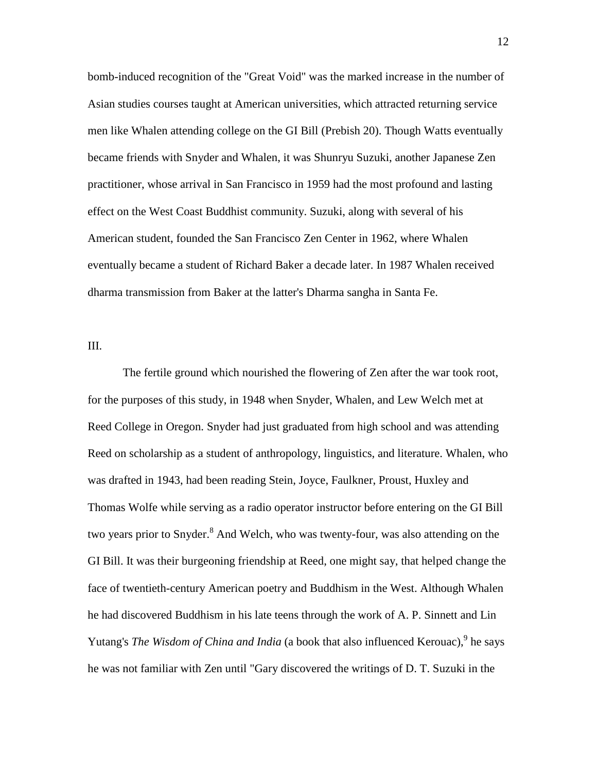bomb-induced recognition of the "Great Void" was the marked increase in the number of Asian studies courses taught at American universities, which attracted returning service men like Whalen attending college on the GI Bill (Prebish 20). Though Watts eventually became friends with Snyder and Whalen, it was Shunryu Suzuki, another Japanese Zen practitioner, whose arrival in San Francisco in 1959 had the most profound and lasting effect on the West Coast Buddhist community. Suzuki, along with several of his American student, founded the San Francisco Zen Center in 1962, where Whalen eventually became a student of Richard Baker a decade later. In 1987 Whalen received dharma transmission from Baker at the latter's Dharma sangha in Santa Fe.

III.

 The fertile ground which nourished the flowering of Zen after the war took root, for the purposes of this study, in 1948 when Snyder, Whalen, and Lew Welch met at Reed College in Oregon. Snyder had just graduated from high school and was attending Reed on scholarship as a student of anthropology, linguistics, and literature. Whalen, who was drafted in 1943, had been reading Stein, Joyce, Faulkner, Proust, Huxley and Thomas Wolfe while serving as a radio operator instructor before entering on the GI Bill two years prior to Snyder.<sup>8</sup> And Welch, who was twenty-four, was also attending on the GI Bill. It was their burgeoning friendship at Reed, one might say, that helped change the face of twentieth-century American poetry and Buddhism in the West. Although Whalen he had discovered Buddhism in his late teens through the work of A. P. Sinnett and Lin Yutang's *The Wisdom of China and India* (a book that also influenced Kerouac), <sup>9</sup> he says he was not familiar with Zen until "Gary discovered the writings of D. T. Suzuki in the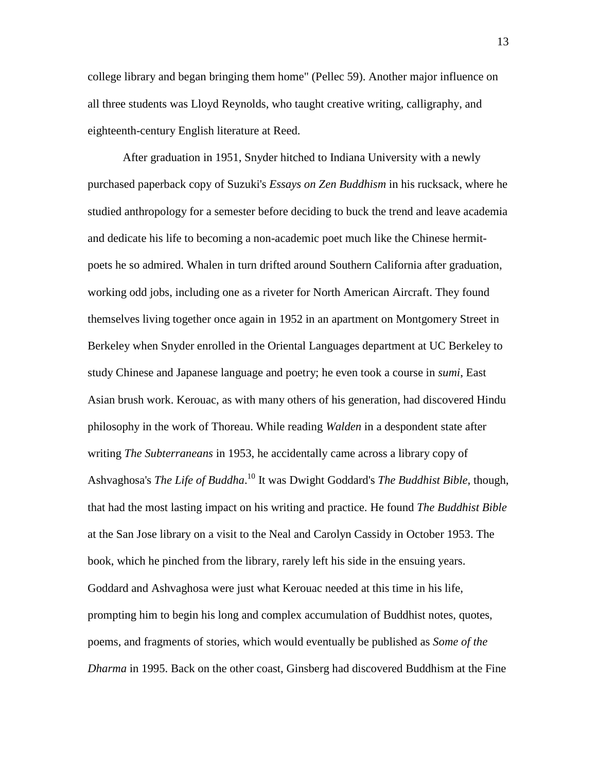college library and began bringing them home" (Pellec 59). Another major influence on all three students was Lloyd Reynolds, who taught creative writing, calligraphy, and eighteenth-century English literature at Reed.

 After graduation in 1951, Snyder hitched to Indiana University with a newly purchased paperback copy of Suzuki's *Essays on Zen Buddhism* in his rucksack, where he studied anthropology for a semester before deciding to buck the trend and leave academia and dedicate his life to becoming a non-academic poet much like the Chinese hermitpoets he so admired. Whalen in turn drifted around Southern California after graduation, working odd jobs, including one as a riveter for North American Aircraft. They found themselves living together once again in 1952 in an apartment on Montgomery Street in Berkeley when Snyder enrolled in the Oriental Languages department at UC Berkeley to study Chinese and Japanese language and poetry; he even took a course in *sumi*, East Asian brush work. Kerouac, as with many others of his generation, had discovered Hindu philosophy in the work of Thoreau. While reading *Walden* in a despondent state after writing *The Subterraneans* in 1953, he accidentally came across a library copy of Ashvaghosa's *The Life of Buddha*. <sup>10</sup> It was Dwight Goddard's *The Buddhist Bible*, though, that had the most lasting impact on his writing and practice. He found *The Buddhist Bible* at the San Jose library on a visit to the Neal and Carolyn Cassidy in October 1953. The book, which he pinched from the library, rarely left his side in the ensuing years. Goddard and Ashvaghosa were just what Kerouac needed at this time in his life, prompting him to begin his long and complex accumulation of Buddhist notes, quotes, poems, and fragments of stories, which would eventually be published as *Some of the Dharma* in 1995. Back on the other coast, Ginsberg had discovered Buddhism at the Fine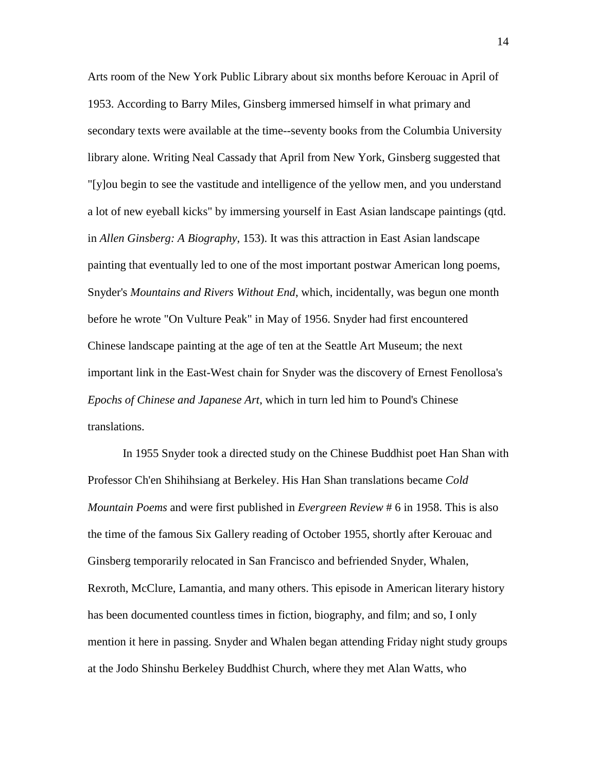Arts room of the New York Public Library about six months before Kerouac in April of 1953. According to Barry Miles, Ginsberg immersed himself in what primary and secondary texts were available at the time--seventy books from the Columbia University library alone. Writing Neal Cassady that April from New York, Ginsberg suggested that "[y]ou begin to see the vastitude and intelligence of the yellow men, and you understand a lot of new eyeball kicks" by immersing yourself in East Asian landscape paintings (qtd. in *Allen Ginsberg: A Biography*, 153). It was this attraction in East Asian landscape painting that eventually led to one of the most important postwar American long poems, Snyder's *Mountains and Rivers Without End*, which, incidentally, was begun one month before he wrote "On Vulture Peak" in May of 1956. Snyder had first encountered Chinese landscape painting at the age of ten at the Seattle Art Museum; the next important link in the East-West chain for Snyder was the discovery of Ernest Fenollosa's *Epochs of Chinese and Japanese Art*, which in turn led him to Pound's Chinese translations.

 In 1955 Snyder took a directed study on the Chinese Buddhist poet Han Shan with Professor Ch'en Shihihsiang at Berkeley. His Han Shan translations became *Cold Mountain Poems* and were first published in *Evergreen Review* # 6 in 1958. This is also the time of the famous Six Gallery reading of October 1955, shortly after Kerouac and Ginsberg temporarily relocated in San Francisco and befriended Snyder, Whalen, Rexroth, McClure, Lamantia, and many others. This episode in American literary history has been documented countless times in fiction, biography, and film; and so, I only mention it here in passing. Snyder and Whalen began attending Friday night study groups at the Jodo Shinshu Berkeley Buddhist Church, where they met Alan Watts, who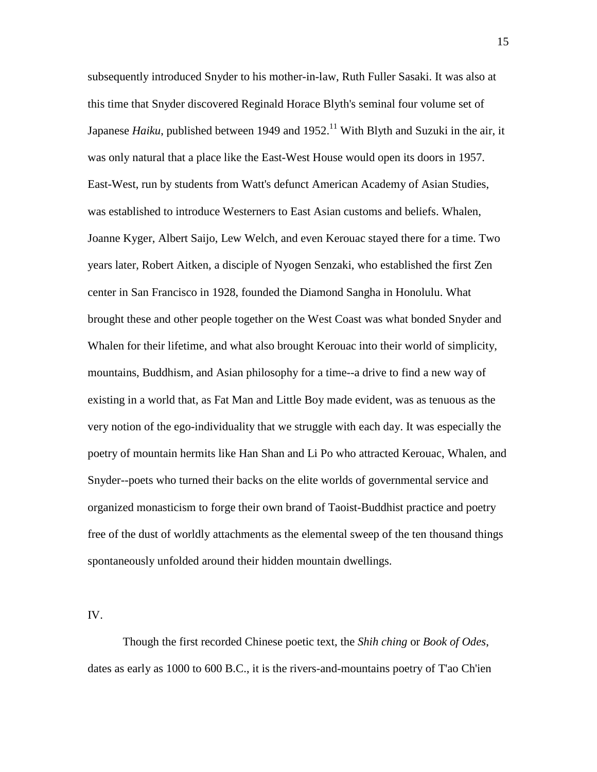subsequently introduced Snyder to his mother-in-law, Ruth Fuller Sasaki. It was also at this time that Snyder discovered Reginald Horace Blyth's seminal four volume set of Japanese *Haiku*, published between 1949 and 1952.<sup>11</sup> With Blyth and Suzuki in the air, it was only natural that a place like the East-West House would open its doors in 1957. East-West, run by students from Watt's defunct American Academy of Asian Studies, was established to introduce Westerners to East Asian customs and beliefs. Whalen, Joanne Kyger, Albert Saijo, Lew Welch, and even Kerouac stayed there for a time. Two years later, Robert Aitken, a disciple of Nyogen Senzaki, who established the first Zen center in San Francisco in 1928, founded the Diamond Sangha in Honolulu. What brought these and other people together on the West Coast was what bonded Snyder and Whalen for their lifetime, and what also brought Kerouac into their world of simplicity, mountains, Buddhism, and Asian philosophy for a time--a drive to find a new way of existing in a world that, as Fat Man and Little Boy made evident, was as tenuous as the very notion of the ego-individuality that we struggle with each day. It was especially the poetry of mountain hermits like Han Shan and Li Po who attracted Kerouac, Whalen, and Snyder--poets who turned their backs on the elite worlds of governmental service and organized monasticism to forge their own brand of Taoist-Buddhist practice and poetry free of the dust of worldly attachments as the elemental sweep of the ten thousand things spontaneously unfolded around their hidden mountain dwellings.

IV.

 Though the first recorded Chinese poetic text, the *Shih ching* or *Book of Odes*, dates as early as 1000 to 600 B.C., it is the rivers-and-mountains poetry of T'ao Ch'ien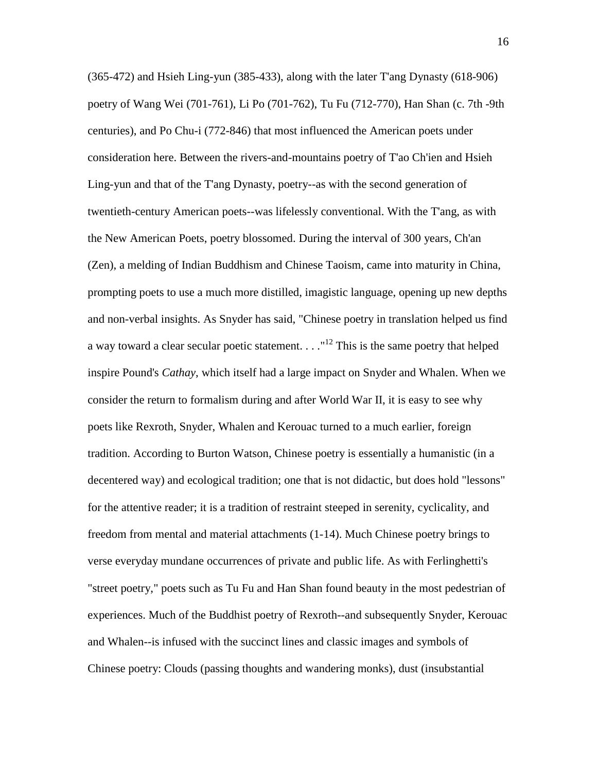(365-472) and Hsieh Ling-yun (385-433), along with the later T'ang Dynasty (618-906) poetry of Wang Wei (701-761), Li Po (701-762), Tu Fu (712-770), Han Shan (c. 7th -9th centuries), and Po Chu-i (772-846) that most influenced the American poets under consideration here. Between the rivers-and-mountains poetry of T'ao Ch'ien and Hsieh Ling-yun and that of the T'ang Dynasty, poetry--as with the second generation of twentieth-century American poets--was lifelessly conventional. With the T'ang, as with the New American Poets, poetry blossomed. During the interval of 300 years, Ch'an (Zen), a melding of Indian Buddhism and Chinese Taoism, came into maturity in China, prompting poets to use a much more distilled, imagistic language, opening up new depths and non-verbal insights. As Snyder has said, "Chinese poetry in translation helped us find a way toward a clear secular poetic statement.  $\dots$ <sup>12</sup> This is the same poetry that helped inspire Pound's *Cathay*, which itself had a large impact on Snyder and Whalen. When we consider the return to formalism during and after World War II, it is easy to see why poets like Rexroth, Snyder, Whalen and Kerouac turned to a much earlier, foreign tradition. According to Burton Watson, Chinese poetry is essentially a humanistic (in a decentered way) and ecological tradition; one that is not didactic, but does hold "lessons" for the attentive reader; it is a tradition of restraint steeped in serenity, cyclicality, and freedom from mental and material attachments (1-14). Much Chinese poetry brings to verse everyday mundane occurrences of private and public life. As with Ferlinghetti's "street poetry," poets such as Tu Fu and Han Shan found beauty in the most pedestrian of experiences. Much of the Buddhist poetry of Rexroth--and subsequently Snyder, Kerouac and Whalen--is infused with the succinct lines and classic images and symbols of Chinese poetry: Clouds (passing thoughts and wandering monks), dust (insubstantial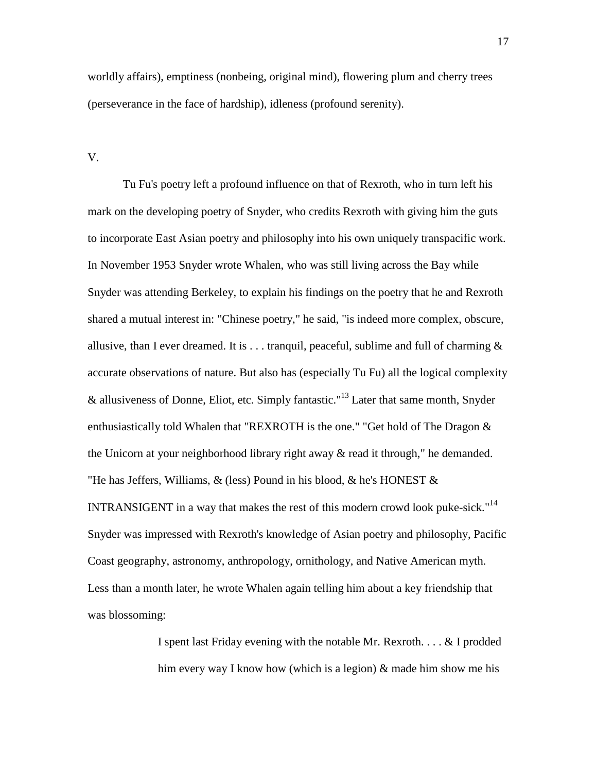worldly affairs), emptiness (nonbeing, original mind), flowering plum and cherry trees (perseverance in the face of hardship), idleness (profound serenity).

V.

 Tu Fu's poetry left a profound influence on that of Rexroth, who in turn left his mark on the developing poetry of Snyder, who credits Rexroth with giving him the guts to incorporate East Asian poetry and philosophy into his own uniquely transpacific work. In November 1953 Snyder wrote Whalen, who was still living across the Bay while Snyder was attending Berkeley, to explain his findings on the poetry that he and Rexroth shared a mutual interest in: "Chinese poetry," he said, "is indeed more complex, obscure, allusive, than I ever dreamed. It is  $\dots$  tranquil, peaceful, sublime and full of charming  $\&$ accurate observations of nature. But also has (especially Tu Fu) all the logical complexity & allusiveness of Donne, Eliot, etc. Simply fantastic."<sup>13</sup> Later that same month, Snyder enthusiastically told Whalen that "REXROTH is the one." "Get hold of The Dragon & the Unicorn at your neighborhood library right away  $\&$  read it through," he demanded. "He has Jeffers, Williams, & (less) Pound in his blood, & he's HONEST & INTRANSIGENT in a way that makes the rest of this modern crowd look puke-sick."<sup>14</sup> Snyder was impressed with Rexroth's knowledge of Asian poetry and philosophy, Pacific Coast geography, astronomy, anthropology, ornithology, and Native American myth. Less than a month later, he wrote Whalen again telling him about a key friendship that was blossoming:

> I spent last Friday evening with the notable Mr. Rexroth. . . . & I prodded him every way I know how (which is a legion)  $\&$  made him show me his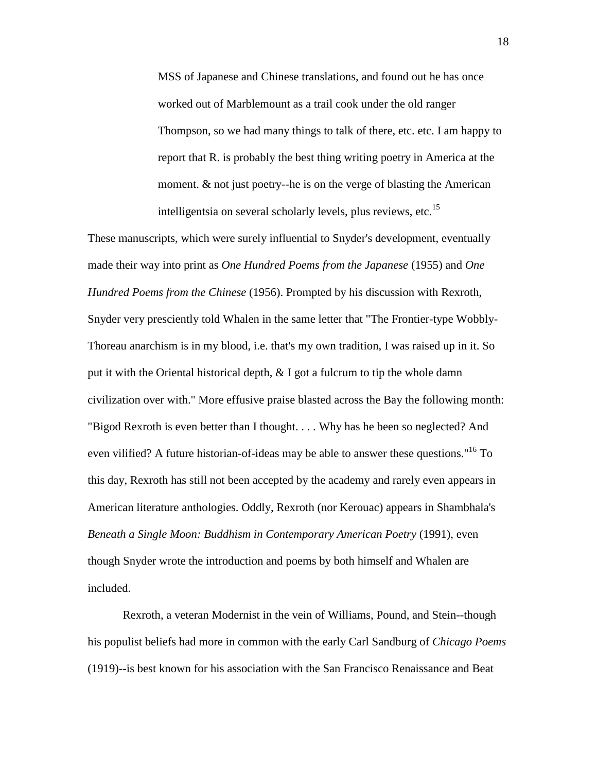MSS of Japanese and Chinese translations, and found out he has once worked out of Marblemount as a trail cook under the old ranger Thompson, so we had many things to talk of there, etc. etc. I am happy to report that R. is probably the best thing writing poetry in America at the moment. & not just poetry--he is on the verge of blasting the American intelligentsia on several scholarly levels, plus reviews, etc. $^{15}$ 

These manuscripts, which were surely influential to Snyder's development, eventually made their way into print as *One Hundred Poems from the Japanese* (1955) and *One Hundred Poems from the Chinese* (1956). Prompted by his discussion with Rexroth, Snyder very presciently told Whalen in the same letter that "The Frontier-type Wobbly-Thoreau anarchism is in my blood, i.e. that's my own tradition, I was raised up in it. So put it with the Oriental historical depth,  $\& I$  got a fulcrum to tip the whole damn civilization over with." More effusive praise blasted across the Bay the following month: "Bigod Rexroth is even better than I thought. . . . Why has he been so neglected? And even vilified? A future historian-of-ideas may be able to answer these questions."<sup>16</sup> To this day, Rexroth has still not been accepted by the academy and rarely even appears in American literature anthologies. Oddly, Rexroth (nor Kerouac) appears in Shambhala's *Beneath a Single Moon: Buddhism in Contemporary American Poetry* (1991), even though Snyder wrote the introduction and poems by both himself and Whalen are included.

 Rexroth, a veteran Modernist in the vein of Williams, Pound, and Stein--though his populist beliefs had more in common with the early Carl Sandburg of *Chicago Poems* (1919)--is best known for his association with the San Francisco Renaissance and Beat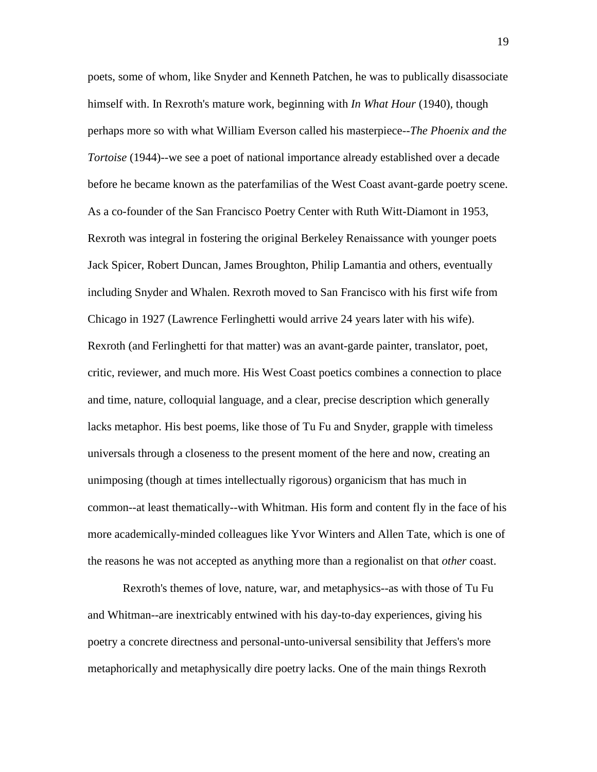poets, some of whom, like Snyder and Kenneth Patchen, he was to publically disassociate himself with. In Rexroth's mature work, beginning with *In What Hour* (1940), though perhaps more so with what William Everson called his masterpiece--*The Phoenix and the Tortoise* (1944)--we see a poet of national importance already established over a decade before he became known as the paterfamilias of the West Coast avant-garde poetry scene. As a co-founder of the San Francisco Poetry Center with Ruth Witt-Diamont in 1953, Rexroth was integral in fostering the original Berkeley Renaissance with younger poets Jack Spicer, Robert Duncan, James Broughton, Philip Lamantia and others, eventually including Snyder and Whalen. Rexroth moved to San Francisco with his first wife from Chicago in 1927 (Lawrence Ferlinghetti would arrive 24 years later with his wife). Rexroth (and Ferlinghetti for that matter) was an avant-garde painter, translator, poet, critic, reviewer, and much more. His West Coast poetics combines a connection to place and time, nature, colloquial language, and a clear, precise description which generally lacks metaphor. His best poems, like those of Tu Fu and Snyder, grapple with timeless universals through a closeness to the present moment of the here and now, creating an unimposing (though at times intellectually rigorous) organicism that has much in common--at least thematically--with Whitman. His form and content fly in the face of his more academically-minded colleagues like Yvor Winters and Allen Tate, which is one of the reasons he was not accepted as anything more than a regionalist on that *other* coast.

 Rexroth's themes of love, nature, war, and metaphysics--as with those of Tu Fu and Whitman--are inextricably entwined with his day-to-day experiences, giving his poetry a concrete directness and personal-unto-universal sensibility that Jeffers's more metaphorically and metaphysically dire poetry lacks. One of the main things Rexroth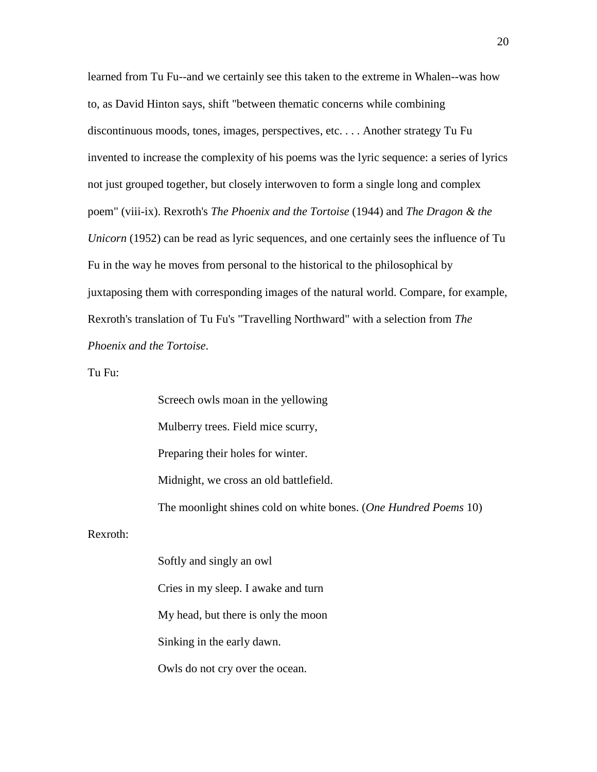learned from Tu Fu--and we certainly see this taken to the extreme in Whalen--was how to, as David Hinton says, shift "between thematic concerns while combining discontinuous moods, tones, images, perspectives, etc. . . . Another strategy Tu Fu invented to increase the complexity of his poems was the lyric sequence: a series of lyrics not just grouped together, but closely interwoven to form a single long and complex poem" (viii-ix). Rexroth's *The Phoenix and the Tortoise* (1944) and *The Dragon & the Unicorn* (1952) can be read as lyric sequences, and one certainly sees the influence of Tu Fu in the way he moves from personal to the historical to the philosophical by juxtaposing them with corresponding images of the natural world. Compare, for example, Rexroth's translation of Tu Fu's "Travelling Northward" with a selection from *The Phoenix and the Tortoise*.

Tu Fu:

Rexroth:

Screech owls moan in the yellowing Mulberry trees. Field mice scurry, Preparing their holes for winter. Midnight, we cross an old battlefield. The moonlight shines cold on white bones. (*One Hundred Poems* 10) Softly and singly an owl

Cries in my sleep. I awake and turn My head, but there is only the moon Sinking in the early dawn. Owls do not cry over the ocean.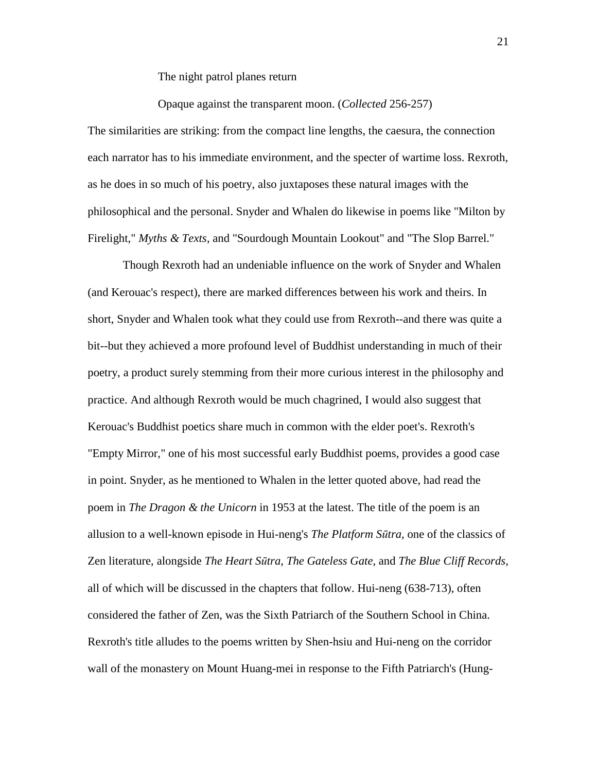The night patrol planes return

Opaque against the transparent moon. (*Collected* 256-257)

The similarities are striking: from the compact line lengths, the caesura, the connection each narrator has to his immediate environment, and the specter of wartime loss. Rexroth, as he does in so much of his poetry, also juxtaposes these natural images with the philosophical and the personal. Snyder and Whalen do likewise in poems like "Milton by Firelight," *Myths & Texts*, and "Sourdough Mountain Lookout" and "The Slop Barrel."

 Though Rexroth had an undeniable influence on the work of Snyder and Whalen (and Kerouac's respect), there are marked differences between his work and theirs. In short, Snyder and Whalen took what they could use from Rexroth--and there was quite a bit--but they achieved a more profound level of Buddhist understanding in much of their poetry, a product surely stemming from their more curious interest in the philosophy and practice. And although Rexroth would be much chagrined, I would also suggest that Kerouac's Buddhist poetics share much in common with the elder poet's. Rexroth's "Empty Mirror," one of his most successful early Buddhist poems, provides a good case in point. Snyder, as he mentioned to Whalen in the letter quoted above, had read the poem in *The Dragon & the Unicorn* in 1953 at the latest. The title of the poem is an allusion to a well-known episode in Hui-neng's *The Platform S*ū*tra*, one of the classics of Zen literature, alongside *The Heart S*ū*tra*, *The Gateless Gate*, and *The Blue Cliff Records*, all of which will be discussed in the chapters that follow. Hui-neng (638-713), often considered the father of Zen, was the Sixth Patriarch of the Southern School in China. Rexroth's title alludes to the poems written by Shen-hsiu and Hui-neng on the corridor wall of the monastery on Mount Huang-mei in response to the Fifth Patriarch's (Hung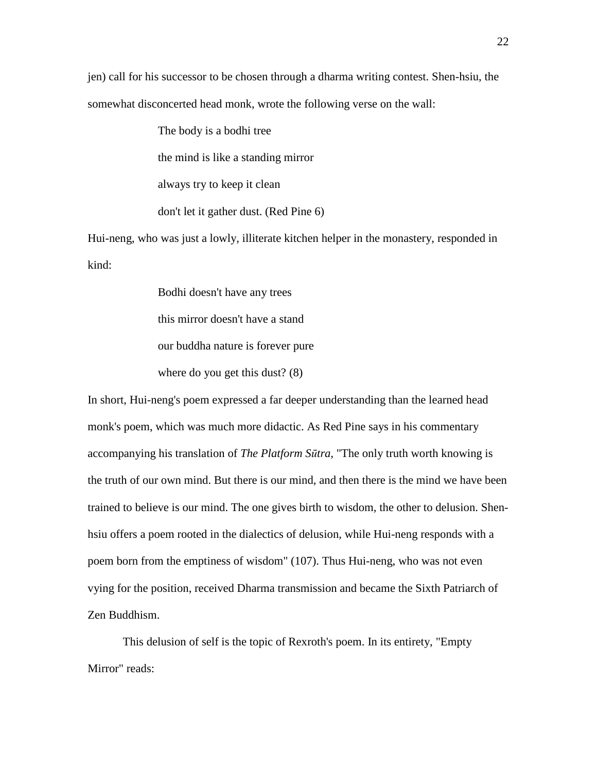jen) call for his successor to be chosen through a dharma writing contest. Shen-hsiu, the somewhat disconcerted head monk, wrote the following verse on the wall:

> The body is a bodhi tree the mind is like a standing mirror always try to keep it clean

don't let it gather dust. (Red Pine 6)

Hui-neng, who was just a lowly, illiterate kitchen helper in the monastery, responded in kind:

Bodhi doesn't have any trees

this mirror doesn't have a stand

our buddha nature is forever pure

where do you get this dust? (8)

In short, Hui-neng's poem expressed a far deeper understanding than the learned head monk's poem, which was much more didactic. As Red Pine says in his commentary accompanying his translation of *The Platform S*ū*tra,* "The only truth worth knowing is the truth of our own mind. But there is our mind, and then there is the mind we have been trained to believe is our mind. The one gives birth to wisdom, the other to delusion. Shenhsiu offers a poem rooted in the dialectics of delusion, while Hui-neng responds with a poem born from the emptiness of wisdom" (107). Thus Hui-neng, who was not even vying for the position, received Dharma transmission and became the Sixth Patriarch of Zen Buddhism.

 This delusion of self is the topic of Rexroth's poem. In its entirety, "Empty Mirror" reads: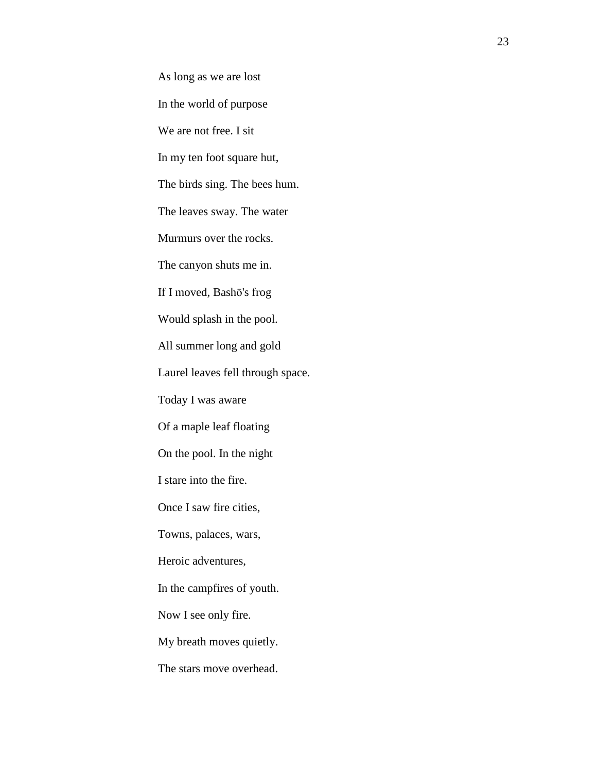As long as we are lost In the world of purpose We are not free. I sit In my ten foot square hut, The birds sing. The bees hum. The leaves sway. The water Murmurs over the rocks. The canyon shuts me in. If I moved, Bashō's frog Would splash in the pool. All summer long and gold Laurel leaves fell through space. Today I was aware Of a maple leaf floating On the pool. In the night I stare into the fire. Once I saw fire cities, Towns, palaces, wars, Heroic adventures, In the campfires of youth. Now I see only fire. My breath moves quietly. The stars move overhead.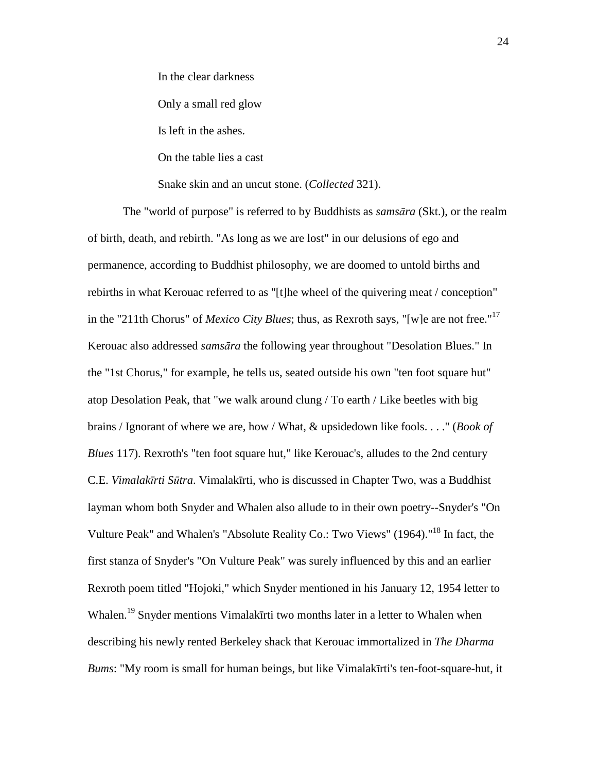In the clear darkness

Only a small red glow

Is left in the ashes.

On the table lies a cast

Snake skin and an uncut stone. (*Collected* 321).

 The "world of purpose" is referred to by Buddhists as *sams*ā*ra* (Skt.), or the realm of birth, death, and rebirth. "As long as we are lost" in our delusions of ego and permanence, according to Buddhist philosophy, we are doomed to untold births and rebirths in what Kerouac referred to as "[t]he wheel of the quivering meat / conception" in the "211th Chorus" of *Mexico City Blues*; thus, as Rexroth says, "[w]e are not free."<sup>17</sup> Kerouac also addressed *sams*ā*ra* the following year throughout "Desolation Blues." In the "1st Chorus," for example, he tells us, seated outside his own "ten foot square hut" atop Desolation Peak, that "we walk around clung / To earth / Like beetles with big brains / Ignorant of where we are, how / What, & upsidedown like fools. . . ." (*Book of Blues* 117). Rexroth's "ten foot square hut," like Kerouac's, alludes to the 2nd century C.E. *Vimalak*ī*rti S*ū*tra*. Vimalakīrti, who is discussed in Chapter Two, was a Buddhist layman whom both Snyder and Whalen also allude to in their own poetry--Snyder's "On Vulture Peak" and Whalen's "Absolute Reality Co.: Two Views" (1964)."<sup>18</sup> In fact, the first stanza of Snyder's "On Vulture Peak" was surely influenced by this and an earlier Rexroth poem titled "Hojoki," which Snyder mentioned in his January 12, 1954 letter to Whalen.<sup>19</sup> Snyder mentions Vimalakīrti two months later in a letter to Whalen when describing his newly rented Berkeley shack that Kerouac immortalized in *The Dharma Bums*: "My room is small for human beings, but like Vimalakīrti's ten-foot-square-hut, it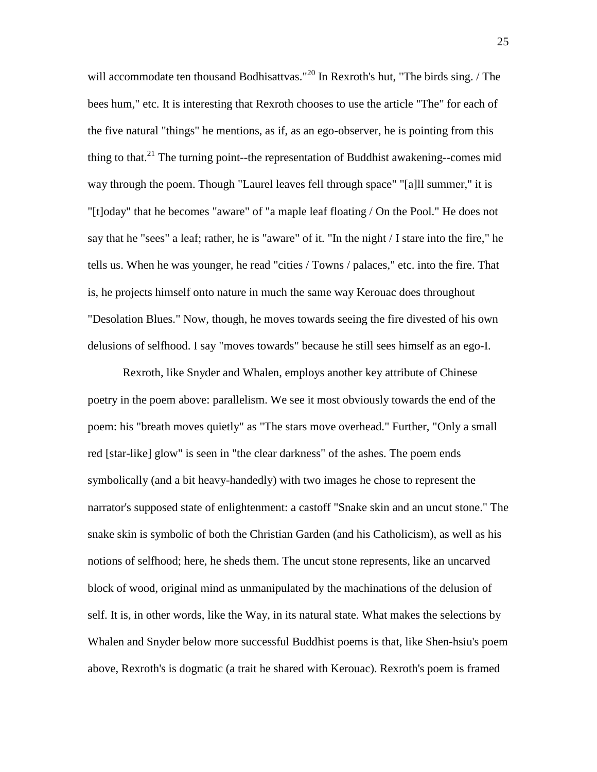will accommodate ten thousand Bodhisattvas."<sup>20</sup> In Rexroth's hut, "The birds sing. / The bees hum," etc. It is interesting that Rexroth chooses to use the article "The" for each of the five natural "things" he mentions, as if, as an ego-observer, he is pointing from this thing to that.<sup>21</sup> The turning point--the representation of Buddhist awakening--comes mid way through the poem. Though "Laurel leaves fell through space" "[a]ll summer," it is "[t]oday" that he becomes "aware" of "a maple leaf floating / On the Pool." He does not say that he "sees" a leaf; rather, he is "aware" of it. "In the night / I stare into the fire," he tells us. When he was younger, he read "cities / Towns / palaces," etc. into the fire. That is, he projects himself onto nature in much the same way Kerouac does throughout "Desolation Blues." Now, though, he moves towards seeing the fire divested of his own delusions of selfhood. I say "moves towards" because he still sees himself as an ego-I.

 Rexroth, like Snyder and Whalen, employs another key attribute of Chinese poetry in the poem above: parallelism. We see it most obviously towards the end of the poem: his "breath moves quietly" as "The stars move overhead." Further, "Only a small red [star-like] glow" is seen in "the clear darkness" of the ashes. The poem ends symbolically (and a bit heavy-handedly) with two images he chose to represent the narrator's supposed state of enlightenment: a castoff "Snake skin and an uncut stone." The snake skin is symbolic of both the Christian Garden (and his Catholicism), as well as his notions of selfhood; here, he sheds them. The uncut stone represents, like an uncarved block of wood, original mind as unmanipulated by the machinations of the delusion of self. It is, in other words, like the Way, in its natural state. What makes the selections by Whalen and Snyder below more successful Buddhist poems is that, like Shen-hsiu's poem above, Rexroth's is dogmatic (a trait he shared with Kerouac). Rexroth's poem is framed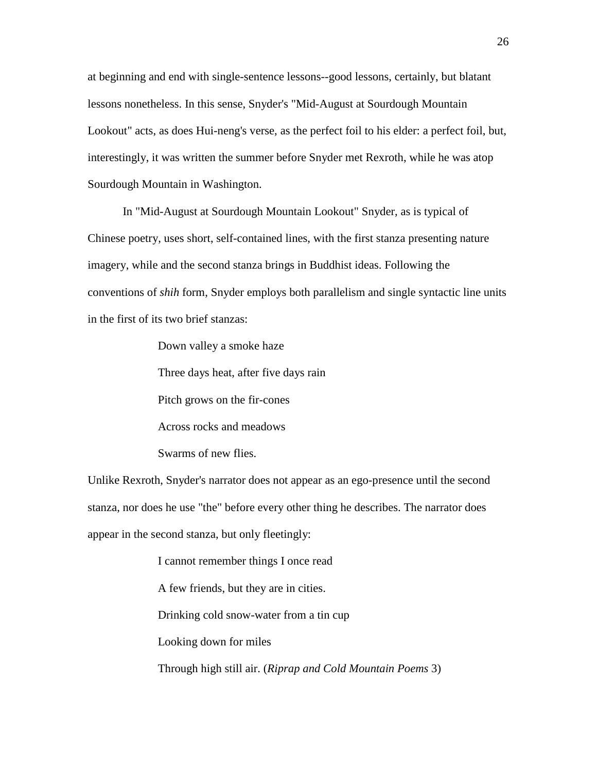at beginning and end with single-sentence lessons--good lessons, certainly, but blatant lessons nonetheless. In this sense, Snyder's "Mid-August at Sourdough Mountain Lookout" acts, as does Hui-neng's verse, as the perfect foil to his elder: a perfect foil, but, interestingly, it was written the summer before Snyder met Rexroth, while he was atop Sourdough Mountain in Washington.

 In "Mid-August at Sourdough Mountain Lookout" Snyder, as is typical of Chinese poetry, uses short, self-contained lines, with the first stanza presenting nature imagery, while and the second stanza brings in Buddhist ideas. Following the conventions of *shih* form, Snyder employs both parallelism and single syntactic line units in the first of its two brief stanzas:

Down valley a smoke haze

Three days heat, after five days rain

Pitch grows on the fir-cones

Across rocks and meadows

Swarms of new flies.

Unlike Rexroth, Snyder's narrator does not appear as an ego-presence until the second stanza, nor does he use "the" before every other thing he describes. The narrator does appear in the second stanza, but only fleetingly:

> I cannot remember things I once read A few friends, but they are in cities. Drinking cold snow-water from a tin cup Looking down for miles Through high still air. (*Riprap and Cold Mountain Poems* 3)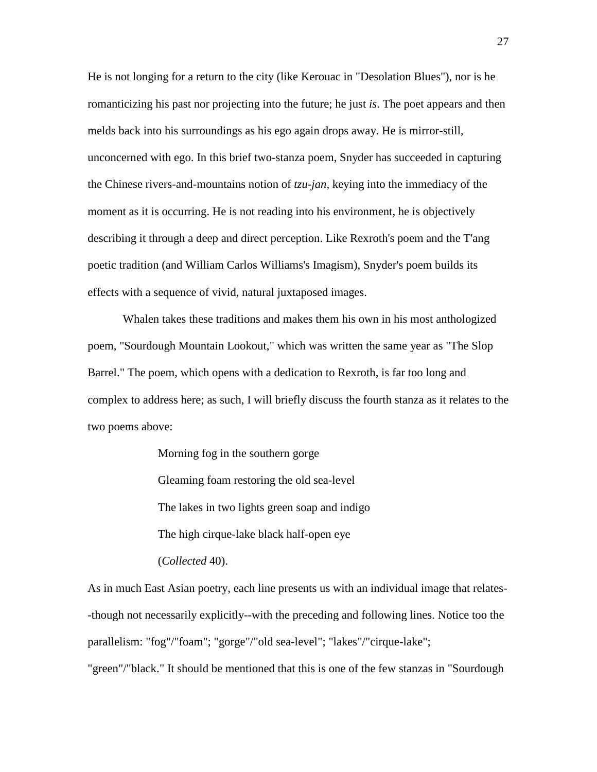He is not longing for a return to the city (like Kerouac in "Desolation Blues"), nor is he romanticizing his past nor projecting into the future; he just *is*. The poet appears and then melds back into his surroundings as his ego again drops away. He is mirror-still, unconcerned with ego. In this brief two-stanza poem, Snyder has succeeded in capturing the Chinese rivers-and-mountains notion of *tzu-jan*, keying into the immediacy of the moment as it is occurring. He is not reading into his environment, he is objectively describing it through a deep and direct perception. Like Rexroth's poem and the T'ang poetic tradition (and William Carlos Williams's Imagism), Snyder's poem builds its effects with a sequence of vivid, natural juxtaposed images.

 Whalen takes these traditions and makes them his own in his most anthologized poem, "Sourdough Mountain Lookout," which was written the same year as "The Slop Barrel." The poem, which opens with a dedication to Rexroth, is far too long and complex to address here; as such, I will briefly discuss the fourth stanza as it relates to the two poems above:

> Morning fog in the southern gorge Gleaming foam restoring the old sea-level The lakes in two lights green soap and indigo The high cirque-lake black half-open eye

(*Collected* 40).

As in much East Asian poetry, each line presents us with an individual image that relates- -though not necessarily explicitly--with the preceding and following lines. Notice too the parallelism: "fog"/"foam"; "gorge"/"old sea-level"; "lakes"/"cirque-lake";

"green"/"black." It should be mentioned that this is one of the few stanzas in "Sourdough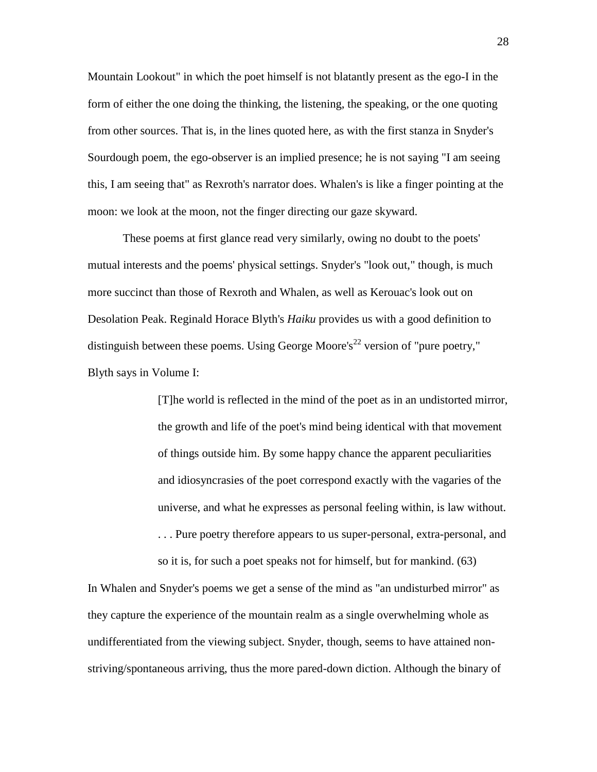Mountain Lookout" in which the poet himself is not blatantly present as the ego-I in the form of either the one doing the thinking, the listening, the speaking, or the one quoting from other sources. That is, in the lines quoted here, as with the first stanza in Snyder's Sourdough poem, the ego-observer is an implied presence; he is not saying "I am seeing this, I am seeing that" as Rexroth's narrator does. Whalen's is like a finger pointing at the moon: we look at the moon, not the finger directing our gaze skyward.

 These poems at first glance read very similarly, owing no doubt to the poets' mutual interests and the poems' physical settings. Snyder's "look out," though, is much more succinct than those of Rexroth and Whalen, as well as Kerouac's look out on Desolation Peak. Reginald Horace Blyth's *Haiku* provides us with a good definition to distinguish between these poems. Using George Moore's<sup>22</sup> version of "pure poetry," Blyth says in Volume I:

> [T]he world is reflected in the mind of the poet as in an undistorted mirror, the growth and life of the poet's mind being identical with that movement of things outside him. By some happy chance the apparent peculiarities and idiosyncrasies of the poet correspond exactly with the vagaries of the universe, and what he expresses as personal feeling within, is law without. . . . Pure poetry therefore appears to us super-personal, extra-personal, and so it is, for such a poet speaks not for himself, but for mankind. (63)

In Whalen and Snyder's poems we get a sense of the mind as "an undisturbed mirror" as they capture the experience of the mountain realm as a single overwhelming whole as undifferentiated from the viewing subject. Snyder, though, seems to have attained nonstriving/spontaneous arriving, thus the more pared-down diction. Although the binary of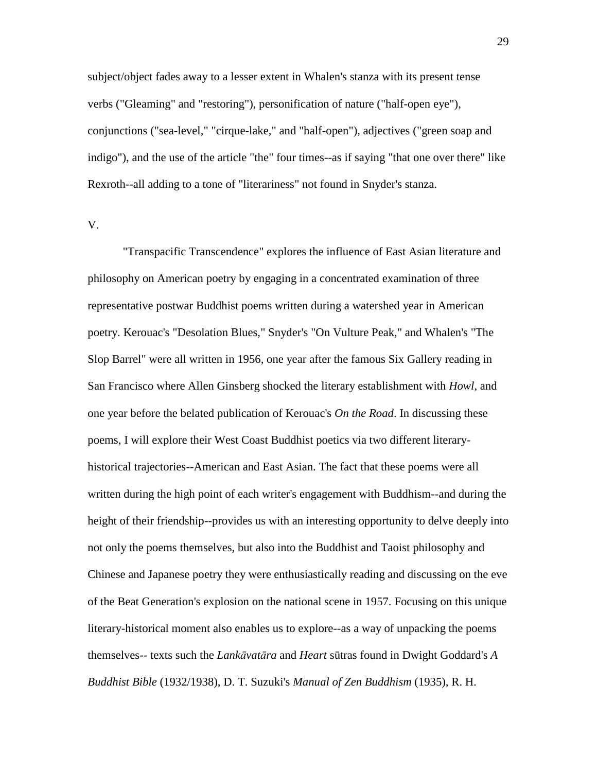subject/object fades away to a lesser extent in Whalen's stanza with its present tense verbs ("Gleaming" and "restoring"), personification of nature ("half-open eye"), conjunctions ("sea-level," "cirque-lake," and "half-open"), adjectives ("green soap and indigo"), and the use of the article "the" four times--as if saying "that one over there" like Rexroth--all adding to a tone of "literariness" not found in Snyder's stanza.

## V.

 "Transpacific Transcendence" explores the influence of East Asian literature and philosophy on American poetry by engaging in a concentrated examination of three representative postwar Buddhist poems written during a watershed year in American poetry. Kerouac's "Desolation Blues," Snyder's "On Vulture Peak," and Whalen's "The Slop Barrel" were all written in 1956, one year after the famous Six Gallery reading in San Francisco where Allen Ginsberg shocked the literary establishment with *Howl*, and one year before the belated publication of Kerouac's *On the Road*. In discussing these poems, I will explore their West Coast Buddhist poetics via two different literaryhistorical trajectories--American and East Asian. The fact that these poems were all written during the high point of each writer's engagement with Buddhism--and during the height of their friendship--provides us with an interesting opportunity to delve deeply into not only the poems themselves, but also into the Buddhist and Taoist philosophy and Chinese and Japanese poetry they were enthusiastically reading and discussing on the eve of the Beat Generation's explosion on the national scene in 1957. Focusing on this unique literary-historical moment also enables us to explore--as a way of unpacking the poems themselves-- texts such the *Lank*ā*vat*ā*ra* and *Heart* sūtras found in Dwight Goddard's *A Buddhist Bible* (1932/1938), D. T. Suzuki's *Manual of Zen Buddhism* (1935), R. H.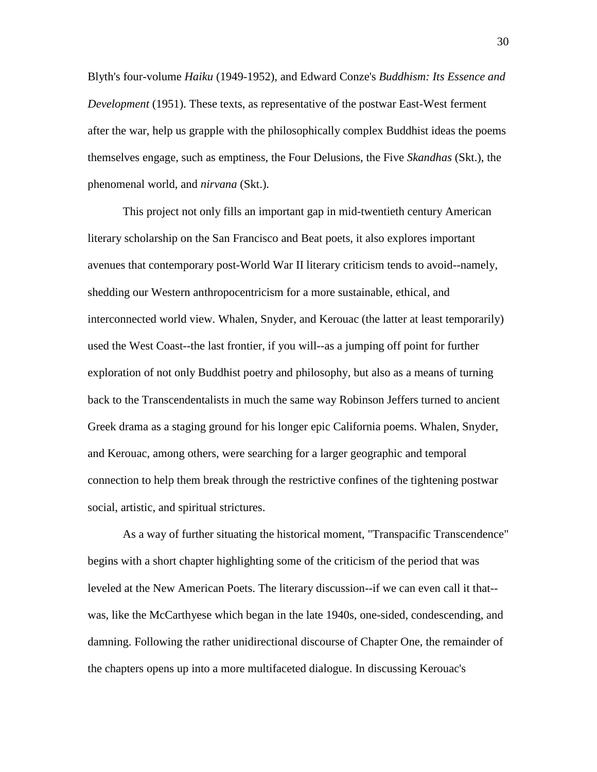Blyth's four-volume *Haiku* (1949-1952), and Edward Conze's *Buddhism: Its Essence and Development* (1951). These texts, as representative of the postwar East-West ferment after the war, help us grapple with the philosophically complex Buddhist ideas the poems themselves engage, such as emptiness, the Four Delusions, the Five *Skandhas* (Skt.), the phenomenal world, and *nirvana* (Skt.).

 This project not only fills an important gap in mid-twentieth century American literary scholarship on the San Francisco and Beat poets, it also explores important avenues that contemporary post-World War II literary criticism tends to avoid--namely, shedding our Western anthropocentricism for a more sustainable, ethical, and interconnected world view. Whalen, Snyder, and Kerouac (the latter at least temporarily) used the West Coast--the last frontier, if you will--as a jumping off point for further exploration of not only Buddhist poetry and philosophy, but also as a means of turning back to the Transcendentalists in much the same way Robinson Jeffers turned to ancient Greek drama as a staging ground for his longer epic California poems. Whalen, Snyder, and Kerouac, among others, were searching for a larger geographic and temporal connection to help them break through the restrictive confines of the tightening postwar social, artistic, and spiritual strictures.

 As a way of further situating the historical moment, "Transpacific Transcendence" begins with a short chapter highlighting some of the criticism of the period that was leveled at the New American Poets. The literary discussion--if we can even call it that- was, like the McCarthyese which began in the late 1940s, one-sided, condescending, and damning. Following the rather unidirectional discourse of Chapter One, the remainder of the chapters opens up into a more multifaceted dialogue. In discussing Kerouac's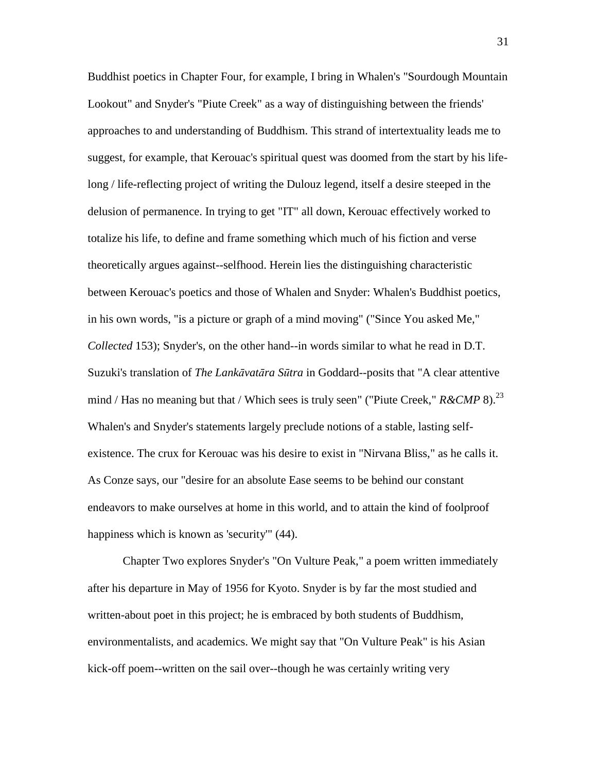Buddhist poetics in Chapter Four, for example, I bring in Whalen's "Sourdough Mountain Lookout" and Snyder's "Piute Creek" as a way of distinguishing between the friends' approaches to and understanding of Buddhism. This strand of intertextuality leads me to suggest, for example, that Kerouac's spiritual quest was doomed from the start by his lifelong / life-reflecting project of writing the Dulouz legend, itself a desire steeped in the delusion of permanence. In trying to get "IT" all down, Kerouac effectively worked to totalize his life, to define and frame something which much of his fiction and verse theoretically argues against--selfhood. Herein lies the distinguishing characteristic between Kerouac's poetics and those of Whalen and Snyder: Whalen's Buddhist poetics, in his own words, "is a picture or graph of a mind moving" ("Since You asked Me," *Collected* 153); Snyder's, on the other hand--in words similar to what he read in D.T. Suzuki's translation of *The Lank*ā*vat*ā*ra S*ū*tra* in Goddard--posits that "A clear attentive mind / Has no meaning but that / Which sees is truly seen" ("Piute Creek," *R&CMP* 8).<sup>23</sup> Whalen's and Snyder's statements largely preclude notions of a stable, lasting selfexistence. The crux for Kerouac was his desire to exist in "Nirvana Bliss," as he calls it. As Conze says, our "desire for an absolute Ease seems to be behind our constant endeavors to make ourselves at home in this world, and to attain the kind of foolproof happiness which is known as 'security'" (44).

 Chapter Two explores Snyder's "On Vulture Peak," a poem written immediately after his departure in May of 1956 for Kyoto. Snyder is by far the most studied and written-about poet in this project; he is embraced by both students of Buddhism, environmentalists, and academics. We might say that "On Vulture Peak" is his Asian kick-off poem--written on the sail over--though he was certainly writing very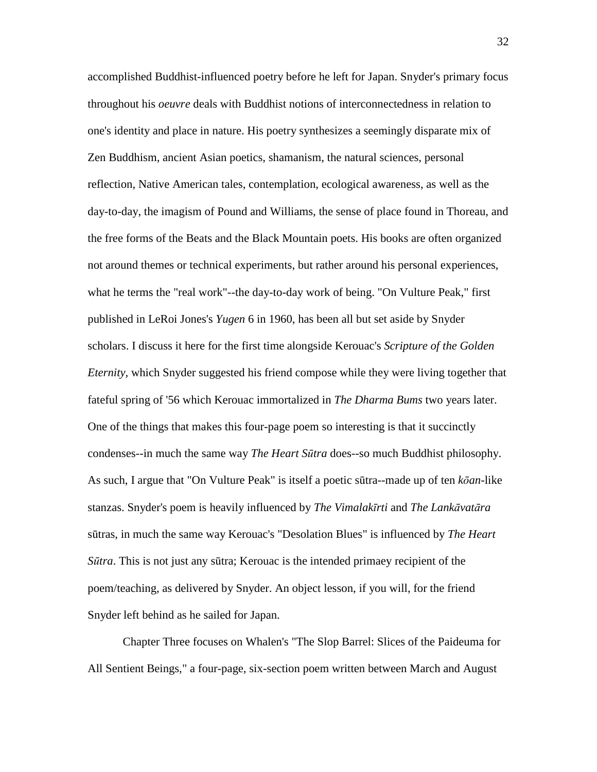accomplished Buddhist-influenced poetry before he left for Japan. Snyder's primary focus throughout his *oeuvre* deals with Buddhist notions of interconnectedness in relation to one's identity and place in nature. His poetry synthesizes a seemingly disparate mix of Zen Buddhism, ancient Asian poetics, shamanism, the natural sciences, personal reflection, Native American tales, contemplation, ecological awareness, as well as the day-to-day, the imagism of Pound and Williams, the sense of place found in Thoreau, and the free forms of the Beats and the Black Mountain poets. His books are often organized not around themes or technical experiments, but rather around his personal experiences, what he terms the "real work"--the day-to-day work of being. "On Vulture Peak," first published in LeRoi Jones's *Yugen* 6 in 1960, has been all but set aside by Snyder scholars. I discuss it here for the first time alongside Kerouac's *Scripture of the Golden Eternity*, which Snyder suggested his friend compose while they were living together that fateful spring of '56 which Kerouac immortalized in *The Dharma Bums* two years later. One of the things that makes this four-page poem so interesting is that it succinctly condenses--in much the same way *The Heart S*ū*tra* does--so much Buddhist philosophy. As such, I argue that "On Vulture Peak" is itself a poetic sūtra--made up of ten *k*ō*an*-like stanzas. Snyder's poem is heavily influenced by *The Vimalak*ī*rti* and *The Lank*ā*vat*ā*ra*  sūtras, in much the same way Kerouac's "Desolation Blues" is influenced by *The Heart S*ū*tra*. This is not just any sūtra; Kerouac is the intended primaey recipient of the poem/teaching, as delivered by Snyder. An object lesson, if you will, for the friend Snyder left behind as he sailed for Japan.

 Chapter Three focuses on Whalen's "The Slop Barrel: Slices of the Paideuma for All Sentient Beings," a four-page, six-section poem written between March and August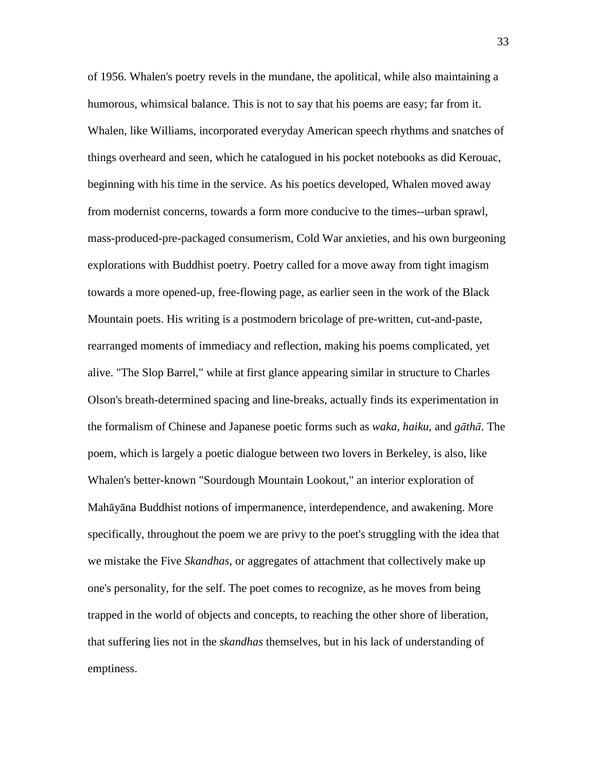of 1956. Whalen's poetry revels in the mundane, the apolitical, while also maintaining a humorous, whimsical balance. This is not to say that his poems are easy; far from it. Whalen, like Williams, incorporated everyday American speech rhythms and snatches of things overheard and seen, which he catalogued in his pocket notebooks as did Kerouac, beginning with his time in the service. As his poetics developed, Whalen moved away from modernist concerns, towards a form more conducive to the times--urban sprawl, mass-produced-pre-packaged consumerism, Cold War anxieties, and his own burgeoning explorations with Buddhist poetry. Poetry called for a move away from tight imagism towards a more opened-up, free-flowing page, as earlier seen in the work of the Black Mountain poets. His writing is a postmodern bricolage of pre-written, cut-and-paste, rearranged moments of immediacy and reflection, making his poems complicated, yet alive. "The Slop Barrel," while at first glance appearing similar in structure to Charles Olson's breath-determined spacing and line-breaks, actually finds its experimentation in the formalism of Chinese and Japanese poetic forms such as *waka*, *haiku*, and *g*ā*th*ā. The poem, which is largely a poetic dialogue between two lovers in Berkeley, is also, like Whalen's better-known "Sourdough Mountain Lookout," an interior exploration of Mahāyāna Buddhist notions of impermanence, interdependence, and awakening. More specifically, throughout the poem we are privy to the poet's struggling with the idea that we mistake the Five *Skandhas*, or aggregates of attachment that collectively make up one's personality, for the self. The poet comes to recognize, as he moves from being trapped in the world of objects and concepts, to reaching the other shore of liberation, that suffering lies not in the *skandhas* themselves, but in his lack of understanding of emptiness.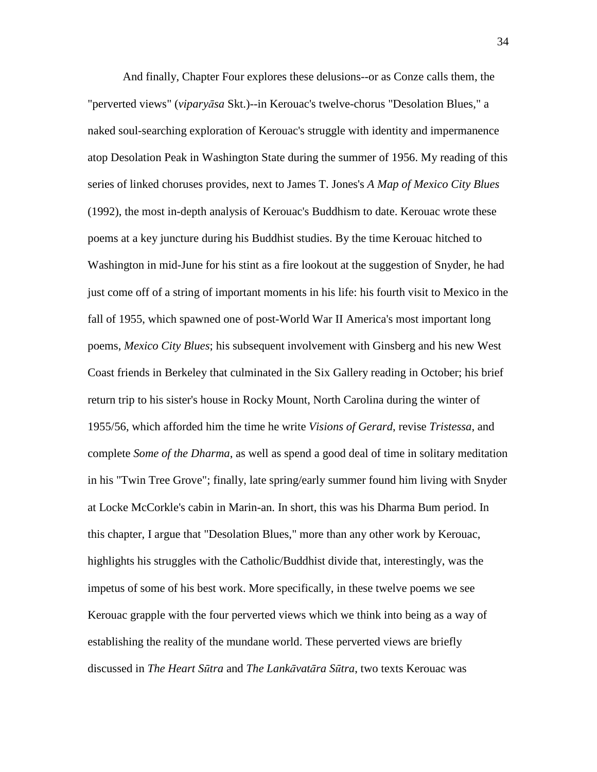And finally, Chapter Four explores these delusions--or as Conze calls them, the "perverted views" (*vipary*ā*sa* Skt.)--in Kerouac's twelve-chorus "Desolation Blues," a naked soul-searching exploration of Kerouac's struggle with identity and impermanence atop Desolation Peak in Washington State during the summer of 1956. My reading of this series of linked choruses provides, next to James T. Jones's *A Map of Mexico City Blues* (1992), the most in-depth analysis of Kerouac's Buddhism to date. Kerouac wrote these poems at a key juncture during his Buddhist studies. By the time Kerouac hitched to Washington in mid-June for his stint as a fire lookout at the suggestion of Snyder, he had just come off of a string of important moments in his life: his fourth visit to Mexico in the fall of 1955, which spawned one of post-World War II America's most important long poems, *Mexico City Blues*; his subsequent involvement with Ginsberg and his new West Coast friends in Berkeley that culminated in the Six Gallery reading in October; his brief return trip to his sister's house in Rocky Mount, North Carolina during the winter of 1955/56, which afforded him the time he write *Visions of Gerard*, revise *Tristessa*, and complete *Some of the Dharma*, as well as spend a good deal of time in solitary meditation in his "Twin Tree Grove"; finally, late spring/early summer found him living with Snyder at Locke McCorkle's cabin in Marin-an. In short, this was his Dharma Bum period. In this chapter, I argue that "Desolation Blues," more than any other work by Kerouac, highlights his struggles with the Catholic/Buddhist divide that, interestingly, was the impetus of some of his best work. More specifically, in these twelve poems we see Kerouac grapple with the four perverted views which we think into being as a way of establishing the reality of the mundane world. These perverted views are briefly discussed in *The Heart S*ū*tra* and *The Lank*ā*vat*ā*ra S*ū*tra*, two texts Kerouac was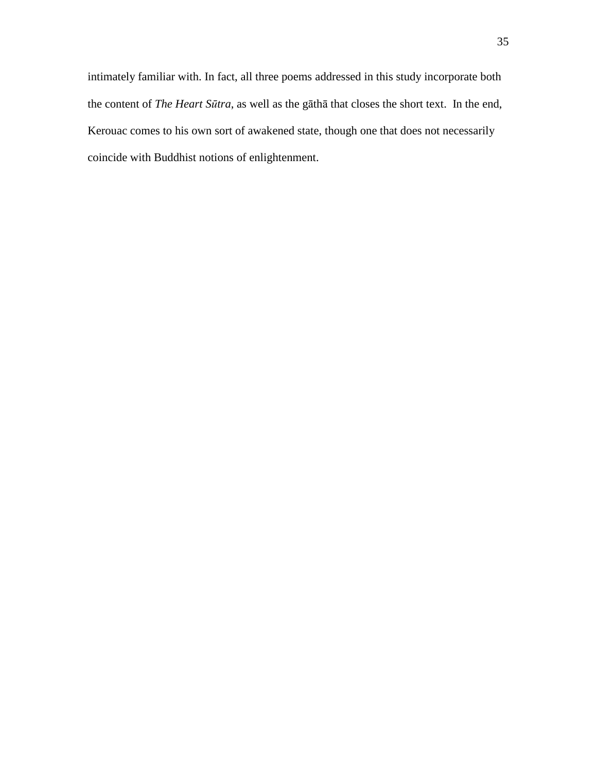intimately familiar with. In fact, all three poems addressed in this study incorporate both the content of *The Heart S*ū*tra*, as well as the gāthā that closes the short text. In the end, Kerouac comes to his own sort of awakened state, though one that does not necessarily coincide with Buddhist notions of enlightenment.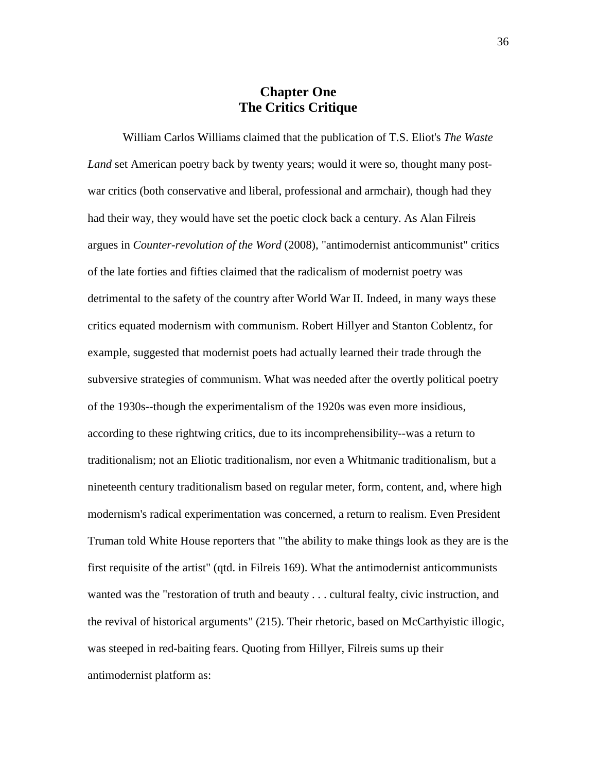## **Chapter One The Critics Critique**

 William Carlos Williams claimed that the publication of T.S. Eliot's *The Waste Land* set American poetry back by twenty years; would it were so, thought many postwar critics (both conservative and liberal, professional and armchair), though had they had their way, they would have set the poetic clock back a century. As Alan Filreis argues in *Counter-revolution of the Word* (2008), "antimodernist anticommunist" critics of the late forties and fifties claimed that the radicalism of modernist poetry was detrimental to the safety of the country after World War II. Indeed, in many ways these critics equated modernism with communism. Robert Hillyer and Stanton Coblentz, for example, suggested that modernist poets had actually learned their trade through the subversive strategies of communism. What was needed after the overtly political poetry of the 1930s--though the experimentalism of the 1920s was even more insidious, according to these rightwing critics, due to its incomprehensibility--was a return to traditionalism; not an Eliotic traditionalism, nor even a Whitmanic traditionalism, but a nineteenth century traditionalism based on regular meter, form, content, and, where high modernism's radical experimentation was concerned, a return to realism. Even President Truman told White House reporters that "'the ability to make things look as they are is the first requisite of the artist" (qtd. in Filreis 169). What the antimodernist anticommunists wanted was the "restoration of truth and beauty . . . cultural fealty, civic instruction, and the revival of historical arguments" (215). Their rhetoric, based on McCarthyistic illogic, was steeped in red-baiting fears. Quoting from Hillyer, Filreis sums up their antimodernist platform as: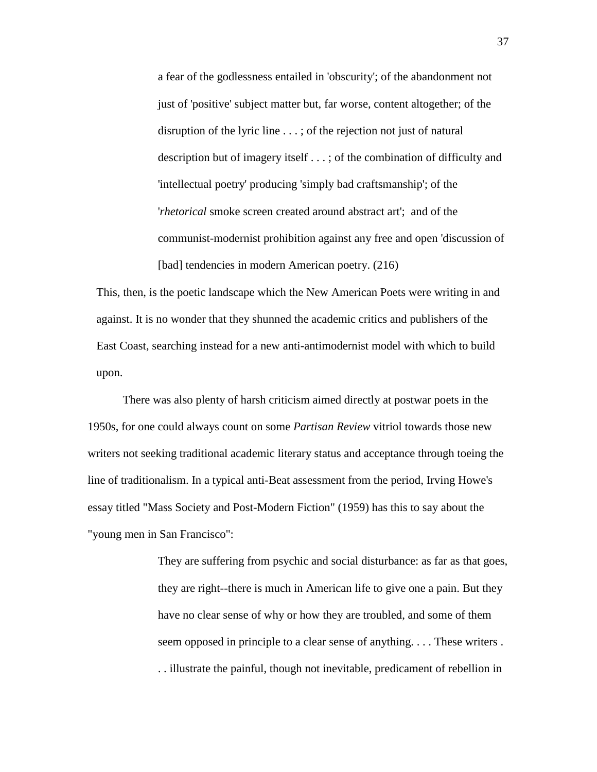a fear of the godlessness entailed in 'obscurity'; of the abandonment not just of 'positive' subject matter but, far worse, content altogether; of the disruption of the lyric line . . . ; of the rejection not just of natural description but of imagery itself . . . ; of the combination of difficulty and 'intellectual poetry' producing 'simply bad craftsmanship'; of the '*rhetorical* smoke screen created around abstract art'; and of the communist-modernist prohibition against any free and open 'discussion of [bad] tendencies in modern American poetry. (216)

This, then, is the poetic landscape which the New American Poets were writing in and against. It is no wonder that they shunned the academic critics and publishers of the East Coast, searching instead for a new anti-antimodernist model with which to build upon.

 There was also plenty of harsh criticism aimed directly at postwar poets in the 1950s, for one could always count on some *Partisan Review* vitriol towards those new writers not seeking traditional academic literary status and acceptance through toeing the line of traditionalism. In a typical anti-Beat assessment from the period, Irving Howe's essay titled "Mass Society and Post-Modern Fiction" (1959) has this to say about the "young men in San Francisco":

> They are suffering from psychic and social disturbance: as far as that goes, they are right--there is much in American life to give one a pain. But they have no clear sense of why or how they are troubled, and some of them seem opposed in principle to a clear sense of anything. . . . These writers . . . illustrate the painful, though not inevitable, predicament of rebellion in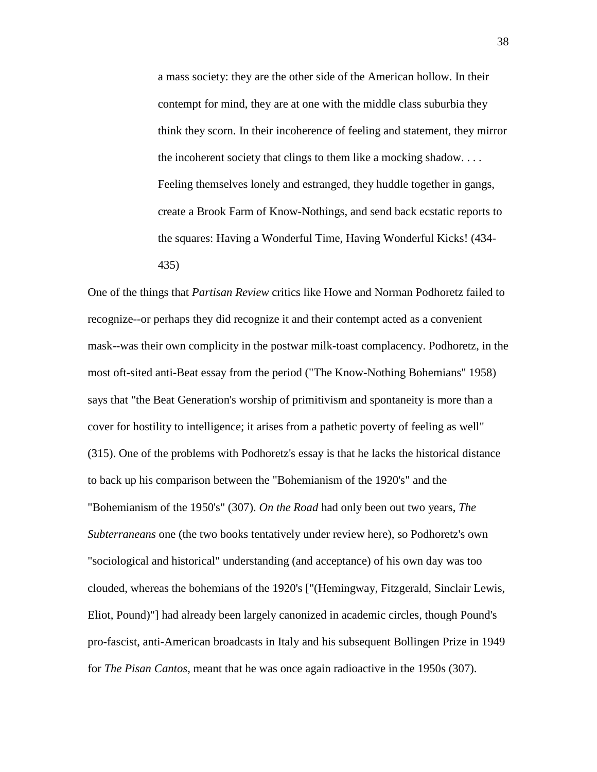a mass society: they are the other side of the American hollow. In their contempt for mind, they are at one with the middle class suburbia they think they scorn. In their incoherence of feeling and statement, they mirror the incoherent society that clings to them like a mocking shadow. . . . Feeling themselves lonely and estranged, they huddle together in gangs, create a Brook Farm of Know-Nothings, and send back ecstatic reports to the squares: Having a Wonderful Time, Having Wonderful Kicks! (434- 435)

One of the things that *Partisan Review* critics like Howe and Norman Podhoretz failed to recognize--or perhaps they did recognize it and their contempt acted as a convenient mask--was their own complicity in the postwar milk-toast complacency. Podhoretz, in the most oft-sited anti-Beat essay from the period ("The Know-Nothing Bohemians" 1958) says that "the Beat Generation's worship of primitivism and spontaneity is more than a cover for hostility to intelligence; it arises from a pathetic poverty of feeling as well" (315). One of the problems with Podhoretz's essay is that he lacks the historical distance to back up his comparison between the "Bohemianism of the 1920's" and the "Bohemianism of the 1950's" (307). *On the Road* had only been out two years, *The Subterraneans* one (the two books tentatively under review here), so Podhoretz's own "sociological and historical" understanding (and acceptance) of his own day was too clouded, whereas the bohemians of the 1920's ["(Hemingway, Fitzgerald, Sinclair Lewis, Eliot, Pound)"] had already been largely canonized in academic circles, though Pound's pro-fascist, anti-American broadcasts in Italy and his subsequent Bollingen Prize in 1949 for *The Pisan Cantos*, meant that he was once again radioactive in the 1950s (307).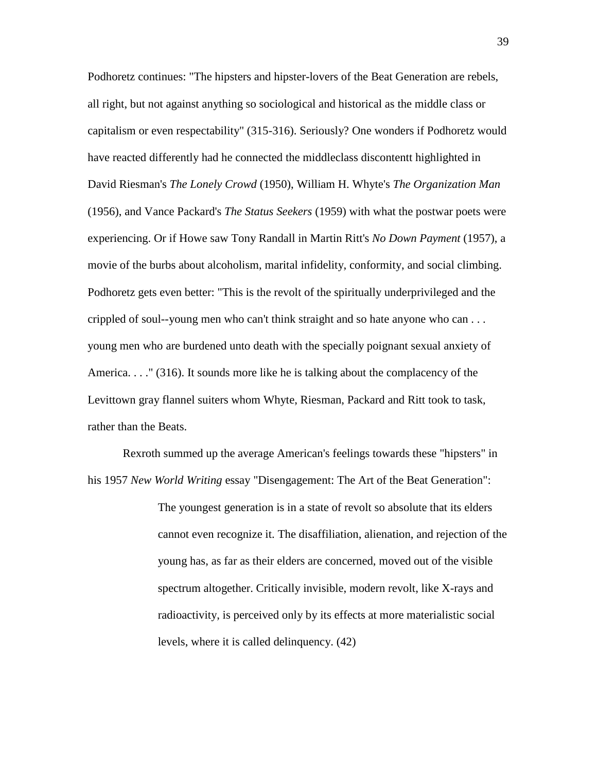Podhoretz continues: "The hipsters and hipster-lovers of the Beat Generation are rebels, all right, but not against anything so sociological and historical as the middle class or capitalism or even respectability" (315-316). Seriously? One wonders if Podhoretz would have reacted differently had he connected the middleclass discontentt highlighted in David Riesman's *The Lonely Crowd* (1950), William H. Whyte's *The Organization Man* (1956), and Vance Packard's *The Status Seekers* (1959) with what the postwar poets were experiencing. Or if Howe saw Tony Randall in Martin Ritt's *No Down Payment* (1957), a movie of the burbs about alcoholism, marital infidelity, conformity, and social climbing. Podhoretz gets even better: "This is the revolt of the spiritually underprivileged and the crippled of soul--young men who can't think straight and so hate anyone who can . . . young men who are burdened unto death with the specially poignant sexual anxiety of America. . . ." (316). It sounds more like he is talking about the complacency of the Levittown gray flannel suiters whom Whyte, Riesman, Packard and Ritt took to task, rather than the Beats.

 Rexroth summed up the average American's feelings towards these "hipsters" in his 1957 *New World Writing* essay "Disengagement: The Art of the Beat Generation":

> The youngest generation is in a state of revolt so absolute that its elders cannot even recognize it. The disaffiliation, alienation, and rejection of the young has, as far as their elders are concerned, moved out of the visible spectrum altogether. Critically invisible, modern revolt, like X-rays and radioactivity, is perceived only by its effects at more materialistic social levels, where it is called delinquency. (42)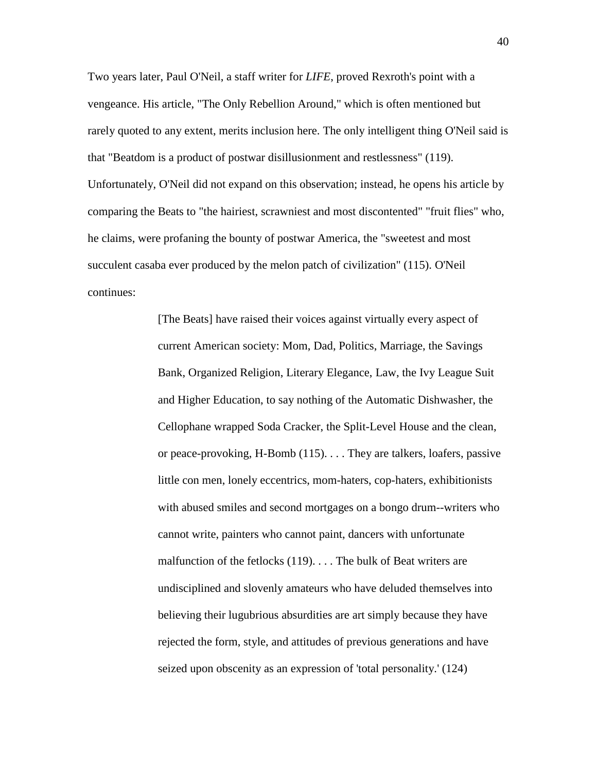Two years later, Paul O'Neil, a staff writer for *LIFE*, proved Rexroth's point with a vengeance. His article, "The Only Rebellion Around," which is often mentioned but rarely quoted to any extent, merits inclusion here. The only intelligent thing O'Neil said is that "Beatdom is a product of postwar disillusionment and restlessness" (119). Unfortunately, O'Neil did not expand on this observation; instead, he opens his article by comparing the Beats to "the hairiest, scrawniest and most discontented" "fruit flies" who, he claims, were profaning the bounty of postwar America, the "sweetest and most succulent casaba ever produced by the melon patch of civilization" (115). O'Neil continues:

> [The Beats] have raised their voices against virtually every aspect of current American society: Mom, Dad, Politics, Marriage, the Savings Bank, Organized Religion, Literary Elegance, Law, the Ivy League Suit and Higher Education, to say nothing of the Automatic Dishwasher, the Cellophane wrapped Soda Cracker, the Split-Level House and the clean, or peace-provoking, H-Bomb (115). . . . They are talkers, loafers, passive little con men, lonely eccentrics, mom-haters, cop-haters, exhibitionists with abused smiles and second mortgages on a bongo drum--writers who cannot write, painters who cannot paint, dancers with unfortunate malfunction of the fetlocks (119). . . . The bulk of Beat writers are undisciplined and slovenly amateurs who have deluded themselves into believing their lugubrious absurdities are art simply because they have rejected the form, style, and attitudes of previous generations and have seized upon obscenity as an expression of 'total personality.' (124)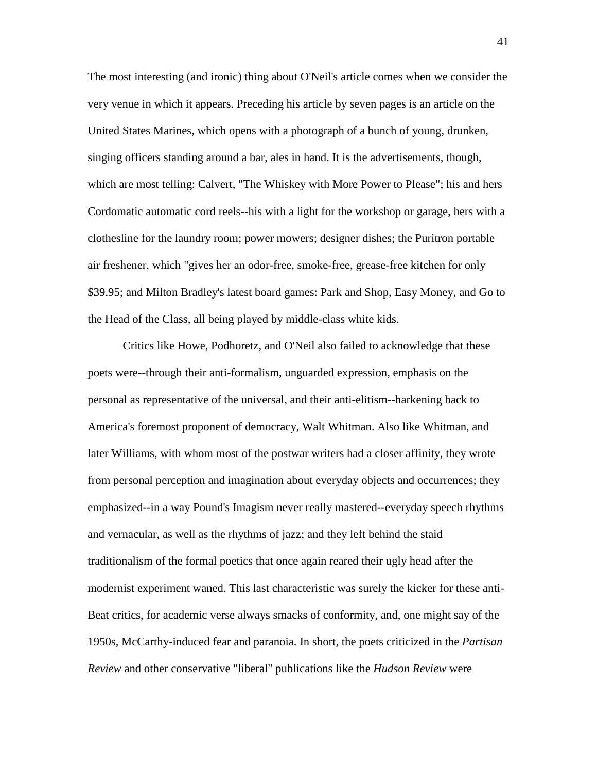The most interesting (and ironic) thing about O'Neil's article comes when we consider the very venue in which it appears. Preceding his article by seven pages is an article on the United States Marines, which opens with a photograph of a bunch of young, drunken, singing officers standing around a bar, ales in hand. It is the advertisements, though, which are most telling: Calvert, "The Whiskey with More Power to Please"; his and hers Cordomatic automatic cord reels--his with a light for the workshop or garage, hers with a clothesline for the laundry room; power mowers; designer dishes; the Puritron portable air freshener, which "gives her an odor-free, smoke-free, grease-free kitchen for only \$39.95; and Milton Bradley's latest board games: Park and Shop, Easy Money, and Go to the Head of the Class, all being played by middle-class white kids.

 Critics like Howe, Podhoretz, and O'Neil also failed to acknowledge that these poets were--through their anti-formalism, unguarded expression, emphasis on the personal as representative of the universal, and their anti-elitism--harkening back to America's foremost proponent of democracy, Walt Whitman. Also like Whitman, and later Williams, with whom most of the postwar writers had a closer affinity, they wrote from personal perception and imagination about everyday objects and occurrences; they emphasized--in a way Pound's Imagism never really mastered--everyday speech rhythms and vernacular, as well as the rhythms of jazz; and they left behind the staid traditionalism of the formal poetics that once again reared their ugly head after the modernist experiment waned. This last characteristic was surely the kicker for these anti-Beat critics, for academic verse always smacks of conformity, and, one might say of the 1950s, McCarthy-induced fear and paranoia. In short, the poets criticized in the *Partisan Review* and other conservative "liberal" publications like the *Hudson Review* were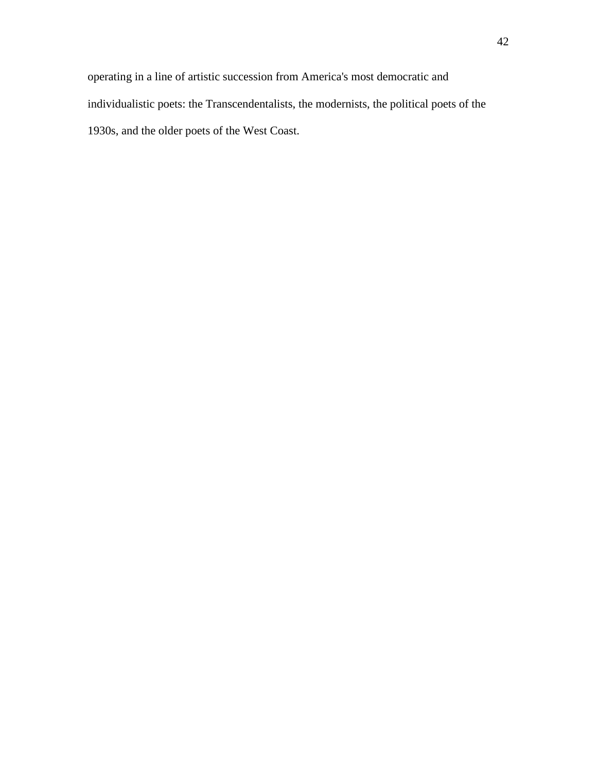operating in a line of artistic succession from America's most democratic and individualistic poets: the Transcendentalists, the modernists, the political poets of the 1930s, and the older poets of the West Coast.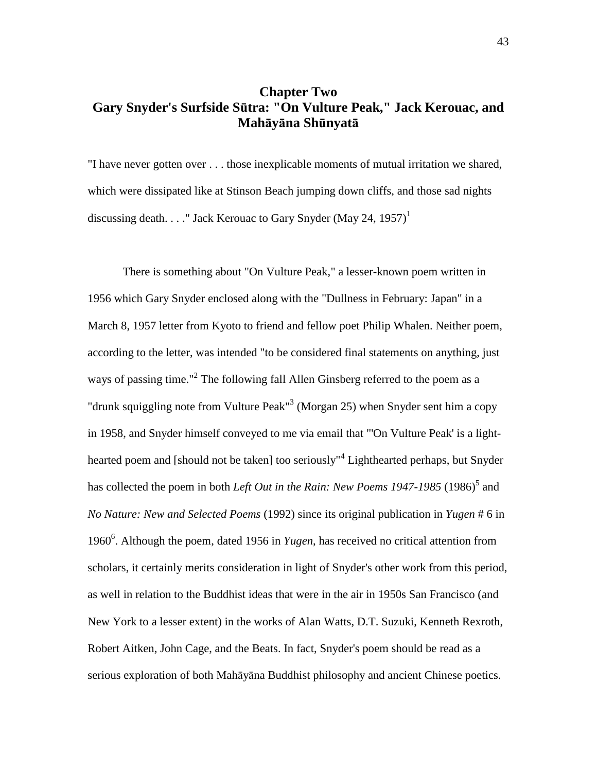## **Chapter Two Gary Snyder's Surfside S**ū**tra: "On Vulture Peak," Jack Kerouac, and Mah**ā**y**ā**na Sh**ū**nyat**ā

"I have never gotten over . . . those inexplicable moments of mutual irritation we shared, which were dissipated like at Stinson Beach jumping down cliffs, and those sad nights discussing death. . . ." Jack Kerouac to Gary Snyder (May 24, 1957)<sup>1</sup>

 There is something about "On Vulture Peak," a lesser-known poem written in 1956 which Gary Snyder enclosed along with the "Dullness in February: Japan" in a March 8, 1957 letter from Kyoto to friend and fellow poet Philip Whalen. Neither poem, according to the letter, was intended "to be considered final statements on anything, just ways of passing time."<sup>2</sup> The following fall Allen Ginsberg referred to the poem as a "drunk squiggling note from Vulture Peak" $3$  (Morgan 25) when Snyder sent him a copy in 1958, and Snyder himself conveyed to me via email that "'On Vulture Peak' is a lighthearted poem and [should not be taken] too seriously"<sup>4</sup> Lighthearted perhaps, but Snyder has collected the poem in both *Left Out in the Rain: New Poems 1947-1985* (1986)<sup>5</sup> and *No Nature: New and Selected Poems* (1992) since its original publication in *Yugen* # 6 in 1960<sup>6</sup>. Although the poem, dated 1956 in *Yugen*, has received no critical attention from scholars, it certainly merits consideration in light of Snyder's other work from this period, as well in relation to the Buddhist ideas that were in the air in 1950s San Francisco (and New York to a lesser extent) in the works of Alan Watts, D.T. Suzuki, Kenneth Rexroth, Robert Aitken, John Cage, and the Beats. In fact, Snyder's poem should be read as a serious exploration of both Mahāyāna Buddhist philosophy and ancient Chinese poetics.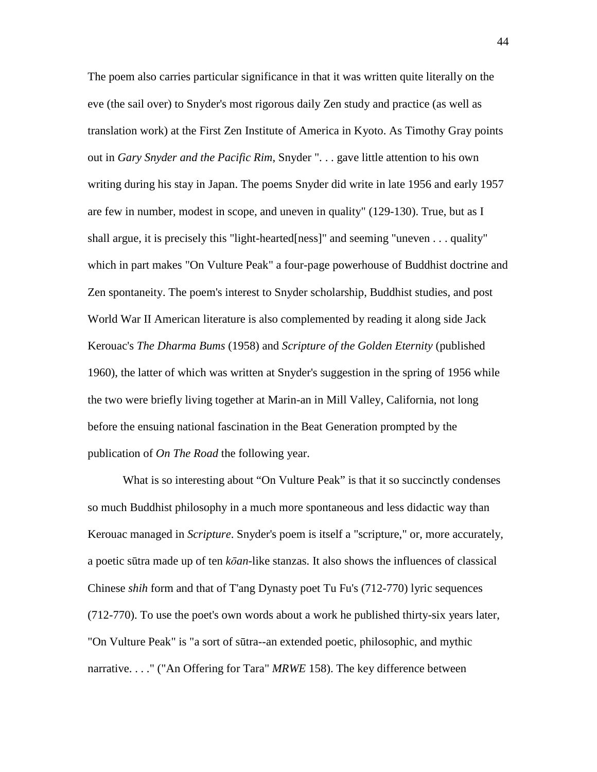The poem also carries particular significance in that it was written quite literally on the eve (the sail over) to Snyder's most rigorous daily Zen study and practice (as well as translation work) at the First Zen Institute of America in Kyoto. As Timothy Gray points out in *Gary Snyder and the Pacific Rim*, Snyder ". . . gave little attention to his own writing during his stay in Japan. The poems Snyder did write in late 1956 and early 1957 are few in number, modest in scope, and uneven in quality" (129-130). True, but as I shall argue, it is precisely this "light-hearted[ness]" and seeming "uneven . . . quality" which in part makes "On Vulture Peak" a four-page powerhouse of Buddhist doctrine and Zen spontaneity. The poem's interest to Snyder scholarship, Buddhist studies, and post World War II American literature is also complemented by reading it along side Jack Kerouac's *The Dharma Bums* (1958) and *Scripture of the Golden Eternity* (published 1960), the latter of which was written at Snyder's suggestion in the spring of 1956 while the two were briefly living together at Marin-an in Mill Valley, California, not long before the ensuing national fascination in the Beat Generation prompted by the publication of *On The Road* the following year.

What is so interesting about "On Vulture Peak" is that it so succinctly condenses so much Buddhist philosophy in a much more spontaneous and less didactic way than Kerouac managed in *Scripture*. Snyder's poem is itself a "scripture," or, more accurately, a poetic sūtra made up of ten *k*ō*an*-like stanzas. It also shows the influences of classical Chinese *shih* form and that of T'ang Dynasty poet Tu Fu's (712-770) lyric sequences (712-770). To use the poet's own words about a work he published thirty-six years later, "On Vulture Peak" is "a sort of sūtra--an extended poetic, philosophic, and mythic narrative. . . ." ("An Offering for Tara" *MRWE* 158). The key difference between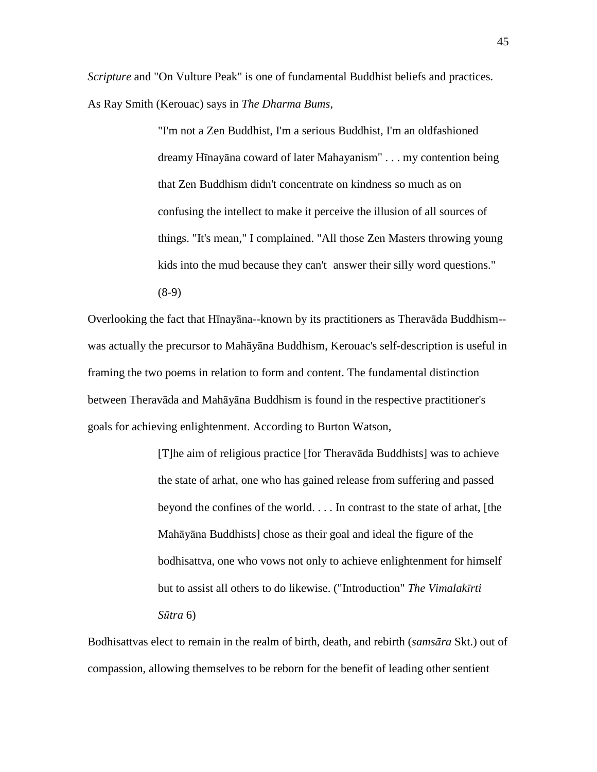*Scripture* and "On Vulture Peak" is one of fundamental Buddhist beliefs and practices. As Ray Smith (Kerouac) says in *The Dharma Bums*,

> "I'm not a Zen Buddhist, I'm a serious Buddhist, I'm an oldfashioned dreamy Hīnayāna coward of later Mahayanism" . . . my contention being that Zen Buddhism didn't concentrate on kindness so much as on confusing the intellect to make it perceive the illusion of all sources of things. "It's mean," I complained. "All those Zen Masters throwing young kids into the mud because they can't answer their silly word questions."  $(8-9)$

Overlooking the fact that Hīnayāna--known by its practitioners as Theravāda Buddhism- was actually the precursor to Mahāyāna Buddhism, Kerouac's self-description is useful in framing the two poems in relation to form and content. The fundamental distinction between Theravāda and Mahāyāna Buddhism is found in the respective practitioner's goals for achieving enlightenment. According to Burton Watson,

> [T]he aim of religious practice [for Theravāda Buddhists] was to achieve the state of arhat, one who has gained release from suffering and passed beyond the confines of the world. . . . In contrast to the state of arhat, [the Mahāyāna Buddhists] chose as their goal and ideal the figure of the bodhisattva, one who vows not only to achieve enlightenment for himself but to assist all others to do likewise. ("Introduction" *The Vimalak*ī*rti S*ū*tra* 6)

Bodhisattvas elect to remain in the realm of birth, death, and rebirth (*sams*ā*ra* Skt.) out of compassion, allowing themselves to be reborn for the benefit of leading other sentient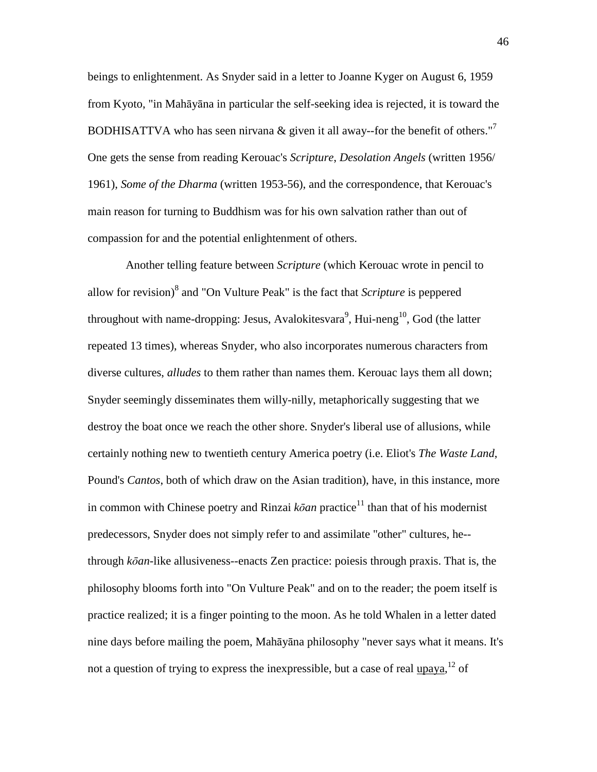beings to enlightenment. As Snyder said in a letter to Joanne Kyger on August 6, 1959 from Kyoto, "in Mahāyāna in particular the self-seeking idea is rejected, it is toward the BODHISATTVA who has seen nirvana & given it all away-for the benefit of others."<sup>7</sup> One gets the sense from reading Kerouac's *Scripture*, *Desolation Angels* (written 1956/ 1961), *Some of the Dharma* (written 1953-56), and the correspondence, that Kerouac's main reason for turning to Buddhism was for his own salvation rather than out of compassion for and the potential enlightenment of others.

 Another telling feature between *Scripture* (which Kerouac wrote in pencil to allow for revision)<sup>8</sup> and "On Vulture Peak" is the fact that *Scripture* is peppered throughout with name-dropping: Jesus, Avalokitesvara<sup>9</sup>, Hui-neng<sup>10</sup>, God (the latter repeated 13 times), whereas Snyder, who also incorporates numerous characters from diverse cultures, *alludes* to them rather than names them. Kerouac lays them all down; Snyder seemingly disseminates them willy-nilly, metaphorically suggesting that we destroy the boat once we reach the other shore. Snyder's liberal use of allusions, while certainly nothing new to twentieth century America poetry (i.e. Eliot's *The Waste Land*, Pound's *Cantos*, both of which draw on the Asian tradition), have, in this instance, more in common with Chinese poetry and Rinzai  $k\bar{o}$ *an* practice<sup>11</sup> than that of his modernist predecessors, Snyder does not simply refer to and assimilate "other" cultures, he- through *k*ō*an*-like allusiveness--enacts Zen practice: poiesis through praxis. That is, the philosophy blooms forth into "On Vulture Peak" and on to the reader; the poem itself is practice realized; it is a finger pointing to the moon. As he told Whalen in a letter dated nine days before mailing the poem, Mahāyāna philosophy "never says what it means. It's not a question of trying to express the inexpressible, but a case of real upaya, <sup>12</sup> of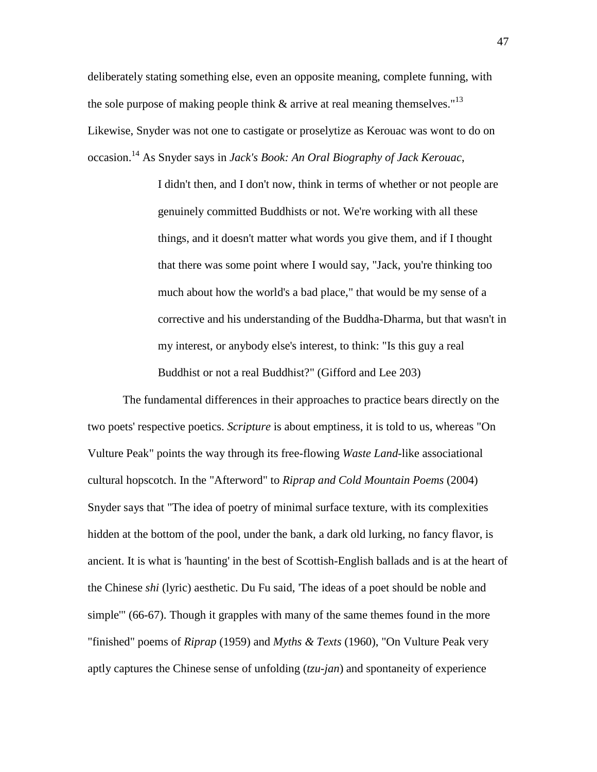deliberately stating something else, even an opposite meaning, complete funning, with the sole purpose of making people think  $\&$  arrive at real meaning themselves."<sup>13</sup> Likewise, Snyder was not one to castigate or proselytize as Kerouac was wont to do on occasion.<sup>14</sup> As Snyder says in *Jack's Book: An Oral Biography of Jack Kerouac*,

> I didn't then, and I don't now, think in terms of whether or not people are genuinely committed Buddhists or not. We're working with all these things, and it doesn't matter what words you give them, and if I thought that there was some point where I would say, "Jack, you're thinking too much about how the world's a bad place," that would be my sense of a corrective and his understanding of the Buddha-Dharma, but that wasn't in my interest, or anybody else's interest, to think: "Is this guy a real Buddhist or not a real Buddhist?" (Gifford and Lee 203)

 The fundamental differences in their approaches to practice bears directly on the two poets' respective poetics. *Scripture* is about emptiness, it is told to us, whereas "On Vulture Peak" points the way through its free-flowing *Waste Land*-like associational cultural hopscotch. In the "Afterword" to *Riprap and Cold Mountain Poems* (2004) Snyder says that "The idea of poetry of minimal surface texture, with its complexities hidden at the bottom of the pool, under the bank, a dark old lurking, no fancy flavor, is ancient. It is what is 'haunting' in the best of Scottish-English ballads and is at the heart of the Chinese *shi* (lyric) aesthetic. Du Fu said, 'The ideas of a poet should be noble and simple'" (66-67). Though it grapples with many of the same themes found in the more "finished" poems of *Riprap* (1959) and *Myths & Texts* (1960), "On Vulture Peak very aptly captures the Chinese sense of unfolding (*tzu-jan*) and spontaneity of experience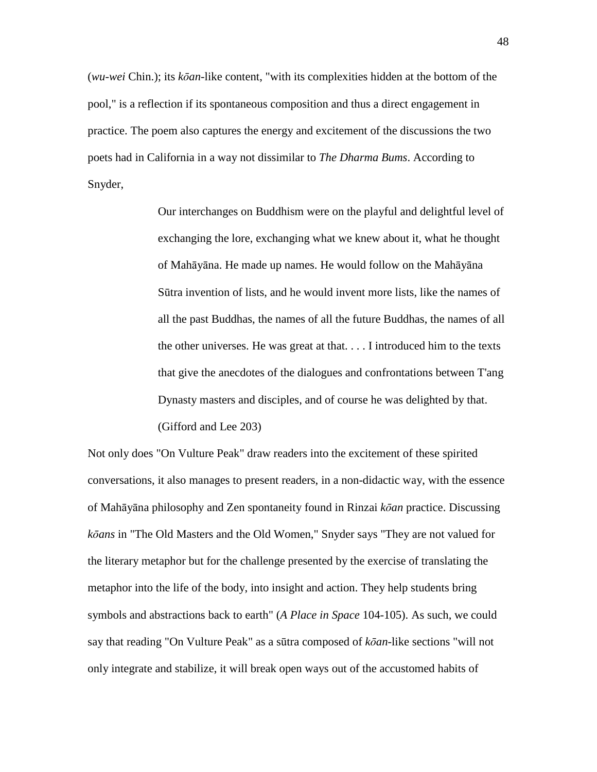(*wu-wei* Chin.); its *k*ō*an*-like content, "with its complexities hidden at the bottom of the pool," is a reflection if its spontaneous composition and thus a direct engagement in practice. The poem also captures the energy and excitement of the discussions the two poets had in California in a way not dissimilar to *The Dharma Bums*. According to Snyder,

> Our interchanges on Buddhism were on the playful and delightful level of exchanging the lore, exchanging what we knew about it, what he thought of Mahāyāna. He made up names. He would follow on the Mahāyāna Sūtra invention of lists, and he would invent more lists, like the names of all the past Buddhas, the names of all the future Buddhas, the names of all the other universes. He was great at that. . . . I introduced him to the texts that give the anecdotes of the dialogues and confrontations between T'ang Dynasty masters and disciples, and of course he was delighted by that. (Gifford and Lee 203)

Not only does "On Vulture Peak" draw readers into the excitement of these spirited conversations, it also manages to present readers, in a non-didactic way, with the essence of Mahāyāna philosophy and Zen spontaneity found in Rinzai *k*ō*an* practice. Discussing *k*ō*ans* in "The Old Masters and the Old Women," Snyder says "They are not valued for the literary metaphor but for the challenge presented by the exercise of translating the metaphor into the life of the body, into insight and action. They help students bring symbols and abstractions back to earth" (*A Place in Space* 104-105). As such, we could say that reading "On Vulture Peak" as a sūtra composed of *k*ō*an*-like sections "will not only integrate and stabilize, it will break open ways out of the accustomed habits of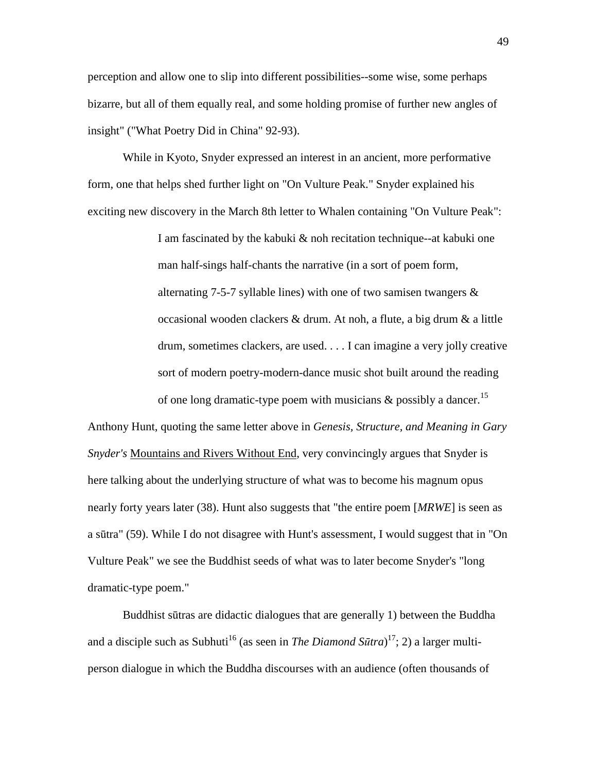perception and allow one to slip into different possibilities--some wise, some perhaps bizarre, but all of them equally real, and some holding promise of further new angles of insight" ("What Poetry Did in China" 92-93).

 While in Kyoto, Snyder expressed an interest in an ancient, more performative form, one that helps shed further light on "On Vulture Peak." Snyder explained his exciting new discovery in the March 8th letter to Whalen containing "On Vulture Peak":

> I am fascinated by the kabuki & noh recitation technique--at kabuki one man half-sings half-chants the narrative (in a sort of poem form, alternating 7-5-7 syllable lines) with one of two samisen twangers  $\&$ occasional wooden clackers & drum. At noh, a flute, a big drum & a little drum, sometimes clackers, are used. . . . I can imagine a very jolly creative sort of modern poetry-modern-dance music shot built around the reading of one long dramatic-type poem with musicians  $\&$  possibly a dancer.<sup>15</sup>

Anthony Hunt, quoting the same letter above in *Genesis, Structure, and Meaning in Gary Snyder's* Mountains and Rivers Without End, very convincingly argues that Snyder is here talking about the underlying structure of what was to become his magnum opus nearly forty years later (38). Hunt also suggests that "the entire poem [*MRWE*] is seen as a sūtra" (59). While I do not disagree with Hunt's assessment, I would suggest that in "On Vulture Peak" we see the Buddhist seeds of what was to later become Snyder's "long dramatic-type poem."

 Buddhist sūtras are didactic dialogues that are generally 1) between the Buddha and a disciple such as Subhuti<sup>16</sup> (as seen in *The Diamond Sūtra*)<sup>17</sup>; 2) a larger multiperson dialogue in which the Buddha discourses with an audience (often thousands of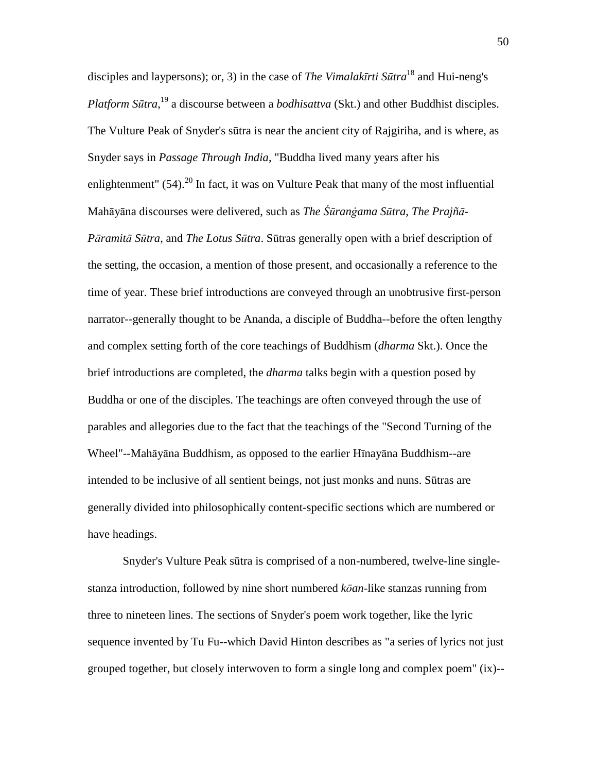disciples and laypersons); or, 3) in the case of *The Vimalak*ī*rti S*ū*tra*<sup>18</sup> and Hui-neng's *Platform S*ū*tra*, <sup>19</sup> a discourse between a *bodhisattva* (Skt.) and other Buddhist disciples. The Vulture Peak of Snyder's sūtra is near the ancient city of Rajgiriha, and is where, as Snyder says in *Passage Through India*, "Buddha lived many years after his enlightenment"  $(54)$ .<sup>20</sup> In fact, it was on Vulture Peak that many of the most influential Mahāyāna discourses were delivered, such as *The Śūranġama Sūtra, The Prajñā*-*P*ā*ramit*ā *S*ū*tra*, and *The Lotus S*ū*tra*. Sūtras generally open with a brief description of the setting, the occasion, a mention of those present, and occasionally a reference to the time of year. These brief introductions are conveyed through an unobtrusive first-person narrator--generally thought to be Ananda, a disciple of Buddha--before the often lengthy and complex setting forth of the core teachings of Buddhism (*dharma* Skt.). Once the brief introductions are completed, the *dharma* talks begin with a question posed by Buddha or one of the disciples. The teachings are often conveyed through the use of parables and allegories due to the fact that the teachings of the "Second Turning of the Wheel"--Mahāyāna Buddhism, as opposed to the earlier Hīnayāna Buddhism--are intended to be inclusive of all sentient beings, not just monks and nuns. Sūtras are generally divided into philosophically content-specific sections which are numbered or have headings.

 Snyder's Vulture Peak sūtra is comprised of a non-numbered, twelve-line singlestanza introduction, followed by nine short numbered *k*ō*an*-like stanzas running from three to nineteen lines. The sections of Snyder's poem work together, like the lyric sequence invented by Tu Fu--which David Hinton describes as "a series of lyrics not just grouped together, but closely interwoven to form a single long and complex poem" (ix)--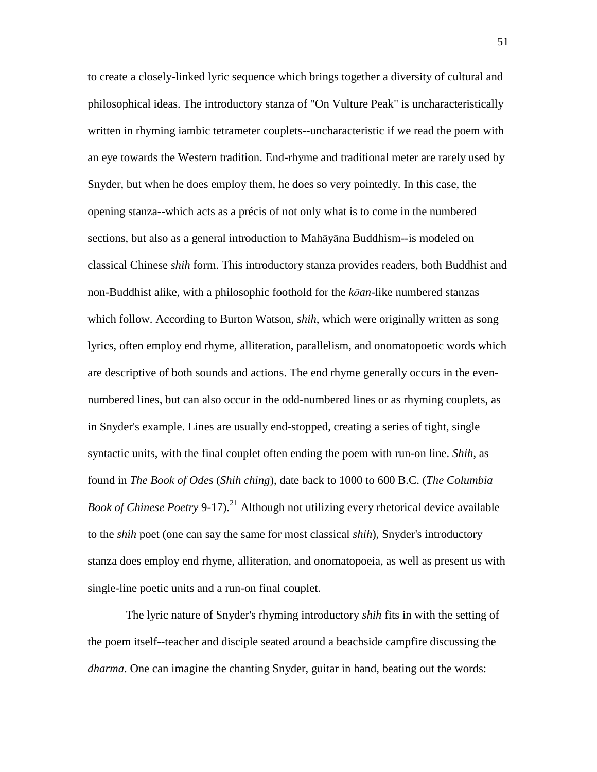to create a closely-linked lyric sequence which brings together a diversity of cultural and philosophical ideas. The introductory stanza of "On Vulture Peak" is uncharacteristically written in rhyming iambic tetrameter couplets--uncharacteristic if we read the poem with an eye towards the Western tradition. End-rhyme and traditional meter are rarely used by Snyder, but when he does employ them, he does so very pointedly. In this case, the opening stanza--which acts as a précis of not only what is to come in the numbered sections, but also as a general introduction to Mahāyāna Buddhism--is modeled on classical Chinese *shih* form. This introductory stanza provides readers, both Buddhist and non-Buddhist alike, with a philosophic foothold for the *k*ō*an*-like numbered stanzas which follow. According to Burton Watson, *shih*, which were originally written as song lyrics, often employ end rhyme, alliteration, parallelism, and onomatopoetic words which are descriptive of both sounds and actions. The end rhyme generally occurs in the evennumbered lines, but can also occur in the odd-numbered lines or as rhyming couplets, as in Snyder's example. Lines are usually end-stopped, creating a series of tight, single syntactic units, with the final couplet often ending the poem with run-on line. *Shih*, as found in *The Book of Odes* (*Shih ching*), date back to 1000 to 600 B.C. (*The Columbia Book of Chinese Poetry* 9-17).<sup>21</sup> Although not utilizing every rhetorical device available to the *shih* poet (one can say the same for most classical *shih*), Snyder's introductory stanza does employ end rhyme, alliteration, and onomatopoeia, as well as present us with single-line poetic units and a run-on final couplet.

 The lyric nature of Snyder's rhyming introductory *shih* fits in with the setting of the poem itself--teacher and disciple seated around a beachside campfire discussing the *dharma*. One can imagine the chanting Snyder, guitar in hand, beating out the words: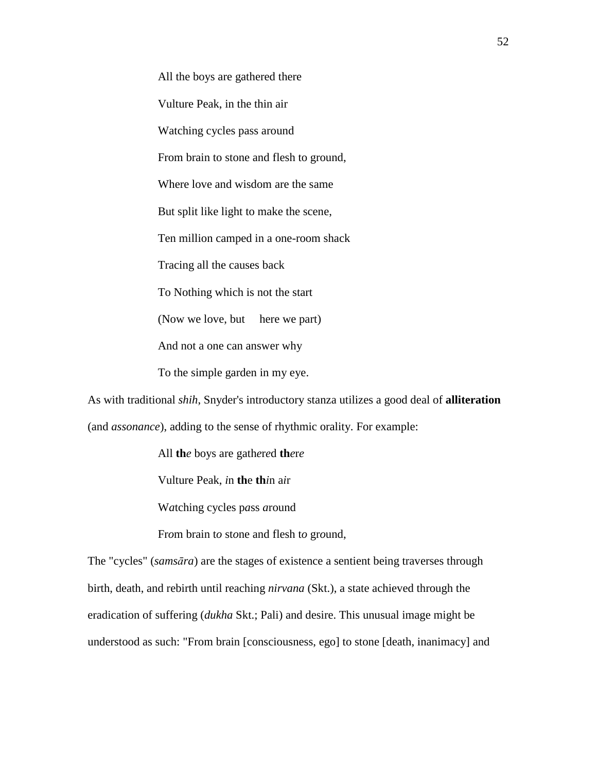All the boys are gathered there Vulture Peak, in the thin air Watching cycles pass around From brain to stone and flesh to ground, Where love and wisdom are the same But split like light to make the scene, Ten million camped in a one-room shack Tracing all the causes back To Nothing which is not the start (Now we love, but here we part) And not a one can answer why To the simple garden in my eye.

As with traditional *shih*, Snyder's introductory stanza utilizes a good deal of **alliteration** (and *assonance*), adding to the sense of rhythmic orality. For example:

All **th***e* boys are gath*e*r*e*d **th***e*r*e*

Vulture Peak, *i*n **th**e **th***i*n a*i*r

W*a*tching cycles p*a*ss *a*round

Fr*o*m brain t*o* st*o*ne and flesh t*o* gr*o*und,

The "cycles" (*sams*ā*ra*) are the stages of existence a sentient being traverses through birth, death, and rebirth until reaching *nirvana* (Skt.), a state achieved through the eradication of suffering (*dukha* Skt.; Pali) and desire. This unusual image might be understood as such: "From brain [consciousness, ego] to stone [death, inanimacy] and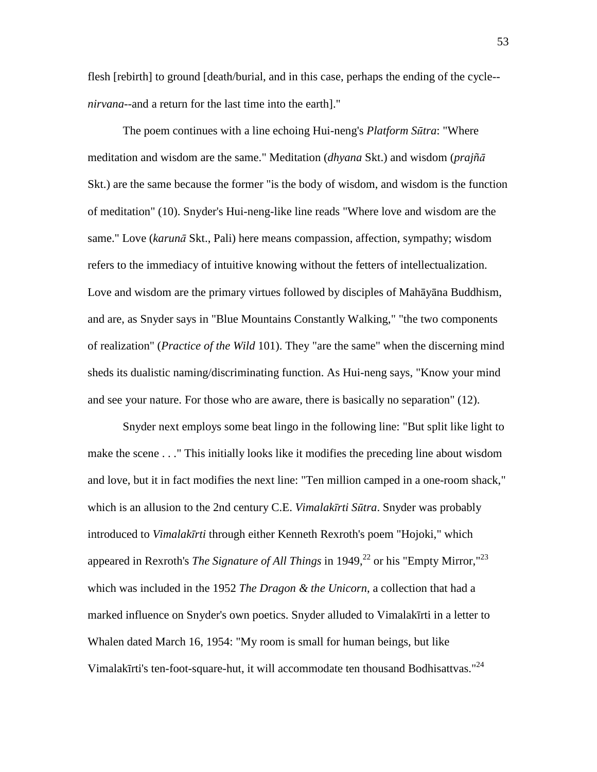flesh [rebirth] to ground [death/burial, and in this case, perhaps the ending of the cycle- *nirvana*--and a return for the last time into the earth]."

 The poem continues with a line echoing Hui-neng's *Platform S*ū*tra*: "Where meditation and wisdom are the same." Meditation (*dhyana* Skt.) and wisdom (*prajñ*ā Skt.) are the same because the former "is the body of wisdom, and wisdom is the function of meditation" (10). Snyder's Hui-neng-like line reads "Where love and wisdom are the same." Love (*karun*ā Skt., Pali) here means compassion, affection, sympathy; wisdom refers to the immediacy of intuitive knowing without the fetters of intellectualization. Love and wisdom are the primary virtues followed by disciples of Mahāyāna Buddhism, and are, as Snyder says in "Blue Mountains Constantly Walking," "the two components of realization" (*Practice of the Wild* 101). They "are the same" when the discerning mind sheds its dualistic naming/discriminating function. As Hui-neng says, "Know your mind and see your nature. For those who are aware, there is basically no separation" (12).

 Snyder next employs some beat lingo in the following line: "But split like light to make the scene . . ." This initially looks like it modifies the preceding line about wisdom and love, but it in fact modifies the next line: "Ten million camped in a one-room shack," which is an allusion to the 2nd century C.E. *Vimalak*ī*rti S*ū*tra*. Snyder was probably introduced to *Vimalak*ī*rti* through either Kenneth Rexroth's poem "Hojoki," which appeared in Rexroth's *The Signature of All Things* in 1949,<sup>22</sup> or his "Empty Mirror,"<sup>23</sup> which was included in the 1952 *The Dragon & the Unicorn*, a collection that had a marked influence on Snyder's own poetics. Snyder alluded to Vimalakīrti in a letter to Whalen dated March 16, 1954: "My room is small for human beings, but like Vimalakīrti's ten-foot-square-hut, it will accommodate ten thousand Bodhisattvas."<sup>24</sup>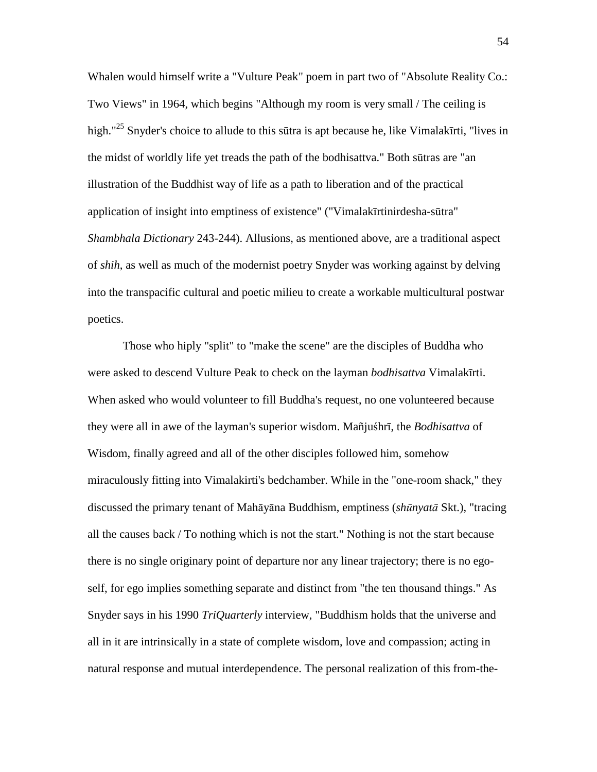Whalen would himself write a "Vulture Peak" poem in part two of "Absolute Reality Co.: Two Views" in 1964, which begins "Although my room is very small / The ceiling is high."<sup>25</sup> Snyder's choice to allude to this sūtra is apt because he, like Vimalakīrti, "lives in the midst of worldly life yet treads the path of the bodhisattva." Both sūtras are "an illustration of the Buddhist way of life as a path to liberation and of the practical application of insight into emptiness of existence" ("Vimalakīrtinirdesha-sūtra" *Shambhala Dictionary* 243-244). Allusions, as mentioned above, are a traditional aspect of *shih*, as well as much of the modernist poetry Snyder was working against by delving into the transpacific cultural and poetic milieu to create a workable multicultural postwar poetics.

 Those who hiply "split" to "make the scene" are the disciples of Buddha who were asked to descend Vulture Peak to check on the layman *bodhisattva* Vimalakīrti. When asked who would volunteer to fill Buddha's request, no one volunteered because they were all in awe of the layman's superior wisdom. Mañjuśhrī, the *Bodhisattva* of Wisdom, finally agreed and all of the other disciples followed him, somehow miraculously fitting into Vimalakirti's bedchamber. While in the "one-room shack," they discussed the primary tenant of Mahāyāna Buddhism, emptiness (*sh*ū*nyat*ā Skt.), "tracing all the causes back / To nothing which is not the start." Nothing is not the start because there is no single originary point of departure nor any linear trajectory; there is no egoself, for ego implies something separate and distinct from "the ten thousand things." As Snyder says in his 1990 *TriQuarterly* interview, "Buddhism holds that the universe and all in it are intrinsically in a state of complete wisdom, love and compassion; acting in natural response and mutual interdependence. The personal realization of this from-the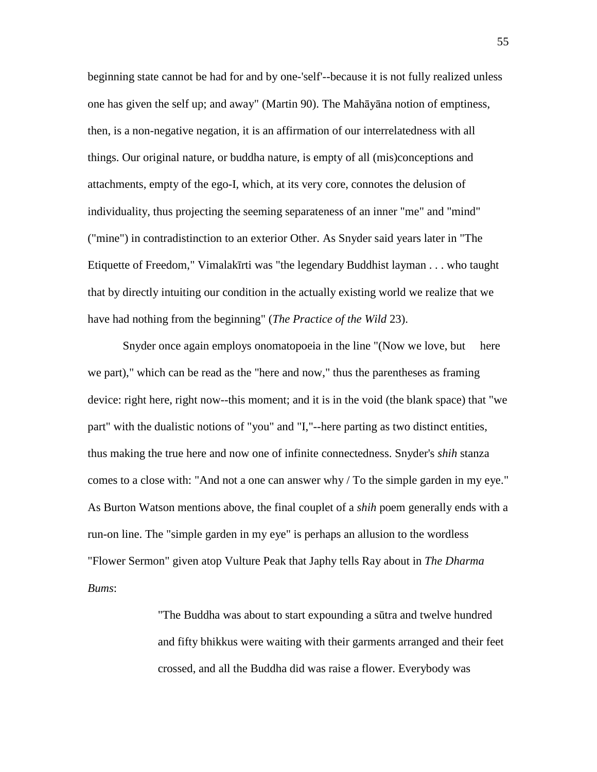beginning state cannot be had for and by one-'self'--because it is not fully realized unless one has given the self up; and away" (Martin 90). The Mahāyāna notion of emptiness, then, is a non-negative negation, it is an affirmation of our interrelatedness with all things. Our original nature, or buddha nature, is empty of all (mis)conceptions and attachments, empty of the ego-I, which, at its very core, connotes the delusion of individuality, thus projecting the seeming separateness of an inner "me" and "mind" ("mine") in contradistinction to an exterior Other. As Snyder said years later in "The Etiquette of Freedom," Vimalakīrti was "the legendary Buddhist layman . . . who taught that by directly intuiting our condition in the actually existing world we realize that we have had nothing from the beginning" (*The Practice of the Wild* 23).

 Snyder once again employs onomatopoeia in the line "(Now we love, but here we part)," which can be read as the "here and now," thus the parentheses as framing device: right here, right now--this moment; and it is in the void (the blank space) that "we part" with the dualistic notions of "you" and "I,"--here parting as two distinct entities, thus making the true here and now one of infinite connectedness. Snyder's *shih* stanza comes to a close with: "And not a one can answer why / To the simple garden in my eye." As Burton Watson mentions above, the final couplet of a *shih* poem generally ends with a run-on line. The "simple garden in my eye" is perhaps an allusion to the wordless "Flower Sermon" given atop Vulture Peak that Japhy tells Ray about in *The Dharma Bums*:

> "The Buddha was about to start expounding a sūtra and twelve hundred and fifty bhikkus were waiting with their garments arranged and their feet crossed, and all the Buddha did was raise a flower. Everybody was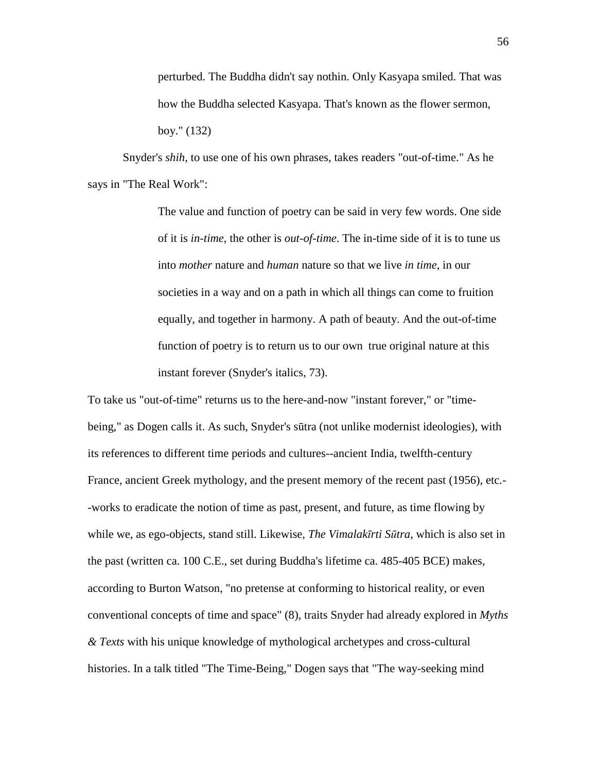perturbed. The Buddha didn't say nothin. Only Kasyapa smiled. That was how the Buddha selected Kasyapa. That's known as the flower sermon, boy." (132)

 Snyder's *shih*, to use one of his own phrases, takes readers "out-of-time." As he says in "The Real Work":

> The value and function of poetry can be said in very few words. One side of it is *in-time*, the other is *out-of-time*. The in-time side of it is to tune us into *mother* nature and *human* nature so that we live *in time*, in our societies in a way and on a path in which all things can come to fruition equally, and together in harmony. A path of beauty. And the out-of-time function of poetry is to return us to our own true original nature at this instant forever (Snyder's italics, 73).

To take us "out-of-time" returns us to the here-and-now "instant forever," or "timebeing," as Dogen calls it. As such, Snyder's sūtra (not unlike modernist ideologies), with its references to different time periods and cultures--ancient India, twelfth-century France, ancient Greek mythology, and the present memory of the recent past (1956), etc.- -works to eradicate the notion of time as past, present, and future, as time flowing by while we, as ego-objects, stand still. Likewise, *The Vimalak*ī*rti S*ū*tra*, which is also set in the past (written ca. 100 C.E., set during Buddha's lifetime ca. 485-405 BCE) makes, according to Burton Watson, "no pretense at conforming to historical reality, or even conventional concepts of time and space" (8), traits Snyder had already explored in *Myths & Texts* with his unique knowledge of mythological archetypes and cross-cultural histories. In a talk titled "The Time-Being," Dogen says that "The way-seeking mind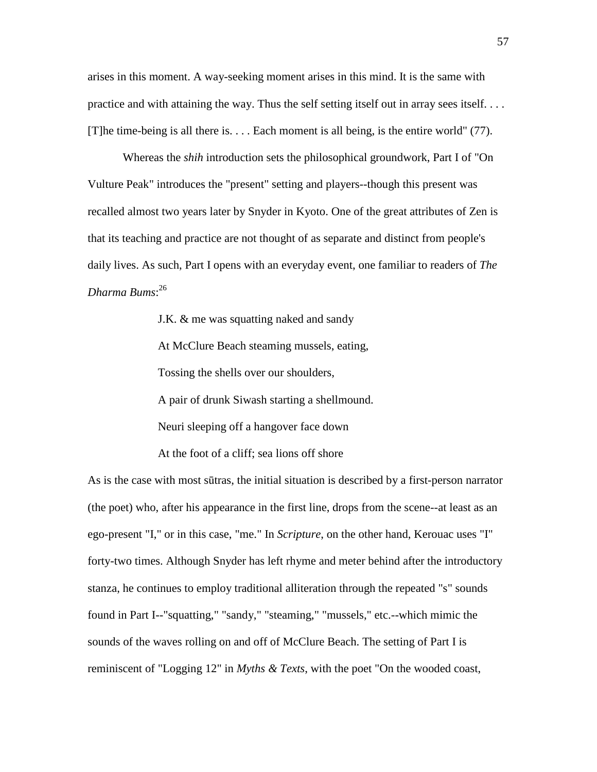arises in this moment. A way-seeking moment arises in this mind. It is the same with practice and with attaining the way. Thus the self setting itself out in array sees itself. . . . [T]he time-being is all there is. . . . Each moment is all being, is the entire world" (77).

 Whereas the *shih* introduction sets the philosophical groundwork, Part I of "On Vulture Peak" introduces the "present" setting and players--though this present was recalled almost two years later by Snyder in Kyoto. One of the great attributes of Zen is that its teaching and practice are not thought of as separate and distinct from people's daily lives. As such, Part I opens with an everyday event, one familiar to readers of *The Dharma Bums*: 26

> J.K. & me was squatting naked and sandy At McClure Beach steaming mussels, eating, Tossing the shells over our shoulders, A pair of drunk Siwash starting a shellmound. Neuri sleeping off a hangover face down At the foot of a cliff; sea lions off shore

As is the case with most sūtras, the initial situation is described by a first-person narrator (the poet) who, after his appearance in the first line, drops from the scene--at least as an ego-present "I," or in this case, "me." In *Scripture*, on the other hand, Kerouac uses "I" forty-two times. Although Snyder has left rhyme and meter behind after the introductory stanza, he continues to employ traditional alliteration through the repeated "s" sounds found in Part I--"squatting," "sandy," "steaming," "mussels," etc.--which mimic the sounds of the waves rolling on and off of McClure Beach. The setting of Part I is reminiscent of "Logging 12" in *Myths & Texts*, with the poet "On the wooded coast,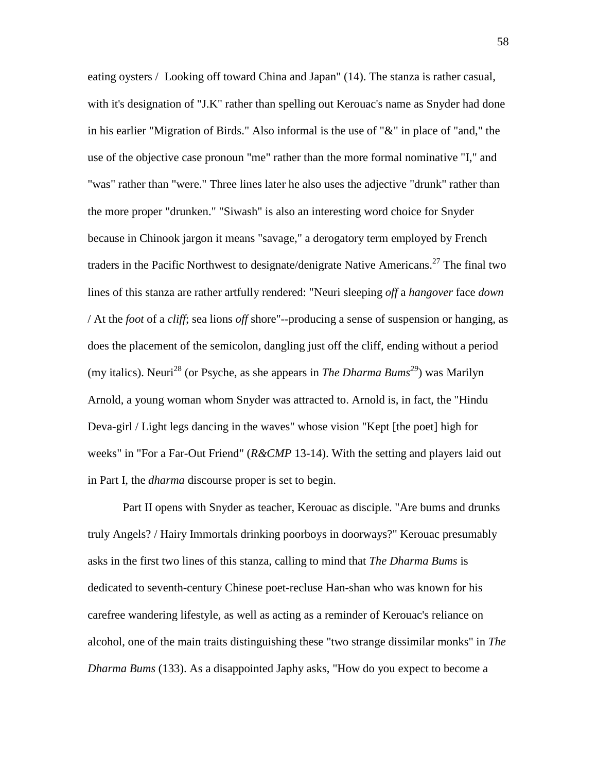eating oysters / Looking off toward China and Japan" (14). The stanza is rather casual, with it's designation of "J.K" rather than spelling out Kerouac's name as Snyder had done in his earlier "Migration of Birds." Also informal is the use of "&" in place of "and," the use of the objective case pronoun "me" rather than the more formal nominative "I," and "was" rather than "were." Three lines later he also uses the adjective "drunk" rather than the more proper "drunken." "Siwash" is also an interesting word choice for Snyder because in Chinook jargon it means "savage," a derogatory term employed by French traders in the Pacific Northwest to designate/denigrate Native Americans.<sup>27</sup> The final two lines of this stanza are rather artfully rendered: "Neuri sleeping *off* a *hangover* face *down* / At the *foot* of a *cliff*; sea lions *off* shore"--producing a sense of suspension or hanging, as does the placement of the semicolon, dangling just off the cliff, ending without a period (my italics). Neuri<sup>28</sup> (or Psyche, as she appears in *The Dharma Bums*<sup>29</sup>) was Marilyn Arnold, a young woman whom Snyder was attracted to. Arnold is, in fact, the "Hindu Deva-girl / Light legs dancing in the waves" whose vision "Kept [the poet] high for weeks" in "For a Far-Out Friend" (*R&CMP* 13-14). With the setting and players laid out in Part I, the *dharma* discourse proper is set to begin.

 Part II opens with Snyder as teacher, Kerouac as disciple. "Are bums and drunks truly Angels? / Hairy Immortals drinking poorboys in doorways?" Kerouac presumably asks in the first two lines of this stanza, calling to mind that *The Dharma Bums* is dedicated to seventh-century Chinese poet-recluse Han-shan who was known for his carefree wandering lifestyle, as well as acting as a reminder of Kerouac's reliance on alcohol, one of the main traits distinguishing these "two strange dissimilar monks" in *The Dharma Bums* (133). As a disappointed Japhy asks, "How do you expect to become a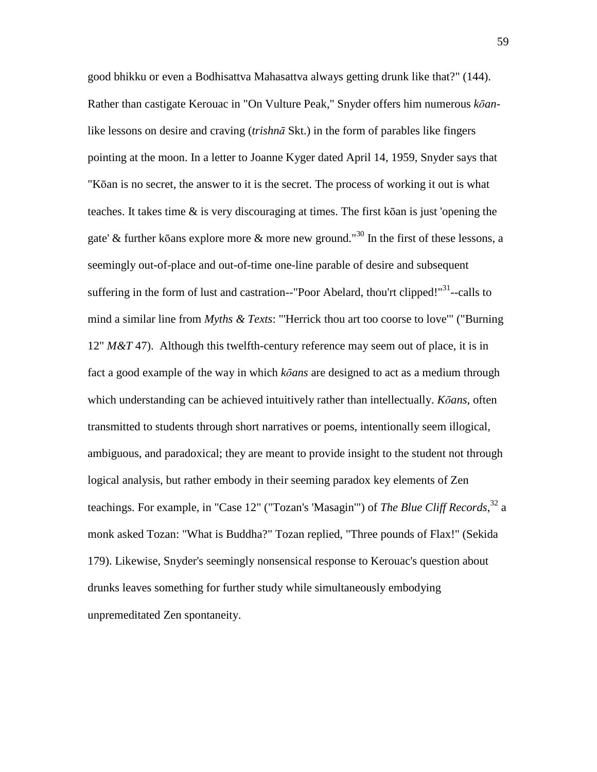good bhikku or even a Bodhisattva Mahasattva always getting drunk like that?" (144). Rather than castigate Kerouac in "On Vulture Peak," Snyder offers him numerous *k*ō*an*like lessons on desire and craving (*trishn*ā Skt.) in the form of parables like fingers pointing at the moon. In a letter to Joanne Kyger dated April 14, 1959, Snyder says that "Kōan is no secret, the answer to it is the secret. The process of working it out is what teaches. It takes time & is very discouraging at times. The first kōan is just 'opening the gate' & further kōans explore more & more new ground."<sup>30</sup> In the first of these lessons, a seemingly out-of-place and out-of-time one-line parable of desire and subsequent suffering in the form of lust and castration--"Poor Abelard, thou'rt clipped!"<sup>31</sup>--calls to mind a similar line from *Myths & Texts*: "'Herrick thou art too coorse to love'" ("Burning 12" *M&T* 47). Although this twelfth-century reference may seem out of place, it is in fact a good example of the way in which *k*ō*ans* are designed to act as a medium through which understanding can be achieved intuitively rather than intellectually. *K*ō*ans*, often transmitted to students through short narratives or poems, intentionally seem illogical, ambiguous, and paradoxical; they are meant to provide insight to the student not through logical analysis, but rather embody in their seeming paradox key elements of Zen teachings. For example, in "Case 12" ("Tozan's 'Masagin'") of *The Blue Cliff Records*, <sup>32</sup> a monk asked Tozan: "What is Buddha?" Tozan replied, "Three pounds of Flax!" (Sekida 179). Likewise, Snyder's seemingly nonsensical response to Kerouac's question about drunks leaves something for further study while simultaneously embodying unpremeditated Zen spontaneity.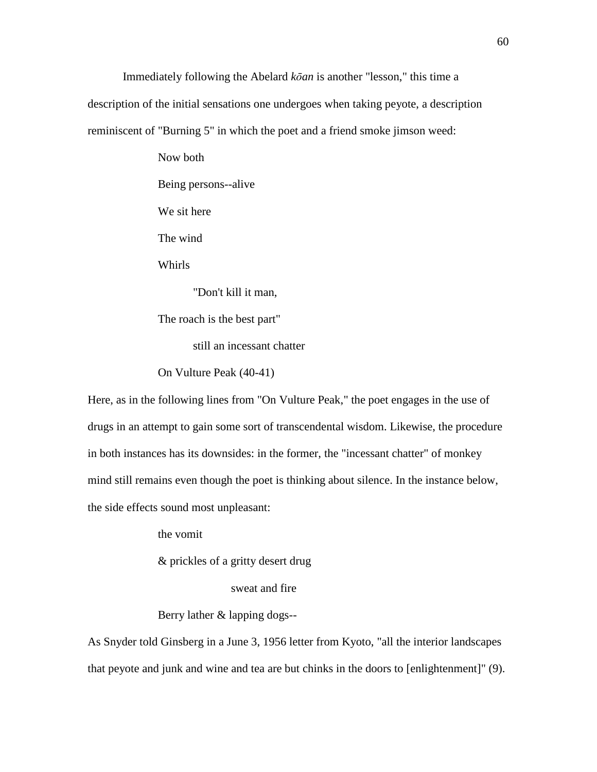Immediately following the Abelard *k*ō*an* is another "lesson," this time a

description of the initial sensations one undergoes when taking peyote, a description

reminiscent of "Burning 5" in which the poet and a friend smoke jimson weed:

Now both Being persons--alive We sit here The wind Whirls "Don't kill it man, The roach is the best part"

still an incessant chatter

On Vulture Peak (40-41)

Here, as in the following lines from "On Vulture Peak," the poet engages in the use of drugs in an attempt to gain some sort of transcendental wisdom. Likewise, the procedure in both instances has its downsides: in the former, the "incessant chatter" of monkey mind still remains even though the poet is thinking about silence. In the instance below, the side effects sound most unpleasant:

the vomit

& prickles of a gritty desert drug

sweat and fire

Berry lather & lapping dogs--

As Snyder told Ginsberg in a June 3, 1956 letter from Kyoto, "all the interior landscapes that peyote and junk and wine and tea are but chinks in the doors to [enlightenment]" (9).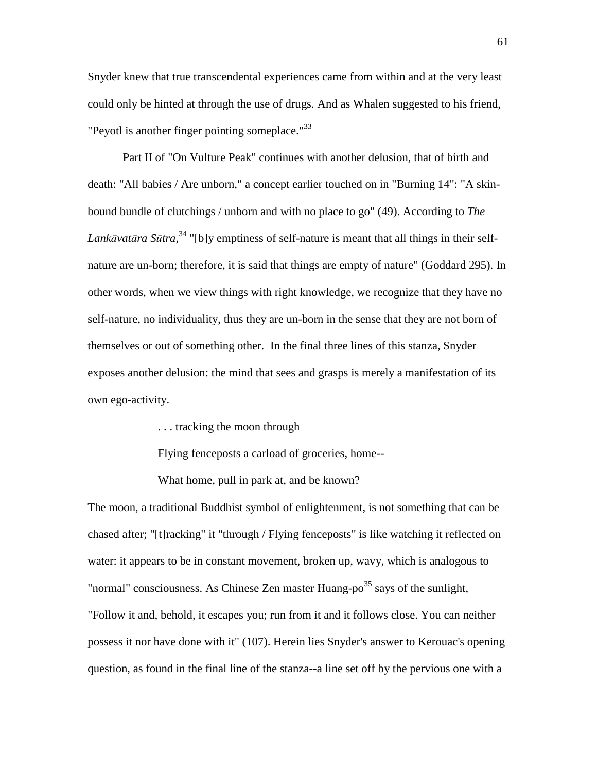Snyder knew that true transcendental experiences came from within and at the very least could only be hinted at through the use of drugs. And as Whalen suggested to his friend, "Peyotl is another finger pointing someplace."<sup>33</sup>

 Part II of "On Vulture Peak" continues with another delusion, that of birth and death: "All babies / Are unborn," a concept earlier touched on in "Burning 14": "A skinbound bundle of clutchings / unborn and with no place to go" (49). According to *The Lank*ā*vat*ā*ra S*ū*tra*, <sup>34</sup> "[b]y emptiness of self-nature is meant that all things in their selfnature are un-born; therefore, it is said that things are empty of nature" (Goddard 295). In other words, when we view things with right knowledge, we recognize that they have no self-nature, no individuality, thus they are un-born in the sense that they are not born of themselves or out of something other. In the final three lines of this stanza, Snyder exposes another delusion: the mind that sees and grasps is merely a manifestation of its own ego-activity.

. . . tracking the moon through

Flying fenceposts a carload of groceries, home--

What home, pull in park at, and be known?

The moon, a traditional Buddhist symbol of enlightenment, is not something that can be chased after; "[t]racking" it "through / Flying fenceposts" is like watching it reflected on water: it appears to be in constant movement, broken up, wavy, which is analogous to "normal" consciousness. As Chinese Zen master Huang-po $^{35}$  says of the sunlight, "Follow it and, behold, it escapes you; run from it and it follows close. You can neither possess it nor have done with it" (107). Herein lies Snyder's answer to Kerouac's opening question, as found in the final line of the stanza--a line set off by the pervious one with a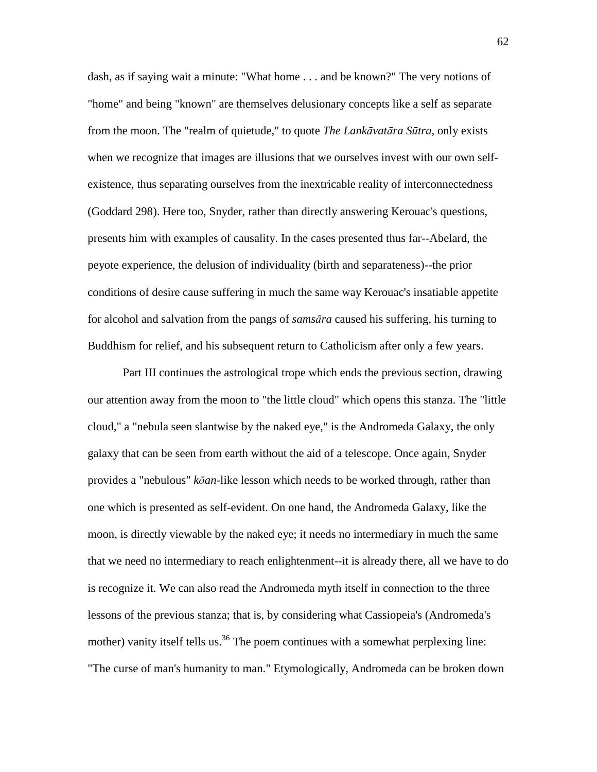dash, as if saying wait a minute: "What home . . . and be known?" The very notions of "home" and being "known" are themselves delusionary concepts like a self as separate from the moon. The "realm of quietude," to quote *The Lank*ā*vat*ā*ra S*ū*tra*, only exists when we recognize that images are illusions that we ourselves invest with our own selfexistence, thus separating ourselves from the inextricable reality of interconnectedness (Goddard 298). Here too, Snyder, rather than directly answering Kerouac's questions, presents him with examples of causality. In the cases presented thus far--Abelard, the peyote experience, the delusion of individuality (birth and separateness)--the prior conditions of desire cause suffering in much the same way Kerouac's insatiable appetite for alcohol and salvation from the pangs of *sams*ā*ra* caused his suffering, his turning to Buddhism for relief, and his subsequent return to Catholicism after only a few years.

 Part III continues the astrological trope which ends the previous section, drawing our attention away from the moon to "the little cloud" which opens this stanza. The "little cloud," a "nebula seen slantwise by the naked eye," is the Andromeda Galaxy, the only galaxy that can be seen from earth without the aid of a telescope. Once again, Snyder provides a "nebulous" *k*ō*an*-like lesson which needs to be worked through, rather than one which is presented as self-evident. On one hand, the Andromeda Galaxy, like the moon, is directly viewable by the naked eye; it needs no intermediary in much the same that we need no intermediary to reach enlightenment--it is already there, all we have to do is recognize it. We can also read the Andromeda myth itself in connection to the three lessons of the previous stanza; that is, by considering what Cassiopeia's (Andromeda's mother) vanity itself tells us.<sup>36</sup> The poem continues with a somewhat perplexing line: "The curse of man's humanity to man." Etymologically, Andromeda can be broken down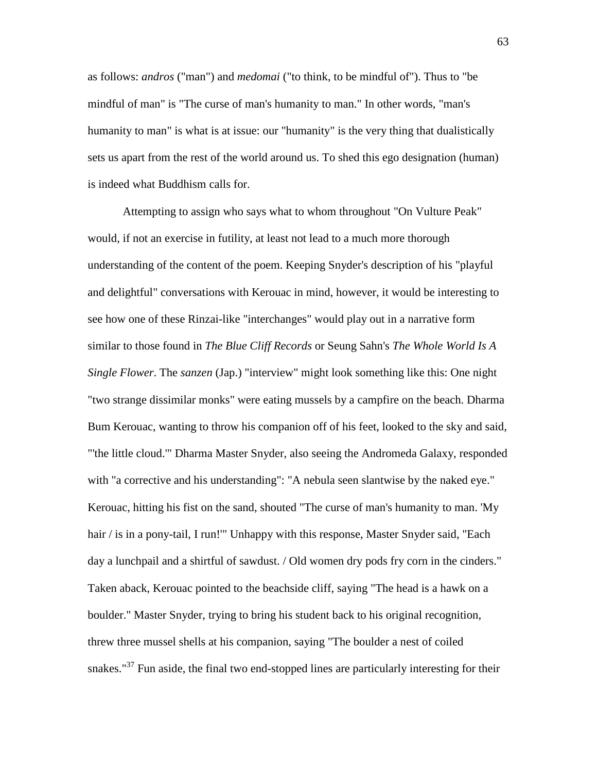as follows: *andros* ("man") and *medomai* ("to think, to be mindful of"). Thus to "be mindful of man" is "The curse of man's humanity to man." In other words, "man's humanity to man" is what is at issue: our "humanity" is the very thing that dualistically sets us apart from the rest of the world around us. To shed this ego designation (human) is indeed what Buddhism calls for.

 Attempting to assign who says what to whom throughout "On Vulture Peak" would, if not an exercise in futility, at least not lead to a much more thorough understanding of the content of the poem. Keeping Snyder's description of his "playful and delightful" conversations with Kerouac in mind, however, it would be interesting to see how one of these Rinzai-like "interchanges" would play out in a narrative form similar to those found in *The Blue Cliff Records* or Seung Sahn's *The Whole World Is A Single Flower*. The *sanzen* (Jap.) "interview" might look something like this: One night "two strange dissimilar monks" were eating mussels by a campfire on the beach. Dharma Bum Kerouac, wanting to throw his companion off of his feet, looked to the sky and said, "'the little cloud.'" Dharma Master Snyder, also seeing the Andromeda Galaxy, responded with "a corrective and his understanding": "A nebula seen slantwise by the naked eye." Kerouac, hitting his fist on the sand, shouted "The curse of man's humanity to man. 'My hair / is in a pony-tail, I run!" Unhappy with this response, Master Snyder said, "Each day a lunchpail and a shirtful of sawdust. / Old women dry pods fry corn in the cinders." Taken aback, Kerouac pointed to the beachside cliff, saying "The head is a hawk on a boulder." Master Snyder, trying to bring his student back to his original recognition, threw three mussel shells at his companion, saying "The boulder a nest of coiled snakes." $37$  Fun aside, the final two end-stopped lines are particularly interesting for their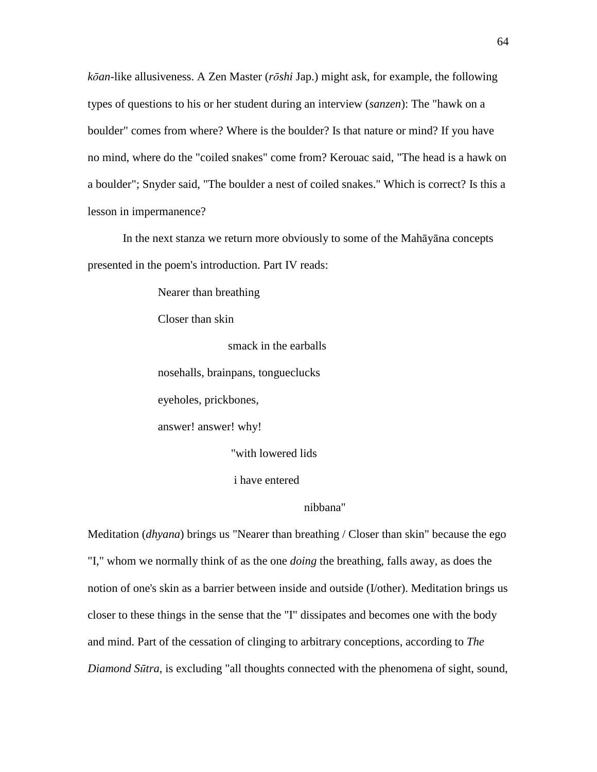*k*ō*an*-like allusiveness. A Zen Master (*r*ō*shi* Jap.) might ask, for example, the following types of questions to his or her student during an interview (*sanzen*): The "hawk on a boulder" comes from where? Where is the boulder? Is that nature or mind? If you have no mind, where do the "coiled snakes" come from? Kerouac said, "The head is a hawk on a boulder"; Snyder said, "The boulder a nest of coiled snakes." Which is correct? Is this a lesson in impermanence?

 In the next stanza we return more obviously to some of the Mahāyāna concepts presented in the poem's introduction. Part IV reads:

Nearer than breathing

Closer than skin

smack in the earballs

nosehalls, brainpans, tongueclucks

eyeholes, prickbones,

answer! answer! why!

"with lowered lids

i have entered

## nibbana"

Meditation (*dhyana*) brings us "Nearer than breathing / Closer than skin" because the ego "I," whom we normally think of as the one *doing* the breathing, falls away, as does the notion of one's skin as a barrier between inside and outside (I/other). Meditation brings us closer to these things in the sense that the "I" dissipates and becomes one with the body and mind. Part of the cessation of clinging to arbitrary conceptions, according to *The Diamond S*ū*tra*, is excluding "all thoughts connected with the phenomena of sight, sound,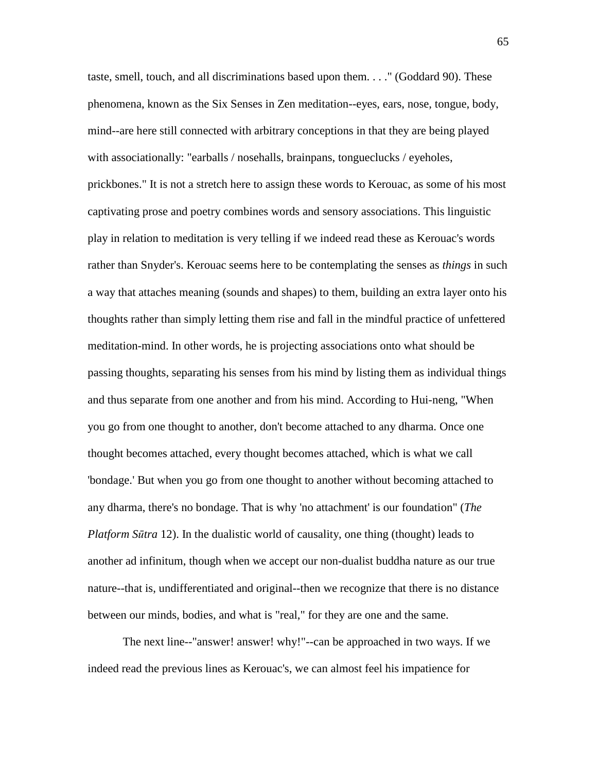taste, smell, touch, and all discriminations based upon them. . . ." (Goddard 90). These phenomena, known as the Six Senses in Zen meditation--eyes, ears, nose, tongue, body, mind--are here still connected with arbitrary conceptions in that they are being played with associationally: "earballs / nosehalls, brainpans, tongueclucks / eyeholes, prickbones." It is not a stretch here to assign these words to Kerouac, as some of his most captivating prose and poetry combines words and sensory associations. This linguistic play in relation to meditation is very telling if we indeed read these as Kerouac's words rather than Snyder's. Kerouac seems here to be contemplating the senses as *things* in such a way that attaches meaning (sounds and shapes) to them, building an extra layer onto his thoughts rather than simply letting them rise and fall in the mindful practice of unfettered meditation-mind. In other words, he is projecting associations onto what should be passing thoughts, separating his senses from his mind by listing them as individual things and thus separate from one another and from his mind. According to Hui-neng, "When you go from one thought to another, don't become attached to any dharma. Once one thought becomes attached, every thought becomes attached, which is what we call 'bondage.' But when you go from one thought to another without becoming attached to any dharma, there's no bondage. That is why 'no attachment' is our foundation" (*The Platform S*ū*tra* 12). In the dualistic world of causality, one thing (thought) leads to another ad infinitum, though when we accept our non-dualist buddha nature as our true nature--that is, undifferentiated and original--then we recognize that there is no distance between our minds, bodies, and what is "real," for they are one and the same.

 The next line--"answer! answer! why!"--can be approached in two ways. If we indeed read the previous lines as Kerouac's, we can almost feel his impatience for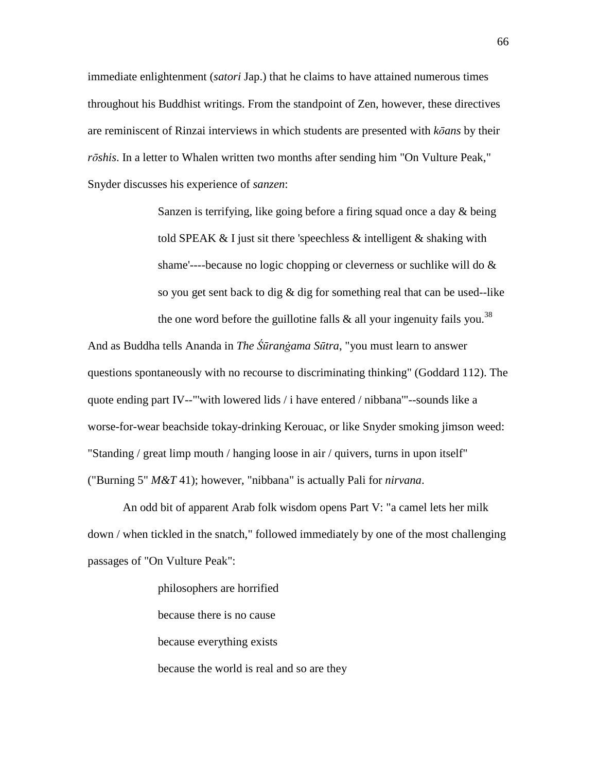immediate enlightenment (*satori* Jap.) that he claims to have attained numerous times throughout his Buddhist writings. From the standpoint of Zen, however, these directives are reminiscent of Rinzai interviews in which students are presented with *k*ō*ans* by their *r*ō*shis*. In a letter to Whalen written two months after sending him "On Vulture Peak," Snyder discusses his experience of *sanzen*:

> Sanzen is terrifying, like going before a firing squad once a day & being told SPEAK & I just sit there 'speechless & intelligent & shaking with shame'----because no logic chopping or cleverness or suchlike will do & so you get sent back to dig & dig for something real that can be used--like the one word before the guillotine falls  $\&$  all your ingenuity fails you.<sup>38</sup>

And as Buddha tells Ananda in *The Śūranġama Sūtra*, "you must learn to answer questions spontaneously with no recourse to discriminating thinking" (Goddard 112). The quote ending part IV--"'with lowered lids / i have entered / nibbana'"--sounds like a worse-for-wear beachside tokay-drinking Kerouac, or like Snyder smoking jimson weed: "Standing / great limp mouth / hanging loose in air / quivers, turns in upon itself" ("Burning 5" *M&T* 41); however, "nibbana" is actually Pali for *nirvana*.

 An odd bit of apparent Arab folk wisdom opens Part V: "a camel lets her milk down / when tickled in the snatch," followed immediately by one of the most challenging passages of "On Vulture Peak":

> philosophers are horrified because there is no cause because everything exists because the world is real and so are they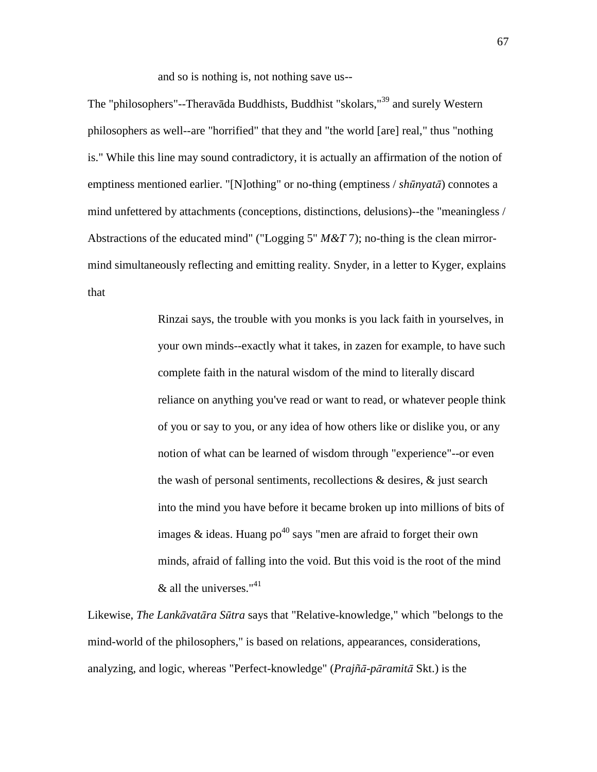and so is nothing is, not nothing save us--

The "philosophers"--Theravāda Buddhists, Buddhist "skolars,"<sup>39</sup> and surely Western philosophers as well--are "horrified" that they and "the world [are] real," thus "nothing is." While this line may sound contradictory, it is actually an affirmation of the notion of emptiness mentioned earlier. "[N]othing" or no-thing (emptiness / *sh*ū*nyat*ā) connotes a mind unfettered by attachments (conceptions, distinctions, delusions)--the "meaningless / Abstractions of the educated mind" ("Logging 5" *M&T* 7); no-thing is the clean mirrormind simultaneously reflecting and emitting reality. Snyder, in a letter to Kyger, explains that

> Rinzai says, the trouble with you monks is you lack faith in yourselves, in your own minds--exactly what it takes, in zazen for example, to have such complete faith in the natural wisdom of the mind to literally discard reliance on anything you've read or want to read, or whatever people think of you or say to you, or any idea of how others like or dislike you, or any notion of what can be learned of wisdom through "experience"--or even the wash of personal sentiments, recollections & desires, & just search into the mind you have before it became broken up into millions of bits of images & ideas. Huang po<sup>40</sup> says "men are afraid to forget their own minds, afraid of falling into the void. But this void is the root of the mind  $\&$  all the universes."<sup>41</sup>

Likewise, *The Lank*ā*vat*ā*ra S*ū*tra* says that "Relative-knowledge," which "belongs to the mind-world of the philosophers," is based on relations, appearances, considerations, analyzing, and logic, whereas "Perfect-knowledge" (*Prajñ*ā*-p*ā*ramit*ā Skt.) is the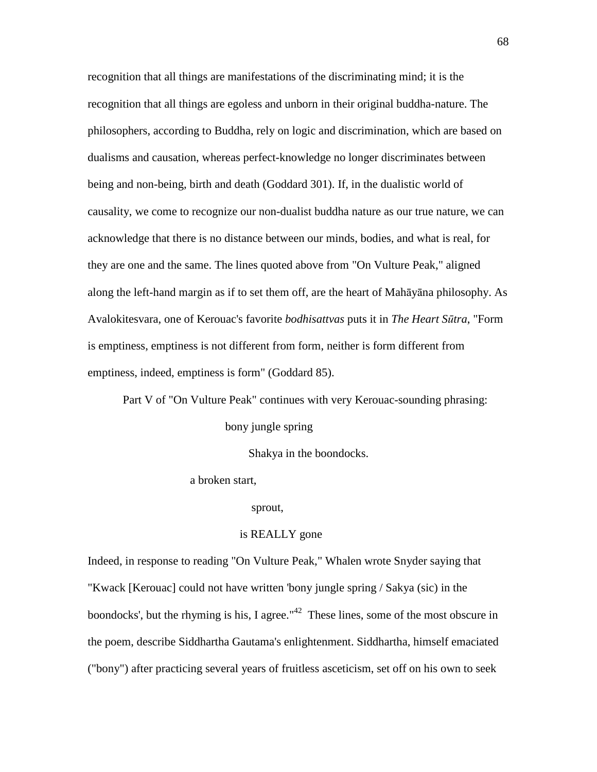recognition that all things are manifestations of the discriminating mind; it is the recognition that all things are egoless and unborn in their original buddha-nature. The philosophers, according to Buddha, rely on logic and discrimination, which are based on dualisms and causation, whereas perfect-knowledge no longer discriminates between being and non-being, birth and death (Goddard 301). If, in the dualistic world of causality, we come to recognize our non-dualist buddha nature as our true nature, we can acknowledge that there is no distance between our minds, bodies, and what is real, for they are one and the same. The lines quoted above from "On Vulture Peak," aligned along the left-hand margin as if to set them off, are the heart of Mahāyāna philosophy. As Avalokitesvara, one of Kerouac's favorite *bodhisattvas* puts it in *The Heart S*ū*tra*, "Form is emptiness, emptiness is not different from form, neither is form different from emptiness, indeed, emptiness is form" (Goddard 85).

Part V of "On Vulture Peak" continues with very Kerouac-sounding phrasing:

bony jungle spring

Shakya in the boondocks.

a broken start,

sprout,

## is REALLY gone

Indeed, in response to reading "On Vulture Peak," Whalen wrote Snyder saying that "Kwack [Kerouac] could not have written 'bony jungle spring / Sakya (sic) in the boondocks', but the rhyming is his, I agree."<sup> $42$ </sup> These lines, some of the most obscure in the poem, describe Siddhartha Gautama's enlightenment. Siddhartha, himself emaciated ("bony") after practicing several years of fruitless asceticism, set off on his own to seek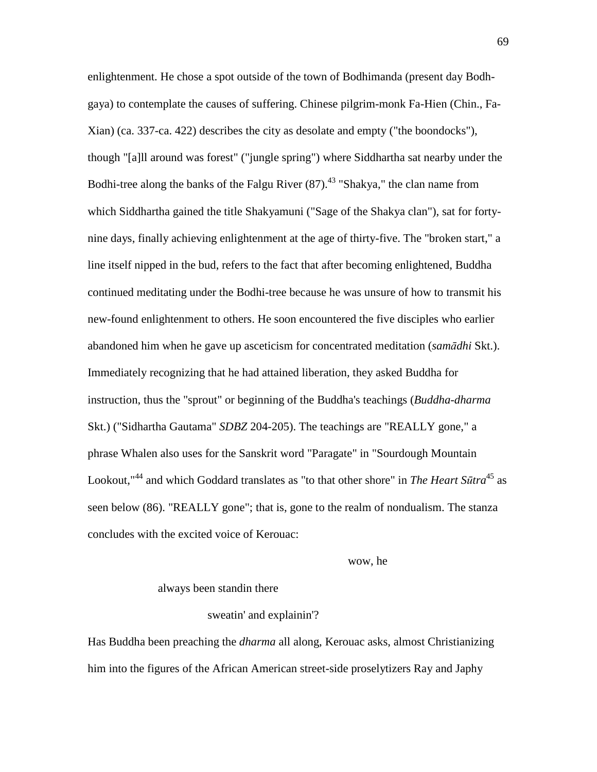enlightenment. He chose a spot outside of the town of Bodhimanda (present day Bodhgaya) to contemplate the causes of suffering. Chinese pilgrim-monk Fa-Hien (Chin., Fa-Xian) (ca. 337-ca. 422) describes the city as desolate and empty ("the boondocks"), though "[a]ll around was forest" ("jungle spring") where Siddhartha sat nearby under the Bodhi-tree along the banks of the Falgu River  $(87)$ .<sup>43</sup> "Shakya," the clan name from which Siddhartha gained the title Shakyamuni ("Sage of the Shakya clan"), sat for fortynine days, finally achieving enlightenment at the age of thirty-five. The "broken start," a line itself nipped in the bud, refers to the fact that after becoming enlightened, Buddha continued meditating under the Bodhi-tree because he was unsure of how to transmit his new-found enlightenment to others. He soon encountered the five disciples who earlier abandoned him when he gave up asceticism for concentrated meditation (*sam*ā*dhi* Skt.). Immediately recognizing that he had attained liberation, they asked Buddha for instruction, thus the "sprout" or beginning of the Buddha's teachings (*Buddha-dharma* Skt.) ("Sidhartha Gautama" *SDBZ* 204-205). The teachings are "REALLY gone," a phrase Whalen also uses for the Sanskrit word "Paragate" in "Sourdough Mountain Lookout, <sup>44</sup> and which Goddard translates as "to that other shore" in *The Heart Sūtra*<sup>45</sup> as seen below (86). "REALLY gone"; that is, gone to the realm of nondualism. The stanza concludes with the excited voice of Kerouac:

### wow, he

#### always been standin there

#### sweatin' and explainin'?

Has Buddha been preaching the *dharma* all along, Kerouac asks, almost Christianizing him into the figures of the African American street-side proselytizers Ray and Japhy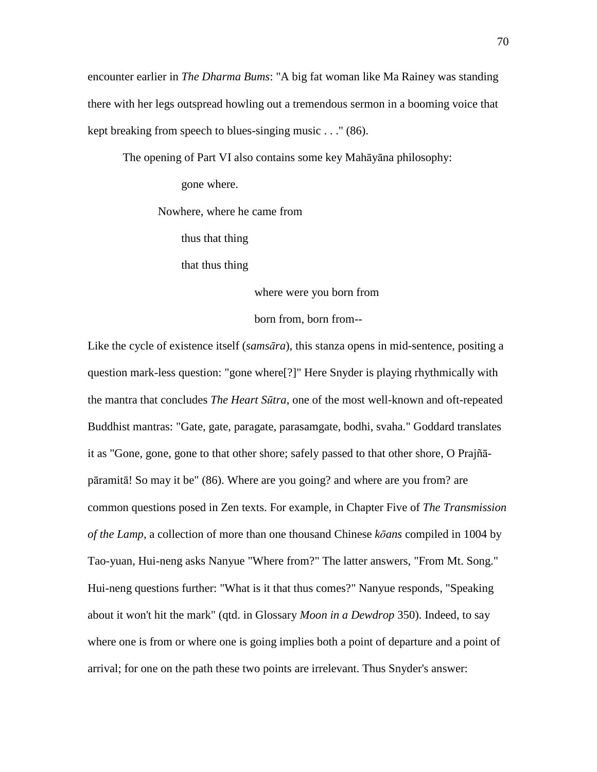encounter earlier in *The Dharma Bums*: "A big fat woman like Ma Rainey was standing there with her legs outspread howling out a tremendous sermon in a booming voice that kept breaking from speech to blues-singing music . . ." (86).

The opening of Part VI also contains some key Mahāyāna philosophy:

gone where.

Nowhere, where he came from

thus that thing

that thus thing

where were you born from

born from, born from--

Like the cycle of existence itself (*sams*ā*ra*), this stanza opens in mid-sentence, positing a question mark-less question: "gone where[?]" Here Snyder is playing rhythmically with the mantra that concludes *The Heart S*ū*tra*, one of the most well-known and oft-repeated Buddhist mantras: "Gate, gate, paragate, parasamgate, bodhi, svaha." Goddard translates it as "Gone, gone, gone to that other shore; safely passed to that other shore, O Prajñāpāramitā! So may it be" (86). Where are you going? and where are you from? are common questions posed in Zen texts. For example, in Chapter Five of *The Transmission of the Lamp*, a collection of more than one thousand Chinese *k*ō*ans* compiled in 1004 by Tao-yuan, Hui-neng asks Nanyue "Where from?" The latter answers, "From Mt. Song." Hui-neng questions further: "What is it that thus comes?" Nanyue responds, "Speaking about it won't hit the mark" (qtd. in Glossary *Moon in a Dewdrop* 350). Indeed, to say where one is from or where one is going implies both a point of departure and a point of arrival; for one on the path these two points are irrelevant. Thus Snyder's answer: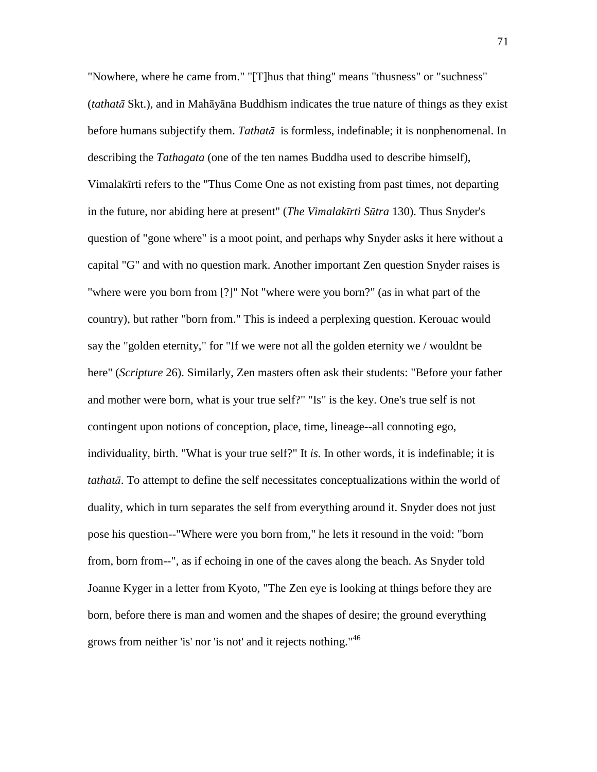"Nowhere, where he came from." "[T]hus that thing" means "thusness" or "suchness" (*tathat*ā Skt.), and in Mahāyāna Buddhism indicates the true nature of things as they exist before humans subjectify them. *Tathat*ā is formless, indefinable; it is nonphenomenal. In describing the *Tathagata* (one of the ten names Buddha used to describe himself), Vimalakīrti refers to the "Thus Come One as not existing from past times, not departing in the future, nor abiding here at present" (*The Vimalak*ī*rti S*ū*tra* 130). Thus Snyder's question of "gone where" is a moot point, and perhaps why Snyder asks it here without a capital "G" and with no question mark. Another important Zen question Snyder raises is "where were you born from [?]" Not "where were you born?" (as in what part of the country), but rather "born from." This is indeed a perplexing question. Kerouac would say the "golden eternity," for "If we were not all the golden eternity we / wouldnt be here" (*Scripture* 26). Similarly, Zen masters often ask their students: "Before your father and mother were born, what is your true self?" "Is" is the key. One's true self is not contingent upon notions of conception, place, time, lineage--all connoting ego, individuality, birth. "What is your true self?" It *is*. In other words, it is indefinable; it is *tathat*ā. To attempt to define the self necessitates conceptualizations within the world of duality, which in turn separates the self from everything around it. Snyder does not just pose his question--"Where were you born from," he lets it resound in the void: "born from, born from--", as if echoing in one of the caves along the beach. As Snyder told Joanne Kyger in a letter from Kyoto, "The Zen eye is looking at things before they are born, before there is man and women and the shapes of desire; the ground everything grows from neither 'is' nor 'is not' and it rejects nothing."<sup>46</sup>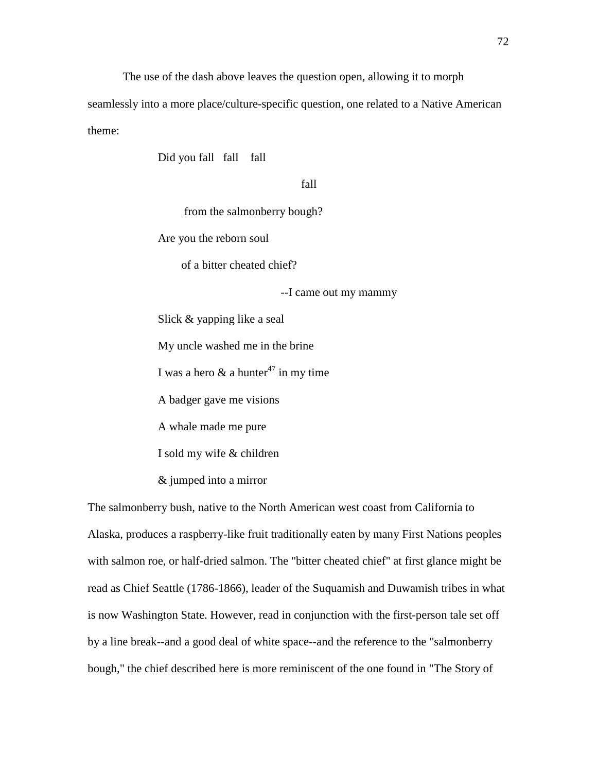The use of the dash above leaves the question open, allowing it to morph

seamlessly into a more place/culture-specific question, one related to a Native American theme:

Did you fall fall fall

## fall and the state of the state of the state of the state of the state of the state of the state of the state of the state of the state of the state of the state of the state of the state of the state of the state of the s

from the salmonberry bough?

Are you the reborn soul

of a bitter cheated chief?

--I came out my mammy

Slick & yapping like a seal

My uncle washed me in the brine

I was a hero  $\&$  a hunter<sup>47</sup> in my time

A badger gave me visions

A whale made me pure

I sold my wife & children

& jumped into a mirror

The salmonberry bush, native to the North American west coast from California to Alaska, produces a raspberry-like fruit traditionally eaten by many First Nations peoples with salmon roe, or half-dried salmon. The "bitter cheated chief" at first glance might be read as Chief Seattle (1786-1866), leader of the Suquamish and Duwamish tribes in what is now Washington State. However, read in conjunction with the first-person tale set off by a line break--and a good deal of white space--and the reference to the "salmonberry bough," the chief described here is more reminiscent of the one found in "The Story of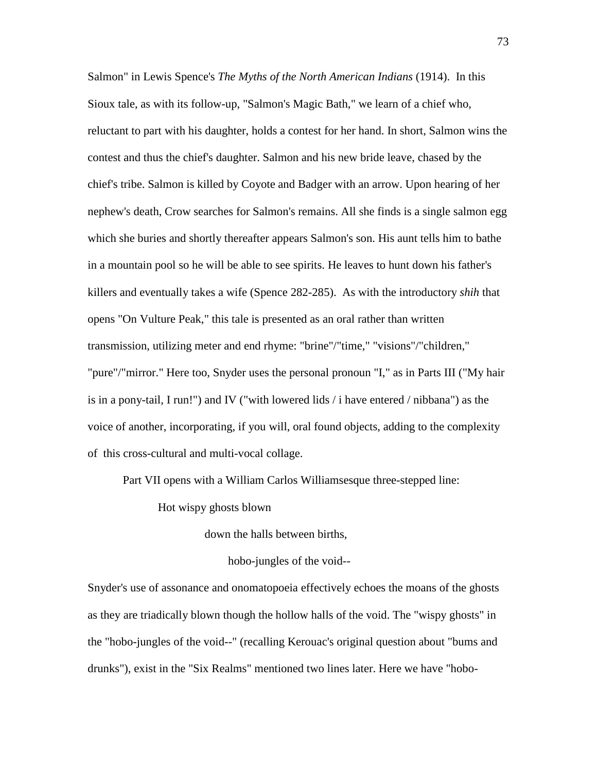Salmon" in Lewis Spence's *The Myths of the North American Indians* (1914). In this Sioux tale, as with its follow-up, "Salmon's Magic Bath," we learn of a chief who, reluctant to part with his daughter, holds a contest for her hand. In short, Salmon wins the contest and thus the chief's daughter. Salmon and his new bride leave, chased by the chief's tribe. Salmon is killed by Coyote and Badger with an arrow. Upon hearing of her nephew's death, Crow searches for Salmon's remains. All she finds is a single salmon egg which she buries and shortly thereafter appears Salmon's son. His aunt tells him to bathe in a mountain pool so he will be able to see spirits. He leaves to hunt down his father's killers and eventually takes a wife (Spence 282-285). As with the introductory *shih* that opens "On Vulture Peak," this tale is presented as an oral rather than written transmission, utilizing meter and end rhyme: "brine"/"time," "visions"/"children," "pure"/"mirror." Here too, Snyder uses the personal pronoun "I," as in Parts III ("My hair is in a pony-tail, I run!") and IV ("with lowered lids / i have entered / nibbana") as the voice of another, incorporating, if you will, oral found objects, adding to the complexity of this cross-cultural and multi-vocal collage.

Part VII opens with a William Carlos Williamsesque three-stepped line:

Hot wispy ghosts blown

down the halls between births,

hobo-jungles of the void--

Snyder's use of assonance and onomatopoeia effectively echoes the moans of the ghosts as they are triadically blown though the hollow halls of the void. The "wispy ghosts" in the "hobo-jungles of the void--" (recalling Kerouac's original question about "bums and drunks"), exist in the "Six Realms" mentioned two lines later. Here we have "hobo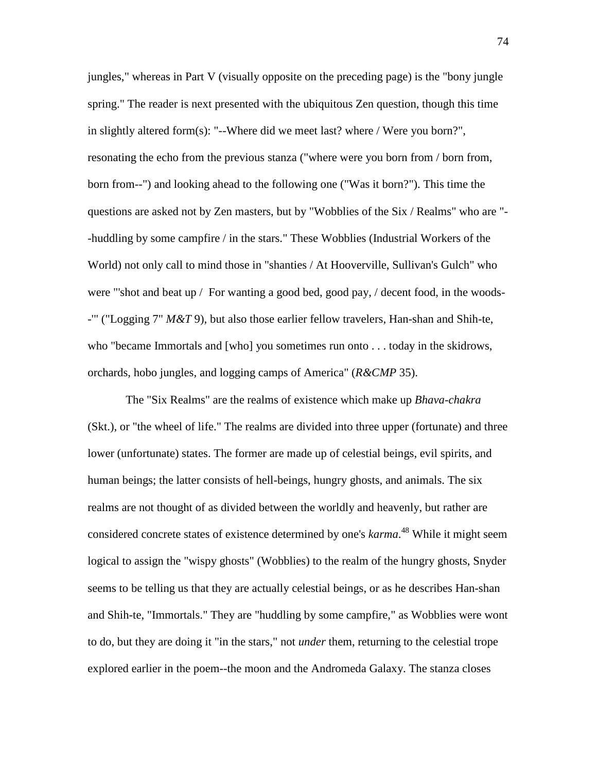jungles," whereas in Part V (visually opposite on the preceding page) is the "bony jungle spring." The reader is next presented with the ubiquitous Zen question, though this time in slightly altered form(s): "--Where did we meet last? where / Were you born?", resonating the echo from the previous stanza ("where were you born from / born from, born from--") and looking ahead to the following one ("Was it born?"). This time the questions are asked not by Zen masters, but by "Wobblies of the Six / Realms" who are "- -huddling by some campfire / in the stars." These Wobblies (Industrial Workers of the World) not only call to mind those in "shanties / At Hooverville, Sullivan's Gulch" who were "'shot and beat up / For wanting a good bed, good pay, / decent food, in the woods- -'" ("Logging 7" *M&T* 9), but also those earlier fellow travelers, Han-shan and Shih-te, who "became Immortals and [who] you sometimes run onto . . . today in the skidrows, orchards, hobo jungles, and logging camps of America" (*R&CMP* 35).

 The "Six Realms" are the realms of existence which make up *Bhava-chakra*  (Skt.), or "the wheel of life." The realms are divided into three upper (fortunate) and three lower (unfortunate) states. The former are made up of celestial beings, evil spirits, and human beings; the latter consists of hell-beings, hungry ghosts, and animals. The six realms are not thought of as divided between the worldly and heavenly, but rather are considered concrete states of existence determined by one's *karma*. <sup>48</sup> While it might seem logical to assign the "wispy ghosts" (Wobblies) to the realm of the hungry ghosts, Snyder seems to be telling us that they are actually celestial beings, or as he describes Han-shan and Shih-te, "Immortals." They are "huddling by some campfire," as Wobblies were wont to do, but they are doing it "in the stars," not *under* them, returning to the celestial trope explored earlier in the poem--the moon and the Andromeda Galaxy. The stanza closes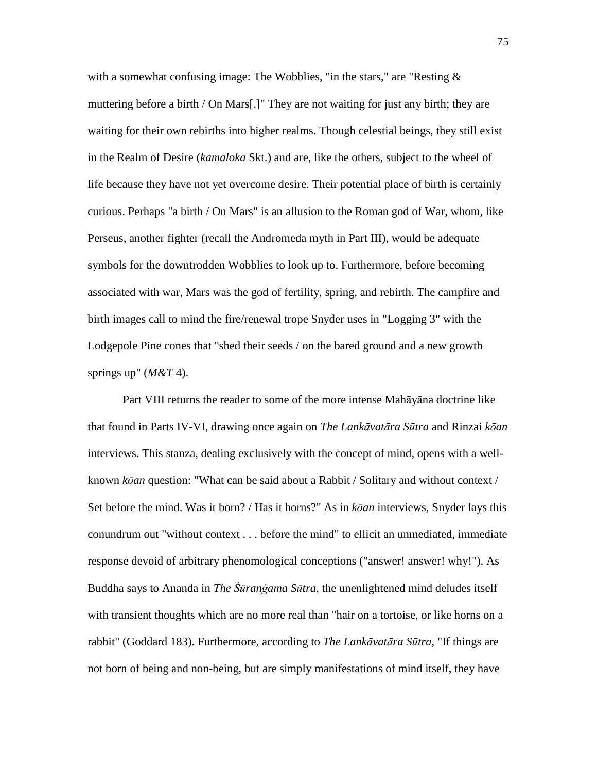with a somewhat confusing image: The Wobblies, "in the stars," are "Resting & muttering before a birth / On Mars[.]" They are not waiting for just any birth; they are waiting for their own rebirths into higher realms. Though celestial beings, they still exist in the Realm of Desire (*kamaloka* Skt.) and are, like the others, subject to the wheel of life because they have not yet overcome desire. Their potential place of birth is certainly curious. Perhaps "a birth / On Mars" is an allusion to the Roman god of War, whom, like Perseus, another fighter (recall the Andromeda myth in Part III), would be adequate symbols for the downtrodden Wobblies to look up to. Furthermore, before becoming associated with war, Mars was the god of fertility, spring, and rebirth. The campfire and birth images call to mind the fire/renewal trope Snyder uses in "Logging 3" with the Lodgepole Pine cones that "shed their seeds / on the bared ground and a new growth springs up" (*M&T* 4).

 Part VIII returns the reader to some of the more intense Mahāyāna doctrine like that found in Parts IV-VI, drawing once again on *The Lank*ā*vat*ā*ra S*ū*tra* and Rinzai *k*ō*an* interviews. This stanza, dealing exclusively with the concept of mind, opens with a wellknown *k*ō*an* question: "What can be said about a Rabbit / Solitary and without context / Set before the mind. Was it born? / Has it horns?" As in *k*ō*an* interviews, Snyder lays this conundrum out "without context . . . before the mind" to ellicit an unmediated, immediate response devoid of arbitrary phenomological conceptions ("answer! answer! why!"). As Buddha says to Ananda in *The Śūranġama Sūtra*, the unenlightened mind deludes itself with transient thoughts which are no more real than "hair on a tortoise, or like horns on a rabbit" (Goddard 183). Furthermore, according to *The Lank*ā*vat*ā*ra S*ū*tra*, "If things are not born of being and non-being, but are simply manifestations of mind itself, they have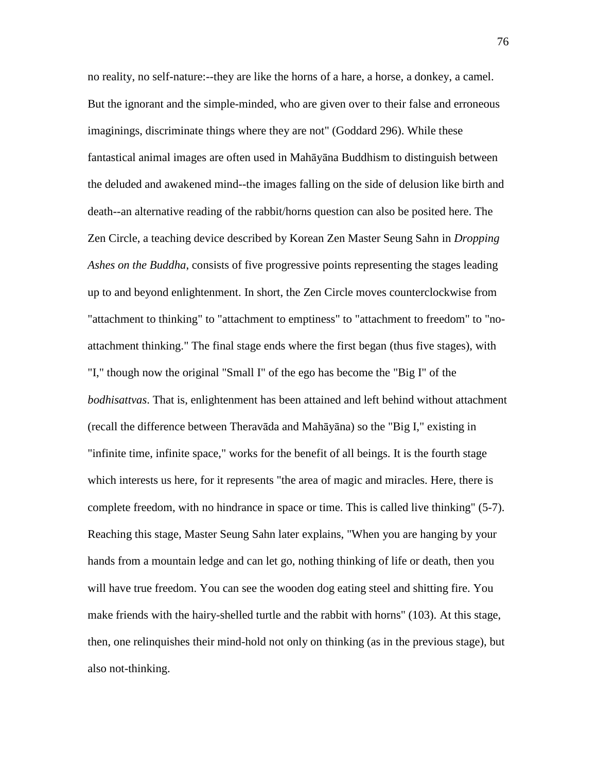no reality, no self-nature:--they are like the horns of a hare, a horse, a donkey, a camel. But the ignorant and the simple-minded, who are given over to their false and erroneous imaginings, discriminate things where they are not" (Goddard 296). While these fantastical animal images are often used in Mahāyāna Buddhism to distinguish between the deluded and awakened mind--the images falling on the side of delusion like birth and death--an alternative reading of the rabbit/horns question can also be posited here. The Zen Circle, a teaching device described by Korean Zen Master Seung Sahn in *Dropping Ashes on the Buddha*, consists of five progressive points representing the stages leading up to and beyond enlightenment. In short, the Zen Circle moves counterclockwise from "attachment to thinking" to "attachment to emptiness" to "attachment to freedom" to "noattachment thinking." The final stage ends where the first began (thus five stages), with "I," though now the original "Small I" of the ego has become the "Big I" of the *bodhisattvas*. That is, enlightenment has been attained and left behind without attachment (recall the difference between Theravāda and Mahāyāna) so the "Big I," existing in "infinite time, infinite space," works for the benefit of all beings. It is the fourth stage which interests us here, for it represents "the area of magic and miracles. Here, there is complete freedom, with no hindrance in space or time. This is called live thinking" (5-7). Reaching this stage, Master Seung Sahn later explains, "When you are hanging by your hands from a mountain ledge and can let go, nothing thinking of life or death, then you will have true freedom. You can see the wooden dog eating steel and shitting fire. You make friends with the hairy-shelled turtle and the rabbit with horns" (103). At this stage, then, one relinquishes their mind-hold not only on thinking (as in the previous stage), but also not-thinking.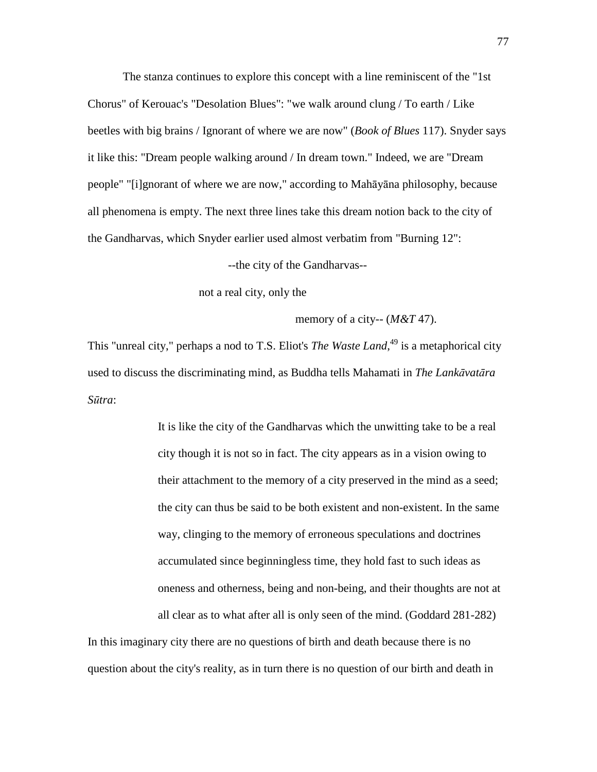The stanza continues to explore this concept with a line reminiscent of the "1st Chorus" of Kerouac's "Desolation Blues": "we walk around clung / To earth / Like beetles with big brains / Ignorant of where we are now" (*Book of Blues* 117). Snyder says it like this: "Dream people walking around / In dream town." Indeed, we are "Dream people" "[i]gnorant of where we are now," according to Mahāyāna philosophy, because all phenomena is empty. The next three lines take this dream notion back to the city of the Gandharvas, which Snyder earlier used almost verbatim from "Burning 12":

--the city of the Gandharvas--

not a real city, only the

memory of a city-- (*M&T* 47).

This "unreal city," perhaps a nod to T.S. Eliot's *The Waste Land*,<sup>49</sup> is a metaphorical city used to discuss the discriminating mind, as Buddha tells Mahamati in *The Lank*ā*vat*ā*ra S*ū*tra*:

> It is like the city of the Gandharvas which the unwitting take to be a real city though it is not so in fact. The city appears as in a vision owing to their attachment to the memory of a city preserved in the mind as a seed; the city can thus be said to be both existent and non-existent. In the same way, clinging to the memory of erroneous speculations and doctrines accumulated since beginningless time, they hold fast to such ideas as oneness and otherness, being and non-being, and their thoughts are not at all clear as to what after all is only seen of the mind. (Goddard 281-282)

In this imaginary city there are no questions of birth and death because there is no question about the city's reality, as in turn there is no question of our birth and death in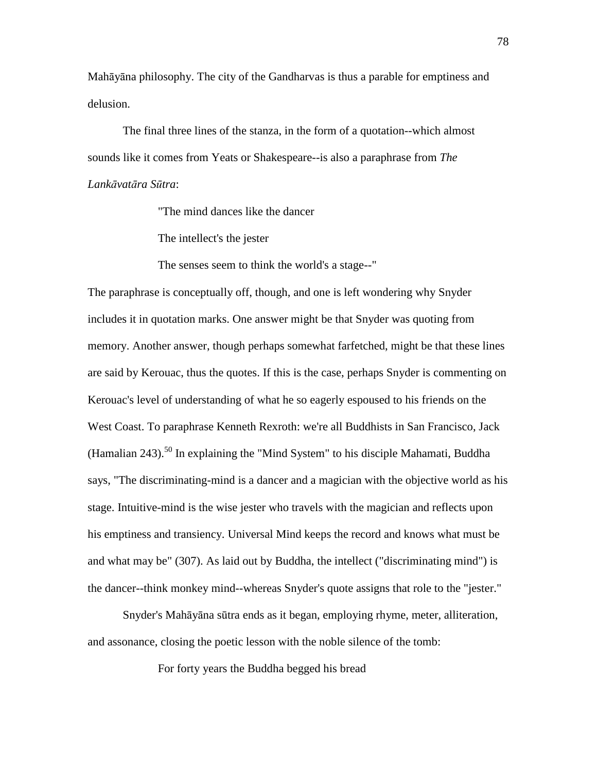Mahāyāna philosophy. The city of the Gandharvas is thus a parable for emptiness and delusion.

 The final three lines of the stanza, in the form of a quotation--which almost sounds like it comes from Yeats or Shakespeare--is also a paraphrase from *The Lank*ā*vat*ā*ra S*ū*tra*:

"The mind dances like the dancer

The intellect's the jester

The senses seem to think the world's a stage--"

The paraphrase is conceptually off, though, and one is left wondering why Snyder includes it in quotation marks. One answer might be that Snyder was quoting from memory. Another answer, though perhaps somewhat farfetched, might be that these lines are said by Kerouac, thus the quotes. If this is the case, perhaps Snyder is commenting on Kerouac's level of understanding of what he so eagerly espoused to his friends on the West Coast. To paraphrase Kenneth Rexroth: we're all Buddhists in San Francisco, Jack (Hamalian  $243$ ).<sup>50</sup> In explaining the "Mind System" to his disciple Mahamati, Buddha says, "The discriminating-mind is a dancer and a magician with the objective world as his stage. Intuitive-mind is the wise jester who travels with the magician and reflects upon his emptiness and transiency. Universal Mind keeps the record and knows what must be and what may be" (307). As laid out by Buddha, the intellect ("discriminating mind") is the dancer--think monkey mind--whereas Snyder's quote assigns that role to the "jester."

 Snyder's Mahāyāna sūtra ends as it began, employing rhyme, meter, alliteration, and assonance, closing the poetic lesson with the noble silence of the tomb:

For forty years the Buddha begged his bread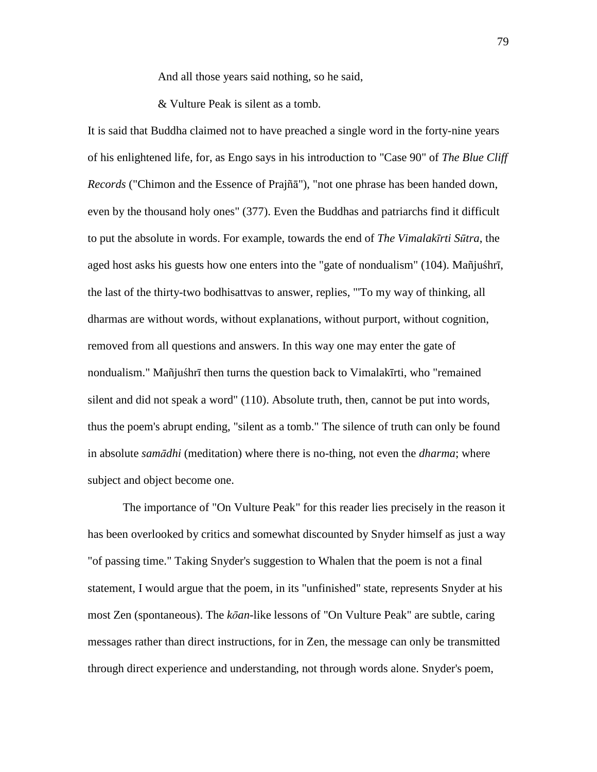And all those years said nothing, so he said,

& Vulture Peak is silent as a tomb.

It is said that Buddha claimed not to have preached a single word in the forty-nine years of his enlightened life, for, as Engo says in his introduction to "Case 90" of *The Blue Cliff Records* ("Chimon and the Essence of Prajñā"), "not one phrase has been handed down, even by the thousand holy ones" (377). Even the Buddhas and patriarchs find it difficult to put the absolute in words. For example, towards the end of *The Vimalak*ī*rti S*ū*tra*, the aged host asks his guests how one enters into the "gate of nondualism" (104). Mañjuśhrī, the last of the thirty-two bodhisattvas to answer, replies, "'To my way of thinking, all dharmas are without words, without explanations, without purport, without cognition, removed from all questions and answers. In this way one may enter the gate of nondualism." Mañjuśhrī then turns the question back to Vimalakīrti, who "remained silent and did not speak a word" (110). Absolute truth, then, cannot be put into words, thus the poem's abrupt ending, "silent as a tomb." The silence of truth can only be found in absolute *sam*ā*dhi* (meditation) where there is no-thing, not even the *dharma*; where subject and object become one.

 The importance of "On Vulture Peak" for this reader lies precisely in the reason it has been overlooked by critics and somewhat discounted by Snyder himself as just a way "of passing time." Taking Snyder's suggestion to Whalen that the poem is not a final statement, I would argue that the poem, in its "unfinished" state, represents Snyder at his most Zen (spontaneous). The *k*ō*an*-like lessons of "On Vulture Peak" are subtle, caring messages rather than direct instructions, for in Zen, the message can only be transmitted through direct experience and understanding, not through words alone. Snyder's poem,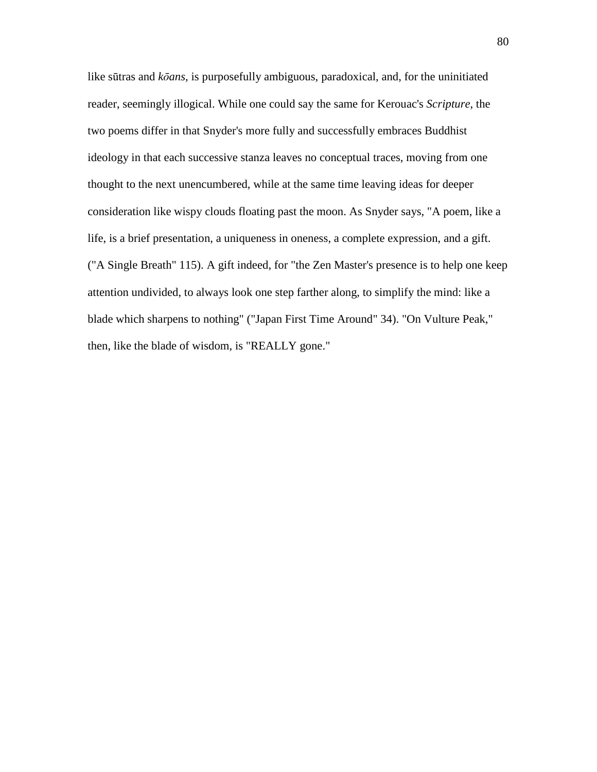like sūtras and *k*ō*ans*, is purposefully ambiguous, paradoxical, and, for the uninitiated reader, seemingly illogical. While one could say the same for Kerouac's *Scripture*, the two poems differ in that Snyder's more fully and successfully embraces Buddhist ideology in that each successive stanza leaves no conceptual traces, moving from one thought to the next unencumbered, while at the same time leaving ideas for deeper consideration like wispy clouds floating past the moon. As Snyder says, "A poem, like a life, is a brief presentation, a uniqueness in oneness, a complete expression, and a gift. ("A Single Breath" 115). A gift indeed, for "the Zen Master's presence is to help one keep attention undivided, to always look one step farther along, to simplify the mind: like a blade which sharpens to nothing" ("Japan First Time Around" 34). "On Vulture Peak," then, like the blade of wisdom, is "REALLY gone."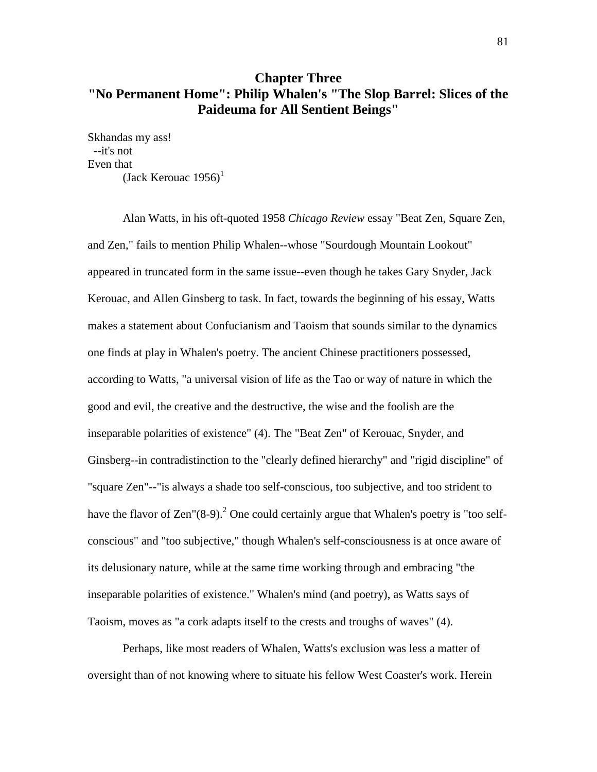# **Chapter Three "No Permanent Home": Philip Whalen's "The Slop Barrel: Slices of the Paideuma for All Sentient Beings"**

Skhandas my ass! --it's not Even that

(Jack Kerouac  $1956$ )<sup>1</sup>

 Alan Watts, in his oft-quoted 1958 *Chicago Review* essay "Beat Zen, Square Zen, and Zen," fails to mention Philip Whalen--whose "Sourdough Mountain Lookout" appeared in truncated form in the same issue--even though he takes Gary Snyder, Jack Kerouac, and Allen Ginsberg to task. In fact, towards the beginning of his essay, Watts makes a statement about Confucianism and Taoism that sounds similar to the dynamics one finds at play in Whalen's poetry. The ancient Chinese practitioners possessed, according to Watts, "a universal vision of life as the Tao or way of nature in which the good and evil, the creative and the destructive, the wise and the foolish are the inseparable polarities of existence" (4). The "Beat Zen" of Kerouac, Snyder, and Ginsberg--in contradistinction to the "clearly defined hierarchy" and "rigid discipline" of "square Zen"--"is always a shade too self-conscious, too subjective, and too strident to have the flavor of Zen" $(8-9)$ .<sup>2</sup> One could certainly argue that Whalen's poetry is "too selfconscious" and "too subjective," though Whalen's self-consciousness is at once aware of its delusionary nature, while at the same time working through and embracing "the inseparable polarities of existence." Whalen's mind (and poetry), as Watts says of Taoism, moves as "a cork adapts itself to the crests and troughs of waves" (4).

 Perhaps, like most readers of Whalen, Watts's exclusion was less a matter of oversight than of not knowing where to situate his fellow West Coaster's work. Herein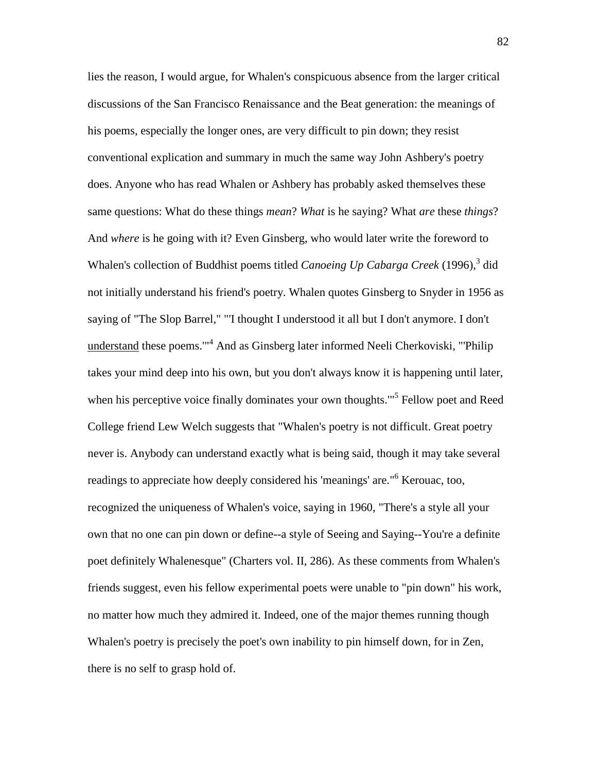lies the reason, I would argue, for Whalen's conspicuous absence from the larger critical discussions of the San Francisco Renaissance and the Beat generation: the meanings of his poems, especially the longer ones, are very difficult to pin down; they resist conventional explication and summary in much the same way John Ashbery's poetry does. Anyone who has read Whalen or Ashbery has probably asked themselves these same questions: What do these things *mean*? *What* is he saying? What *are* these *things*? And *where* is he going with it? Even Ginsberg, who would later write the foreword to Whalen's collection of Buddhist poems titled *Canoeing Up Cabarga Creek* (1996),<sup>3</sup> did not initially understand his friend's poetry. Whalen quotes Ginsberg to Snyder in 1956 as saying of "The Slop Barrel," "'I thought I understood it all but I don't anymore. I don't understand these poems."<sup>4</sup> And as Ginsberg later informed Neeli Cherkoviski, "Philip takes your mind deep into his own, but you don't always know it is happening until later, when his perceptive voice finally dominates your own thoughts."<sup>5</sup> Fellow poet and Reed College friend Lew Welch suggests that "Whalen's poetry is not difficult. Great poetry never is. Anybody can understand exactly what is being said, though it may take several readings to appreciate how deeply considered his 'meanings' are."<sup>6</sup> Kerouac, too, recognized the uniqueness of Whalen's voice, saying in 1960, "There's a style all your own that no one can pin down or define--a style of Seeing and Saying--You're a definite poet definitely Whalenesque" (Charters vol. II, 286). As these comments from Whalen's friends suggest, even his fellow experimental poets were unable to "pin down" his work, no matter how much they admired it. Indeed, one of the major themes running though Whalen's poetry is precisely the poet's own inability to pin himself down, for in Zen, there is no self to grasp hold of.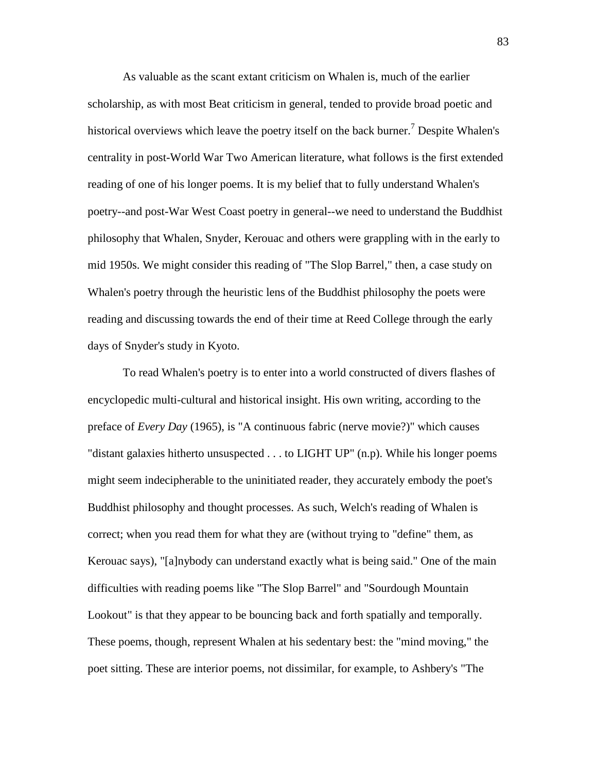As valuable as the scant extant criticism on Whalen is, much of the earlier scholarship, as with most Beat criticism in general, tended to provide broad poetic and historical overviews which leave the poetry itself on the back burner.<sup>7</sup> Despite Whalen's centrality in post-World War Two American literature, what follows is the first extended reading of one of his longer poems. It is my belief that to fully understand Whalen's poetry--and post-War West Coast poetry in general--we need to understand the Buddhist philosophy that Whalen, Snyder, Kerouac and others were grappling with in the early to mid 1950s. We might consider this reading of "The Slop Barrel," then, a case study on Whalen's poetry through the heuristic lens of the Buddhist philosophy the poets were reading and discussing towards the end of their time at Reed College through the early days of Snyder's study in Kyoto.

 To read Whalen's poetry is to enter into a world constructed of divers flashes of encyclopedic multi-cultural and historical insight. His own writing, according to the preface of *Every Day* (1965), is "A continuous fabric (nerve movie?)" which causes "distant galaxies hitherto unsuspected . . . to LIGHT UP" (n.p). While his longer poems might seem indecipherable to the uninitiated reader, they accurately embody the poet's Buddhist philosophy and thought processes. As such, Welch's reading of Whalen is correct; when you read them for what they are (without trying to "define" them, as Kerouac says), "[a]nybody can understand exactly what is being said." One of the main difficulties with reading poems like "The Slop Barrel" and "Sourdough Mountain Lookout" is that they appear to be bouncing back and forth spatially and temporally. These poems, though, represent Whalen at his sedentary best: the "mind moving," the poet sitting. These are interior poems, not dissimilar, for example, to Ashbery's "The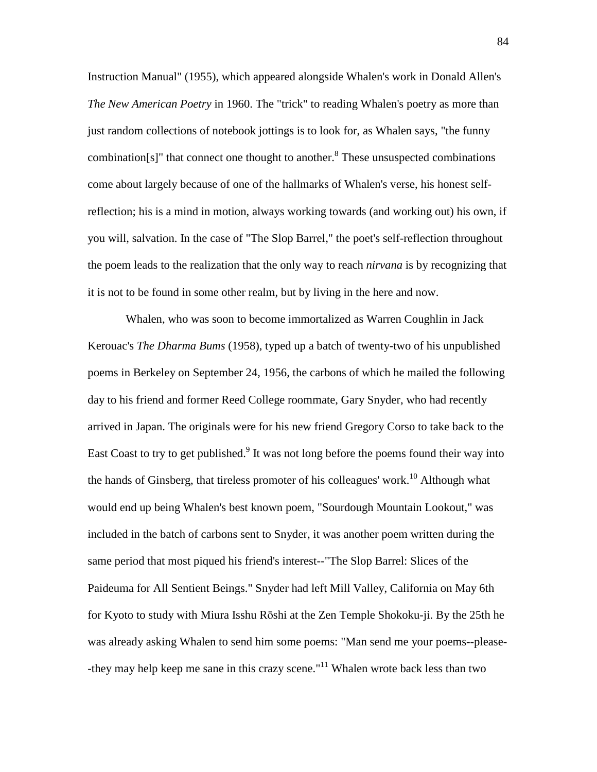Instruction Manual" (1955), which appeared alongside Whalen's work in Donald Allen's *The New American Poetry* in 1960. The "trick" to reading Whalen's poetry as more than just random collections of notebook jottings is to look for, as Whalen says, "the funny combination[s]" that connect one thought to another. $8$ <sup>8</sup> These unsuspected combinations come about largely because of one of the hallmarks of Whalen's verse, his honest selfreflection; his is a mind in motion, always working towards (and working out) his own, if you will, salvation. In the case of "The Slop Barrel," the poet's self-reflection throughout the poem leads to the realization that the only way to reach *nirvana* is by recognizing that it is not to be found in some other realm, but by living in the here and now.

 Whalen, who was soon to become immortalized as Warren Coughlin in Jack Kerouac's *The Dharma Bums* (1958), typed up a batch of twenty-two of his unpublished poems in Berkeley on September 24, 1956, the carbons of which he mailed the following day to his friend and former Reed College roommate, Gary Snyder, who had recently arrived in Japan. The originals were for his new friend Gregory Corso to take back to the East Coast to try to get published.<sup>9</sup> It was not long before the poems found their way into the hands of Ginsberg, that tireless promoter of his colleagues' work.<sup>10</sup> Although what would end up being Whalen's best known poem, "Sourdough Mountain Lookout," was included in the batch of carbons sent to Snyder, it was another poem written during the same period that most piqued his friend's interest--"The Slop Barrel: Slices of the Paideuma for All Sentient Beings." Snyder had left Mill Valley, California on May 6th for Kyoto to study with Miura Isshu Rōshi at the Zen Temple Shokoku-ji. By the 25th he was already asking Whalen to send him some poems: "Man send me your poems--please- -they may help keep me sane in this crazy scene."<sup>11</sup> Whalen wrote back less than two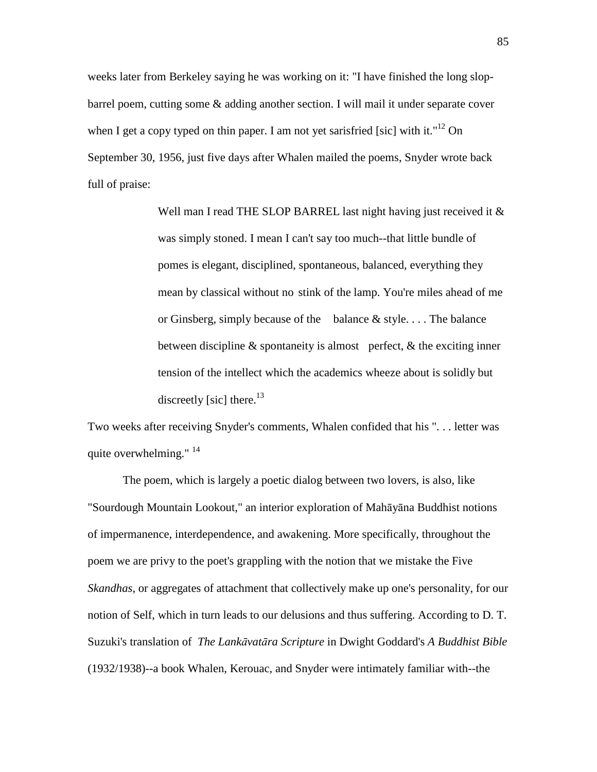weeks later from Berkeley saying he was working on it: "I have finished the long slopbarrel poem, cutting some & adding another section. I will mail it under separate cover when I get a copy typed on thin paper. I am not yet sarisfried [sic] with it."<sup>12</sup> On September 30, 1956, just five days after Whalen mailed the poems, Snyder wrote back full of praise:

> Well man I read THE SLOP BARREL last night having just received it & was simply stoned. I mean I can't say too much--that little bundle of pomes is elegant, disciplined, spontaneous, balanced, everything they mean by classical without no stink of the lamp. You're miles ahead of me or Ginsberg, simply because of the balance & style. . . . The balance between discipline  $\&$  spontaneity is almost perfect,  $\&$  the exciting inner tension of the intellect which the academics wheeze about is solidly but discreetly [sic] there.<sup>13</sup>

Two weeks after receiving Snyder's comments, Whalen confided that his ". . . letter was quite overwhelming." <sup>14</sup>

 The poem, which is largely a poetic dialog between two lovers, is also, like "Sourdough Mountain Lookout," an interior exploration of Mahāyāna Buddhist notions of impermanence, interdependence, and awakening. More specifically, throughout the poem we are privy to the poet's grappling with the notion that we mistake the Five *Skandhas*, or aggregates of attachment that collectively make up one's personality, for our notion of Self, which in turn leads to our delusions and thus suffering. According to D. T. Suzuki's translation of *The Lank*ā*vat*ā*ra Scripture* in Dwight Goddard's *A Buddhist Bible* (1932/1938)--a book Whalen, Kerouac, and Snyder were intimately familiar with--the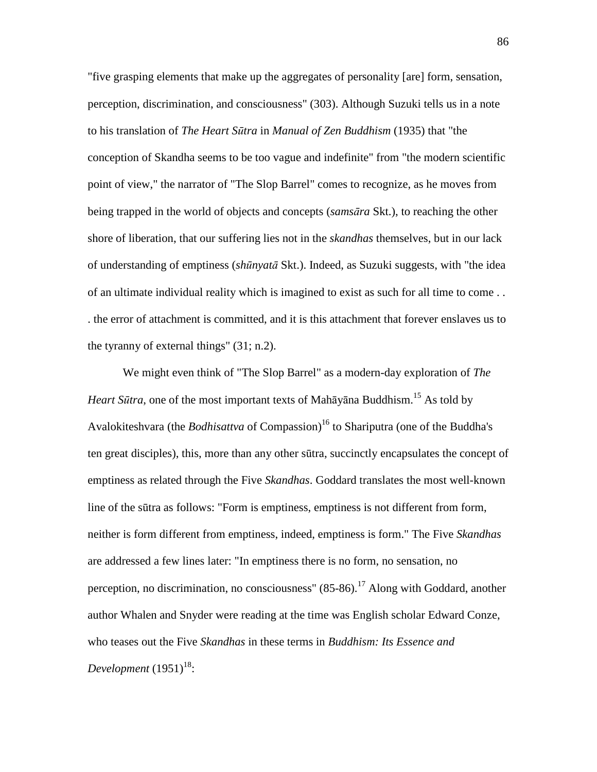"five grasping elements that make up the aggregates of personality [are] form, sensation, perception, discrimination, and consciousness" (303). Although Suzuki tells us in a note to his translation of *The Heart S*ū*tra* in *Manual of Zen Buddhism* (1935) that "the conception of Skandha seems to be too vague and indefinite" from "the modern scientific point of view," the narrator of "The Slop Barrel" comes to recognize, as he moves from being trapped in the world of objects and concepts (*sams*ā*ra* Skt.), to reaching the other shore of liberation, that our suffering lies not in the *skandhas* themselves, but in our lack of understanding of emptiness (*sh*ū*nyat*ā Skt.). Indeed, as Suzuki suggests, with "the idea of an ultimate individual reality which is imagined to exist as such for all time to come . . . the error of attachment is committed, and it is this attachment that forever enslaves us to the tyranny of external things" (31; n.2).

 We might even think of "The Slop Barrel" as a modern-day exploration of *The Heart Sūtra*, one of the most important texts of Mahāyāna Buddhism.<sup>15</sup> As told by Avalokiteshvara (the *Bodhisattva* of Compassion)<sup>16</sup> to Shariputra (one of the Buddha's ten great disciples), this, more than any other sūtra, succinctly encapsulates the concept of emptiness as related through the Five *Skandhas*. Goddard translates the most well-known line of the sūtra as follows: "Form is emptiness, emptiness is not different from form, neither is form different from emptiness, indeed, emptiness is form." The Five *Skandhas* are addressed a few lines later: "In emptiness there is no form, no sensation, no perception, no discrimination, no consciousness"  $(85-86)$ .<sup>17</sup> Along with Goddard, another author Whalen and Snyder were reading at the time was English scholar Edward Conze, who teases out the Five *Skandhas* in these terms in *Buddhism: Its Essence and*   $\emph{Development}$  (1951)<sup>18</sup>: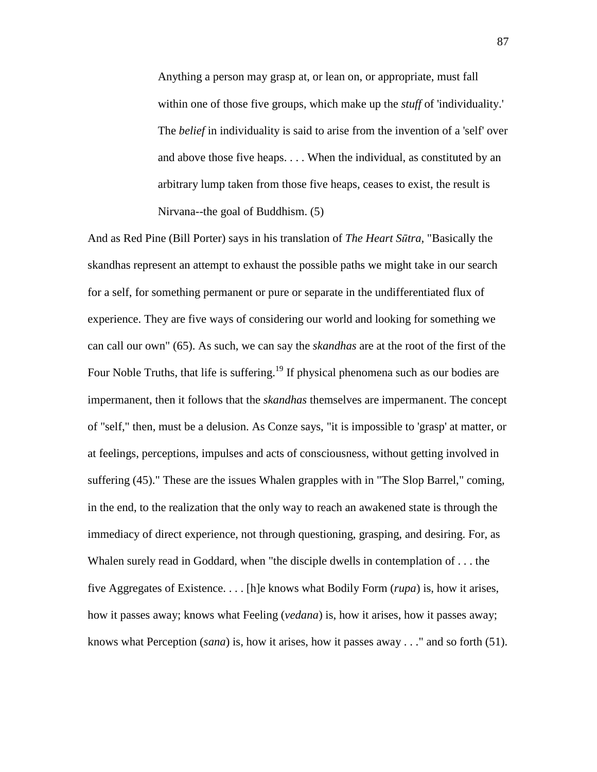Anything a person may grasp at, or lean on, or appropriate, must fall within one of those five groups, which make up the *stuff* of 'individuality.' The *belief* in individuality is said to arise from the invention of a 'self' over and above those five heaps. . . . When the individual, as constituted by an arbitrary lump taken from those five heaps, ceases to exist, the result is Nirvana--the goal of Buddhism. (5)

And as Red Pine (Bill Porter) says in his translation of *The Heart S*ū*tra*, "Basically the skandhas represent an attempt to exhaust the possible paths we might take in our search for a self, for something permanent or pure or separate in the undifferentiated flux of experience. They are five ways of considering our world and looking for something we can call our own" (65). As such, we can say the *skandhas* are at the root of the first of the Four Noble Truths, that life is suffering.<sup>19</sup> If physical phenomena such as our bodies are impermanent, then it follows that the *skandhas* themselves are impermanent. The concept of "self," then, must be a delusion. As Conze says, "it is impossible to 'grasp' at matter, or at feelings, perceptions, impulses and acts of consciousness, without getting involved in suffering (45)." These are the issues Whalen grapples with in "The Slop Barrel," coming, in the end, to the realization that the only way to reach an awakened state is through the immediacy of direct experience, not through questioning, grasping, and desiring. For, as Whalen surely read in Goddard, when "the disciple dwells in contemplation of . . . the five Aggregates of Existence. . . . [h]e knows what Bodily Form (*rupa*) is, how it arises, how it passes away; knows what Feeling (*vedana*) is, how it arises, how it passes away; knows what Perception (*sana*) is, how it arises, how it passes away . . ." and so forth (51).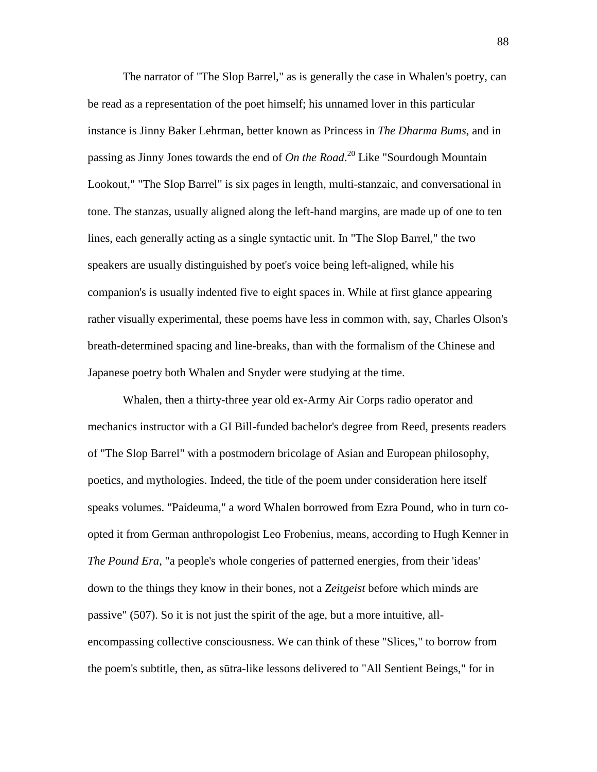The narrator of "The Slop Barrel," as is generally the case in Whalen's poetry, can be read as a representation of the poet himself; his unnamed lover in this particular instance is Jinny Baker Lehrman, better known as Princess in *The Dharma Bums*, and in passing as Jinny Jones towards the end of *On the Road*. <sup>20</sup> Like "Sourdough Mountain Lookout," "The Slop Barrel" is six pages in length, multi-stanzaic, and conversational in tone. The stanzas, usually aligned along the left-hand margins, are made up of one to ten lines, each generally acting as a single syntactic unit. In "The Slop Barrel," the two speakers are usually distinguished by poet's voice being left-aligned, while his companion's is usually indented five to eight spaces in. While at first glance appearing rather visually experimental, these poems have less in common with, say, Charles Olson's breath-determined spacing and line-breaks, than with the formalism of the Chinese and Japanese poetry both Whalen and Snyder were studying at the time.

 Whalen, then a thirty-three year old ex-Army Air Corps radio operator and mechanics instructor with a GI Bill-funded bachelor's degree from Reed, presents readers of "The Slop Barrel" with a postmodern bricolage of Asian and European philosophy, poetics, and mythologies. Indeed, the title of the poem under consideration here itself speaks volumes. "Paideuma," a word Whalen borrowed from Ezra Pound, who in turn coopted it from German anthropologist Leo Frobenius, means, according to Hugh Kenner in *The Pound Era*, "a people's whole congeries of patterned energies, from their 'ideas' down to the things they know in their bones, not a *Zeitgeist* before which minds are passive" (507). So it is not just the spirit of the age, but a more intuitive, allencompassing collective consciousness. We can think of these "Slices," to borrow from the poem's subtitle, then, as sūtra-like lessons delivered to "All Sentient Beings," for in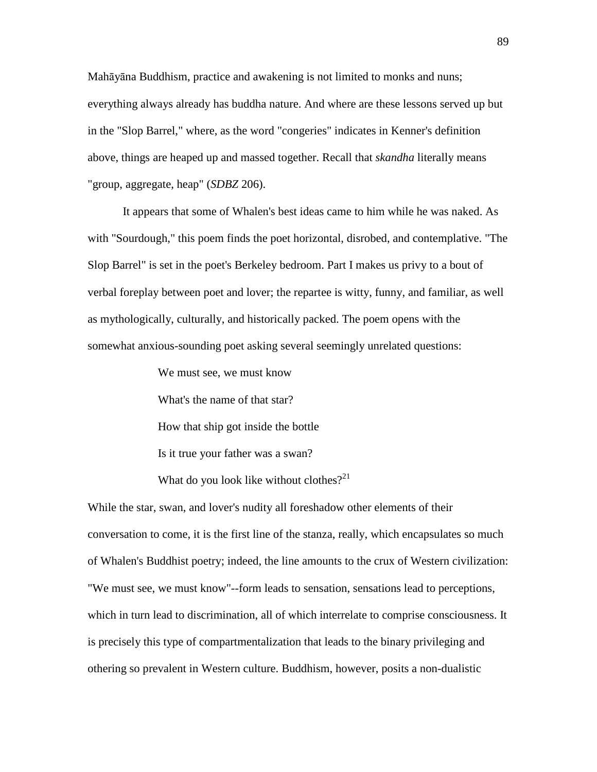Mahāyāna Buddhism, practice and awakening is not limited to monks and nuns; everything always already has buddha nature. And where are these lessons served up but in the "Slop Barrel," where, as the word "congeries" indicates in Kenner's definition above, things are heaped up and massed together. Recall that *skandha* literally means "group, aggregate, heap" (*SDBZ* 206).

 It appears that some of Whalen's best ideas came to him while he was naked. As with "Sourdough," this poem finds the poet horizontal, disrobed, and contemplative. "The Slop Barrel" is set in the poet's Berkeley bedroom. Part I makes us privy to a bout of verbal foreplay between poet and lover; the repartee is witty, funny, and familiar, as well as mythologically, culturally, and historically packed. The poem opens with the somewhat anxious-sounding poet asking several seemingly unrelated questions:

We must see, we must know

What's the name of that star?

How that ship got inside the bottle

Is it true your father was a swan?

What do you look like without clothes?<sup>21</sup>

While the star, swan, and lover's nudity all foreshadow other elements of their conversation to come, it is the first line of the stanza, really, which encapsulates so much of Whalen's Buddhist poetry; indeed, the line amounts to the crux of Western civilization: "We must see, we must know"--form leads to sensation, sensations lead to perceptions, which in turn lead to discrimination, all of which interrelate to comprise consciousness. It is precisely this type of compartmentalization that leads to the binary privileging and othering so prevalent in Western culture. Buddhism, however, posits a non-dualistic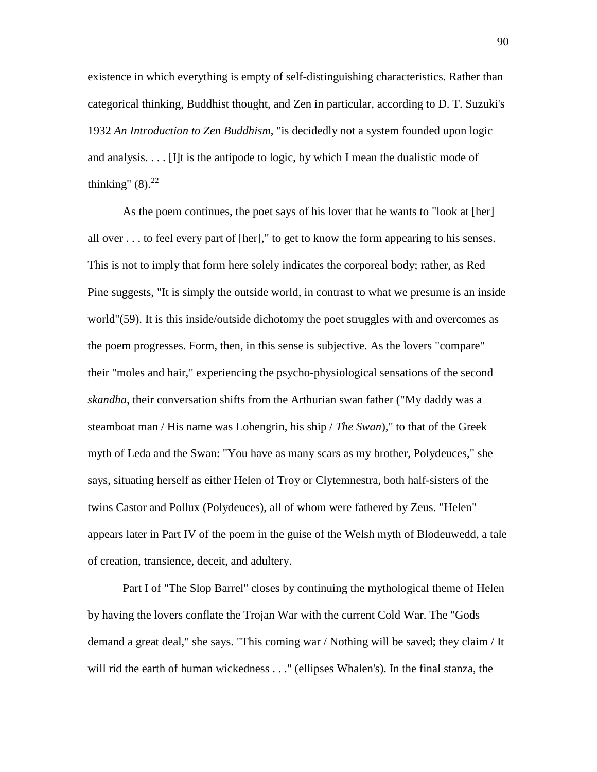existence in which everything is empty of self-distinguishing characteristics. Rather than categorical thinking, Buddhist thought, and Zen in particular, according to D. T. Suzuki's 1932 *An Introduction to Zen Buddhism*, "is decidedly not a system founded upon logic and analysis.  $\ldots$  [I]t is the antipode to logic, by which I mean the dualistic mode of thinking"  $(8).^{22}$ 

 As the poem continues, the poet says of his lover that he wants to "look at [her] all over . . . to feel every part of [her]," to get to know the form appearing to his senses. This is not to imply that form here solely indicates the corporeal body; rather, as Red Pine suggests, "It is simply the outside world, in contrast to what we presume is an inside world"(59). It is this inside/outside dichotomy the poet struggles with and overcomes as the poem progresses. Form, then, in this sense is subjective. As the lovers "compare" their "moles and hair," experiencing the psycho-physiological sensations of the second *skandha*, their conversation shifts from the Arthurian swan father ("My daddy was a steamboat man / His name was Lohengrin, his ship / *The Swan*)," to that of the Greek myth of Leda and the Swan: "You have as many scars as my brother, Polydeuces," she says, situating herself as either Helen of Troy or Clytemnestra, both half-sisters of the twins Castor and Pollux (Polydeuces), all of whom were fathered by Zeus. "Helen" appears later in Part IV of the poem in the guise of the Welsh myth of Blodeuwedd, a tale of creation, transience, deceit, and adultery.

 Part I of "The Slop Barrel" closes by continuing the mythological theme of Helen by having the lovers conflate the Trojan War with the current Cold War. The "Gods demand a great deal," she says. "This coming war / Nothing will be saved; they claim / It will rid the earth of human wickedness . . ." (ellipses Whalen's). In the final stanza, the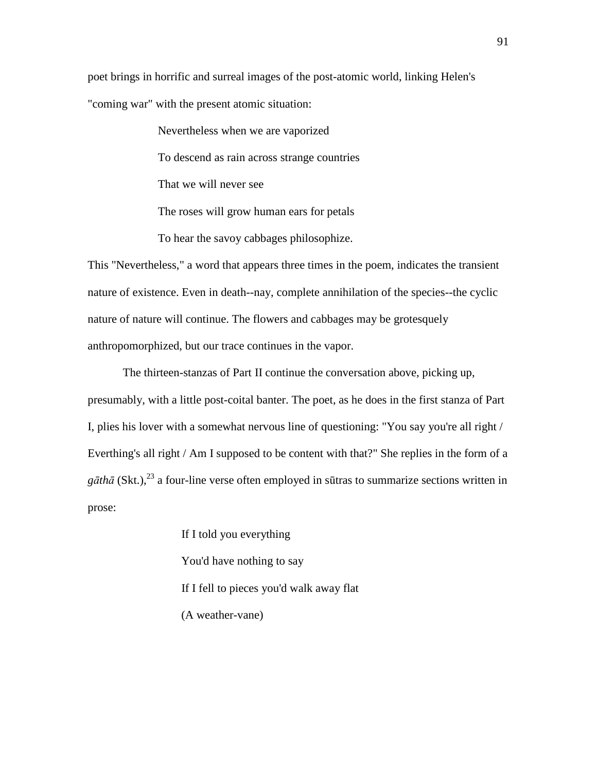poet brings in horrific and surreal images of the post-atomic world, linking Helen's "coming war" with the present atomic situation:

> Nevertheless when we are vaporized To descend as rain across strange countries That we will never see The roses will grow human ears for petals To hear the savoy cabbages philosophize.

This "Nevertheless," a word that appears three times in the poem, indicates the transient nature of existence. Even in death--nay, complete annihilation of the species--the cyclic nature of nature will continue. The flowers and cabbages may be grotesquely anthropomorphized, but our trace continues in the vapor.

 The thirteen-stanzas of Part II continue the conversation above, picking up, presumably, with a little post-coital banter. The poet, as he does in the first stanza of Part I, plies his lover with a somewhat nervous line of questioning: "You say you're all right / Everthing's all right / Am I supposed to be content with that?" She replies in the form of a  $g\bar{a}th\bar{a}$  (Skt.),<sup>23</sup> a four-line verse often employed in sūtras to summarize sections written in prose:

> If I told you everything You'd have nothing to say If I fell to pieces you'd walk away flat (A weather-vane)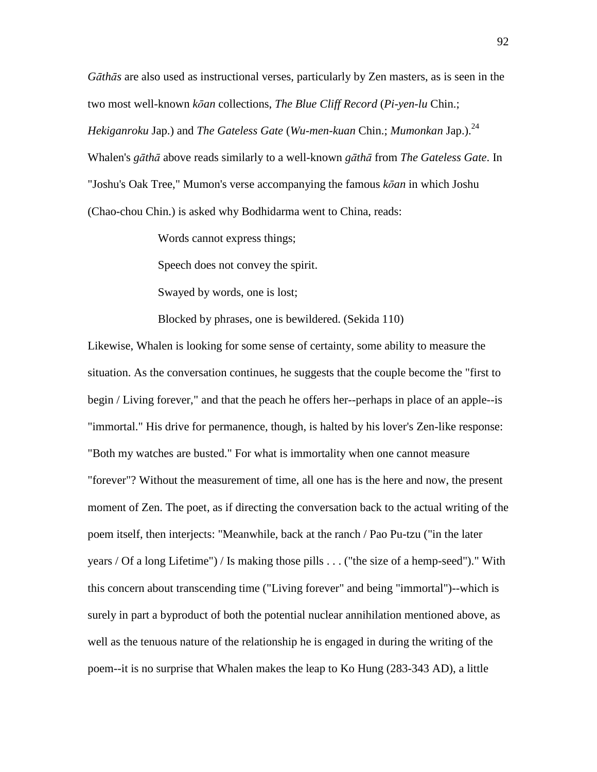*G*ā*th*ā*s* are also used as instructional verses, particularly by Zen masters, as is seen in the two most well-known *k*ō*an* collections, *The Blue Cliff Record* (*Pi-yen-lu* Chin.; *Hekiganroku Jap.) and The Gateless Gate* (*Wu-men-kuan Chin.; Mumonkan Jap.).<sup>24</sup>* Whalen's *g*ā*th*ā above reads similarly to a well-known *g*ā*th*ā from *The Gateless Gate*. In "Joshu's Oak Tree," Mumon's verse accompanying the famous *k*ō*an* in which Joshu (Chao-chou Chin.) is asked why Bodhidarma went to China, reads:

Words cannot express things;

Speech does not convey the spirit.

Swayed by words, one is lost;

Blocked by phrases, one is bewildered. (Sekida 110)

Likewise, Whalen is looking for some sense of certainty, some ability to measure the situation. As the conversation continues, he suggests that the couple become the "first to begin / Living forever," and that the peach he offers her--perhaps in place of an apple--is "immortal." His drive for permanence, though, is halted by his lover's Zen-like response: "Both my watches are busted." For what is immortality when one cannot measure "forever"? Without the measurement of time, all one has is the here and now, the present moment of Zen. The poet, as if directing the conversation back to the actual writing of the poem itself, then interjects: "Meanwhile, back at the ranch / Pao Pu-tzu ("in the later years / Of a long Lifetime") / Is making those pills . . . ("the size of a hemp-seed")." With this concern about transcending time ("Living forever" and being "immortal")--which is surely in part a byproduct of both the potential nuclear annihilation mentioned above, as well as the tenuous nature of the relationship he is engaged in during the writing of the poem--it is no surprise that Whalen makes the leap to Ko Hung (283-343 AD), a little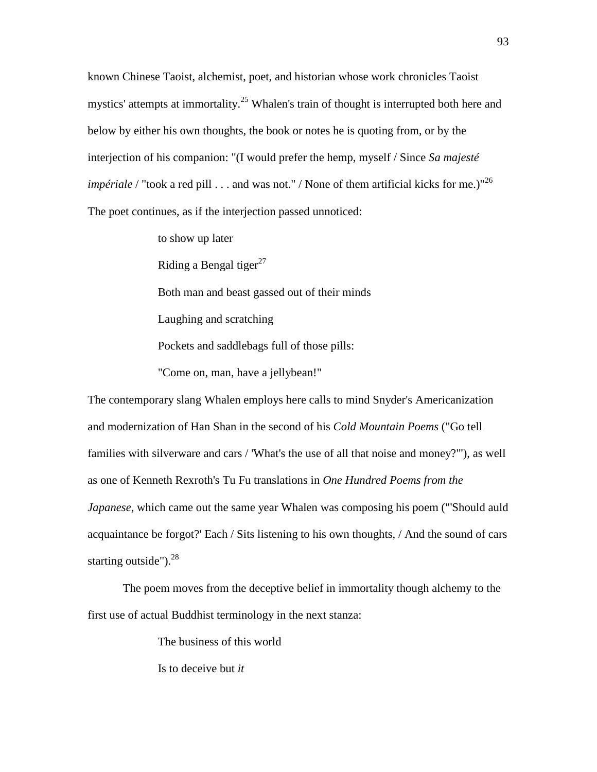known Chinese Taoist, alchemist, poet, and historian whose work chronicles Taoist mystics' attempts at immortality.<sup>25</sup> Whalen's train of thought is interrupted both here and below by either his own thoughts, the book or notes he is quoting from, or by the interjection of his companion: "(I would prefer the hemp, myself / Since *Sa majesté impériale* / "took a red pill . . . and was not." / None of them artificial kicks for me.)"<sup>26</sup> The poet continues, as if the interjection passed unnoticed:

> to show up later Riding a Bengal tiger<sup>27</sup> Both man and beast gassed out of their minds Laughing and scratching Pockets and saddlebags full of those pills: "Come on, man, have a jellybean!"

The contemporary slang Whalen employs here calls to mind Snyder's Americanization and modernization of Han Shan in the second of his *Cold Mountain Poems* ("Go tell families with silverware and cars / 'What's the use of all that noise and money?'"), as well as one of Kenneth Rexroth's Tu Fu translations in *One Hundred Poems from the Japanese*, which came out the same year Whalen was composing his poem ("'Should auld acquaintance be forgot?' Each / Sits listening to his own thoughts, / And the sound of cars starting outside"). $28$ 

 The poem moves from the deceptive belief in immortality though alchemy to the first use of actual Buddhist terminology in the next stanza:

The business of this world

Is to deceive but *it*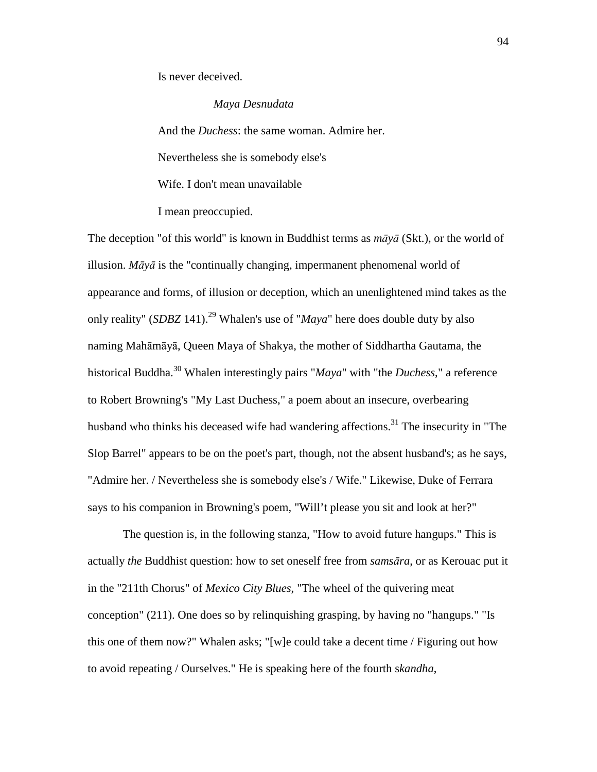Is never deceived.

#### *Maya Desnudata*

And the *Duchess*: the same woman. Admire her. Nevertheless she is somebody else's Wife. I don't mean unavailable

I mean preoccupied.

The deception "of this world" is known in Buddhist terms as *m*ā*y*ā (Skt.), or the world of illusion. *M*ā*y*ā is the "continually changing, impermanent phenomenal world of appearance and forms, of illusion or deception, which an unenlightened mind takes as the only reality" (*SDBZ* 141).<sup>29</sup> Whalen's use of "*Maya*" here does double duty by also naming Mahāmāyā, Queen Maya of Shakya, the mother of Siddhartha Gautama, the historical Buddha.<sup>30</sup> Whalen interestingly pairs "*Maya*" with "the *Duchess*," a reference to Robert Browning's "My Last Duchess," a poem about an insecure, overbearing husband who thinks his deceased wife had wandering affections.<sup>31</sup> The insecurity in "The Slop Barrel" appears to be on the poet's part, though, not the absent husband's; as he says, "Admire her. / Nevertheless she is somebody else's / Wife." Likewise, Duke of Ferrara says to his companion in Browning's poem, "Will't please you sit and look at her?"

 The question is, in the following stanza, "How to avoid future hangups." This is actually *the* Buddhist question: how to set oneself free from *sams*ā*ra*, or as Kerouac put it in the "211th Chorus" of *Mexico City Blues*, "The wheel of the quivering meat conception" (211). One does so by relinquishing grasping, by having no "hangups." "Is this one of them now?" Whalen asks; "[w]e could take a decent time / Figuring out how to avoid repeating / Ourselves." He is speaking here of the fourth s*kandha*,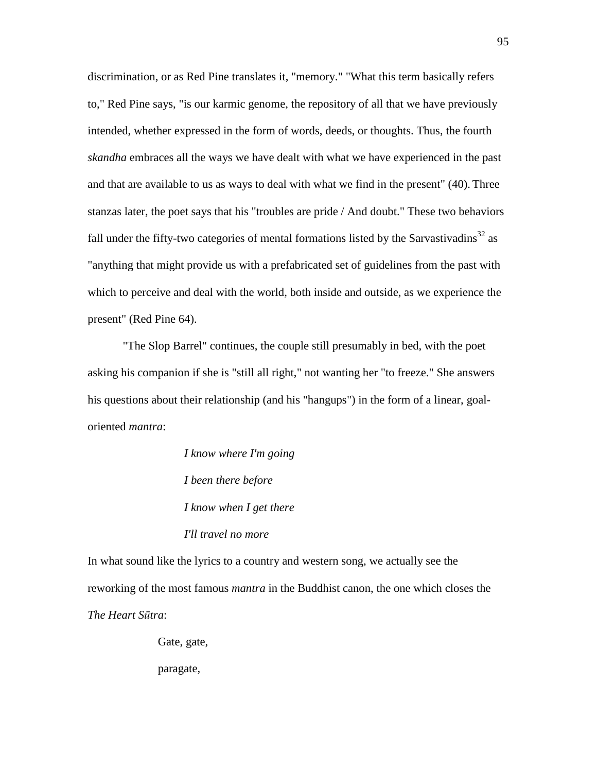discrimination, or as Red Pine translates it, "memory." "What this term basically refers to," Red Pine says, "is our karmic genome, the repository of all that we have previously intended, whether expressed in the form of words, deeds, or thoughts. Thus, the fourth *skandha* embraces all the ways we have dealt with what we have experienced in the past and that are available to us as ways to deal with what we find in the present" (40). Three stanzas later, the poet says that his "troubles are pride / And doubt." These two behaviors fall under the fifty-two categories of mental formations listed by the Sarvastivadins $32$  as "anything that might provide us with a prefabricated set of guidelines from the past with which to perceive and deal with the world, both inside and outside, as we experience the present" (Red Pine 64).

 "The Slop Barrel" continues, the couple still presumably in bed, with the poet asking his companion if she is "still all right," not wanting her "to freeze." She answers his questions about their relationship (and his "hangups") in the form of a linear, goaloriented *mantra*:

> *I know where I'm going I been there before I know when I get there I'll travel no more*

In what sound like the lyrics to a country and western song, we actually see the reworking of the most famous *mantra* in the Buddhist canon, the one which closes the *The Heart S*ū*tra*:

Gate, gate,

paragate,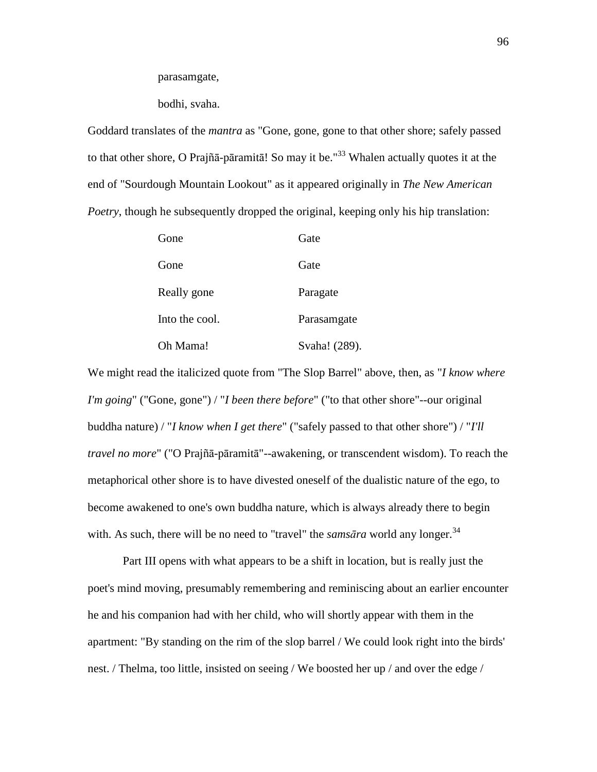parasamgate,

bodhi, svaha.

Goddard translates of the *mantra* as "Gone, gone, gone to that other shore; safely passed to that other shore, O Prajñā-pāramitā! So may it be."<sup>33</sup> Whalen actually quotes it at the end of "Sourdough Mountain Lookout" as it appeared originally in *The New American Poetry*, though he subsequently dropped the original, keeping only his hip translation:

| Gone           | Gate          |
|----------------|---------------|
| Gone           | Gate          |
| Really gone    | Paragate      |
| Into the cool. | Parasamgate   |
| Oh Mama!       | Svaha! (289). |

We might read the italicized quote from "The Slop Barrel" above, then, as "*I know where I'm going*" ("Gone, gone") / "*I been there before*" ("to that other shore"--our original buddha nature) / "*I know when I get there*" ("safely passed to that other shore") / "*I'll travel no more*" ("O Prajñā-pāramitā"--awakening, or transcendent wisdom). To reach the metaphorical other shore is to have divested oneself of the dualistic nature of the ego, to become awakened to one's own buddha nature, which is always already there to begin with. As such, there will be no need to "travel" the *samsāra* world any longer.<sup>34</sup>

 Part III opens with what appears to be a shift in location, but is really just the poet's mind moving, presumably remembering and reminiscing about an earlier encounter he and his companion had with her child, who will shortly appear with them in the apartment: "By standing on the rim of the slop barrel / We could look right into the birds' nest. / Thelma, too little, insisted on seeing / We boosted her up / and over the edge /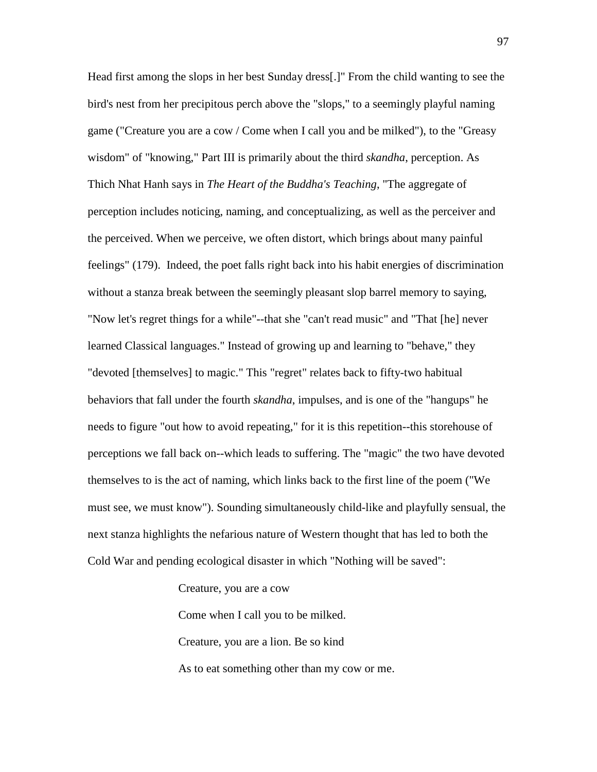Head first among the slops in her best Sunday dress[.]" From the child wanting to see the bird's nest from her precipitous perch above the "slops," to a seemingly playful naming game ("Creature you are a cow / Come when I call you and be milked"), to the "Greasy wisdom" of "knowing," Part III is primarily about the third *skandha*, perception. As Thich Nhat Hanh says in *The Heart of the Buddha's Teaching*, "The aggregate of perception includes noticing, naming, and conceptualizing, as well as the perceiver and the perceived. When we perceive, we often distort, which brings about many painful feelings" (179). Indeed, the poet falls right back into his habit energies of discrimination without a stanza break between the seemingly pleasant slop barrel memory to saying, "Now let's regret things for a while"--that she "can't read music" and "That [he] never learned Classical languages." Instead of growing up and learning to "behave," they "devoted [themselves] to magic." This "regret" relates back to fifty-two habitual behaviors that fall under the fourth *skandha*, impulses, and is one of the "hangups" he needs to figure "out how to avoid repeating," for it is this repetition--this storehouse of perceptions we fall back on--which leads to suffering. The "magic" the two have devoted themselves to is the act of naming, which links back to the first line of the poem ("We must see, we must know"). Sounding simultaneously child-like and playfully sensual, the next stanza highlights the nefarious nature of Western thought that has led to both the Cold War and pending ecological disaster in which "Nothing will be saved":

> Creature, you are a cow Come when I call you to be milked. Creature, you are a lion. Be so kind As to eat something other than my cow or me.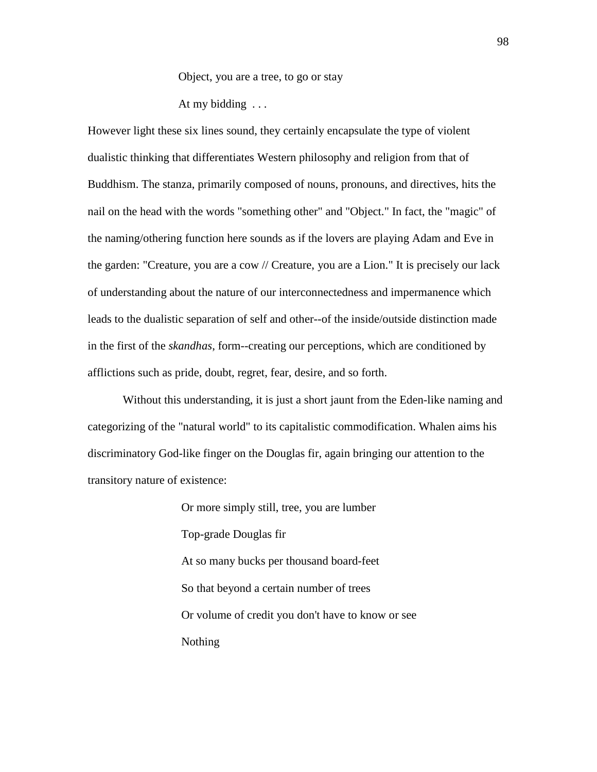Object, you are a tree, to go or stay

At my bidding ...

However light these six lines sound, they certainly encapsulate the type of violent dualistic thinking that differentiates Western philosophy and religion from that of Buddhism. The stanza, primarily composed of nouns, pronouns, and directives, hits the nail on the head with the words "something other" and "Object." In fact, the "magic" of the naming/othering function here sounds as if the lovers are playing Adam and Eve in the garden: "Creature, you are a cow // Creature, you are a Lion." It is precisely our lack of understanding about the nature of our interconnectedness and impermanence which leads to the dualistic separation of self and other--of the inside/outside distinction made in the first of the *skandhas*, form--creating our perceptions, which are conditioned by afflictions such as pride, doubt, regret, fear, desire, and so forth.

 Without this understanding, it is just a short jaunt from the Eden-like naming and categorizing of the "natural world" to its capitalistic commodification. Whalen aims his discriminatory God-like finger on the Douglas fir, again bringing our attention to the transitory nature of existence:

> Or more simply still, tree, you are lumber Top-grade Douglas fir At so many bucks per thousand board-feet So that beyond a certain number of trees Or volume of credit you don't have to know or see Nothing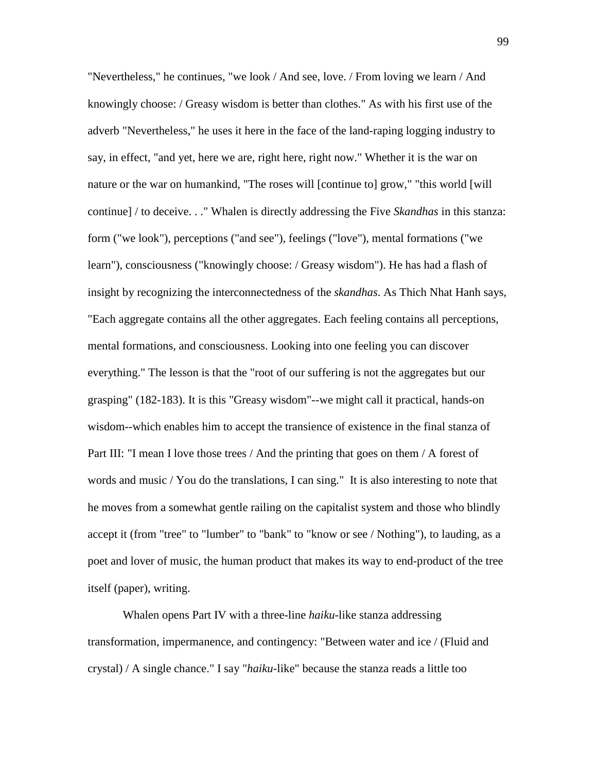"Nevertheless," he continues, "we look / And see, love. / From loving we learn / And knowingly choose: / Greasy wisdom is better than clothes." As with his first use of the adverb "Nevertheless," he uses it here in the face of the land-raping logging industry to say, in effect, "and yet, here we are, right here, right now." Whether it is the war on nature or the war on humankind, "The roses will [continue to] grow," "this world [will continue] / to deceive. . ." Whalen is directly addressing the Five *Skandhas* in this stanza: form ("we look"), perceptions ("and see"), feelings ("love"), mental formations ("we learn"), consciousness ("knowingly choose: / Greasy wisdom"). He has had a flash of insight by recognizing the interconnectedness of the *skandhas*. As Thich Nhat Hanh says, "Each aggregate contains all the other aggregates. Each feeling contains all perceptions, mental formations, and consciousness. Looking into one feeling you can discover everything." The lesson is that the "root of our suffering is not the aggregates but our grasping" (182-183). It is this "Greasy wisdom"--we might call it practical, hands-on wisdom--which enables him to accept the transience of existence in the final stanza of Part III: "I mean I love those trees / And the printing that goes on them / A forest of words and music / You do the translations, I can sing." It is also interesting to note that he moves from a somewhat gentle railing on the capitalist system and those who blindly accept it (from "tree" to "lumber" to "bank" to "know or see / Nothing"), to lauding, as a poet and lover of music, the human product that makes its way to end-product of the tree itself (paper), writing.

 Whalen opens Part IV with a three-line *haiku*-like stanza addressing transformation, impermanence, and contingency: "Between water and ice / (Fluid and crystal) / A single chance." I say "*haiku*-like" because the stanza reads a little too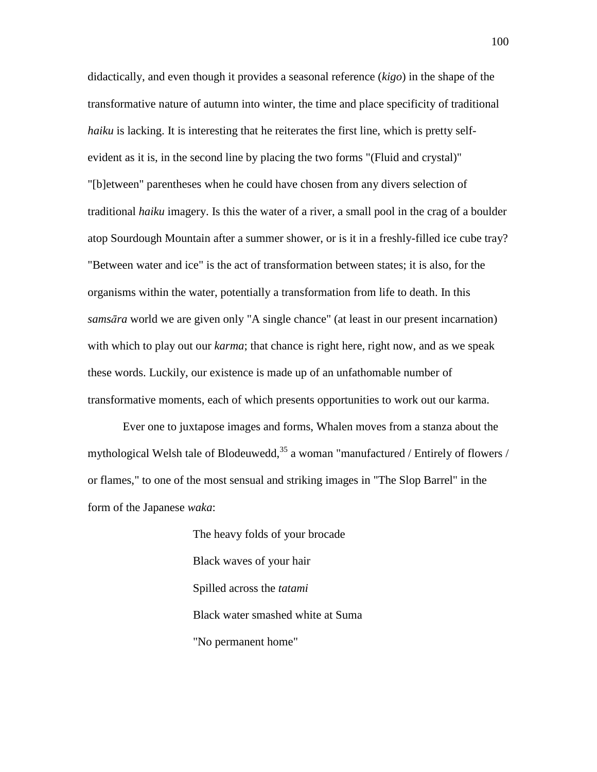didactically, and even though it provides a seasonal reference (*kigo*) in the shape of the transformative nature of autumn into winter, the time and place specificity of traditional *haiku* is lacking. It is interesting that he reiterates the first line, which is pretty selfevident as it is, in the second line by placing the two forms "(Fluid and crystal)" "[b]etween" parentheses when he could have chosen from any divers selection of traditional *haiku* imagery. Is this the water of a river, a small pool in the crag of a boulder atop Sourdough Mountain after a summer shower, or is it in a freshly-filled ice cube tray? "Between water and ice" is the act of transformation between states; it is also, for the organisms within the water, potentially a transformation from life to death. In this *sams*ā*ra* world we are given only "A single chance" (at least in our present incarnation) with which to play out our *karma*; that chance is right here, right now, and as we speak these words. Luckily, our existence is made up of an unfathomable number of transformative moments, each of which presents opportunities to work out our karma.

 Ever one to juxtapose images and forms, Whalen moves from a stanza about the mythological Welsh tale of Blodeuwedd,  $35$  a woman "manufactured / Entirely of flowers / or flames," to one of the most sensual and striking images in "The Slop Barrel" in the form of the Japanese *waka*:

> The heavy folds of your brocade Black waves of your hair Spilled across the *tatami* Black water smashed white at Suma "No permanent home"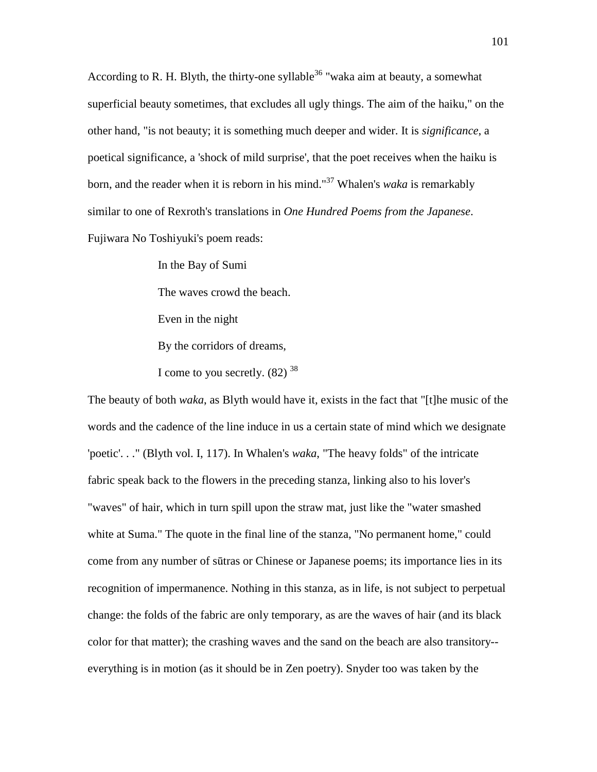According to R. H. Blyth, the thirty-one syllable<sup>36</sup> "waka aim at beauty, a somewhat superficial beauty sometimes, that excludes all ugly things. The aim of the haiku," on the other hand, "is not beauty; it is something much deeper and wider. It is *significance*, a poetical significance, a 'shock of mild surprise', that the poet receives when the haiku is born, and the reader when it is reborn in his mind."<sup>37</sup> Whalen's *waka* is remarkably similar to one of Rexroth's translations in *One Hundred Poems from the Japanese*. Fujiwara No Toshiyuki's poem reads:

> In the Bay of Sumi The waves crowd the beach. Even in the night By the corridors of dreams, I come to you secretly.  $(82)$  <sup>38</sup>

The beauty of both *waka*, as Blyth would have it, exists in the fact that "[t]he music of the words and the cadence of the line induce in us a certain state of mind which we designate 'poetic'. . ." (Blyth vol. I, 117). In Whalen's *waka*, "The heavy folds" of the intricate fabric speak back to the flowers in the preceding stanza, linking also to his lover's "waves" of hair, which in turn spill upon the straw mat, just like the "water smashed white at Suma." The quote in the final line of the stanza, "No permanent home," could come from any number of sūtras or Chinese or Japanese poems; its importance lies in its recognition of impermanence. Nothing in this stanza, as in life, is not subject to perpetual change: the folds of the fabric are only temporary, as are the waves of hair (and its black color for that matter); the crashing waves and the sand on the beach are also transitory- everything is in motion (as it should be in Zen poetry). Snyder too was taken by the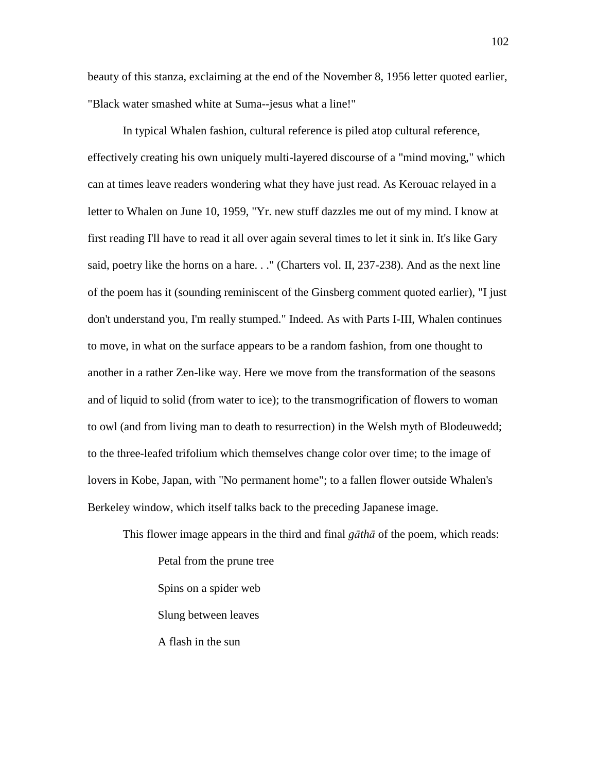beauty of this stanza, exclaiming at the end of the November 8, 1956 letter quoted earlier, "Black water smashed white at Suma--jesus what a line!"

 In typical Whalen fashion, cultural reference is piled atop cultural reference, effectively creating his own uniquely multi-layered discourse of a "mind moving," which can at times leave readers wondering what they have just read. As Kerouac relayed in a letter to Whalen on June 10, 1959, "Yr. new stuff dazzles me out of my mind. I know at first reading I'll have to read it all over again several times to let it sink in. It's like Gary said, poetry like the horns on a hare. . ." (Charters vol. II, 237-238). And as the next line of the poem has it (sounding reminiscent of the Ginsberg comment quoted earlier), "I just don't understand you, I'm really stumped." Indeed. As with Parts I-III, Whalen continues to move, in what on the surface appears to be a random fashion, from one thought to another in a rather Zen-like way. Here we move from the transformation of the seasons and of liquid to solid (from water to ice); to the transmogrification of flowers to woman to owl (and from living man to death to resurrection) in the Welsh myth of Blodeuwedd; to the three-leafed trifolium which themselves change color over time; to the image of lovers in Kobe, Japan, with "No permanent home"; to a fallen flower outside Whalen's Berkeley window, which itself talks back to the preceding Japanese image.

This flower image appears in the third and final *g*ā*th*ā of the poem, which reads:

Petal from the prune tree Spins on a spider web Slung between leaves A flash in the sun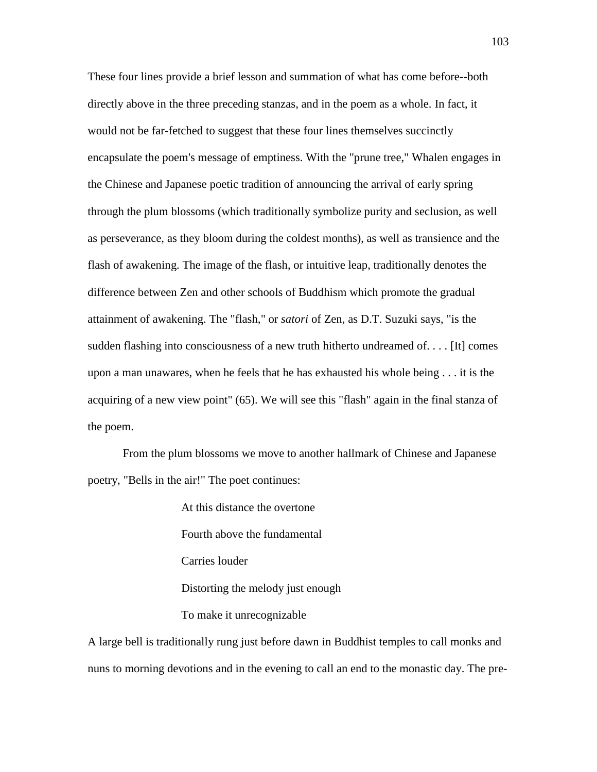These four lines provide a brief lesson and summation of what has come before--both directly above in the three preceding stanzas, and in the poem as a whole. In fact, it would not be far-fetched to suggest that these four lines themselves succinctly encapsulate the poem's message of emptiness. With the "prune tree," Whalen engages in the Chinese and Japanese poetic tradition of announcing the arrival of early spring through the plum blossoms (which traditionally symbolize purity and seclusion, as well as perseverance, as they bloom during the coldest months), as well as transience and the flash of awakening. The image of the flash, or intuitive leap, traditionally denotes the difference between Zen and other schools of Buddhism which promote the gradual attainment of awakening. The "flash," or *satori* of Zen, as D.T. Suzuki says, "is the sudden flashing into consciousness of a new truth hitherto undreamed of. . . . [It] comes upon a man unawares, when he feels that he has exhausted his whole being . . . it is the acquiring of a new view point" (65). We will see this "flash" again in the final stanza of the poem.

 From the plum blossoms we move to another hallmark of Chinese and Japanese poetry, "Bells in the air!" The poet continues:

> At this distance the overtone Fourth above the fundamental Carries louder Distorting the melody just enough To make it unrecognizable

A large bell is traditionally rung just before dawn in Buddhist temples to call monks and nuns to morning devotions and in the evening to call an end to the monastic day. The pre-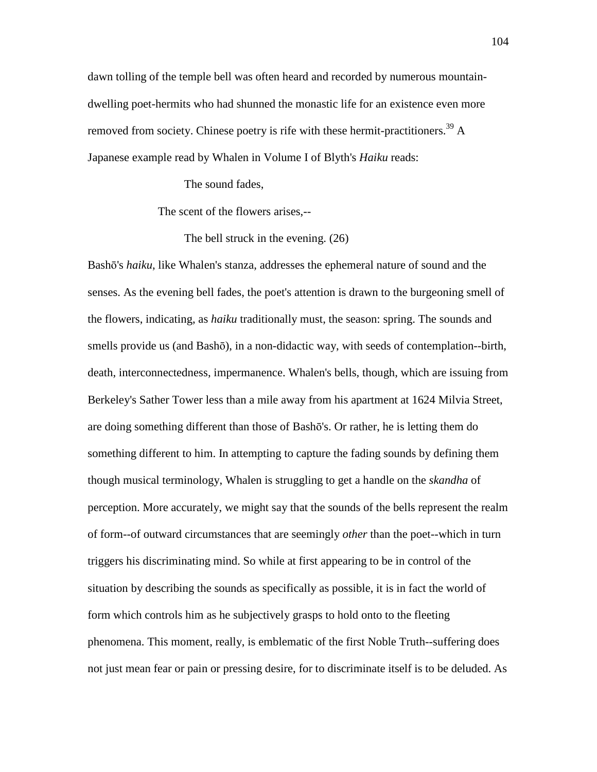dawn tolling of the temple bell was often heard and recorded by numerous mountaindwelling poet-hermits who had shunned the monastic life for an existence even more removed from society. Chinese poetry is rife with these hermit-practitioners.<sup>39</sup> A Japanese example read by Whalen in Volume I of Blyth's *Haiku* reads:

The sound fades,

The scent of the flowers arises,--

The bell struck in the evening. (26)

Bashō's *haiku*, like Whalen's stanza, addresses the ephemeral nature of sound and the senses. As the evening bell fades, the poet's attention is drawn to the burgeoning smell of the flowers, indicating, as *haiku* traditionally must, the season: spring. The sounds and smells provide us (and Bashō), in a non-didactic way, with seeds of contemplation--birth, death, interconnectedness, impermanence. Whalen's bells, though, which are issuing from Berkeley's Sather Tower less than a mile away from his apartment at 1624 Milvia Street, are doing something different than those of Bashō's. Or rather, he is letting them do something different to him. In attempting to capture the fading sounds by defining them though musical terminology, Whalen is struggling to get a handle on the *skandha* of perception. More accurately, we might say that the sounds of the bells represent the realm of form--of outward circumstances that are seemingly *other* than the poet--which in turn triggers his discriminating mind. So while at first appearing to be in control of the situation by describing the sounds as specifically as possible, it is in fact the world of form which controls him as he subjectively grasps to hold onto to the fleeting phenomena. This moment, really, is emblematic of the first Noble Truth--suffering does not just mean fear or pain or pressing desire, for to discriminate itself is to be deluded. As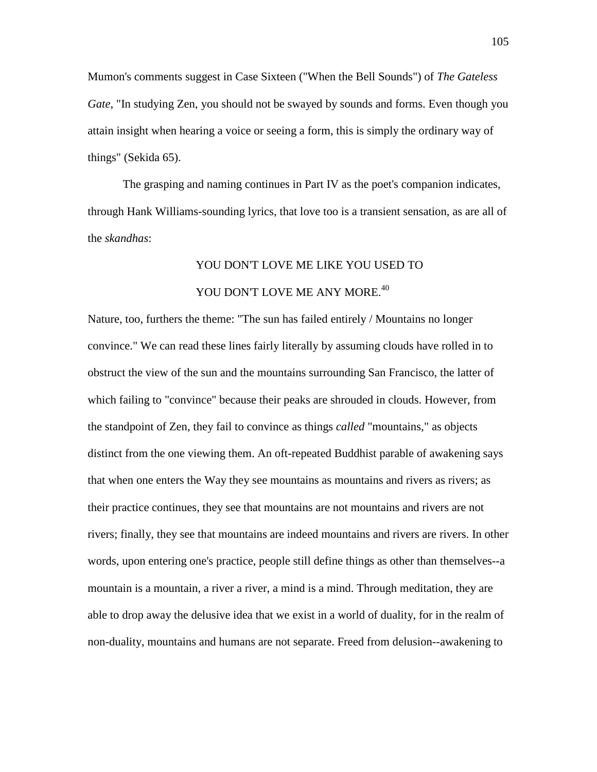Mumon's comments suggest in Case Sixteen ("When the Bell Sounds") of *The Gateless Gate*, "In studying Zen, you should not be swayed by sounds and forms. Even though you attain insight when hearing a voice or seeing a form, this is simply the ordinary way of things" (Sekida 65).

 The grasping and naming continues in Part IV as the poet's companion indicates, through Hank Williams-sounding lyrics, that love too is a transient sensation, as are all of the *skandhas*:

## YOU DON'T LOVE ME LIKE YOU USED TO YOU DON'T LOVE ME ANY MORE.<sup>40</sup>

Nature, too, furthers the theme: "The sun has failed entirely / Mountains no longer convince." We can read these lines fairly literally by assuming clouds have rolled in to obstruct the view of the sun and the mountains surrounding San Francisco, the latter of which failing to "convince" because their peaks are shrouded in clouds. However, from the standpoint of Zen, they fail to convince as things *called* "mountains," as objects distinct from the one viewing them. An oft-repeated Buddhist parable of awakening says that when one enters the Way they see mountains as mountains and rivers as rivers; as their practice continues, they see that mountains are not mountains and rivers are not rivers; finally, they see that mountains are indeed mountains and rivers are rivers. In other words, upon entering one's practice, people still define things as other than themselves--a mountain is a mountain, a river a river, a mind is a mind. Through meditation, they are able to drop away the delusive idea that we exist in a world of duality, for in the realm of non-duality, mountains and humans are not separate. Freed from delusion--awakening to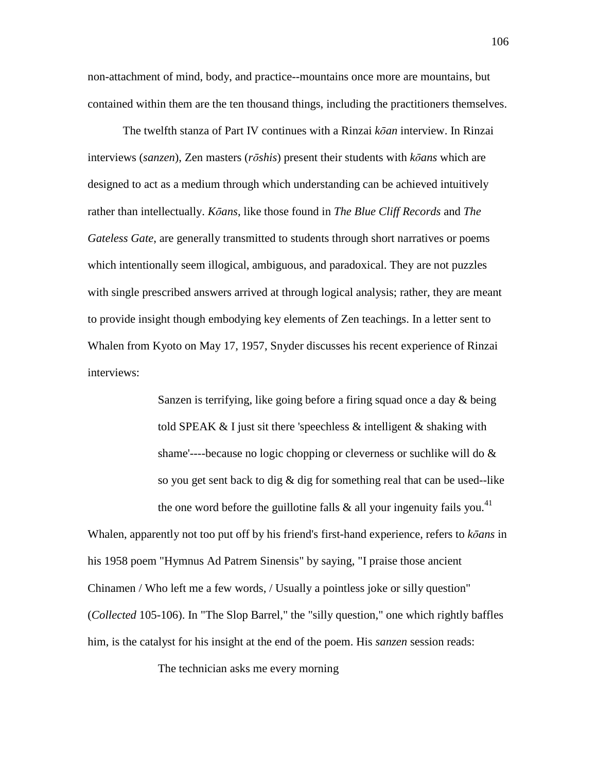non-attachment of mind, body, and practice--mountains once more are mountains, but contained within them are the ten thousand things, including the practitioners themselves.

 The twelfth stanza of Part IV continues with a Rinzai *k*ō*an* interview. In Rinzai interviews (*sanzen*), Zen masters (*r*ō*shis*) present their students with *k*ō*ans* which are designed to act as a medium through which understanding can be achieved intuitively rather than intellectually. *K*ō*ans*, like those found in *The Blue Cliff Records* and *The Gateless Gate*, are generally transmitted to students through short narratives or poems which intentionally seem illogical, ambiguous, and paradoxical. They are not puzzles with single prescribed answers arrived at through logical analysis; rather, they are meant to provide insight though embodying key elements of Zen teachings. In a letter sent to Whalen from Kyoto on May 17, 1957, Snyder discusses his recent experience of Rinzai interviews:

> Sanzen is terrifying, like going before a firing squad once a day & being told SPEAK & I just sit there 'speechless & intelligent & shaking with shame'----because no logic chopping or cleverness or suchlike will do & so you get sent back to dig & dig for something real that can be used--like the one word before the guillotine falls  $\&$  all your ingenuity fails you.<sup>41</sup>

Whalen, apparently not too put off by his friend's first-hand experience, refers to *k*ō*ans* in his 1958 poem "Hymnus Ad Patrem Sinensis" by saying, "I praise those ancient Chinamen / Who left me a few words, / Usually a pointless joke or silly question" (*Collected* 105-106). In "The Slop Barrel," the "silly question," one which rightly baffles him, is the catalyst for his insight at the end of the poem. His *sanzen* session reads:

The technician asks me every morning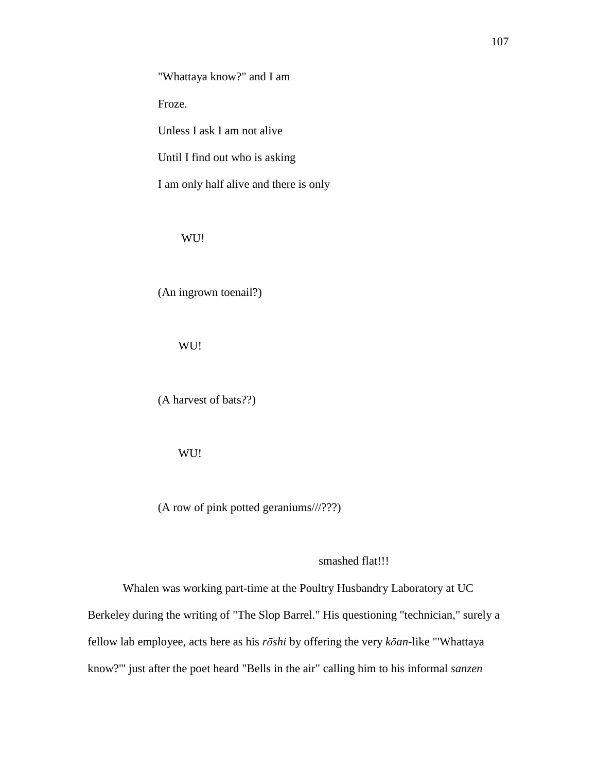Froze.

Unless I ask I am not alive

Until I find out who is asking

I am only half alive and there is only

WU!

(An ingrown toenail?)

WU!

(A harvest of bats??)

WU!

(A row of pink potted geraniums///???)

smashed flat!!!

 Whalen was working part-time at the Poultry Husbandry Laboratory at UC Berkeley during the writing of "The Slop Barrel." His questioning "technician," surely a fellow lab employee, acts here as his *r*ō*shi* by offering the very *k*ō*an*-like "'Whattaya know?'" just after the poet heard "Bells in the air" calling him to his informal *sanzen*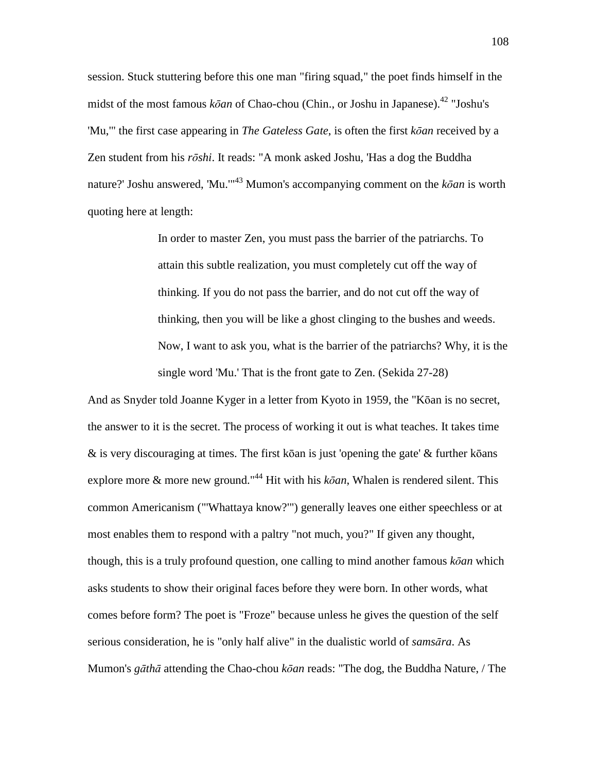session. Stuck stuttering before this one man "firing squad," the poet finds himself in the midst of the most famous *kōan* of Chao-chou (Chin., or Joshu in Japanese).<sup>42</sup> "Joshu's 'Mu,'" the first case appearing in *The Gateless Gate*, is often the first *k*ō*an* received by a Zen student from his *r*ō*shi*. It reads: "A monk asked Joshu, 'Has a dog the Buddha nature?' Joshu answered, 'Mu.'"<sup>43</sup> Mumon's accompanying comment on the *k*ō*an* is worth quoting here at length:

> In order to master Zen, you must pass the barrier of the patriarchs. To attain this subtle realization, you must completely cut off the way of thinking. If you do not pass the barrier, and do not cut off the way of thinking, then you will be like a ghost clinging to the bushes and weeds. Now, I want to ask you, what is the barrier of the patriarchs? Why, it is the single word 'Mu.' That is the front gate to Zen. (Sekida 27-28)

And as Snyder told Joanne Kyger in a letter from Kyoto in 1959, the "Kōan is no secret, the answer to it is the secret. The process of working it out is what teaches. It takes time & is very discouraging at times. The first kōan is just 'opening the gate' & further kōans explore more & more new ground."<sup>44</sup> Hit with his *k*ō*an*, Whalen is rendered silent. This common Americanism ("'Whattaya know?'") generally leaves one either speechless or at most enables them to respond with a paltry "not much, you?" If given any thought, though, this is a truly profound question, one calling to mind another famous *k*ō*an* which asks students to show their original faces before they were born. In other words, what comes before form? The poet is "Froze" because unless he gives the question of the self serious consideration, he is "only half alive" in the dualistic world of *sams*ā*ra*. As Mumon's *g*ā*th*ā attending the Chao-chou *k*ō*an* reads: "The dog, the Buddha Nature, / The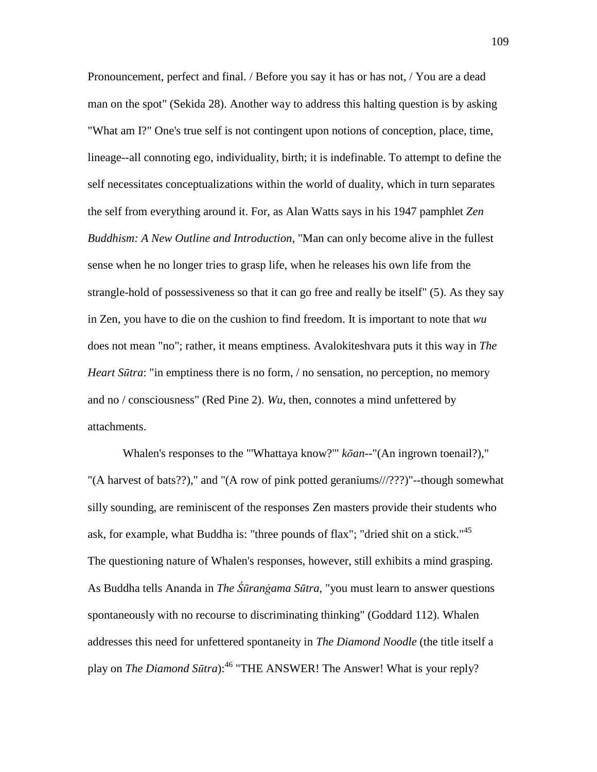Pronouncement, perfect and final. / Before you say it has or has not, / You are a dead man on the spot" (Sekida 28). Another way to address this halting question is by asking "What am I?" One's true self is not contingent upon notions of conception, place, time, lineage--all connoting ego, individuality, birth; it is indefinable. To attempt to define the self necessitates conceptualizations within the world of duality, which in turn separates the self from everything around it. For, as Alan Watts says in his 1947 pamphlet *Zen Buddhism: A New Outline and Introduction*, "Man can only become alive in the fullest sense when he no longer tries to grasp life, when he releases his own life from the strangle-hold of possessiveness so that it can go free and really be itself" (5). As they say in Zen, you have to die on the cushion to find freedom. It is important to note that *wu*  does not mean "no"; rather, it means emptiness. Avalokiteshvara puts it this way in *The Heart S*ū*tra*: "in emptiness there is no form, / no sensation, no perception, no memory and no / consciousness" (Red Pine 2). *Wu*, then, connotes a mind unfettered by attachments.

 Whalen's responses to the "'Whattaya know?'" *k*ō*an*--"(An ingrown toenail?)," "(A harvest of bats??)," and "(A row of pink potted geraniums///???)"--though somewhat silly sounding, are reminiscent of the responses Zen masters provide their students who ask, for example, what Buddha is: "three pounds of flax"; "dried shit on a stick."<sup>45</sup> The questioning nature of Whalen's responses, however, still exhibits a mind grasping. As Buddha tells Ananda in *The* Śū*ran*ā*ama S*ū*tra*, "you must learn to answer questions spontaneously with no recourse to discriminating thinking" (Goddard 112). Whalen addresses this need for unfettered spontaneity in *The Diamond Noodle* (the title itself a play on *The Diamond S*ū*tra*):<sup>46</sup> "THE ANSWER! The Answer! What is your reply?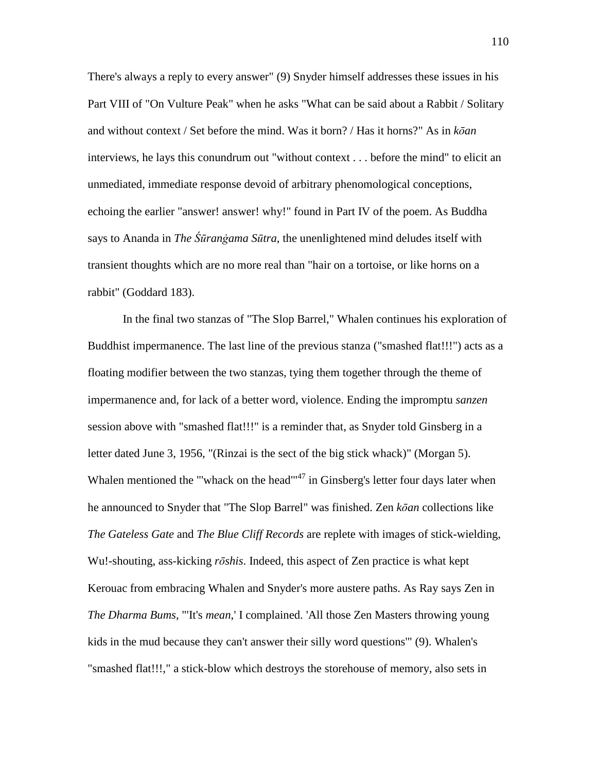There's always a reply to every answer" (9) Snyder himself addresses these issues in his Part VIII of "On Vulture Peak" when he asks "What can be said about a Rabbit / Solitary and without context / Set before the mind. Was it born? / Has it horns?" As in *k*ō*an* interviews, he lays this conundrum out "without context . . . before the mind" to elicit an unmediated, immediate response devoid of arbitrary phenomological conceptions, echoing the earlier "answer! answer! why!" found in Part IV of the poem. As Buddha says to Ananda in *The Śūranġama Sūtra*, the unenlightened mind deludes itself with transient thoughts which are no more real than "hair on a tortoise, or like horns on a rabbit" (Goddard 183).

 In the final two stanzas of "The Slop Barrel," Whalen continues his exploration of Buddhist impermanence. The last line of the previous stanza ("smashed flat!!!") acts as a floating modifier between the two stanzas, tying them together through the theme of impermanence and, for lack of a better word, violence. Ending the impromptu *sanzen* session above with "smashed flat!!!" is a reminder that, as Snyder told Ginsberg in a letter dated June 3, 1956, "(Rinzai is the sect of the big stick whack)" (Morgan 5). Whalen mentioned the "'whack on the head"<sup>47</sup> in Ginsberg's letter four days later when he announced to Snyder that "The Slop Barrel" was finished. Zen *k*ō*an* collections like *The Gateless Gate* and *The Blue Cliff Records* are replete with images of stick-wielding, Wu!-shouting, ass-kicking *r*ō*shis*. Indeed, this aspect of Zen practice is what kept Kerouac from embracing Whalen and Snyder's more austere paths. As Ray says Zen in *The Dharma Bums*, "'It's *mean*,' I complained. 'All those Zen Masters throwing young kids in the mud because they can't answer their silly word questions'" (9). Whalen's "smashed flat!!!," a stick-blow which destroys the storehouse of memory, also sets in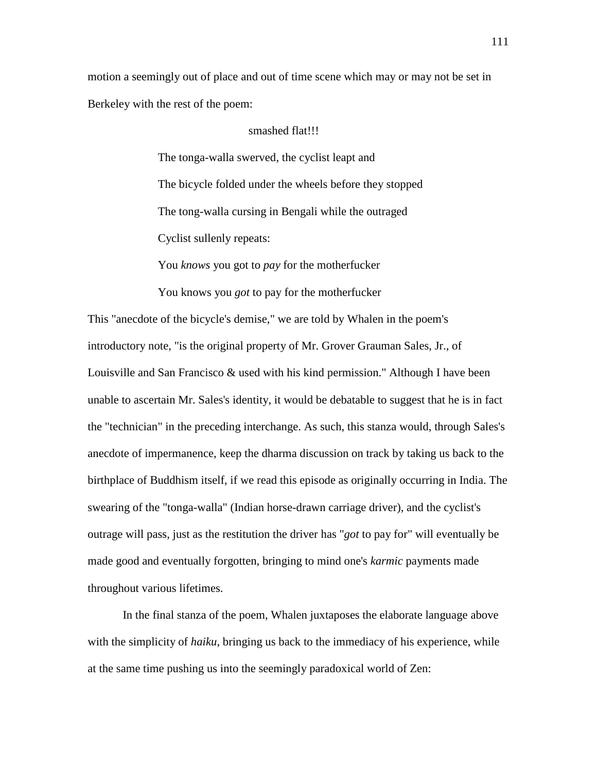motion a seemingly out of place and out of time scene which may or may not be set in Berkeley with the rest of the poem:

### smashed flat!!!

The tonga-walla swerved, the cyclist leapt and The bicycle folded under the wheels before they stopped The tong-walla cursing in Bengali while the outraged Cyclist sullenly repeats:

You *knows* you got to *pay* for the motherfucker

You knows you *got* to pay for the motherfucker

This "anecdote of the bicycle's demise," we are told by Whalen in the poem's introductory note, "is the original property of Mr. Grover Grauman Sales, Jr., of Louisville and San Francisco & used with his kind permission." Although I have been unable to ascertain Mr. Sales's identity, it would be debatable to suggest that he is in fact the "technician" in the preceding interchange. As such, this stanza would, through Sales's anecdote of impermanence, keep the dharma discussion on track by taking us back to the birthplace of Buddhism itself, if we read this episode as originally occurring in India. The swearing of the "tonga-walla" (Indian horse-drawn carriage driver), and the cyclist's outrage will pass, just as the restitution the driver has "*got* to pay for" will eventually be made good and eventually forgotten, bringing to mind one's *karmic* payments made throughout various lifetimes.

 In the final stanza of the poem, Whalen juxtaposes the elaborate language above with the simplicity of *haiku*, bringing us back to the immediacy of his experience, while at the same time pushing us into the seemingly paradoxical world of Zen: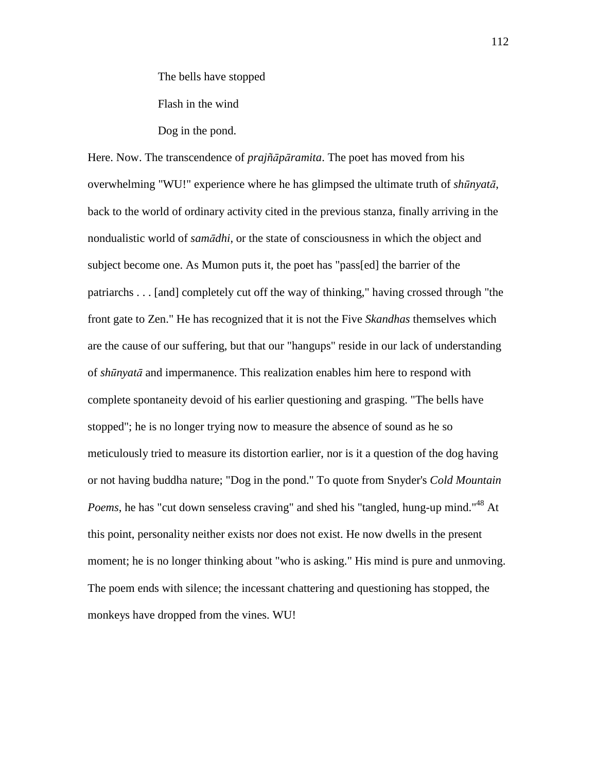The bells have stopped

Flash in the wind

Dog in the pond.

Here. Now. The transcendence of *prajñ*ā*p*ā*ramita*. The poet has moved from his overwhelming "WU!" experience where he has glimpsed the ultimate truth of *sh*ū*nyat*ā, back to the world of ordinary activity cited in the previous stanza, finally arriving in the nondualistic world of *sam*ā*dhi*, or the state of consciousness in which the object and subject become one. As Mumon puts it, the poet has "pass[ed] the barrier of the patriarchs . . . [and] completely cut off the way of thinking," having crossed through "the front gate to Zen." He has recognized that it is not the Five *Skandhas* themselves which are the cause of our suffering, but that our "hangups" reside in our lack of understanding of *sh*ū*nyat*ā and impermanence. This realization enables him here to respond with complete spontaneity devoid of his earlier questioning and grasping. "The bells have stopped"; he is no longer trying now to measure the absence of sound as he so meticulously tried to measure its distortion earlier, nor is it a question of the dog having or not having buddha nature; "Dog in the pond." To quote from Snyder's *Cold Mountain Poems*, he has "cut down senseless craving" and shed his "tangled, hung-up mind."<sup>48</sup> At this point, personality neither exists nor does not exist. He now dwells in the present moment; he is no longer thinking about "who is asking." His mind is pure and unmoving. The poem ends with silence; the incessant chattering and questioning has stopped, the monkeys have dropped from the vines. WU!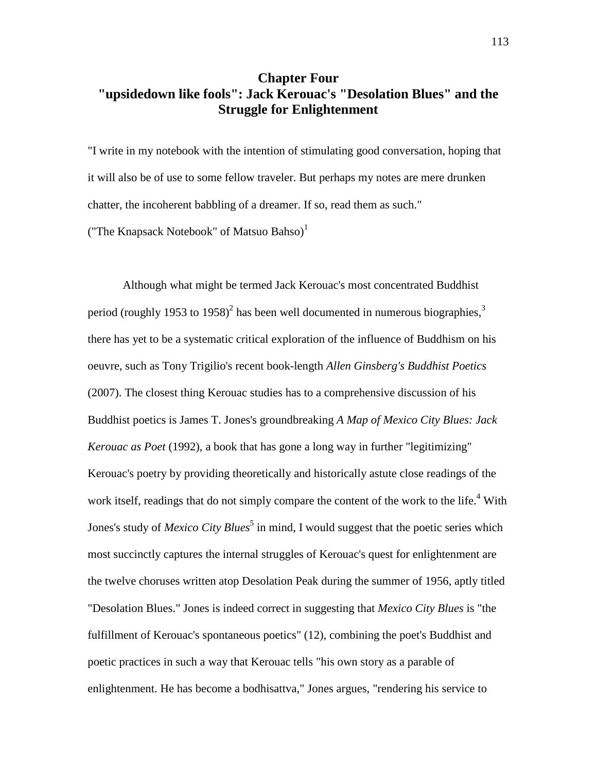## **Chapter Four "upsidedown like fools": Jack Kerouac's "Desolation Blues" and the Struggle for Enlightenment**

"I write in my notebook with the intention of stimulating good conversation, hoping that it will also be of use to some fellow traveler. But perhaps my notes are mere drunken chatter, the incoherent babbling of a dreamer. If so, read them as such."

("The Knapsack Notebook" of Matsuo Bahso) $<sup>1</sup>$ </sup>

 Although what might be termed Jack Kerouac's most concentrated Buddhist period (roughly 1953 to 1958)<sup>2</sup> has been well documented in numerous biographies,<sup>3</sup> there has yet to be a systematic critical exploration of the influence of Buddhism on his oeuvre, such as Tony Trigilio's recent book-length *Allen Ginsberg's Buddhist Poetics* (2007). The closest thing Kerouac studies has to a comprehensive discussion of his Buddhist poetics is James T. Jones's groundbreaking *A Map of Mexico City Blues: Jack Kerouac as Poet* (1992), a book that has gone a long way in further "legitimizing" Kerouac's poetry by providing theoretically and historically astute close readings of the work itself, readings that do not simply compare the content of the work to the life.<sup>4</sup> With Jones's study of *Mexico City Blues*<sup>5</sup> in mind, I would suggest that the poetic series which most succinctly captures the internal struggles of Kerouac's quest for enlightenment are the twelve choruses written atop Desolation Peak during the summer of 1956, aptly titled "Desolation Blues." Jones is indeed correct in suggesting that *Mexico City Blues* is "the fulfillment of Kerouac's spontaneous poetics" (12), combining the poet's Buddhist and poetic practices in such a way that Kerouac tells "his own story as a parable of enlightenment. He has become a bodhisattva," Jones argues, "rendering his service to

113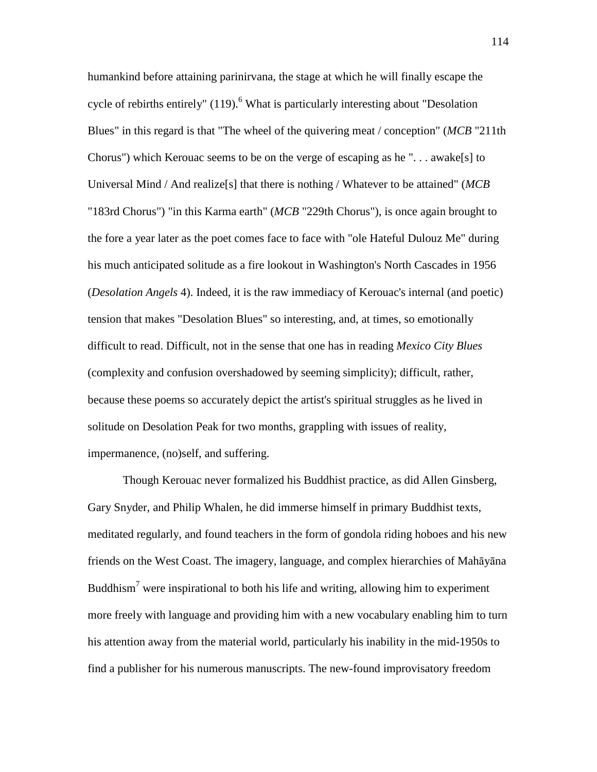humankind before attaining parinirvana, the stage at which he will finally escape the cycle of rebirths entirely" (119).<sup>6</sup> What is particularly interesting about "Desolation Blues" in this regard is that "The wheel of the quivering meat / conception" (*MCB* "211th Chorus") which Kerouac seems to be on the verge of escaping as he ". . . awake[s] to Universal Mind / And realize[s] that there is nothing / Whatever to be attained" (*MCB* "183rd Chorus") "in this Karma earth" (*MCB* "229th Chorus"), is once again brought to the fore a year later as the poet comes face to face with "ole Hateful Dulouz Me" during his much anticipated solitude as a fire lookout in Washington's North Cascades in 1956 (*Desolation Angels* 4). Indeed, it is the raw immediacy of Kerouac's internal (and poetic) tension that makes "Desolation Blues" so interesting, and, at times, so emotionally difficult to read. Difficult, not in the sense that one has in reading *Mexico City Blues*  (complexity and confusion overshadowed by seeming simplicity); difficult, rather, because these poems so accurately depict the artist's spiritual struggles as he lived in solitude on Desolation Peak for two months, grappling with issues of reality, impermanence, (no)self, and suffering.

 Though Kerouac never formalized his Buddhist practice, as did Allen Ginsberg, Gary Snyder, and Philip Whalen, he did immerse himself in primary Buddhist texts, meditated regularly, and found teachers in the form of gondola riding hoboes and his new friends on the West Coast. The imagery, language, and complex hierarchies of Mahāyāna Buddhism<sup>7</sup> were inspirational to both his life and writing, allowing him to experiment more freely with language and providing him with a new vocabulary enabling him to turn his attention away from the material world, particularly his inability in the mid-1950s to find a publisher for his numerous manuscripts. The new-found improvisatory freedom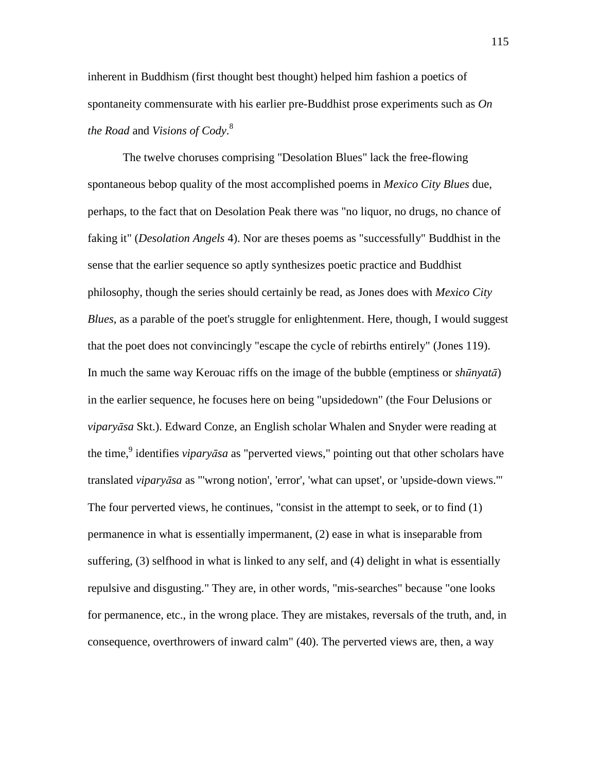inherent in Buddhism (first thought best thought) helped him fashion a poetics of spontaneity commensurate with his earlier pre-Buddhist prose experiments such as *On the Road* and *Visions of Cody*. 8

 The twelve choruses comprising "Desolation Blues" lack the free-flowing spontaneous bebop quality of the most accomplished poems in *Mexico City Blues* due, perhaps, to the fact that on Desolation Peak there was "no liquor, no drugs, no chance of faking it" (*Desolation Angels* 4). Nor are theses poems as "successfully" Buddhist in the sense that the earlier sequence so aptly synthesizes poetic practice and Buddhist philosophy, though the series should certainly be read, as Jones does with *Mexico City Blues*, as a parable of the poet's struggle for enlightenment. Here, though, I would suggest that the poet does not convincingly "escape the cycle of rebirths entirely" (Jones 119). In much the same way Kerouac riffs on the image of the bubble (emptiness or *sh*ū*nyat*ā) in the earlier sequence, he focuses here on being "upsidedown" (the Four Delusions or *vipary*ā*sa* Skt.). Edward Conze, an English scholar Whalen and Snyder were reading at the time,<sup>9</sup> identifies *viparyāsa* as "perverted views," pointing out that other scholars have translated *vipary*ā*sa* as "'wrong notion', 'error', 'what can upset', or 'upside-down views.'" The four perverted views, he continues, "consist in the attempt to seek, or to find (1) permanence in what is essentially impermanent, (2) ease in what is inseparable from suffering, (3) selfhood in what is linked to any self, and (4) delight in what is essentially repulsive and disgusting." They are, in other words, "mis-searches" because "one looks for permanence, etc., in the wrong place. They are mistakes, reversals of the truth, and, in consequence, overthrowers of inward calm" (40). The perverted views are, then, a way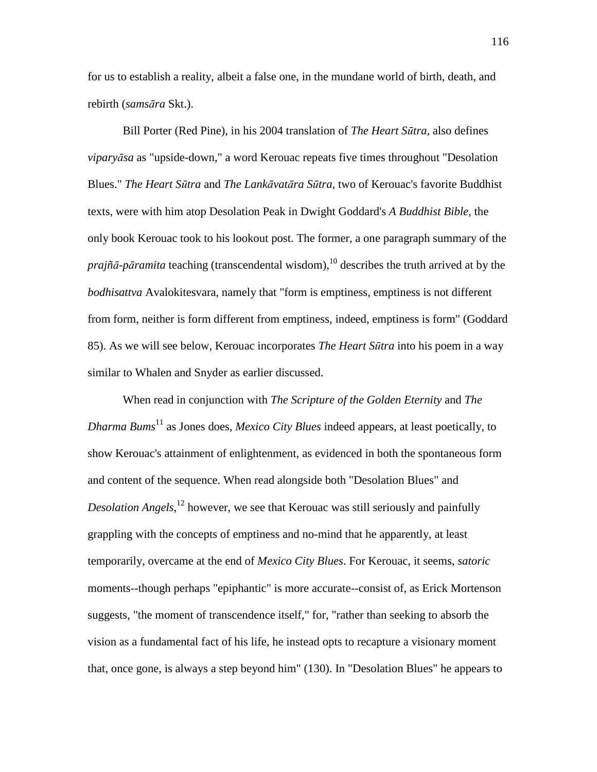for us to establish a reality, albeit a false one, in the mundane world of birth, death, and rebirth (*sams*ā*ra* Skt.).

 Bill Porter (Red Pine), in his 2004 translation of *The Heart S*ū*tra*, also defines *vipary*ā*sa* as "upside-down," a word Kerouac repeats five times throughout "Desolation Blues." *The Heart S*ū*tra* and *The Lank*ā*vat*ā*ra S*ū*tra*, two of Kerouac's favorite Buddhist texts, were with him atop Desolation Peak in Dwight Goddard's *A Buddhist Bible*, the only book Kerouac took to his lookout post. The former, a one paragraph summary of the *prajñā-pāramita* teaching (transcendental wisdom),<sup>10</sup> describes the truth arrived at by the *bodhisattva* Avalokitesvara, namely that "form is emptiness, emptiness is not different from form, neither is form different from emptiness, indeed, emptiness is form" (Goddard 85). As we will see below, Kerouac incorporates *The Heart S*ū*tra* into his poem in a way similar to Whalen and Snyder as earlier discussed.

 When read in conjunction with *The Scripture of the Golden Eternity* and *The Dharma Bums*<sup>11</sup> as Jones does, *Mexico City Blues* indeed appears, at least poetically, to show Kerouac's attainment of enlightenment*,* as evidenced in both the spontaneous form and content of the sequence. When read alongside both "Desolation Blues" and *Desolation Angels*, <sup>12</sup> however, we see that Kerouac was still seriously and painfully grappling with the concepts of emptiness and no-mind that he apparently, at least temporarily, overcame at the end of *Mexico City Blues*. For Kerouac, it seems, *satoric* moments--though perhaps "epiphantic" is more accurate--consist of, as Erick Mortenson suggests, "the moment of transcendence itself," for, "rather than seeking to absorb the vision as a fundamental fact of his life, he instead opts to recapture a visionary moment that, once gone, is always a step beyond him" (130). In "Desolation Blues" he appears to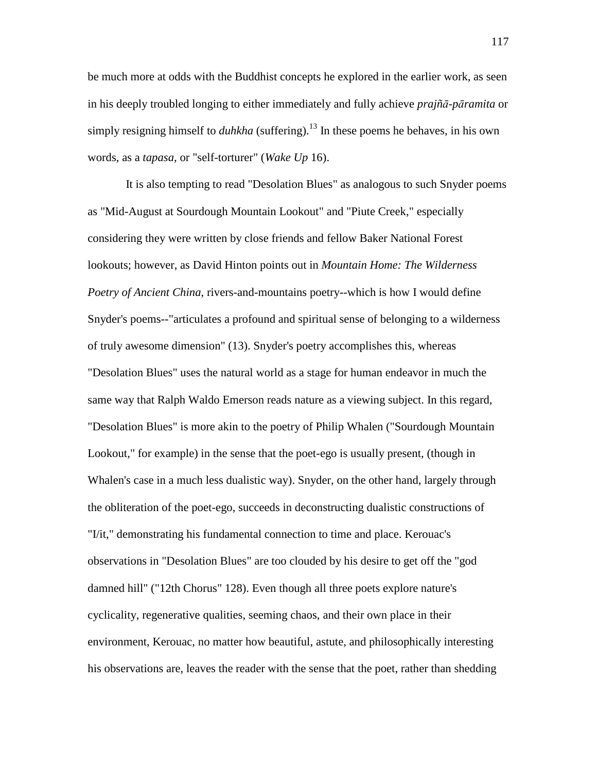be much more at odds with the Buddhist concepts he explored in the earlier work, as seen in his deeply troubled longing to either immediately and fully achieve *prajñ*ā*-p*ā*ramita* or simply resigning himself to *duhkha* (suffering).<sup>13</sup> In these poems he behaves, in his own words, as a *tapasa*, or "self-torturer" (*Wake Up* 16).

 It is also tempting to read "Desolation Blues" as analogous to such Snyder poems as "Mid-August at Sourdough Mountain Lookout" and "Piute Creek," especially considering they were written by close friends and fellow Baker National Forest lookouts; however, as David Hinton points out in *Mountain Home: The Wilderness Poetry of Ancient China*, rivers-and-mountains poetry--which is how I would define Snyder's poems--"articulates a profound and spiritual sense of belonging to a wilderness of truly awesome dimension" (13). Snyder's poetry accomplishes this, whereas "Desolation Blues" uses the natural world as a stage for human endeavor in much the same way that Ralph Waldo Emerson reads nature as a viewing subject. In this regard, "Desolation Blues" is more akin to the poetry of Philip Whalen ("Sourdough Mountain Lookout," for example) in the sense that the poet-ego is usually present, (though in Whalen's case in a much less dualistic way). Snyder, on the other hand, largely through the obliteration of the poet-ego, succeeds in deconstructing dualistic constructions of "I/it," demonstrating his fundamental connection to time and place. Kerouac's observations in "Desolation Blues" are too clouded by his desire to get off the "god damned hill" ("12th Chorus" 128). Even though all three poets explore nature's cyclicality, regenerative qualities, seeming chaos, and their own place in their environment, Kerouac, no matter how beautiful, astute, and philosophically interesting his observations are, leaves the reader with the sense that the poet, rather than shedding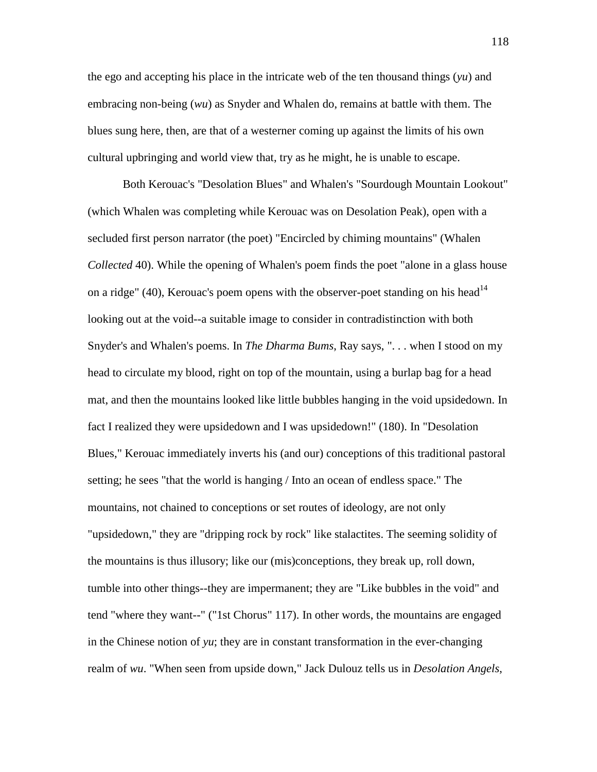the ego and accepting his place in the intricate web of the ten thousand things (*yu*) and embracing non-being (*wu*) as Snyder and Whalen do, remains at battle with them. The blues sung here, then, are that of a westerner coming up against the limits of his own cultural upbringing and world view that, try as he might, he is unable to escape.

 Both Kerouac's "Desolation Blues" and Whalen's "Sourdough Mountain Lookout" (which Whalen was completing while Kerouac was on Desolation Peak), open with a secluded first person narrator (the poet) "Encircled by chiming mountains" (Whalen *Collected* 40). While the opening of Whalen's poem finds the poet "alone in a glass house on a ridge" (40), Kerouac's poem opens with the observer-poet standing on his head<sup>14</sup> looking out at the void--a suitable image to consider in contradistinction with both Snyder's and Whalen's poems. In *The Dharma Bums*, Ray says, ". . . when I stood on my head to circulate my blood, right on top of the mountain, using a burlap bag for a head mat, and then the mountains looked like little bubbles hanging in the void upsidedown. In fact I realized they were upsidedown and I was upsidedown!" (180). In "Desolation Blues," Kerouac immediately inverts his (and our) conceptions of this traditional pastoral setting; he sees "that the world is hanging / Into an ocean of endless space." The mountains, not chained to conceptions or set routes of ideology, are not only "upsidedown," they are "dripping rock by rock" like stalactites. The seeming solidity of the mountains is thus illusory; like our (mis)conceptions, they break up, roll down, tumble into other things--they are impermanent; they are "Like bubbles in the void" and tend "where they want--" ("1st Chorus" 117). In other words, the mountains are engaged in the Chinese notion of *yu*; they are in constant transformation in the ever-changing realm of *wu*. "When seen from upside down," Jack Dulouz tells us in *Desolation Angels*,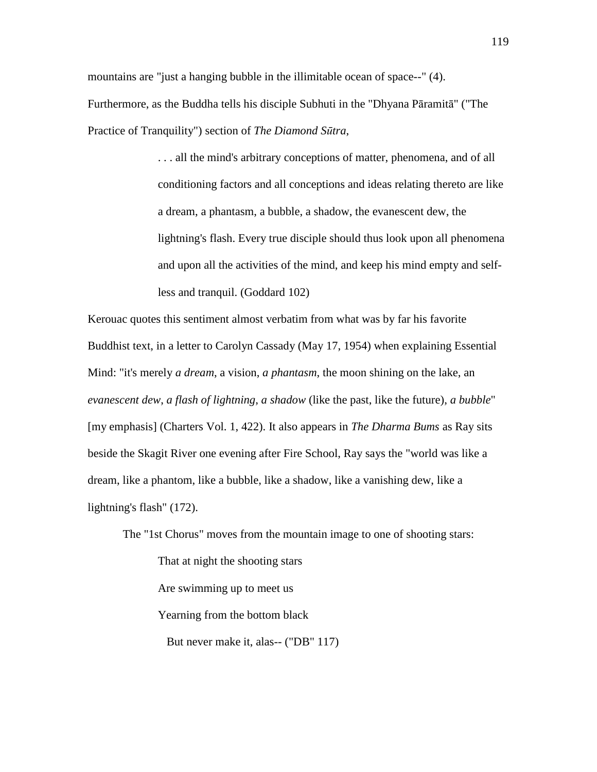mountains are "just a hanging bubble in the illimitable ocean of space--" (4). Furthermore, as the Buddha tells his disciple Subhuti in the "Dhyana Pāramitā" ("The Practice of Tranquility") section of *The Diamond S*ū*tra*,

> . . . all the mind's arbitrary conceptions of matter, phenomena, and of all conditioning factors and all conceptions and ideas relating thereto are like a dream, a phantasm, a bubble, a shadow, the evanescent dew, the lightning's flash. Every true disciple should thus look upon all phenomena and upon all the activities of the mind, and keep his mind empty and selfless and tranquil. (Goddard 102)

Kerouac quotes this sentiment almost verbatim from what was by far his favorite Buddhist text, in a letter to Carolyn Cassady (May 17, 1954) when explaining Essential Mind: "it's merely *a dream*, a vision, *a phantasm*, the moon shining on the lake, an *evanescent dew*, *a flash of lightning*, *a shadow* (like the past, like the future), *a bubble*" [my emphasis] (Charters Vol. 1, 422). It also appears in *The Dharma Bums* as Ray sits beside the Skagit River one evening after Fire School, Ray says the "world was like a dream, like a phantom, like a bubble, like a shadow, like a vanishing dew, like a lightning's flash" (172).

The "1st Chorus" moves from the mountain image to one of shooting stars:

That at night the shooting stars Are swimming up to meet us Yearning from the bottom black

But never make it, alas-- ("DB" 117)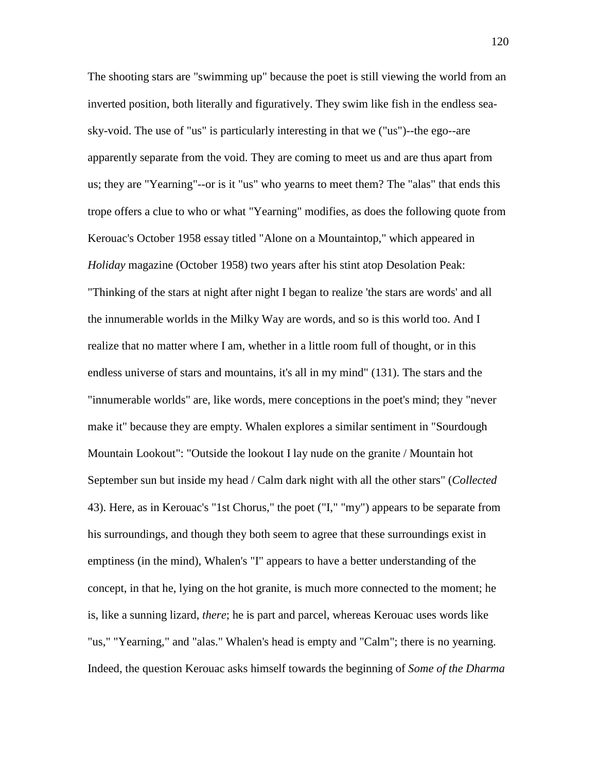The shooting stars are "swimming up" because the poet is still viewing the world from an inverted position, both literally and figuratively. They swim like fish in the endless seasky-void. The use of "us" is particularly interesting in that we ("us")--the ego--are apparently separate from the void. They are coming to meet us and are thus apart from us; they are "Yearning"--or is it "us" who yearns to meet them? The "alas" that ends this trope offers a clue to who or what "Yearning" modifies, as does the following quote from Kerouac's October 1958 essay titled "Alone on a Mountaintop," which appeared in *Holiday* magazine (October 1958) two years after his stint atop Desolation Peak: "Thinking of the stars at night after night I began to realize 'the stars are words' and all the innumerable worlds in the Milky Way are words, and so is this world too. And I realize that no matter where I am, whether in a little room full of thought, or in this endless universe of stars and mountains, it's all in my mind" (131). The stars and the "innumerable worlds" are, like words, mere conceptions in the poet's mind; they "never make it" because they are empty. Whalen explores a similar sentiment in "Sourdough Mountain Lookout": "Outside the lookout I lay nude on the granite / Mountain hot September sun but inside my head / Calm dark night with all the other stars" (*Collected* 43). Here, as in Kerouac's "1st Chorus," the poet ("I," "my") appears to be separate from his surroundings, and though they both seem to agree that these surroundings exist in emptiness (in the mind), Whalen's "I" appears to have a better understanding of the concept, in that he, lying on the hot granite, is much more connected to the moment; he is, like a sunning lizard, *there*; he is part and parcel, whereas Kerouac uses words like "us," "Yearning," and "alas." Whalen's head is empty and "Calm"; there is no yearning. Indeed, the question Kerouac asks himself towards the beginning of *Some of the Dharma*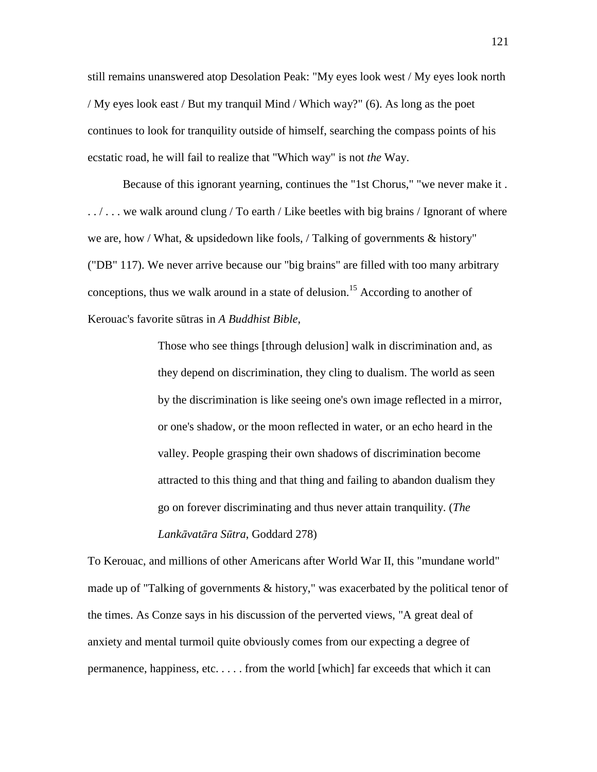still remains unanswered atop Desolation Peak: "My eyes look west / My eyes look north / My eyes look east / But my tranquil Mind / Which way?" (6). As long as the poet continues to look for tranquility outside of himself, searching the compass points of his ecstatic road, he will fail to realize that "Which way" is not *the* Way.

 Because of this ignorant yearning, continues the "1st Chorus," "we never make it . . . / . . . we walk around clung / To earth / Like beetles with big brains / Ignorant of where we are, how / What, & upsidedown like fools, / Talking of governments & history" ("DB" 117). We never arrive because our "big brains" are filled with too many arbitrary conceptions, thus we walk around in a state of delusion.<sup>15</sup> According to another of Kerouac's favorite sūtras in *A Buddhist Bible*,

> Those who see things [through delusion] walk in discrimination and, as they depend on discrimination, they cling to dualism. The world as seen by the discrimination is like seeing one's own image reflected in a mirror, or one's shadow, or the moon reflected in water, or an echo heard in the valley. People grasping their own shadows of discrimination become attracted to this thing and that thing and failing to abandon dualism they go on forever discriminating and thus never attain tranquility. (*The Lank*ā*vat*ā*ra S*ū*tra*, Goddard 278)

To Kerouac, and millions of other Americans after World War II, this "mundane world" made up of "Talking of governments & history," was exacerbated by the political tenor of the times. As Conze says in his discussion of the perverted views, "A great deal of anxiety and mental turmoil quite obviously comes from our expecting a degree of permanence, happiness, etc. . . . . from the world [which] far exceeds that which it can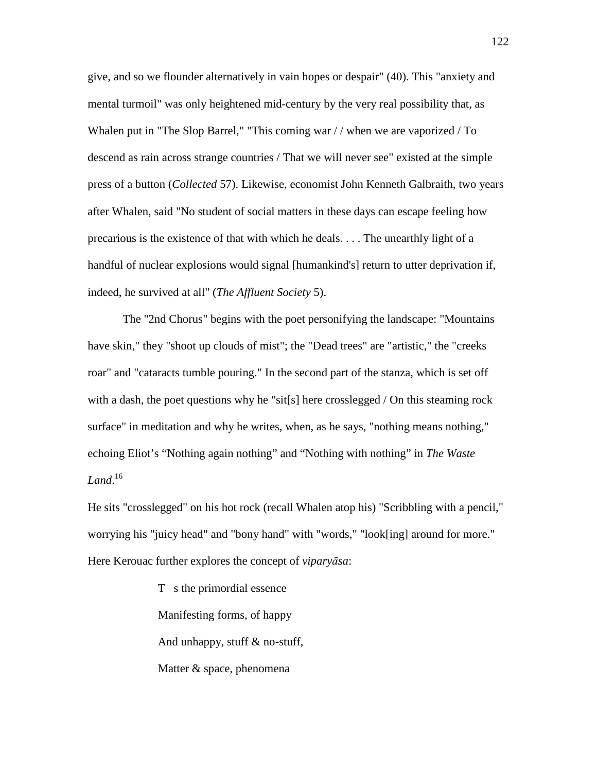give, and so we flounder alternatively in vain hopes or despair" (40). This "anxiety and mental turmoil" was only heightened mid-century by the very real possibility that, as Whalen put in "The Slop Barrel," "This coming war // when we are vaporized / To descend as rain across strange countries / That we will never see" existed at the simple press of a button (*Collected* 57). Likewise, economist John Kenneth Galbraith, two years after Whalen, said "No student of social matters in these days can escape feeling how precarious is the existence of that with which he deals. . . . The unearthly light of a handful of nuclear explosions would signal [humankind's] return to utter deprivation if, indeed, he survived at all" (*The Affluent Society* 5).

 The "2nd Chorus" begins with the poet personifying the landscape: "Mountains have skin," they "shoot up clouds of mist"; the "Dead trees" are "artistic," the "creeks roar" and "cataracts tumble pouring." In the second part of the stanza, which is set off with a dash, the poet questions why he "sit[s] here crosslegged / On this steaming rock surface" in meditation and why he writes, when, as he says, "nothing means nothing," echoing Eliot's "Nothing again nothing" and "Nothing with nothing" in *The Waste Land*. 16

He sits "crosslegged" on his hot rock (recall Whalen atop his) "Scribbling with a pencil," worrying his "juicy head" and "bony hand" with "words," "look[ing] around for more." Here Kerouac further explores the concept of *vipary*ā*sa*:

> T s the primordial essence Manifesting forms, of happy And unhappy, stuff & no-stuff, Matter & space, phenomena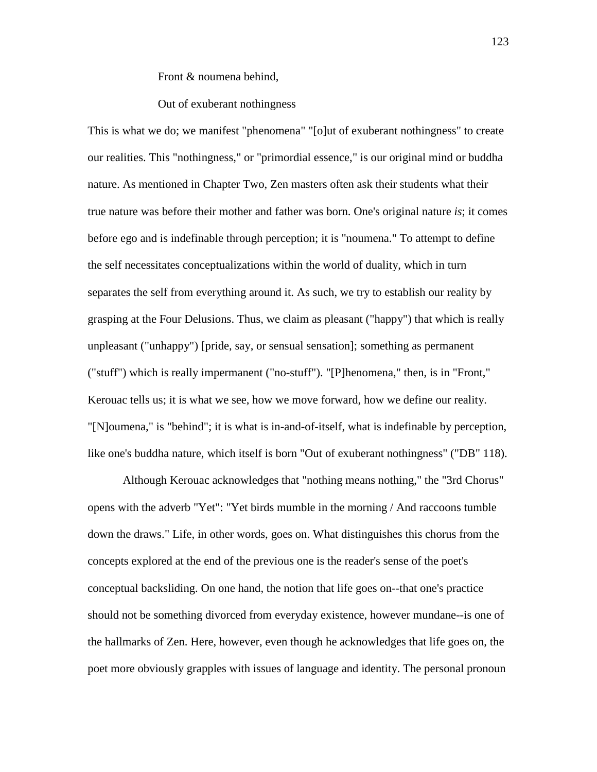Front & noumena behind,

### Out of exuberant nothingness

This is what we do; we manifest "phenomena" "[o]ut of exuberant nothingness" to create our realities. This "nothingness," or "primordial essence," is our original mind or buddha nature. As mentioned in Chapter Two, Zen masters often ask their students what their true nature was before their mother and father was born. One's original nature *is*; it comes before ego and is indefinable through perception; it is "noumena." To attempt to define the self necessitates conceptualizations within the world of duality, which in turn separates the self from everything around it. As such, we try to establish our reality by grasping at the Four Delusions. Thus, we claim as pleasant ("happy") that which is really unpleasant ("unhappy") [pride, say, or sensual sensation]; something as permanent ("stuff") which is really impermanent ("no-stuff"). "[P]henomena," then, is in "Front," Kerouac tells us; it is what we see, how we move forward, how we define our reality. "[N]oumena," is "behind"; it is what is in-and-of-itself, what is indefinable by perception, like one's buddha nature, which itself is born "Out of exuberant nothingness" ("DB" 118).

 Although Kerouac acknowledges that "nothing means nothing," the "3rd Chorus" opens with the adverb "Yet": "Yet birds mumble in the morning / And raccoons tumble down the draws." Life, in other words, goes on. What distinguishes this chorus from the concepts explored at the end of the previous one is the reader's sense of the poet's conceptual backsliding. On one hand, the notion that life goes on--that one's practice should not be something divorced from everyday existence, however mundane--is one of the hallmarks of Zen. Here, however, even though he acknowledges that life goes on, the poet more obviously grapples with issues of language and identity. The personal pronoun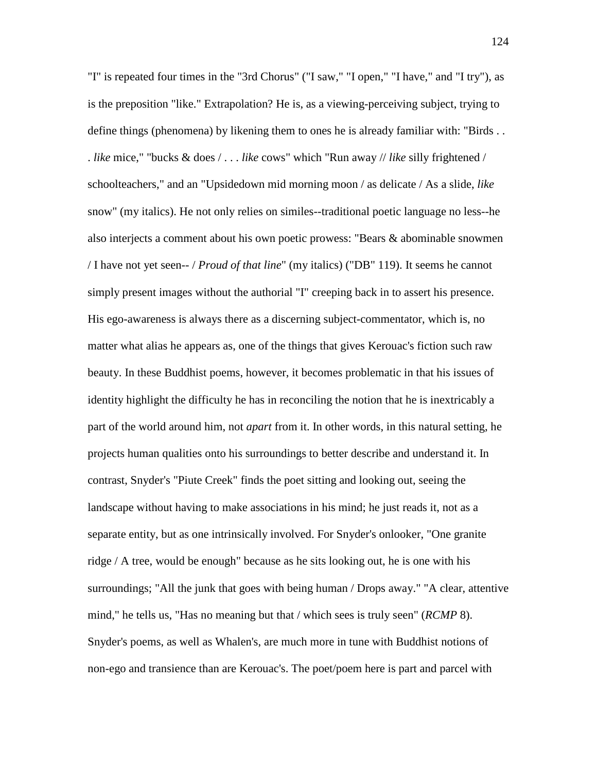"I" is repeated four times in the "3rd Chorus" ("I saw," "I open," "I have," and "I try"), as is the preposition "like." Extrapolation? He is, as a viewing-perceiving subject, trying to define things (phenomena) by likening them to ones he is already familiar with: "Birds . . . *like* mice," "bucks & does / . . . *like* cows" which "Run away // *like* silly frightened / schoolteachers," and an "Upsidedown mid morning moon / as delicate / As a slide, *like* snow" (my italics). He not only relies on similes--traditional poetic language no less--he also interjects a comment about his own poetic prowess: "Bears & abominable snowmen / I have not yet seen-- / *Proud of that line*" (my italics) ("DB" 119). It seems he cannot simply present images without the authorial "I" creeping back in to assert his presence. His ego-awareness is always there as a discerning subject-commentator, which is, no matter what alias he appears as, one of the things that gives Kerouac's fiction such raw beauty. In these Buddhist poems, however, it becomes problematic in that his issues of identity highlight the difficulty he has in reconciling the notion that he is inextricably a part of the world around him, not *apart* from it. In other words, in this natural setting, he projects human qualities onto his surroundings to better describe and understand it. In contrast, Snyder's "Piute Creek" finds the poet sitting and looking out, seeing the landscape without having to make associations in his mind; he just reads it, not as a separate entity, but as one intrinsically involved. For Snyder's onlooker, "One granite ridge / A tree, would be enough" because as he sits looking out, he is one with his surroundings; "All the junk that goes with being human / Drops away." "A clear, attentive mind," he tells us, "Has no meaning but that / which sees is truly seen" (*RCMP* 8). Snyder's poems, as well as Whalen's, are much more in tune with Buddhist notions of non-ego and transience than are Kerouac's. The poet/poem here is part and parcel with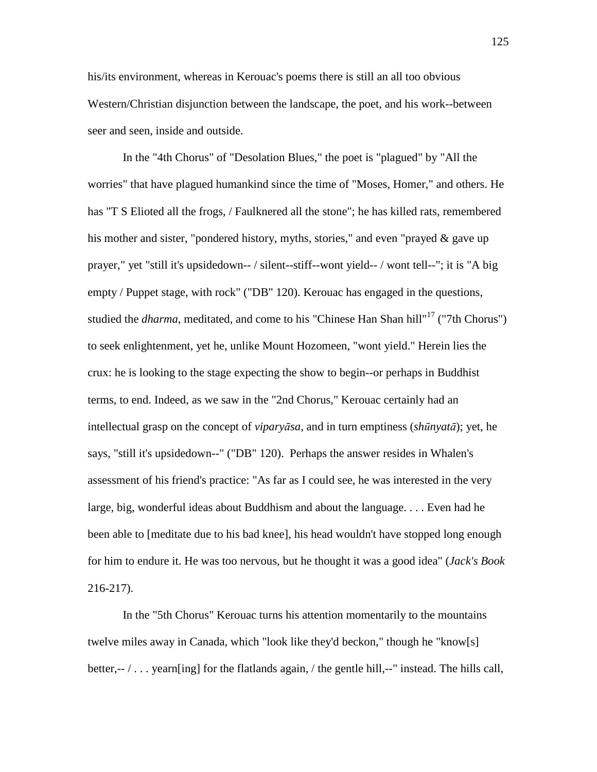his/its environment, whereas in Kerouac's poems there is still an all too obvious Western/Christian disjunction between the landscape, the poet, and his work--between seer and seen, inside and outside.

 In the "4th Chorus" of "Desolation Blues," the poet is "plagued" by "All the worries" that have plagued humankind since the time of "Moses, Homer," and others. He has "T S Elioted all the frogs, / Faulknered all the stone"; he has killed rats, remembered his mother and sister, "pondered history, myths, stories," and even "prayed & gave up prayer," yet "still it's upsidedown-- / silent--stiff--wont yield-- / wont tell--"; it is "A big empty / Puppet stage, with rock" ("DB" 120). Kerouac has engaged in the questions, studied the *dharma*, meditated, and come to his "Chinese Han Shan hill"<sup>17</sup> ("7th Chorus") to seek enlightenment, yet he, unlike Mount Hozomeen, "wont yield." Herein lies the crux: he is looking to the stage expecting the show to begin--or perhaps in Buddhist terms, to end. Indeed, as we saw in the "2nd Chorus," Kerouac certainly had an intellectual grasp on the concept of *vipary*ā*sa*, and in turn emptiness (*sh*ū*nyat*ā); yet, he says, "still it's upsidedown--" ("DB" 120). Perhaps the answer resides in Whalen's assessment of his friend's practice: "As far as I could see, he was interested in the very large, big, wonderful ideas about Buddhism and about the language. . . . Even had he been able to [meditate due to his bad knee], his head wouldn't have stopped long enough for him to endure it. He was too nervous, but he thought it was a good idea" (*Jack's Book* 216-217).

 In the "5th Chorus" Kerouac turns his attention momentarily to the mountains twelve miles away in Canada, which "look like they'd beckon," though he "know[s] better,-- / . . . yearn[ing] for the flatlands again, / the gentle hill,--" instead. The hills call,

125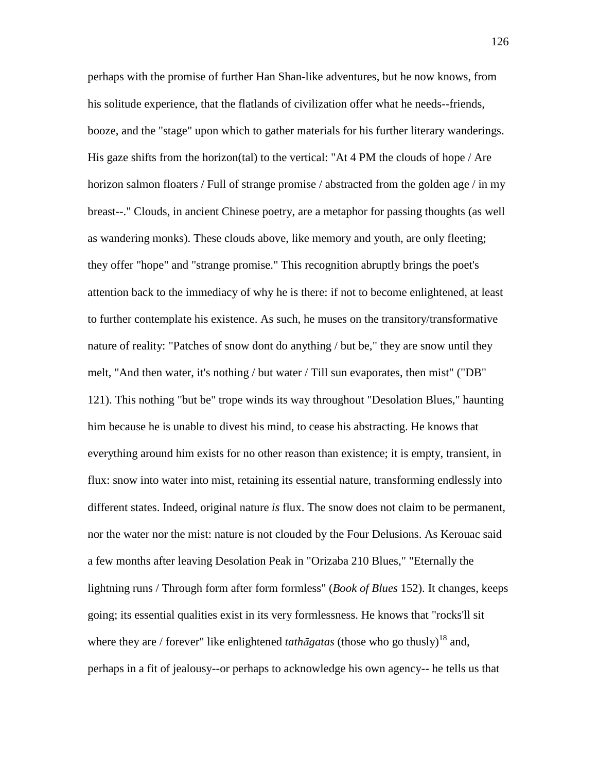perhaps with the promise of further Han Shan-like adventures, but he now knows, from his solitude experience, that the flatlands of civilization offer what he needs--friends, booze, and the "stage" upon which to gather materials for his further literary wanderings. His gaze shifts from the horizon(tal) to the vertical: "At 4 PM the clouds of hope / Are horizon salmon floaters / Full of strange promise / abstracted from the golden age / in my breast--." Clouds, in ancient Chinese poetry, are a metaphor for passing thoughts (as well as wandering monks). These clouds above, like memory and youth, are only fleeting; they offer "hope" and "strange promise." This recognition abruptly brings the poet's attention back to the immediacy of why he is there: if not to become enlightened, at least to further contemplate his existence. As such, he muses on the transitory/transformative nature of reality: "Patches of snow dont do anything / but be," they are snow until they melt, "And then water, it's nothing / but water / Till sun evaporates, then mist" ("DB" 121). This nothing "but be" trope winds its way throughout "Desolation Blues," haunting him because he is unable to divest his mind, to cease his abstracting. He knows that everything around him exists for no other reason than existence; it is empty, transient, in flux: snow into water into mist, retaining its essential nature, transforming endlessly into different states. Indeed, original nature *is* flux. The snow does not claim to be permanent, nor the water nor the mist: nature is not clouded by the Four Delusions. As Kerouac said a few months after leaving Desolation Peak in "Orizaba 210 Blues," "Eternally the lightning runs / Through form after form formless" (*Book of Blues* 152). It changes, keeps going; its essential qualities exist in its very formlessness. He knows that "rocks'll sit where they are / forever" like enlightened *tathagatas* (those who go thusly)<sup>18</sup> and, perhaps in a fit of jealousy--or perhaps to acknowledge his own agency-- he tells us that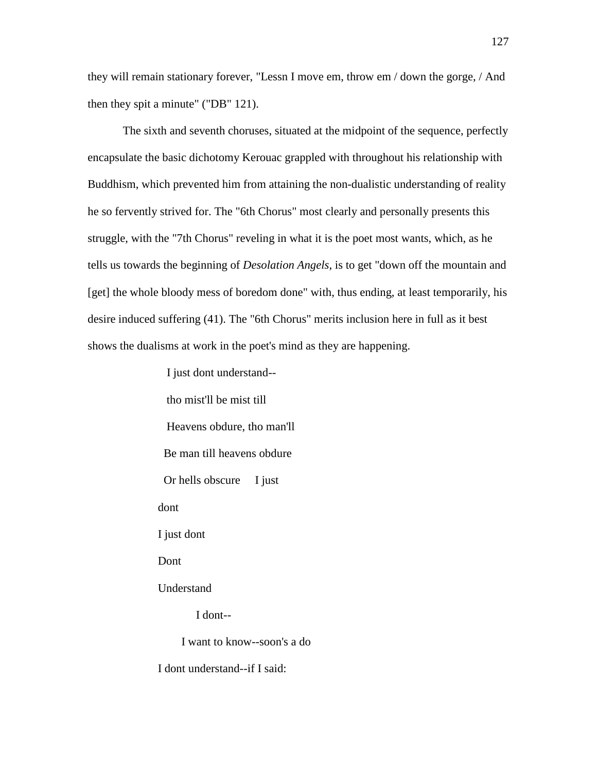they will remain stationary forever, "Lessn I move em, throw em / down the gorge, / And then they spit a minute" ("DB" 121).

 The sixth and seventh choruses, situated at the midpoint of the sequence, perfectly encapsulate the basic dichotomy Kerouac grappled with throughout his relationship with Buddhism, which prevented him from attaining the non-dualistic understanding of reality he so fervently strived for. The "6th Chorus" most clearly and personally presents this struggle, with the "7th Chorus" reveling in what it is the poet most wants, which, as he tells us towards the beginning of *Desolation Angels*, is to get "down off the mountain and [get] the whole bloody mess of boredom done" with, thus ending, at least temporarily, his desire induced suffering (41). The "6th Chorus" merits inclusion here in full as it best shows the dualisms at work in the poet's mind as they are happening.

> tho mist'll be mist till Heavens obdure, tho man'll Be man till heavens obdure Or hells obscure I just dont I just dont Dont Understand I dont-- I want to know--soon's a do I dont understand--if I said:

I just dont understand--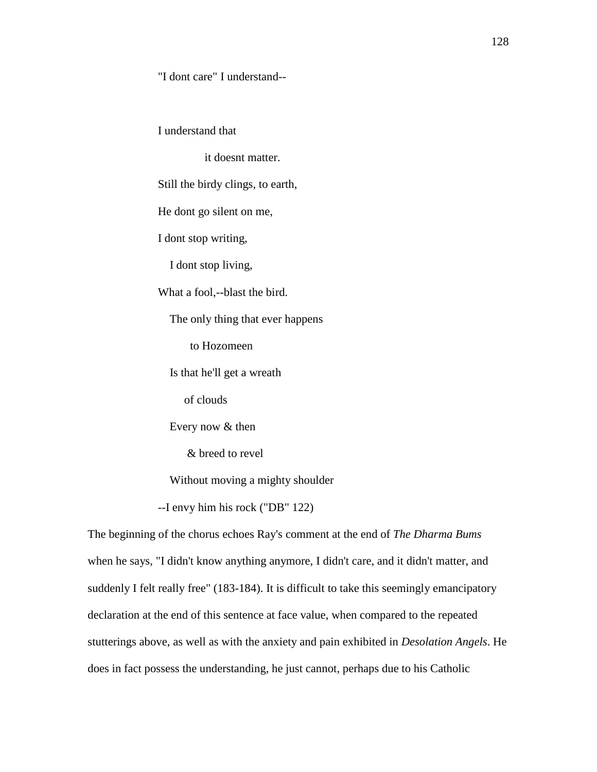"I dont care" I understand--

I understand that

it doesnt matter.

Still the birdy clings, to earth,

He dont go silent on me,

I dont stop writing,

I dont stop living,

What a fool,--blast the bird.

The only thing that ever happens

to Hozomeen

Is that he'll get a wreath

of clouds

Every now & then

& breed to revel

Without moving a mighty shoulder

--I envy him his rock ("DB" 122)

The beginning of the chorus echoes Ray's comment at the end of *The Dharma Bums* when he says, "I didn't know anything anymore, I didn't care, and it didn't matter, and suddenly I felt really free" (183-184). It is difficult to take this seemingly emancipatory declaration at the end of this sentence at face value, when compared to the repeated stutterings above, as well as with the anxiety and pain exhibited in *Desolation Angels*. He does in fact possess the understanding, he just cannot, perhaps due to his Catholic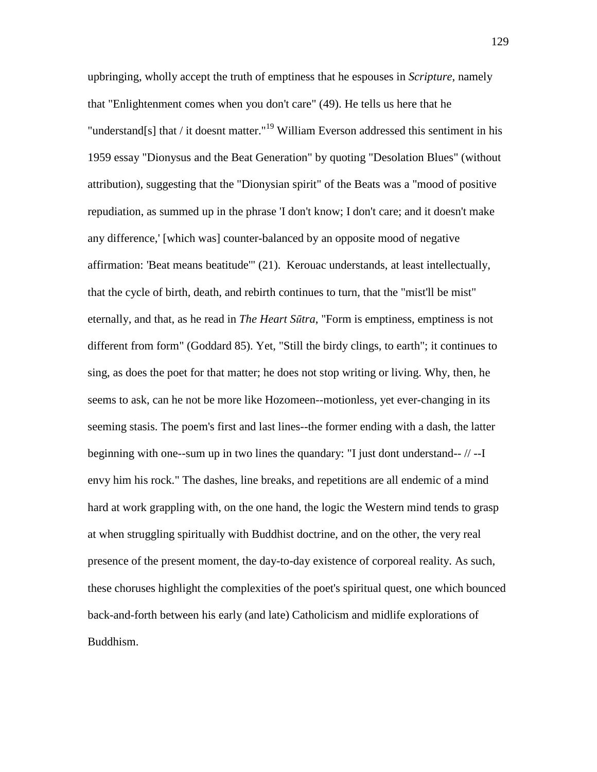upbringing, wholly accept the truth of emptiness that he espouses in *Scripture*, namely that "Enlightenment comes when you don't care" (49). He tells us here that he "understand[s] that / it doesnt matter."<sup>19</sup> William Everson addressed this sentiment in his 1959 essay "Dionysus and the Beat Generation" by quoting "Desolation Blues" (without attribution), suggesting that the "Dionysian spirit" of the Beats was a "mood of positive repudiation, as summed up in the phrase 'I don't know; I don't care; and it doesn't make any difference,' [which was] counter-balanced by an opposite mood of negative affirmation: 'Beat means beatitude'" (21). Kerouac understands, at least intellectually, that the cycle of birth, death, and rebirth continues to turn, that the "mist'll be mist" eternally, and that, as he read in *The Heart S*ū*tra*, "Form is emptiness, emptiness is not different from form" (Goddard 85). Yet, "Still the birdy clings, to earth"; it continues to sing, as does the poet for that matter; he does not stop writing or living. Why, then, he seems to ask, can he not be more like Hozomeen--motionless, yet ever-changing in its seeming stasis. The poem's first and last lines--the former ending with a dash, the latter beginning with one--sum up in two lines the quandary: "I just dont understand-- // --I envy him his rock." The dashes, line breaks, and repetitions are all endemic of a mind hard at work grappling with, on the one hand, the logic the Western mind tends to grasp at when struggling spiritually with Buddhist doctrine, and on the other, the very real presence of the present moment, the day-to-day existence of corporeal reality. As such, these choruses highlight the complexities of the poet's spiritual quest, one which bounced back-and-forth between his early (and late) Catholicism and midlife explorations of Buddhism.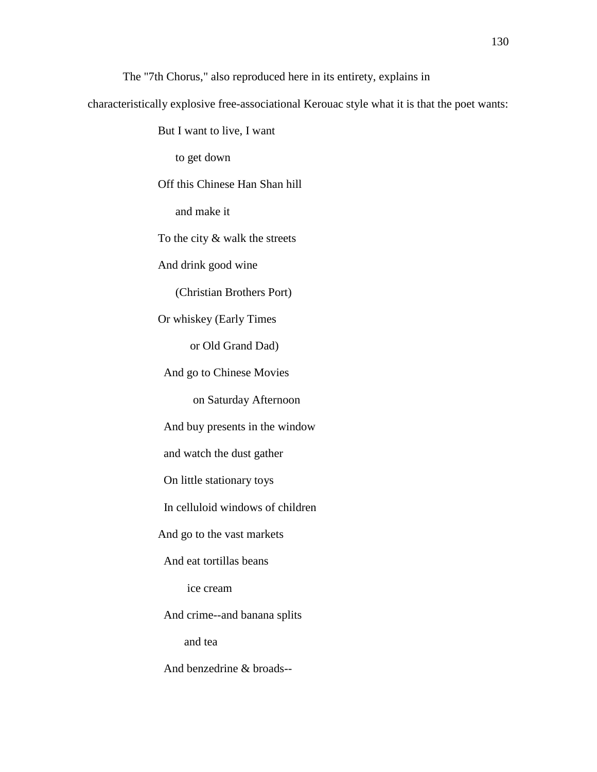The "7th Chorus," also reproduced here in its entirety, explains in

characteristically explosive free-associational Kerouac style what it is that the poet wants:

But I want to live, I want

to get down

Off this Chinese Han Shan hill

and make it

To the city & walk the streets

And drink good wine

(Christian Brothers Port)

Or whiskey (Early Times

or Old Grand Dad)

And go to Chinese Movies

on Saturday Afternoon

And buy presents in the window

and watch the dust gather

On little stationary toys

In celluloid windows of children

And go to the vast markets

And eat tortillas beans

ice cream

And crime--and banana splits

and tea

And benzedrine & broads--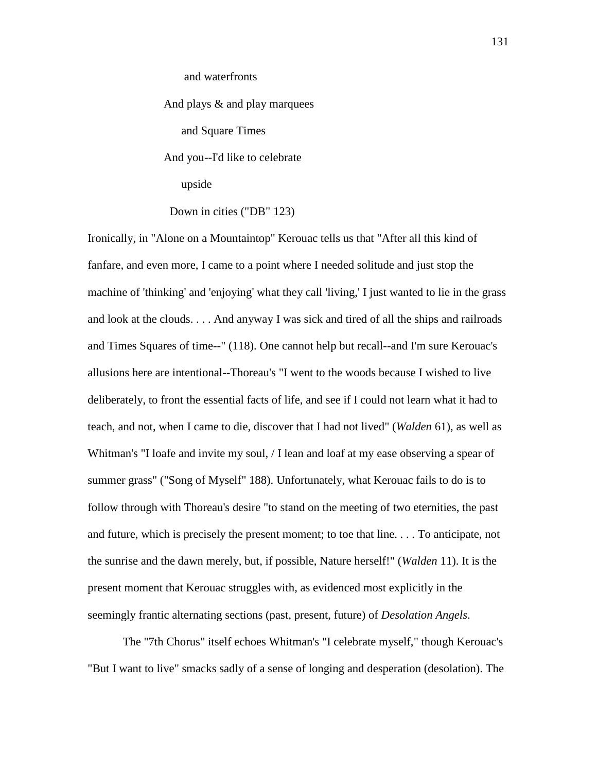and waterfronts

 And plays & and play marquees and Square Times And you--I'd like to celebrate upside Down in cities ("DB" 123)

Ironically, in "Alone on a Mountaintop" Kerouac tells us that "After all this kind of fanfare, and even more, I came to a point where I needed solitude and just stop the machine of 'thinking' and 'enjoying' what they call 'living,' I just wanted to lie in the grass and look at the clouds. . . . And anyway I was sick and tired of all the ships and railroads and Times Squares of time--" (118). One cannot help but recall--and I'm sure Kerouac's allusions here are intentional--Thoreau's "I went to the woods because I wished to live deliberately, to front the essential facts of life, and see if I could not learn what it had to teach, and not, when I came to die, discover that I had not lived" (*Walden* 61), as well as Whitman's "I loafe and invite my soul, *I* lean and loaf at my ease observing a spear of summer grass" ("Song of Myself" 188). Unfortunately, what Kerouac fails to do is to follow through with Thoreau's desire "to stand on the meeting of two eternities, the past and future, which is precisely the present moment; to toe that line. . . . To anticipate, not the sunrise and the dawn merely, but, if possible, Nature herself!" (*Walden* 11). It is the present moment that Kerouac struggles with, as evidenced most explicitly in the seemingly frantic alternating sections (past, present, future) of *Desolation Angels*.

 The "7th Chorus" itself echoes Whitman's "I celebrate myself," though Kerouac's "But I want to live" smacks sadly of a sense of longing and desperation (desolation). The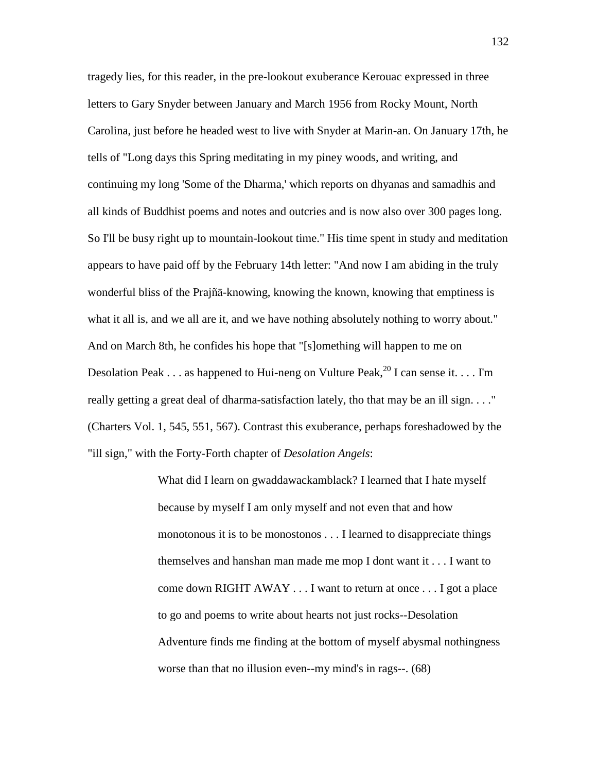tragedy lies, for this reader, in the pre-lookout exuberance Kerouac expressed in three letters to Gary Snyder between January and March 1956 from Rocky Mount, North Carolina, just before he headed west to live with Snyder at Marin-an. On January 17th, he tells of "Long days this Spring meditating in my piney woods, and writing, and continuing my long 'Some of the Dharma,' which reports on dhyanas and samadhis and all kinds of Buddhist poems and notes and outcries and is now also over 300 pages long. So I'll be busy right up to mountain-lookout time." His time spent in study and meditation appears to have paid off by the February 14th letter: "And now I am abiding in the truly wonderful bliss of the Prajñā-knowing, knowing the known, knowing that emptiness is what it all is, and we all are it, and we have nothing absolutely nothing to worry about." And on March 8th, he confides his hope that "[s]omething will happen to me on Desolation Peak . . . as happened to Hui-neng on Vulture Peak,  $^{20}$  I can sense it. . . . I'm really getting a great deal of dharma-satisfaction lately, tho that may be an ill sign. . . ." (Charters Vol. 1, 545, 551, 567). Contrast this exuberance, perhaps foreshadowed by the "ill sign," with the Forty-Forth chapter of *Desolation Angels*:

> What did I learn on gwaddawackamblack? I learned that I hate myself because by myself I am only myself and not even that and how monotonous it is to be monostonos . . . I learned to disappreciate things themselves and hanshan man made me mop I dont want it . . . I want to come down RIGHT AWAY . . . I want to return at once . . . I got a place to go and poems to write about hearts not just rocks--Desolation Adventure finds me finding at the bottom of myself abysmal nothingness worse than that no illusion even--my mind's in rags--. (68)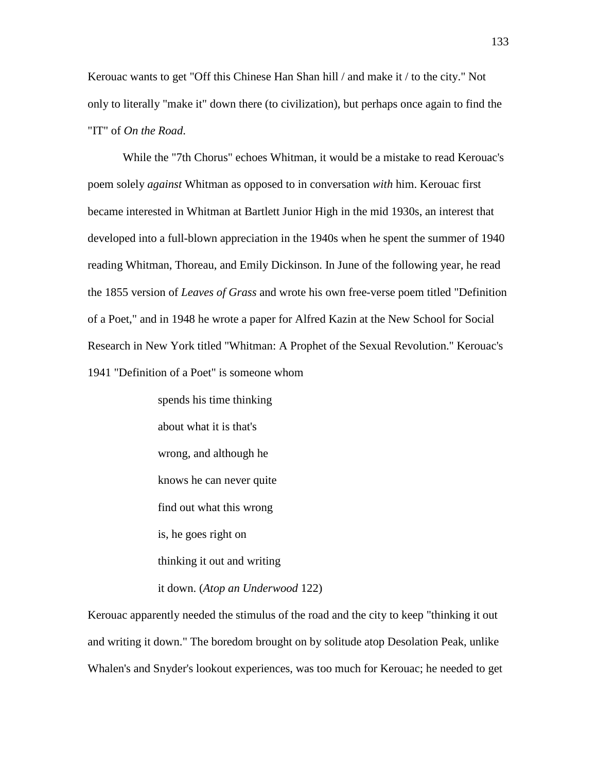Kerouac wants to get "Off this Chinese Han Shan hill / and make it / to the city." Not only to literally "make it" down there (to civilization), but perhaps once again to find the "IT" of *On the Road*.

 While the "7th Chorus" echoes Whitman, it would be a mistake to read Kerouac's poem solely *against* Whitman as opposed to in conversation *with* him. Kerouac first became interested in Whitman at Bartlett Junior High in the mid 1930s, an interest that developed into a full-blown appreciation in the 1940s when he spent the summer of 1940 reading Whitman, Thoreau, and Emily Dickinson. In June of the following year, he read the 1855 version of *Leaves of Grass* and wrote his own free-verse poem titled "Definition of a Poet," and in 1948 he wrote a paper for Alfred Kazin at the New School for Social Research in New York titled "Whitman: A Prophet of the Sexual Revolution." Kerouac's 1941 "Definition of a Poet" is someone whom

> spends his time thinking about what it is that's wrong, and although he knows he can never quite find out what this wrong is, he goes right on thinking it out and writing it down. (*Atop an Underwood* 122)

Kerouac apparently needed the stimulus of the road and the city to keep "thinking it out and writing it down." The boredom brought on by solitude atop Desolation Peak, unlike Whalen's and Snyder's lookout experiences, was too much for Kerouac; he needed to get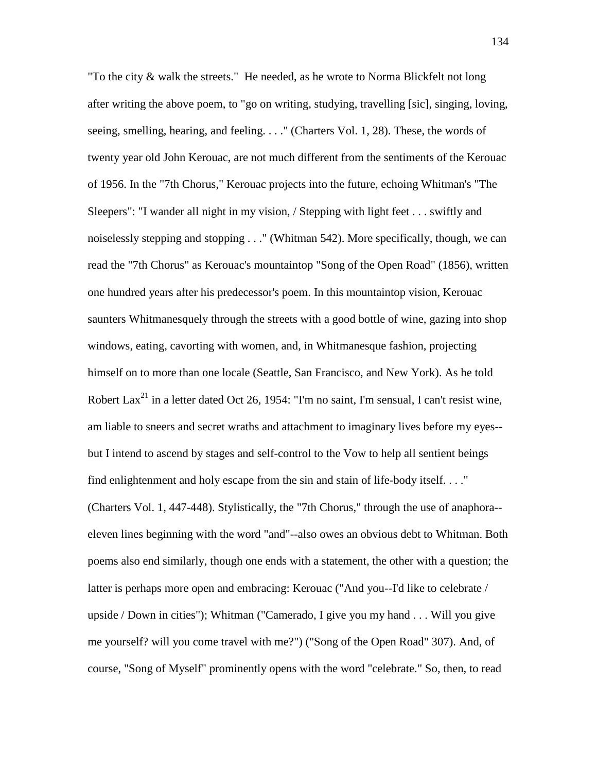"To the city & walk the streets." He needed, as he wrote to Norma Blickfelt not long after writing the above poem, to "go on writing, studying, travelling [sic], singing, loving, seeing, smelling, hearing, and feeling. . . ." (Charters Vol. 1, 28). These, the words of twenty year old John Kerouac, are not much different from the sentiments of the Kerouac of 1956. In the "7th Chorus," Kerouac projects into the future, echoing Whitman's "The Sleepers": "I wander all night in my vision, / Stepping with light feet . . . swiftly and noiselessly stepping and stopping . . ." (Whitman 542). More specifically, though, we can read the "7th Chorus" as Kerouac's mountaintop "Song of the Open Road" (1856), written one hundred years after his predecessor's poem. In this mountaintop vision, Kerouac saunters Whitmanesquely through the streets with a good bottle of wine, gazing into shop windows, eating, cavorting with women, and, in Whitmanesque fashion, projecting himself on to more than one locale (Seattle, San Francisco, and New York). As he told Robert Lax<sup>21</sup> in a letter dated Oct 26, 1954: "I'm no saint, I'm sensual, I can't resist wine, am liable to sneers and secret wraths and attachment to imaginary lives before my eyes- but I intend to ascend by stages and self-control to the Vow to help all sentient beings find enlightenment and holy escape from the sin and stain of life-body itself. . . ." (Charters Vol. 1, 447-448). Stylistically, the "7th Chorus," through the use of anaphora- eleven lines beginning with the word "and"--also owes an obvious debt to Whitman. Both poems also end similarly, though one ends with a statement, the other with a question; the latter is perhaps more open and embracing: Kerouac ("And you--I'd like to celebrate / upside / Down in cities"); Whitman ("Camerado, I give you my hand . . . Will you give me yourself? will you come travel with me?") ("Song of the Open Road" 307). And, of course, "Song of Myself" prominently opens with the word "celebrate." So, then, to read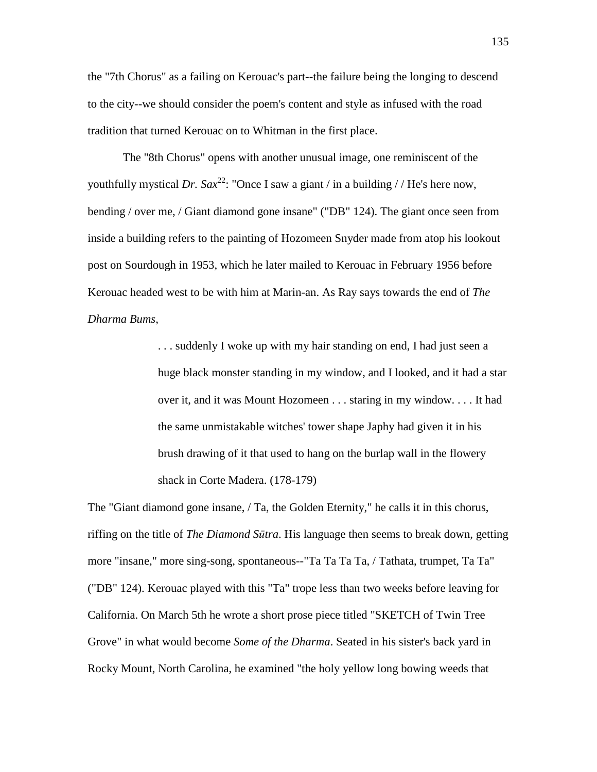the "7th Chorus" as a failing on Kerouac's part--the failure being the longing to descend to the city--we should consider the poem's content and style as infused with the road tradition that turned Kerouac on to Whitman in the first place.

 The "8th Chorus" opens with another unusual image, one reminiscent of the youthfully mystical *Dr.* Sax<sup>22</sup>: "Once I saw a giant / in a building // He's here now, bending / over me, / Giant diamond gone insane" ("DB" 124). The giant once seen from inside a building refers to the painting of Hozomeen Snyder made from atop his lookout post on Sourdough in 1953, which he later mailed to Kerouac in February 1956 before Kerouac headed west to be with him at Marin-an. As Ray says towards the end of *The Dharma Bums*,

> . . . suddenly I woke up with my hair standing on end, I had just seen a huge black monster standing in my window, and I looked, and it had a star over it, and it was Mount Hozomeen . . . staring in my window. . . . It had the same unmistakable witches' tower shape Japhy had given it in his brush drawing of it that used to hang on the burlap wall in the flowery shack in Corte Madera. (178-179)

The "Giant diamond gone insane, / Ta, the Golden Eternity," he calls it in this chorus, riffing on the title of *The Diamond S*ū*tra*. His language then seems to break down, getting more "insane," more sing-song, spontaneous--"Ta Ta Ta Ta, / Tathata, trumpet, Ta Ta" ("DB" 124). Kerouac played with this "Ta" trope less than two weeks before leaving for California. On March 5th he wrote a short prose piece titled "SKETCH of Twin Tree Grove" in what would become *Some of the Dharma*. Seated in his sister's back yard in Rocky Mount, North Carolina, he examined "the holy yellow long bowing weeds that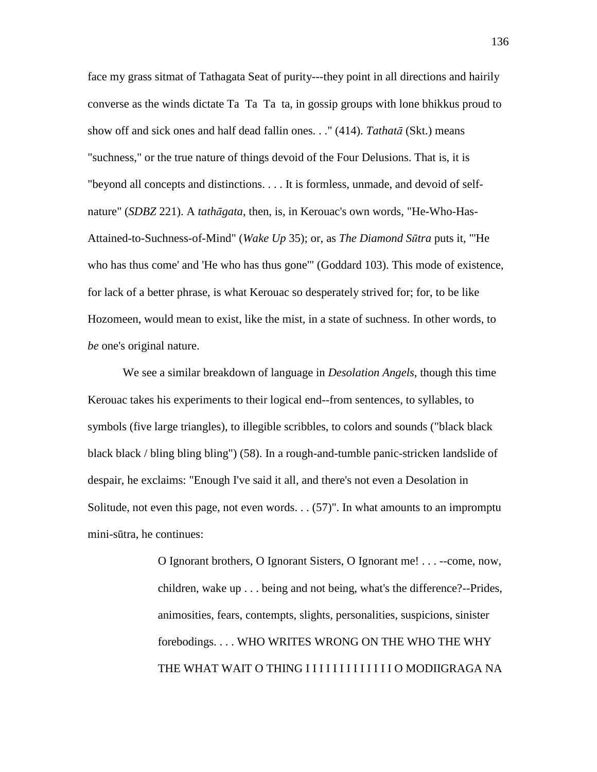face my grass sitmat of Tathagata Seat of purity---they point in all directions and hairily converse as the winds dictate Ta Ta Ta ta, in gossip groups with lone bhikkus proud to show off and sick ones and half dead fallin ones. . ." (414). *Tathat*ā (Skt.) means "suchness," or the true nature of things devoid of the Four Delusions. That is, it is "beyond all concepts and distinctions. . . . It is formless, unmade, and devoid of selfnature" (*SDBZ* 221). A *tath*ā*gata*, then, is, in Kerouac's own words, "He-Who-Has-Attained-to-Suchness-of-Mind" (*Wake Up* 35); or, as *The Diamond S*ū*tra* puts it, "'He who has thus come' and 'He who has thus gone'" (Goddard 103). This mode of existence, for lack of a better phrase, is what Kerouac so desperately strived for; for, to be like Hozomeen, would mean to exist, like the mist, in a state of suchness. In other words, to *be* one's original nature.

 We see a similar breakdown of language in *Desolation Angels*, though this time Kerouac takes his experiments to their logical end--from sentences, to syllables, to symbols (five large triangles), to illegible scribbles, to colors and sounds ("black black black black / bling bling bling") (58). In a rough-and-tumble panic-stricken landslide of despair, he exclaims: "Enough I've said it all, and there's not even a Desolation in Solitude, not even this page, not even words. . . (57)". In what amounts to an impromptu mini-sūtra, he continues:

> O Ignorant brothers, O Ignorant Sisters, O Ignorant me! . . . --come, now, children, wake up . . . being and not being, what's the difference?--Prides, animosities, fears, contempts, slights, personalities, suspicions, sinister forebodings. . . . WHO WRITES WRONG ON THE WHO THE WHY THE WHAT WAIT O THING I I I I I I I I I I I I I O MODIIGRAGA NA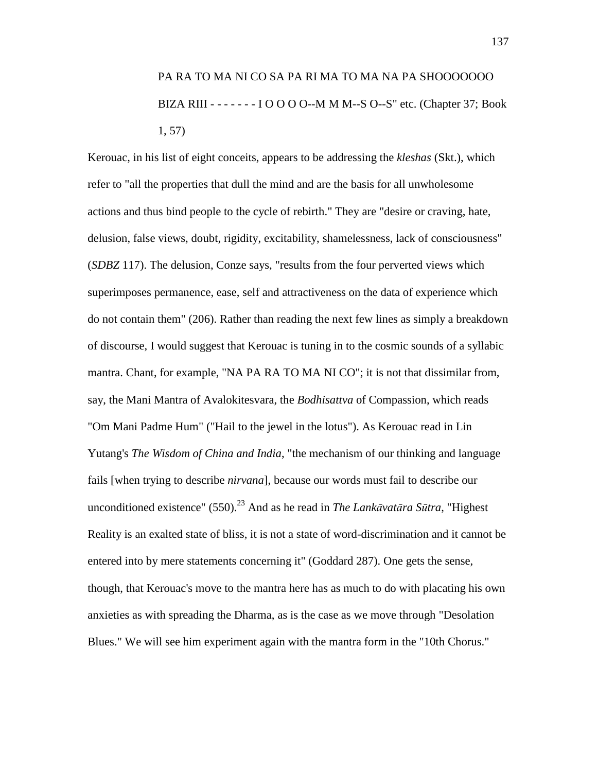# PA RA TO MA NI CO SA PA RI MA TO MA NA PA SHOOOOOOO BIZA RIII - - - - - - - I O O O O--M M M--S O--S" etc. (Chapter 37; Book 1, 57)

Kerouac, in his list of eight conceits, appears to be addressing the *kleshas* (Skt.), which refer to "all the properties that dull the mind and are the basis for all unwholesome actions and thus bind people to the cycle of rebirth." They are "desire or craving, hate, delusion, false views, doubt, rigidity, excitability, shamelessness, lack of consciousness" (*SDBZ* 117). The delusion, Conze says, "results from the four perverted views which superimposes permanence, ease, self and attractiveness on the data of experience which do not contain them" (206). Rather than reading the next few lines as simply a breakdown of discourse, I would suggest that Kerouac is tuning in to the cosmic sounds of a syllabic mantra. Chant, for example, "NA PA RA TO MA NI CO"; it is not that dissimilar from, say, the Mani Mantra of Avalokitesvara, the *Bodhisattva* of Compassion, which reads "Om Mani Padme Hum" ("Hail to the jewel in the lotus"). As Kerouac read in Lin Yutang's *The Wisdom of China and India*, "the mechanism of our thinking and language fails [when trying to describe *nirvana*], because our words must fail to describe our unconditioned existence" (550).<sup>23</sup> And as he read in *The Lank*ā*vat*ā*ra S*ū*tra*, "Highest Reality is an exalted state of bliss, it is not a state of word-discrimination and it cannot be entered into by mere statements concerning it" (Goddard 287). One gets the sense, though, that Kerouac's move to the mantra here has as much to do with placating his own anxieties as with spreading the Dharma, as is the case as we move through "Desolation Blues." We will see him experiment again with the mantra form in the "10th Chorus."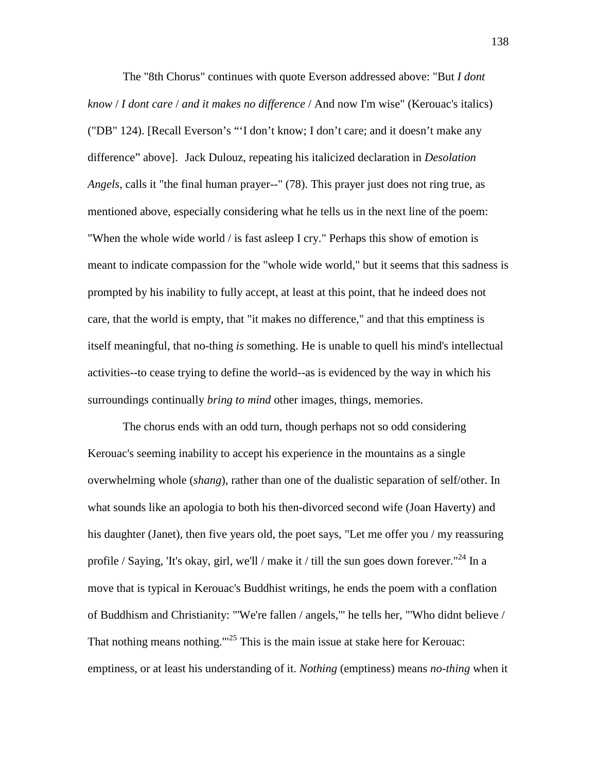The "8th Chorus" continues with quote Everson addressed above: "But *I dont know* / *I dont care* / *and it makes no difference* / And now I'm wise" (Kerouac's italics) ("DB" 124). [Recall Everson's "'I don't know; I don't care; and it doesn't make any difference" above]. Jack Dulouz, repeating his italicized declaration in *Desolation Angels*, calls it "the final human prayer--" (78). This prayer just does not ring true, as mentioned above, especially considering what he tells us in the next line of the poem: "When the whole wide world / is fast asleep I cry." Perhaps this show of emotion is meant to indicate compassion for the "whole wide world," but it seems that this sadness is prompted by his inability to fully accept, at least at this point, that he indeed does not care, that the world is empty, that "it makes no difference," and that this emptiness is itself meaningful, that no-thing *is* something. He is unable to quell his mind's intellectual activities--to cease trying to define the world--as is evidenced by the way in which his surroundings continually *bring to mind* other images, things, memories.

 The chorus ends with an odd turn, though perhaps not so odd considering Kerouac's seeming inability to accept his experience in the mountains as a single overwhelming whole (*shang*), rather than one of the dualistic separation of self/other. In what sounds like an apologia to both his then-divorced second wife (Joan Haverty) and his daughter (Janet), then five years old, the poet says, "Let me offer you / my reassuring profile / Saying, 'It's okay, girl, we'll / make it / till the sun goes down forever."<sup>24</sup> In a move that is typical in Kerouac's Buddhist writings, he ends the poem with a conflation of Buddhism and Christianity: "'We're fallen / angels,'" he tells her, "'Who didnt believe / That nothing means nothing. $125$  This is the main issue at stake here for Kerouac: emptiness, or at least his understanding of it. *Nothing* (emptiness) means *no-thing* when it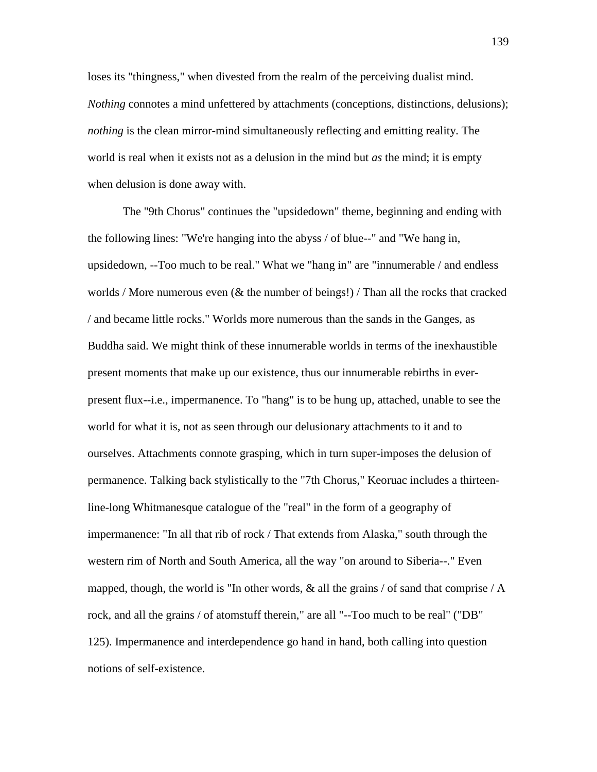loses its "thingness," when divested from the realm of the perceiving dualist mind. *Nothing* connotes a mind unfettered by attachments (conceptions, distinctions, delusions); *nothing* is the clean mirror-mind simultaneously reflecting and emitting reality. The world is real when it exists not as a delusion in the mind but *as* the mind; it is empty when delusion is done away with.

 The "9th Chorus" continues the "upsidedown" theme, beginning and ending with the following lines: "We're hanging into the abyss / of blue--" and "We hang in, upsidedown, --Too much to be real." What we "hang in" are "innumerable / and endless worlds / More numerous even  $(\&$  the number of beings!) / Than all the rocks that cracked / and became little rocks." Worlds more numerous than the sands in the Ganges, as Buddha said. We might think of these innumerable worlds in terms of the inexhaustible present moments that make up our existence, thus our innumerable rebirths in everpresent flux--i.e., impermanence. To "hang" is to be hung up, attached, unable to see the world for what it is, not as seen through our delusionary attachments to it and to ourselves. Attachments connote grasping, which in turn super-imposes the delusion of permanence. Talking back stylistically to the "7th Chorus," Keoruac includes a thirteenline-long Whitmanesque catalogue of the "real" in the form of a geography of impermanence: "In all that rib of rock / That extends from Alaska," south through the western rim of North and South America, all the way "on around to Siberia--." Even mapped, though, the world is "In other words,  $\&$  all the grains / of sand that comprise / A rock, and all the grains / of atomstuff therein," are all "--Too much to be real" ("DB" 125). Impermanence and interdependence go hand in hand, both calling into question notions of self-existence.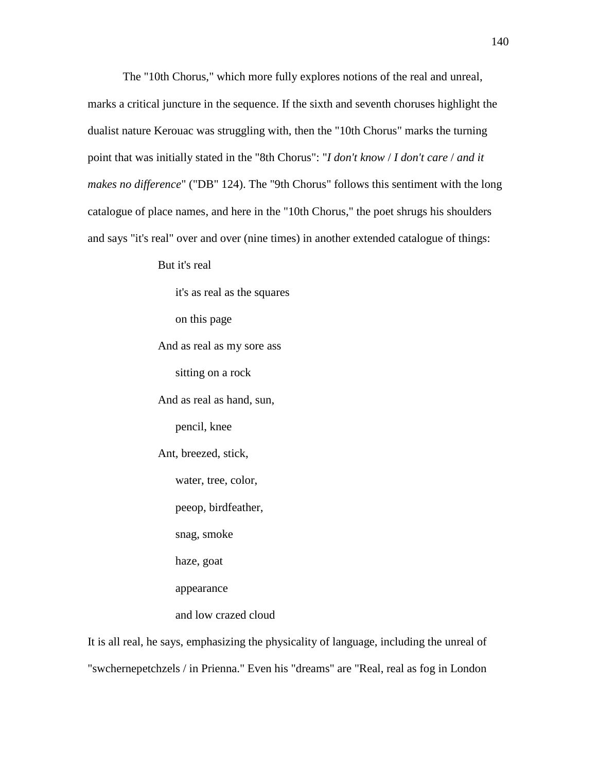The "10th Chorus," which more fully explores notions of the real and unreal, marks a critical juncture in the sequence. If the sixth and seventh choruses highlight the dualist nature Kerouac was struggling with, then the "10th Chorus" marks the turning point that was initially stated in the "8th Chorus": "*I don't know* / *I don't care* / *and it makes no difference*" ("DB" 124). The "9th Chorus" follows this sentiment with the long catalogue of place names, and here in the "10th Chorus," the poet shrugs his shoulders and says "it's real" over and over (nine times) in another extended catalogue of things:

But it's real

 it's as real as the squares on this page And as real as my sore ass sitting on a rock And as real as hand, sun, pencil, knee Ant, breezed, stick, water, tree, color, peeop, birdfeather, snag, smoke haze, goat appearance and low crazed cloud

It is all real, he says, emphasizing the physicality of language, including the unreal of "swchernepetchzels / in Prienna." Even his "dreams" are "Real, real as fog in London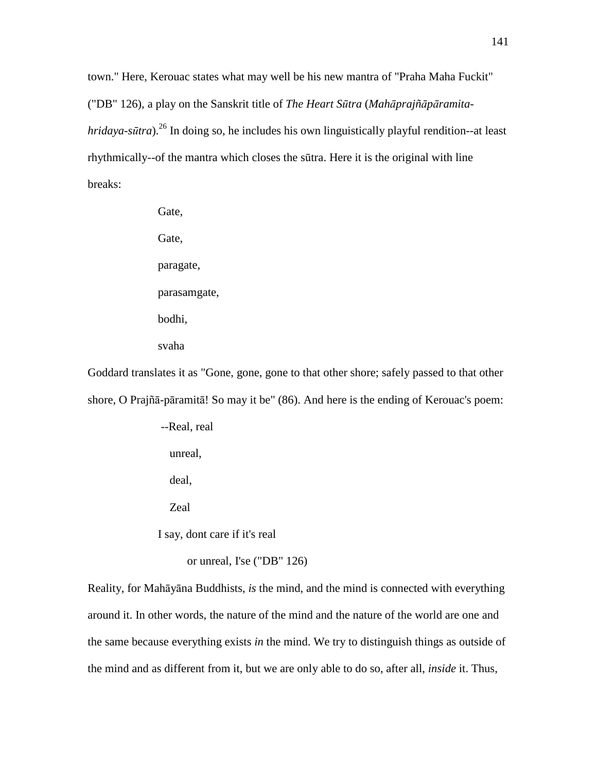town." Here, Kerouac states what may well be his new mantra of "Praha Maha Fuckit" ("DB" 126), a play on the Sanskrit title of *The Heart S*ū*tra* (*Mah*ā*prajñ*ā*p*ā*ramitahridaya-sūtra*).<sup>26</sup> In doing so, he includes his own linguistically playful rendition--at least rhythmically--of the mantra which closes the sūtra. Here it is the original with line breaks:

> Gate, Gate, paragate, parasamgate, bodhi, svaha

Goddard translates it as "Gone, gone, gone to that other shore; safely passed to that other shore, O Prajñā-pāramitā! So may it be" (86). And here is the ending of Kerouac's poem:

> --Real, real unreal, deal,

Zeal

I say, dont care if it's real

or unreal, I'se ("DB" 126)

Reality, for Mahāyāna Buddhists, *is* the mind, and the mind is connected with everything around it. In other words, the nature of the mind and the nature of the world are one and the same because everything exists *in* the mind. We try to distinguish things as outside of the mind and as different from it, but we are only able to do so, after all, *inside* it. Thus,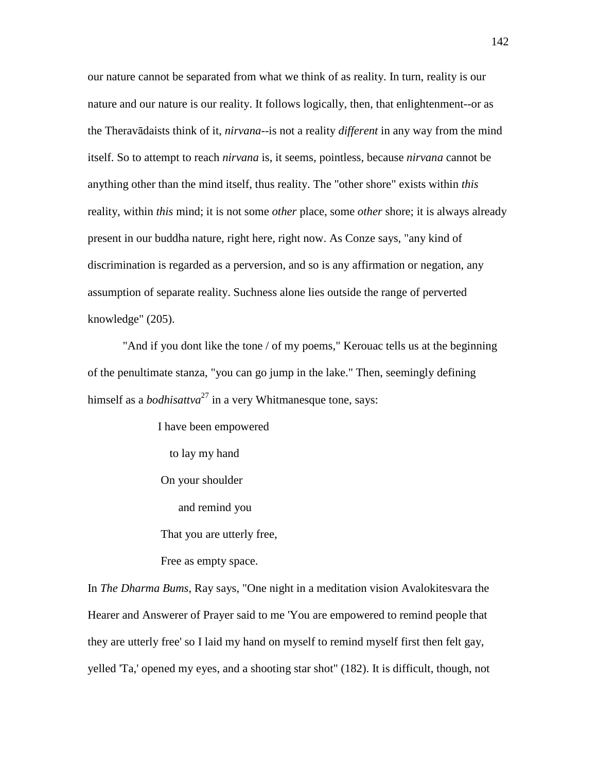our nature cannot be separated from what we think of as reality. In turn, reality is our nature and our nature is our reality. It follows logically, then, that enlightenment--or as the Theravādaists think of it, *nirvana*--is not a reality *different* in any way from the mind itself. So to attempt to reach *nirvana* is, it seems, pointless, because *nirvana* cannot be anything other than the mind itself, thus reality. The "other shore" exists within *this*  reality, within *this* mind; it is not some *other* place, some *other* shore; it is always already present in our buddha nature, right here, right now. As Conze says, "any kind of discrimination is regarded as a perversion, and so is any affirmation or negation, any assumption of separate reality. Suchness alone lies outside the range of perverted knowledge" (205).

 "And if you dont like the tone / of my poems," Kerouac tells us at the beginning of the penultimate stanza, "you can go jump in the lake." Then, seemingly defining himself as a *bodhisattva*<sup>27</sup> in a very Whitmanesque tone, says:

> I have been empowered to lay my hand On your shoulder and remind you That you are utterly free, Free as empty space.

In *The Dharma Bums*, Ray says, "One night in a meditation vision Avalokitesvara the Hearer and Answerer of Prayer said to me 'You are empowered to remind people that they are utterly free' so I laid my hand on myself to remind myself first then felt gay, yelled 'Ta,' opened my eyes, and a shooting star shot" (182). It is difficult, though, not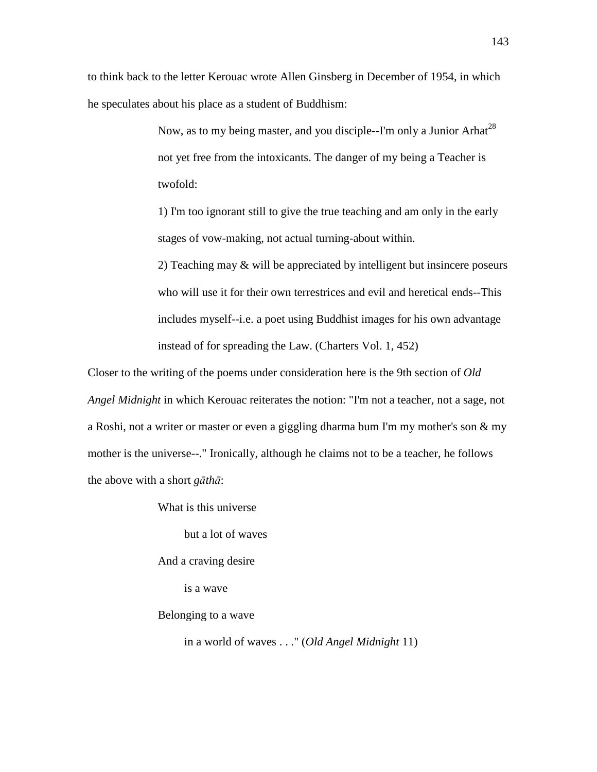to think back to the letter Kerouac wrote Allen Ginsberg in December of 1954, in which he speculates about his place as a student of Buddhism:

> Now, as to my being master, and you disciple--I'm only a Junior Arhat<sup>28</sup> not yet free from the intoxicants. The danger of my being a Teacher is twofold:

> 1) I'm too ignorant still to give the true teaching and am only in the early stages of vow-making, not actual turning-about within.

2) Teaching may & will be appreciated by intelligent but insincere poseurs who will use it for their own terrestrices and evil and heretical ends--This includes myself--i.e. a poet using Buddhist images for his own advantage instead of for spreading the Law. (Charters Vol. 1, 452)

Closer to the writing of the poems under consideration here is the 9th section of *Old Angel Midnight* in which Kerouac reiterates the notion: "I'm not a teacher, not a sage, not a Roshi, not a writer or master or even a giggling dharma bum I'm my mother's son & my mother is the universe--." Ironically, although he claims not to be a teacher, he follows the above with a short *g*ā*th*ā:

What is this universe

but a lot of waves

And a craving desire

is a wave

Belonging to a wave

in a world of waves . . ." (*Old Angel Midnight* 11)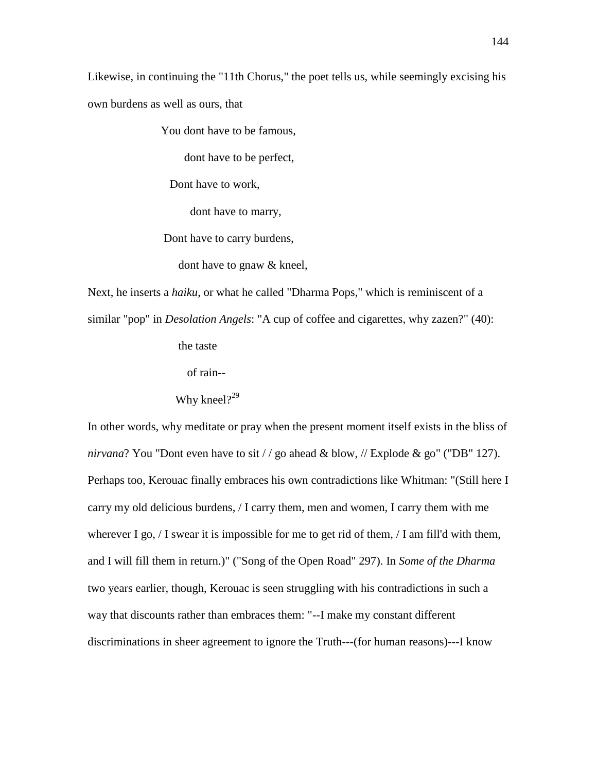Likewise, in continuing the "11th Chorus," the poet tells us, while seemingly excising his own burdens as well as ours, that

You dont have to be famous,

dont have to be perfect,

Dont have to work,

dont have to marry,

Dont have to carry burdens,

dont have to gnaw & kneel,

Next, he inserts a *haiku*, or what he called "Dharma Pops," which is reminiscent of a similar "pop" in *Desolation Angels*: "A cup of coffee and cigarettes, why zazen?" (40):

the taste

of rain--

# Why kneel $?^{29}$

In other words, why meditate or pray when the present moment itself exists in the bliss of *nirvana*? You "Dont even have to sit / / go ahead & blow, // Explode & go" ("DB" 127). Perhaps too, Kerouac finally embraces his own contradictions like Whitman: "(Still here I carry my old delicious burdens, / I carry them, men and women, I carry them with me wherever I go,  $\ell$  I swear it is impossible for me to get rid of them,  $\ell$  I am fill'd with them, and I will fill them in return.)" ("Song of the Open Road" 297). In *Some of the Dharma* two years earlier, though, Kerouac is seen struggling with his contradictions in such a way that discounts rather than embraces them: "--I make my constant different discriminations in sheer agreement to ignore the Truth---(for human reasons)---I know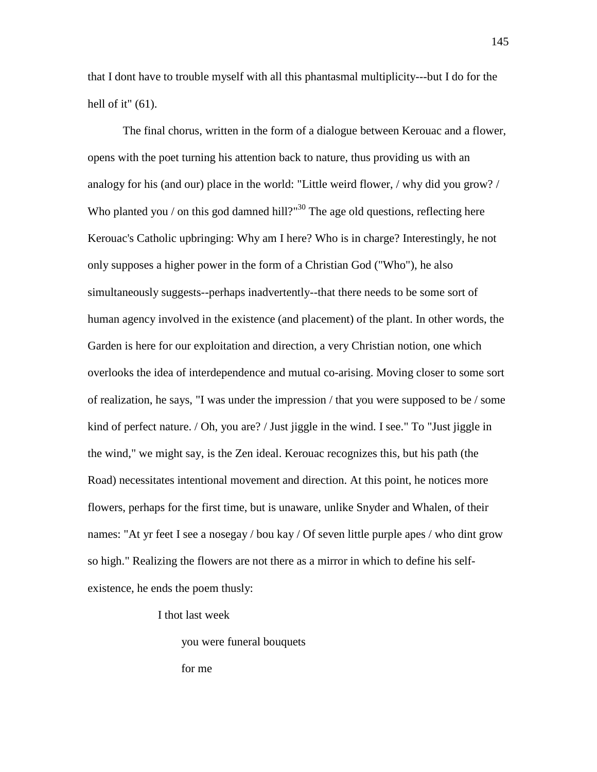that I dont have to trouble myself with all this phantasmal multiplicity---but I do for the hell of it" (61).

 The final chorus, written in the form of a dialogue between Kerouac and a flower, opens with the poet turning his attention back to nature, thus providing us with an analogy for his (and our) place in the world: "Little weird flower, / why did you grow? / Who planted you / on this god damned hill?"<sup>30</sup> The age old questions, reflecting here Kerouac's Catholic upbringing: Why am I here? Who is in charge? Interestingly, he not only supposes a higher power in the form of a Christian God ("Who"), he also simultaneously suggests--perhaps inadvertently--that there needs to be some sort of human agency involved in the existence (and placement) of the plant. In other words, the Garden is here for our exploitation and direction, a very Christian notion, one which overlooks the idea of interdependence and mutual co-arising. Moving closer to some sort of realization, he says, "I was under the impression / that you were supposed to be / some kind of perfect nature. / Oh, you are? / Just jiggle in the wind. I see." To "Just jiggle in the wind," we might say, is the Zen ideal. Kerouac recognizes this, but his path (the Road) necessitates intentional movement and direction. At this point, he notices more flowers, perhaps for the first time, but is unaware, unlike Snyder and Whalen, of their names: "At yr feet I see a nosegay / bou kay / Of seven little purple apes / who dint grow so high." Realizing the flowers are not there as a mirror in which to define his selfexistence, he ends the poem thusly:

I thot last week

you were funeral bouquets

for me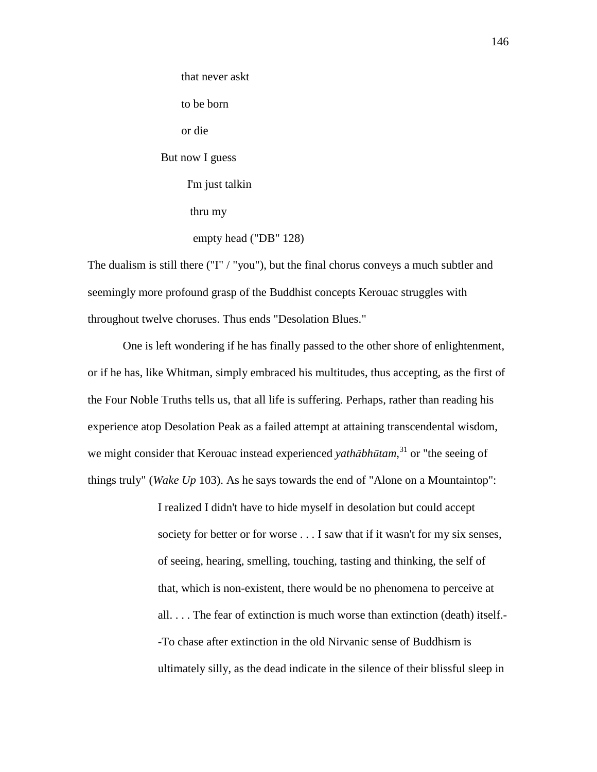that never askt to be born or die But now I guess I'm just talkin thru my empty head ("DB" 128)

The dualism is still there ("I" / "you"), but the final chorus conveys a much subtler and seemingly more profound grasp of the Buddhist concepts Kerouac struggles with throughout twelve choruses. Thus ends "Desolation Blues."

 One is left wondering if he has finally passed to the other shore of enlightenment, or if he has, like Whitman, simply embraced his multitudes, thus accepting, as the first of the Four Noble Truths tells us, that all life is suffering. Perhaps, rather than reading his experience atop Desolation Peak as a failed attempt at attaining transcendental wisdom, we might consider that Kerouac instead experienced *yath*ā*bh*ū*tam*, <sup>31</sup> or "the seeing of things truly" (*Wake Up* 103). As he says towards the end of "Alone on a Mountaintop":

> I realized I didn't have to hide myself in desolation but could accept society for better or for worse . . . I saw that if it wasn't for my six senses, of seeing, hearing, smelling, touching, tasting and thinking, the self of that, which is non-existent, there would be no phenomena to perceive at all. . . . The fear of extinction is much worse than extinction (death) itself.- -To chase after extinction in the old Nirvanic sense of Buddhism is ultimately silly, as the dead indicate in the silence of their blissful sleep in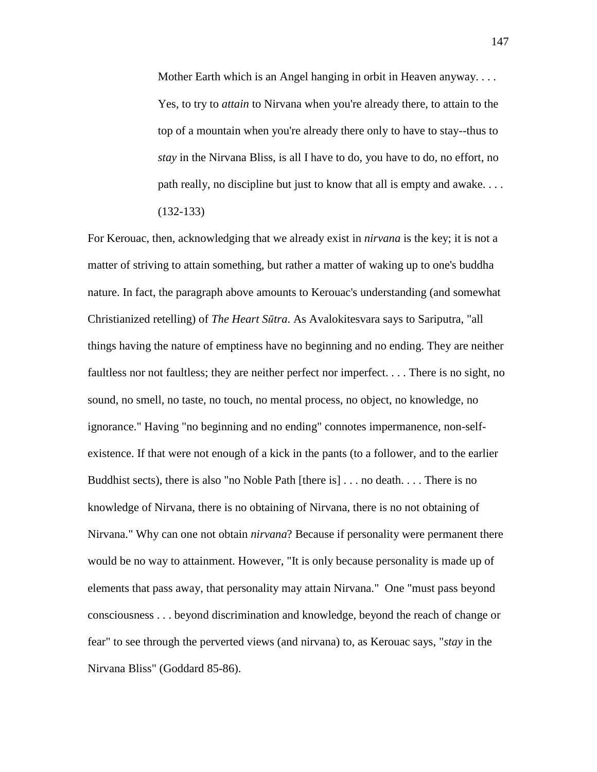Mother Earth which is an Angel hanging in orbit in Heaven anyway. . . . Yes, to try to *attain* to Nirvana when you're already there, to attain to the top of a mountain when you're already there only to have to stay--thus to *stay* in the Nirvana Bliss, is all I have to do, you have to do, no effort, no path really, no discipline but just to know that all is empty and awake. . . . (132-133)

For Kerouac, then, acknowledging that we already exist in *nirvana* is the key; it is not a matter of striving to attain something, but rather a matter of waking up to one's buddha nature. In fact, the paragraph above amounts to Kerouac's understanding (and somewhat Christianized retelling) of *The Heart S*ū*tra*. As Avalokitesvara says to Sariputra, "all things having the nature of emptiness have no beginning and no ending. They are neither faultless nor not faultless; they are neither perfect nor imperfect. . . . There is no sight, no sound, no smell, no taste, no touch, no mental process, no object, no knowledge, no ignorance." Having "no beginning and no ending" connotes impermanence, non-selfexistence. If that were not enough of a kick in the pants (to a follower, and to the earlier Buddhist sects), there is also "no Noble Path [there is] . . . no death. . . . There is no knowledge of Nirvana, there is no obtaining of Nirvana, there is no not obtaining of Nirvana." Why can one not obtain *nirvana*? Because if personality were permanent there would be no way to attainment. However, "It is only because personality is made up of elements that pass away, that personality may attain Nirvana." One "must pass beyond consciousness . . . beyond discrimination and knowledge, beyond the reach of change or fear" to see through the perverted views (and nirvana) to, as Kerouac says, "*stay* in the Nirvana Bliss" (Goddard 85-86).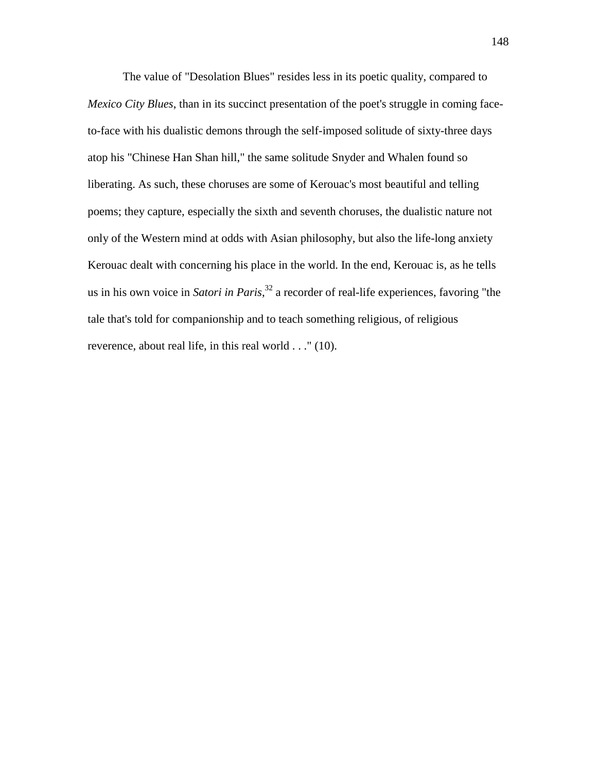The value of "Desolation Blues" resides less in its poetic quality, compared to *Mexico City Blues*, than in its succinct presentation of the poet's struggle in coming faceto-face with his dualistic demons through the self-imposed solitude of sixty-three days atop his "Chinese Han Shan hill," the same solitude Snyder and Whalen found so liberating. As such, these choruses are some of Kerouac's most beautiful and telling poems; they capture, especially the sixth and seventh choruses, the dualistic nature not only of the Western mind at odds with Asian philosophy, but also the life-long anxiety Kerouac dealt with concerning his place in the world. In the end, Kerouac is, as he tells us in his own voice in *Satori in Paris*, <sup>32</sup> a recorder of real-life experiences, favoring "the tale that's told for companionship and to teach something religious, of religious reverence, about real life, in this real world . . ." (10).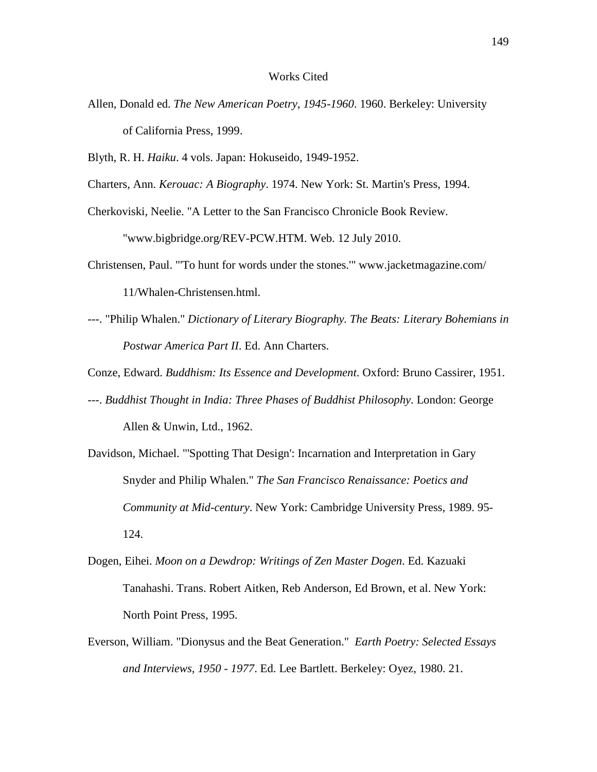### Works Cited

- Allen, Donald ed. *The New American Poetry, 1945-1960*. 1960. Berkeley: University of California Press, 1999.
- Blyth, R. H. *Haiku*. 4 vols. Japan: Hokuseido, 1949-1952.
- Charters, Ann. *Kerouac: A Biography*. 1974. New York: St. Martin's Press, 1994.
- Cherkoviski, Neelie. "A Letter to the San Francisco Chronicle Book Review. "www.bigbridge.org/REV-PCW.HTM. Web. 12 July 2010.
- Christensen, Paul. "'To hunt for words under the stones.'" www.jacketmagazine.com/ 11/Whalen-Christensen.html.
- ---. "Philip Whalen." *Dictionary of Literary Biography. The Beats: Literary Bohemians in Postwar America Part II*. Ed. Ann Charters.
- Conze, Edward. *Buddhism: Its Essence and Development*. Oxford: Bruno Cassirer, 1951.
- ---. *Buddhist Thought in India: Three Phases of Buddhist Philosophy*. London: George Allen & Unwin, Ltd., 1962.
- Davidson, Michael. "'Spotting That Design': Incarnation and Interpretation in Gary Snyder and Philip Whalen." *The San Francisco Renaissance: Poetics and Community at Mid-century*. New York: Cambridge University Press, 1989. 95- 124.
- Dogen, Eihei. *Moon on a Dewdrop: Writings of Zen Master Dogen*. Ed. Kazuaki Tanahashi. Trans. Robert Aitken, Reb Anderson, Ed Brown, et al. New York: North Point Press, 1995.
- Everson, William. "Dionysus and the Beat Generation." *Earth Poetry: Selected Essays and Interviews, 1950 - 1977*. Ed. Lee Bartlett. Berkeley: Oyez, 1980. 21.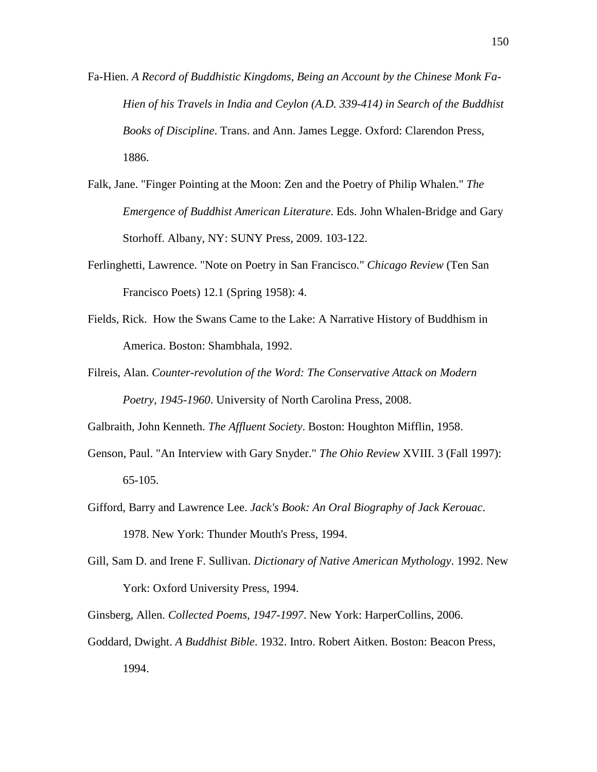- Fa-Hien. *A Record of Buddhistic Kingdoms, Being an Account by the Chinese Monk Fa- Hien of his Travels in India and Ceylon (A.D. 339-414) in Search of the Buddhist Books of Discipline*. Trans. and Ann. James Legge. Oxford: Clarendon Press, 1886.
- Falk, Jane. "Finger Pointing at the Moon: Zen and the Poetry of Philip Whalen." *The Emergence of Buddhist American Literature*. Eds. John Whalen-Bridge and Gary Storhoff. Albany, NY: SUNY Press, 2009. 103-122.
- Ferlinghetti, Lawrence. "Note on Poetry in San Francisco." *Chicago Review* (Ten San Francisco Poets) 12.1 (Spring 1958): 4.
- Fields, Rick. How the Swans Came to the Lake: A Narrative History of Buddhism in America. Boston: Shambhala, 1992.
- Filreis, Alan. *Counter-revolution of the Word: The Conservative Attack on Modern Poetry, 1945-1960*. University of North Carolina Press, 2008.

Galbraith, John Kenneth. *The Affluent Society*. Boston: Houghton Mifflin, 1958.

- Genson, Paul. "An Interview with Gary Snyder." *The Ohio Review* XVIII. 3 (Fall 1997): 65-105.
- Gifford, Barry and Lawrence Lee. *Jack's Book: An Oral Biography of Jack Kerouac*. 1978. New York: Thunder Mouth's Press, 1994.
- Gill, Sam D. and Irene F. Sullivan. *Dictionary of Native American Mythology*. 1992. New York: Oxford University Press, 1994.
- Ginsberg, Allen. *Collected Poems, 1947-1997*. New York: HarperCollins, 2006.
- Goddard, Dwight. *A Buddhist Bible*. 1932. Intro. Robert Aitken. Boston: Beacon Press, 1994.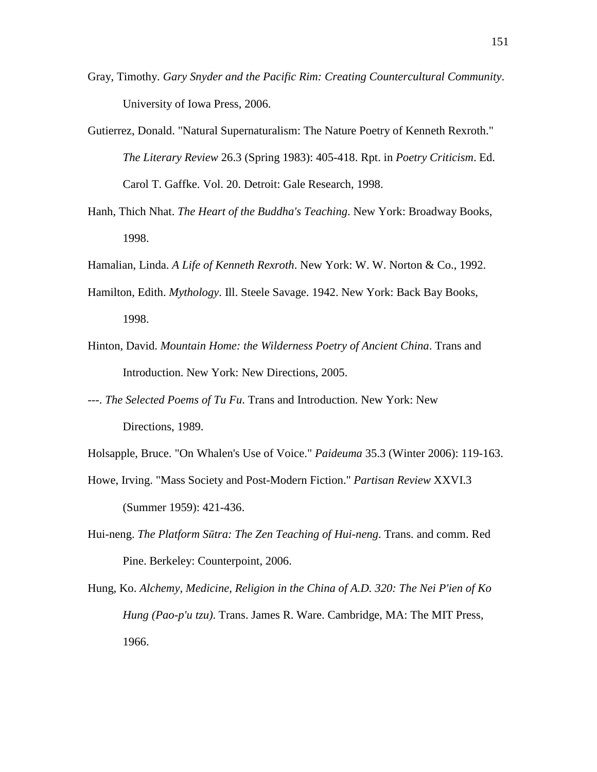- Gray, Timothy. *Gary Snyder and the Pacific Rim: Creating Countercultural Community*. University of Iowa Press, 2006.
- Gutierrez, Donald. "Natural Supernaturalism: The Nature Poetry of Kenneth Rexroth." *The Literary Review* 26.3 (Spring 1983): 405-418. Rpt. in *Poetry Criticism*. Ed. Carol T. Gaffke. Vol. 20. Detroit: Gale Research, 1998.
- Hanh, Thich Nhat. *The Heart of the Buddha's Teaching*. New York: Broadway Books, 1998.
- Hamalian, Linda. *A Life of Kenneth Rexroth*. New York: W. W. Norton & Co., 1992.
- Hamilton, Edith. *Mythology*. Ill. Steele Savage. 1942. New York: Back Bay Books, 1998.
- Hinton, David. *Mountain Home: the Wilderness Poetry of Ancient China*. Trans and Introduction. New York: New Directions, 2005.
- ---. *The Selected Poems of Tu Fu*. Trans and Introduction. New York: New Directions, 1989.
- Holsapple, Bruce. "On Whalen's Use of Voice." *Paideuma* 35.3 (Winter 2006): 119-163.
- Howe, Irving. "Mass Society and Post-Modern Fiction." *Partisan Review* XXVI.3 (Summer 1959): 421-436.
- Hui-neng. *The Platform S*ū*tra: The Zen Teaching of Hui-neng*. Trans. and comm. Red Pine. Berkeley: Counterpoint, 2006.
- Hung, Ko. *Alchemy, Medicine, Religion in the China of A.D. 320: The Nei P'ien of Ko Hung (Pao-p'u tzu)*. Trans. James R. Ware. Cambridge, MA: The MIT Press, 1966.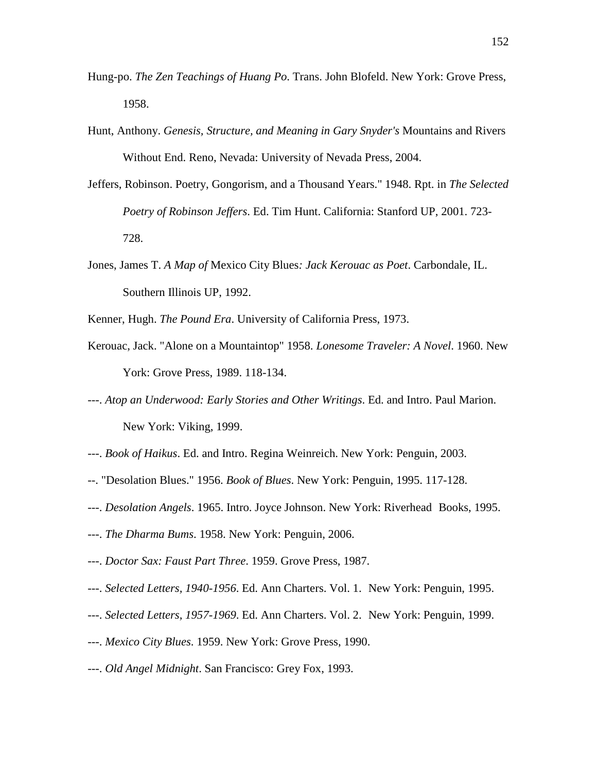- Hung-po. *The Zen Teachings of Huang Po*. Trans. John Blofeld. New York: Grove Press, 1958.
- Hunt, Anthony. *Genesis, Structure, and Meaning in Gary Snyder's* Mountains and Rivers Without End. Reno, Nevada: University of Nevada Press, 2004.
- Jeffers, Robinson. Poetry, Gongorism, and a Thousand Years." 1948. Rpt. in *The Selected Poetry of Robinson Jeffers*. Ed. Tim Hunt. California: Stanford UP, 2001. 723- 728.
- Jones, James T. *A Map of* Mexico City Blues*: Jack Kerouac as Poet*. Carbondale, IL. Southern Illinois UP, 1992.

Kenner, Hugh. *The Pound Era*. University of California Press, 1973.

- Kerouac, Jack. "Alone on a Mountaintop" 1958. *Lonesome Traveler: A Novel*. 1960. New York: Grove Press, 1989. 118-134.
- ---. *Atop an Underwood: Early Stories and Other Writings*. Ed. and Intro. Paul Marion. New York: Viking, 1999.
- ---. *Book of Haikus*. Ed. and Intro. Regina Weinreich. New York: Penguin, 2003.
- --. "Desolation Blues." 1956. *Book of Blues*. New York: Penguin, 1995. 117-128.
- ---. *Desolation Angels*. 1965. Intro. Joyce Johnson. New York: Riverhead Books, 1995.
- ---. *The Dharma Bums*. 1958. New York: Penguin, 2006.
- ---. *Doctor Sax: Faust Part Three*. 1959. Grove Press, 1987.
- ---. *Selected Letters, 1940-1956*. Ed. Ann Charters. Vol. 1. New York: Penguin, 1995.
- ---. *Selected Letters, 1957-1969*. Ed. Ann Charters. Vol. 2. New York: Penguin, 1999.
- ---. *Mexico City Blues*. 1959. New York: Grove Press, 1990.
- ---. *Old Angel Midnight*. San Francisco: Grey Fox, 1993.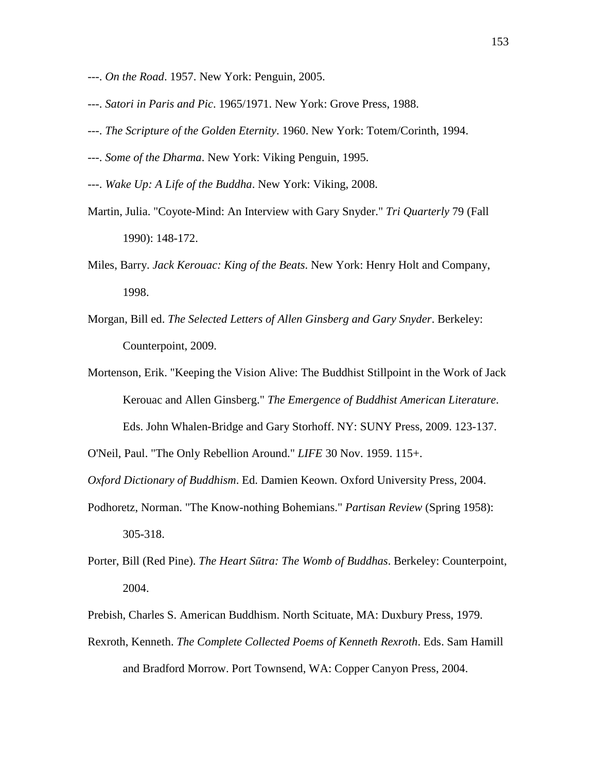- ---. *On the Road*. 1957. New York: Penguin, 2005.
- ---. *Satori in Paris and Pic*. 1965/1971. New York: Grove Press, 1988.
- ---. *The Scripture of the Golden Eternity*. 1960. New York: Totem/Corinth, 1994.
- ---. *Some of the Dharma*. New York: Viking Penguin, 1995.
- ---. *Wake Up: A Life of the Buddha*. New York: Viking, 2008.
- Martin, Julia. "Coyote-Mind: An Interview with Gary Snyder." *Tri Quarterly* 79 (Fall 1990): 148-172.
- Miles, Barry. *Jack Kerouac: King of the Beats*. New York: Henry Holt and Company, 1998.
- Morgan, Bill ed. *The Selected Letters of Allen Ginsberg and Gary Snyder*. Berkeley: Counterpoint, 2009.
- Mortenson, Erik. "Keeping the Vision Alive: The Buddhist Stillpoint in the Work of Jack Kerouac and Allen Ginsberg." *The Emergence of Buddhist American Literature*. Eds. John Whalen-Bridge and Gary Storhoff. NY: SUNY Press, 2009. 123-137.

O'Neil, Paul. "The Only Rebellion Around." *LIFE* 30 Nov. 1959. 115+.

*Oxford Dictionary of Buddhism*. Ed. Damien Keown. Oxford University Press, 2004.

- Podhoretz, Norman. "The Know-nothing Bohemians." *Partisan Review* (Spring 1958): 305-318.
- Porter, Bill (Red Pine). *The Heart S*ū*tra: The Womb of Buddhas*. Berkeley: Counterpoint, 2004.
- Prebish, Charles S. American Buddhism. North Scituate, MA: Duxbury Press, 1979.
- Rexroth, Kenneth. *The Complete Collected Poems of Kenneth Rexroth*. Eds. Sam Hamill and Bradford Morrow. Port Townsend, WA: Copper Canyon Press, 2004.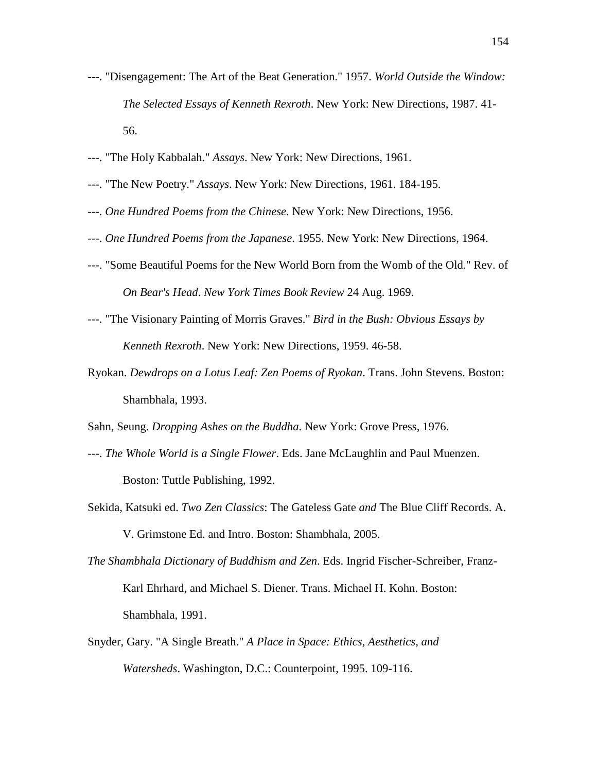- ---. "Disengagement: The Art of the Beat Generation." 1957. *World Outside the Window: The Selected Essays of Kenneth Rexroth*. New York: New Directions, 1987. 41- 56.
- ---. "The Holy Kabbalah." *Assays*. New York: New Directions, 1961.
- ---. "The New Poetry." *Assays*. New York: New Directions, 1961. 184-195.
- ---. *One Hundred Poems from the Chinese*. New York: New Directions, 1956.
- ---. *One Hundred Poems from the Japanese*. 1955. New York: New Directions, 1964.
- ---. "Some Beautiful Poems for the New World Born from the Womb of the Old." Rev. of *On Bear's Head*. *New York Times Book Review* 24 Aug. 1969.
- ---. "The Visionary Painting of Morris Graves." *Bird in the Bush: Obvious Essays by Kenneth Rexroth*. New York: New Directions, 1959. 46-58.
- Ryokan. *Dewdrops on a Lotus Leaf: Zen Poems of Ryokan*. Trans. John Stevens. Boston: Shambhala, 1993.

Sahn, Seung. *Dropping Ashes on the Buddha*. New York: Grove Press, 1976.

- ---. *The Whole World is a Single Flower*. Eds. Jane McLaughlin and Paul Muenzen. Boston: Tuttle Publishing, 1992.
- Sekida, Katsuki ed. *Two Zen Classics*: The Gateless Gate *and* The Blue Cliff Records. A. V. Grimstone Ed. and Intro. Boston: Shambhala, 2005.
- *The Shambhala Dictionary of Buddhism and Zen*. Eds. Ingrid Fischer-Schreiber, Franz- Karl Ehrhard, and Michael S. Diener. Trans. Michael H. Kohn. Boston: Shambhala, 1991.
- Snyder, Gary. "A Single Breath." *A Place in Space: Ethics, Aesthetics, and Watersheds*. Washington, D.C.: Counterpoint, 1995. 109-116.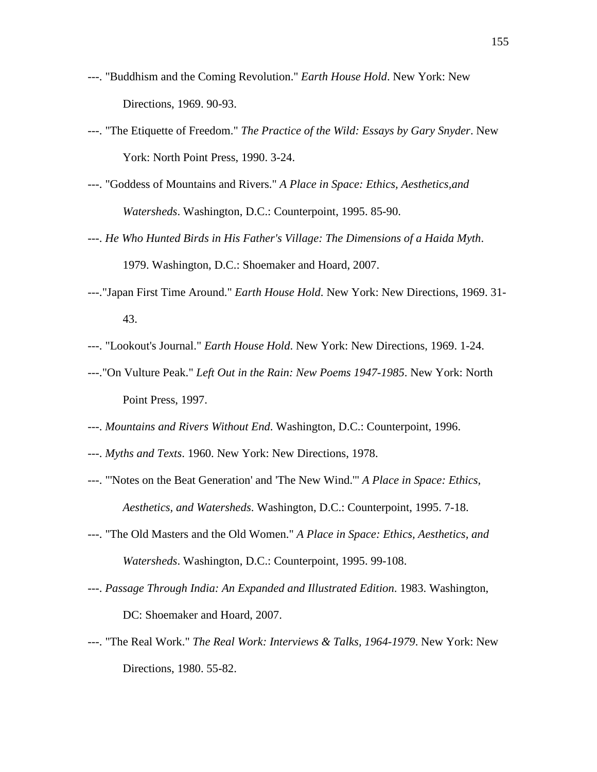- ---. "Buddhism and the Coming Revolution." *Earth House Hold*. New York: New Directions, 1969. 90-93.
- ---. "The Etiquette of Freedom." *The Practice of the Wild: Essays by Gary Snyder*. New York: North Point Press, 1990. 3-24.
- ---. "Goddess of Mountains and Rivers." *A Place in Space: Ethics, Aesthetics,and Watersheds*. Washington, D.C.: Counterpoint, 1995. 85-90.
- ---. *He Who Hunted Birds in His Father's Village: The Dimensions of a Haida Myth*. 1979. Washington, D.C.: Shoemaker and Hoard, 2007.
- ---."Japan First Time Around." *Earth House Hold*. New York: New Directions, 1969. 31- 43.
- ---. "Lookout's Journal." *Earth House Hold*. New York: New Directions, 1969. 1-24.
- ---."On Vulture Peak." *Left Out in the Rain: New Poems 1947-1985*. New York: North Point Press, 1997.
- ---. *Mountains and Rivers Without End*. Washington, D.C.: Counterpoint, 1996.
- ---. *Myths and Texts*. 1960. New York: New Directions, 1978.
- ---. "'Notes on the Beat Generation' and 'The New Wind.'" *A Place in Space: Ethics, Aesthetics, and Watersheds*. Washington, D.C.: Counterpoint, 1995. 7-18.
- ---. "The Old Masters and the Old Women." *A Place in Space: Ethics, Aesthetics, and Watersheds*. Washington, D.C.: Counterpoint, 1995. 99-108.
- ---. *Passage Through India: An Expanded and Illustrated Edition*. 1983. Washington, DC: Shoemaker and Hoard, 2007.
- ---. "The Real Work." *The Real Work: Interviews & Talks, 1964-1979*. New York: New Directions, 1980. 55-82.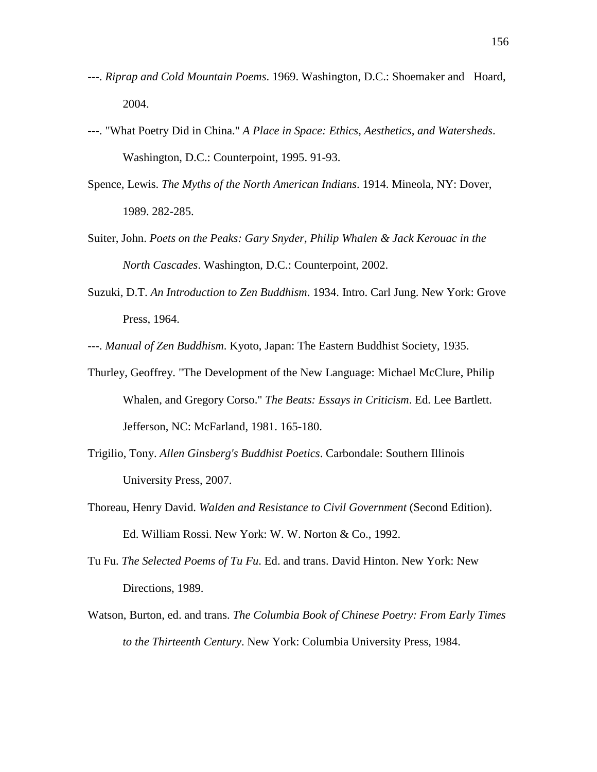- ---. *Riprap and Cold Mountain Poems*. 1969. Washington, D.C.: Shoemaker and Hoard, 2004.
- ---. "What Poetry Did in China." *A Place in Space: Ethics, Aesthetics, and Watersheds*. Washington, D.C.: Counterpoint, 1995. 91-93.
- Spence, Lewis. *The Myths of the North American Indians*. 1914. Mineola, NY: Dover, 1989. 282-285.
- Suiter, John. *Poets on the Peaks: Gary Snyder, Philip Whalen & Jack Kerouac in the North Cascades*. Washington, D.C.: Counterpoint, 2002.
- Suzuki, D.T. *An Introduction to Zen Buddhism*. 1934. Intro. Carl Jung. New York: Grove Press, 1964.

---. *Manual of Zen Buddhism*. Kyoto, Japan: The Eastern Buddhist Society, 1935.

- Thurley, Geoffrey. "The Development of the New Language: Michael McClure, Philip Whalen, and Gregory Corso." *The Beats: Essays in Criticism*. Ed. Lee Bartlett. Jefferson, NC: McFarland, 1981. 165-180.
- Trigilio, Tony. *Allen Ginsberg's Buddhist Poetics*. Carbondale: Southern Illinois University Press, 2007.
- Thoreau, Henry David. *Walden and Resistance to Civil Government* (Second Edition). Ed. William Rossi. New York: W. W. Norton & Co., 1992.
- Tu Fu. *The Selected Poems of Tu Fu*. Ed. and trans. David Hinton. New York: New Directions, 1989.
- Watson, Burton, ed. and trans. *The Columbia Book of Chinese Poetry: From Early Times to the Thirteenth Century*. New York: Columbia University Press, 1984.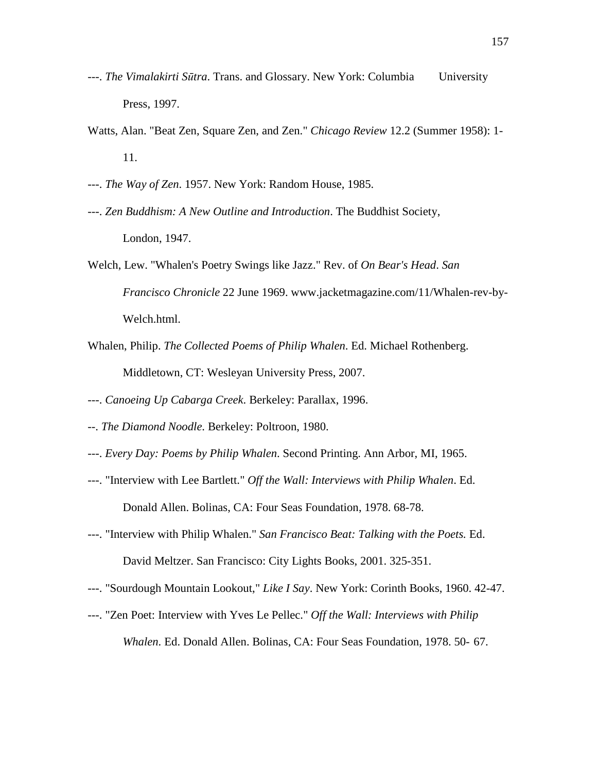- ---. *The Vimalakirti S*ū*tra*. Trans. and Glossary. New York: Columbia University Press, 1997.
- Watts, Alan. "Beat Zen, Square Zen, and Zen." *Chicago Review* 12.2 (Summer 1958): 1- 11.
- ---. *The Way of Zen*. 1957. New York: Random House, 1985.
- ---. *Zen Buddhism: A New Outline and Introduction*. The Buddhist Society, London, 1947.
- Welch, Lew. "Whalen's Poetry Swings like Jazz." Rev. of *On Bear's Head*. *San Francisco Chronicle* 22 June 1969. www.jacketmagazine.com/11/Whalen-rev-by- Welch.html.
- Whalen, Philip. *The Collected Poems of Philip Whalen*. Ed. Michael Rothenberg. Middletown, CT: Wesleyan University Press, 2007.
- ---. *Canoeing Up Cabarga Creek*. Berkeley: Parallax, 1996.
- --. *The Diamond Noodle*. Berkeley: Poltroon, 1980.
- ---. *Every Day: Poems by Philip Whalen*. Second Printing. Ann Arbor, MI, 1965.
- ---. "Interview with Lee Bartlett." *Off the Wall: Interviews with Philip Whalen*. Ed. Donald Allen. Bolinas, CA: Four Seas Foundation, 1978. 68-78.
- ---. "Interview with Philip Whalen." *San Francisco Beat: Talking with the Poets.* Ed. David Meltzer. San Francisco: City Lights Books, 2001. 325-351.
- ---. "Sourdough Mountain Lookout," *Like I Say*. New York: Corinth Books, 1960. 42-47.
- ---. "Zen Poet: Interview with Yves Le Pellec." *Off the Wall: Interviews with Philip Whalen*. Ed. Donald Allen. Bolinas, CA: Four Seas Foundation, 1978. 50- 67.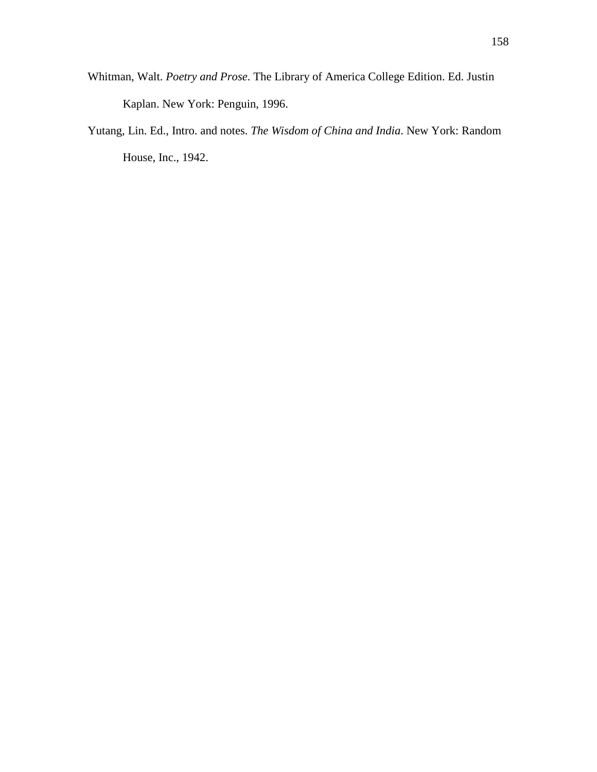- Whitman, Walt. *Poetry and Prose*. The Library of America College Edition. Ed. Justin Kaplan. New York: Penguin, 1996.
- Yutang, Lin. Ed., Intro. and notes. *The Wisdom of China and India*. New York: Random House, Inc., 1942.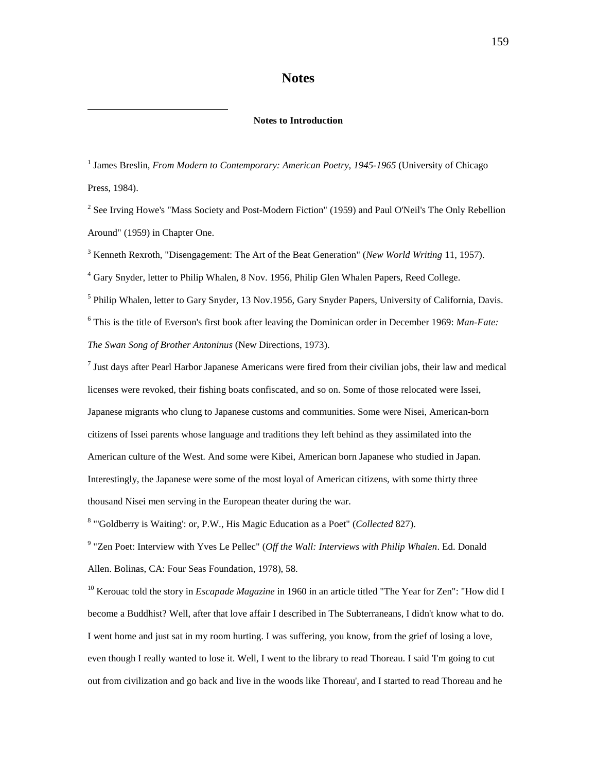## **Notes**

#### **Notes to Introduction**

<u>.</u>

<sup>1</sup> James Breslin, *From Modern to Contemporary: American Poetry, 1945-1965* (University of Chicago Press, 1984).

<sup>2</sup> See Irving Howe's "Mass Society and Post-Modern Fiction" (1959) and Paul O'Neil's The Only Rebellion Around" (1959) in Chapter One.

3 Kenneth Rexroth, "Disengagement: The Art of the Beat Generation" (*New World Writing* 11, 1957).

<sup>4</sup> Gary Snyder, letter to Philip Whalen, 8 Nov. 1956, Philip Glen Whalen Papers, Reed College.

<sup>5</sup> Philip Whalen, letter to Gary Snyder, 13 Nov.1956, Gary Snyder Papers, University of California, Davis. 6 This is the title of Everson's first book after leaving the Dominican order in December 1969: *Man-Fate: The Swan Song of Brother Antoninus* (New Directions, 1973).

 $<sup>7</sup>$  Just days after Pearl Harbor Japanese Americans were fired from their civilian jobs, their law and medical</sup> licenses were revoked, their fishing boats confiscated, and so on. Some of those relocated were Issei, Japanese migrants who clung to Japanese customs and communities. Some were Nisei, American-born citizens of Issei parents whose language and traditions they left behind as they assimilated into the American culture of the West. And some were Kibei, American born Japanese who studied in Japan. Interestingly, the Japanese were some of the most loyal of American citizens, with some thirty three thousand Nisei men serving in the European theater during the war.

8 "'Goldberry is Waiting': or, P.W., His Magic Education as a Poet" (*Collected* 827).

9 "Zen Poet: Interview with Yves Le Pellec" (*Off the Wall: Interviews with Philip Whalen*. Ed. Donald Allen. Bolinas, CA: Four Seas Foundation, 1978), 58.

<sup>10</sup> Kerouac told the story in *Escapade Magazine* in 1960 in an article titled "The Year for Zen": "How did I become a Buddhist? Well, after that love affair I described in The Subterraneans, I didn't know what to do. I went home and just sat in my room hurting. I was suffering, you know, from the grief of losing a love, even though I really wanted to lose it. Well, I went to the library to read Thoreau. I said 'I'm going to cut out from civilization and go back and live in the woods like Thoreau', and I started to read Thoreau and he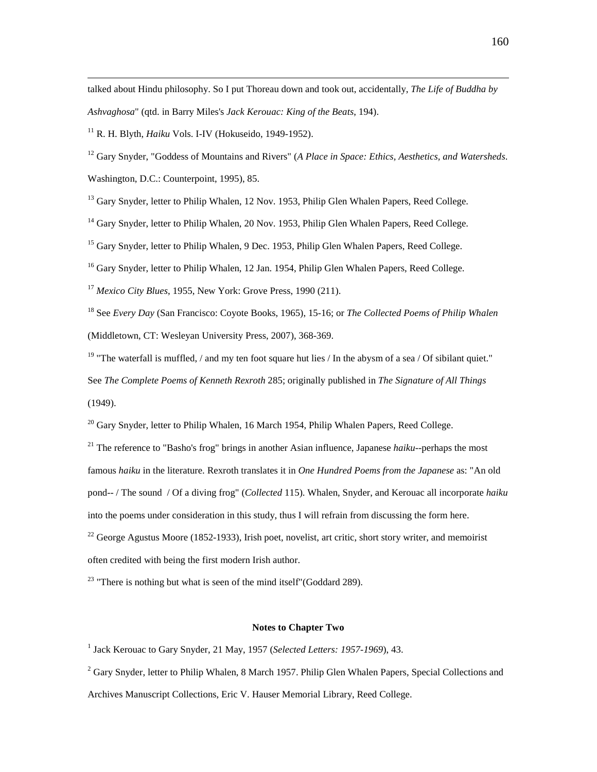talked about Hindu philosophy. So I put Thoreau down and took out, accidentally, *The Life of Buddha by Ashvaghosa*" (qtd. in Barry Miles's *Jack Kerouac: King of the Beats*, 194).

<sup>11</sup> R. H. Blyth, *Haiku* Vols. I-IV (Hokuseido, 1949-1952).

<sup>12</sup> Gary Snyder, "Goddess of Mountains and Rivers" (*A Place in Space: Ethics, Aesthetics, and Watersheds*.

Washington, D.C.: Counterpoint, 1995), 85.

 $\overline{a}$ 

<sup>13</sup> Gary Snyder, letter to Philip Whalen, 12 Nov. 1953, Philip Glen Whalen Papers, Reed College.

<sup>14</sup> Gary Snyder, letter to Philip Whalen, 20 Nov. 1953, Philip Glen Whalen Papers, Reed College.

<sup>15</sup> Gary Snyder, letter to Philip Whalen, 9 Dec. 1953, Philip Glen Whalen Papers, Reed College.

<sup>16</sup> Gary Snyder, letter to Philip Whalen, 12 Jan. 1954, Philip Glen Whalen Papers, Reed College.

<sup>17</sup> *Mexico City Blues*, 1955, New York: Grove Press, 1990 (211).

<sup>18</sup> See *Every Day* (San Francisco: Coyote Books, 1965), 15-16; or *The Collected Poems of Philip Whalen* (Middletown, CT: Wesleyan University Press, 2007), 368-369.

<sup>19</sup> "The waterfall is muffled, / and my ten foot square hut lies / In the abysm of a sea / Of sibilant quiet."

See *The Complete Poems of Kenneth Rexroth* 285; originally published in *The Signature of All Things* (1949).

 $^{20}$  Gary Snyder, letter to Philip Whalen, 16 March 1954, Philip Whalen Papers, Reed College.

<sup>21</sup> The reference to "Basho's frog" brings in another Asian influence, Japanese *haiku*--perhaps the most famous *haiku* in the literature. Rexroth translates it in *One Hundred Poems from the Japanese* as: "An old pond-- / The sound / Of a diving frog" (*Collected* 115). Whalen, Snyder, and Kerouac all incorporate *haiku* into the poems under consideration in this study, thus I will refrain from discussing the form here. <sup>22</sup> George Agustus Moore (1852-1933), Irish poet, novelist, art critic, short story writer, and memoirist often credited with being the first modern Irish author.

<sup>23</sup> "There is nothing but what is seen of the mind itself" (Goddard 289).

### **Notes to Chapter Two**

<sup>1</sup> Jack Kerouac to Gary Snyder, 21 May, 1957 (*Selected Letters: 1957-1969*), 43.

 $2^{2}$  Gary Snyder, letter to Philip Whalen, 8 March 1957. Philip Glen Whalen Papers, Special Collections and Archives Manuscript Collections, Eric V. Hauser Memorial Library, Reed College.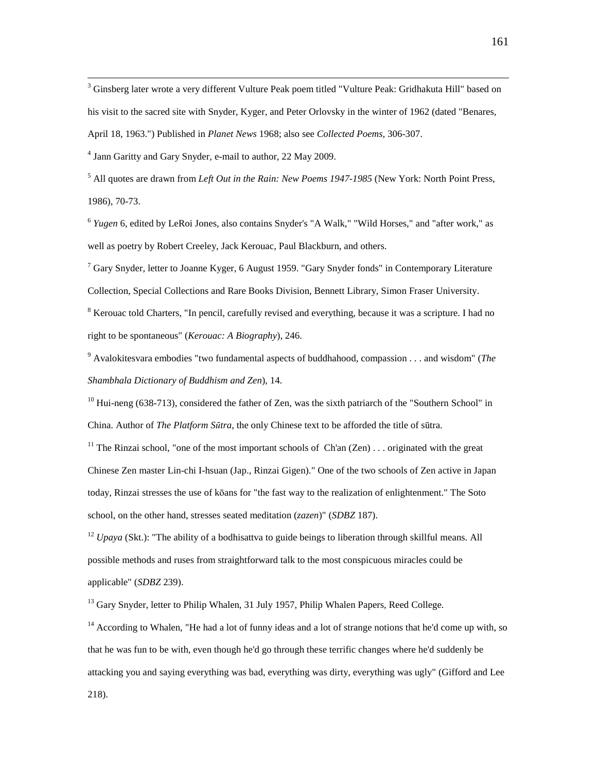$\overline{a}$  $3$  Ginsberg later wrote a very different Vulture Peak poem titled "Vulture Peak: Gridhakuta Hill" based on his visit to the sacred site with Snyder, Kyger, and Peter Orlovsky in the winter of 1962 (dated "Benares, April 18, 1963.") Published in *Planet News* 1968; also see *Collected Poems*, 306-307.

4 Jann Garitty and Gary Snyder, e-mail to author, 22 May 2009.

5 All quotes are drawn from *Left Out in the Rain: New Poems 1947-1985* (New York: North Point Press, 1986), 70-73.

<sup>6</sup> Yugen 6, edited by LeRoi Jones, also contains Snyder's "A Walk," "Wild Horses," and "after work," as well as poetry by Robert Creeley, Jack Kerouac, Paul Blackburn, and others.

 $7$  Gary Snyder, letter to Joanne Kyger, 6 August 1959. "Gary Snyder fonds" in Contemporary Literature Collection, Special Collections and Rare Books Division, Bennett Library, Simon Fraser University.

<sup>8</sup> Kerouac told Charters, "In pencil, carefully revised and everything, because it was a scripture. I had no right to be spontaneous" (*Kerouac: A Biography*), 246.

9 Avalokitesvara embodies "two fundamental aspects of buddhahood, compassion . . . and wisdom" (*The Shambhala Dictionary of Buddhism and Zen*), 14.

 $10$  Hui-neng (638-713), considered the father of Zen, was the sixth patriarch of the "Southern School" in China. Author of *The Platform S*ū*tra*, the only Chinese text to be afforded the title of sūtra.

<sup>11</sup> The Rinzai school, "one of the most important schools of  $Ch'an ( Zen)$ ... originated with the great Chinese Zen master Lin-chi I-hsuan (Jap., Rinzai Gigen)." One of the two schools of Zen active in Japan today, Rinzai stresses the use of kōans for "the fast way to the realization of enlightenment." The Soto school, on the other hand, stresses seated meditation (*zazen*)" (*SDBZ* 187).

<sup>12</sup> *Upaya* (Skt.): "The ability of a bodhisattva to guide beings to liberation through skillful means. All possible methods and ruses from straightforward talk to the most conspicuous miracles could be applicable" (*SDBZ* 239).

<sup>13</sup> Gary Snyder, letter to Philip Whalen, 31 July 1957, Philip Whalen Papers, Reed College.

<sup>14</sup> According to Whalen, "He had a lot of funny ideas and a lot of strange notions that he'd come up with, so that he was fun to be with, even though he'd go through these terrific changes where he'd suddenly be attacking you and saying everything was bad, everything was dirty, everything was ugly" (Gifford and Lee 218).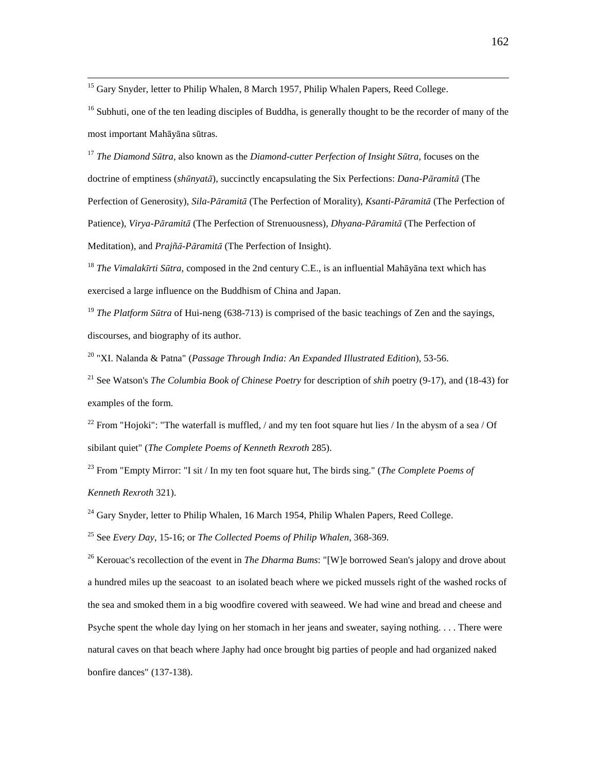<sup>15</sup> Gary Snyder, letter to Philip Whalen, 8 March 1957, Philip Whalen Papers, Reed College.

 $\overline{a}$ 

<sup>16</sup> Subhuti, one of the ten leading disciples of Buddha, is generally thought to be the recorder of many of the most important Mahāyāna sūtras.

<sup>17</sup> *The Diamond S*ū*tra*, also known as the *Diamond-cutter Perfection of Insight S*ū*tra*, focuses on the doctrine of emptiness (*sh*ū*nyat*ā), succinctly encapsulating the Six Perfections: *Dana-P*ā*ramit*ā (The Perfection of Generosity), *Sila-P*ā*ramit*ā (The Perfection of Morality), *Ksanti-P*ā*ramit*ā (The Perfection of Patience), *Virya-P*ā*ramit*ā (The Perfection of Strenuousness), *Dhyana-P*ā*ramit*ā (The Perfection of Meditation), and *Prajñ*ā*-P*ā*ramit*ā (The Perfection of Insight).

<sup>18</sup> *The Vimalak*ī*rti S*ū*tra*, composed in the 2nd century C.E., is an influential Mahāyāna text which has exercised a large influence on the Buddhism of China and Japan.

<sup>19</sup> *The Platform S*ū*tra* of Hui-neng (638-713) is comprised of the basic teachings of Zen and the sayings, discourses, and biography of its author.

<sup>20</sup> "XI. Nalanda & Patna" (*Passage Through India: An Expanded Illustrated Edition*), 53-56.

<sup>21</sup> See Watson's *The Columbia Book of Chinese Poetry* for description of *shih* poetry (9-17), and (18-43) for examples of the form.

<sup>22</sup> From "Hojoki": "The waterfall is muffled, / and my ten foot square hut lies / In the abysm of a sea / Of sibilant quiet" (*The Complete Poems of Kenneth Rexroth* 285).

<sup>23</sup> From "Empty Mirror: "I sit / In my ten foot square hut, The birds sing." (*The Complete Poems of Kenneth Rexroth* 321).

 $^{24}$  Gary Snyder, letter to Philip Whalen, 16 March 1954, Philip Whalen Papers, Reed College.

<sup>25</sup> See *Every Day*, 15-16; or *The Collected Poems of Philip Whalen*, 368-369.

<sup>26</sup> Kerouac's recollection of the event in *The Dharma Bums*: "[W]e borrowed Sean's jalopy and drove about a hundred miles up the seacoast to an isolated beach where we picked mussels right of the washed rocks of the sea and smoked them in a big woodfire covered with seaweed. We had wine and bread and cheese and Psyche spent the whole day lying on her stomach in her jeans and sweater, saying nothing. . . . There were natural caves on that beach where Japhy had once brought big parties of people and had organized naked bonfire dances" (137-138).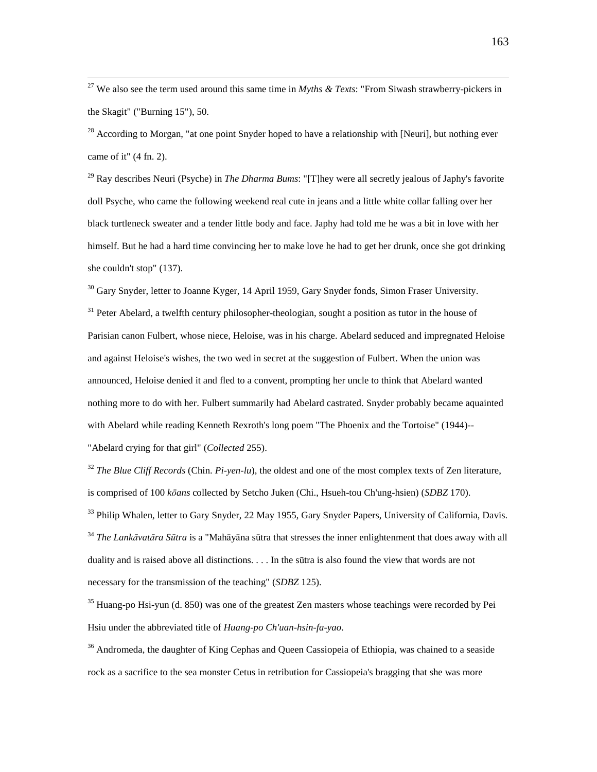<sup>27</sup> We also see the term used around this same time in *Myths & Texts*: "From Siwash strawberry-pickers in the Skagit" ("Burning 15"), 50.

 $\overline{a}$ 

 $^{28}$  According to Morgan, "at one point Snyder hoped to have a relationship with [Neuri], but nothing ever came of it" (4 fn. 2).

<sup>29</sup> Ray describes Neuri (Psyche) in *The Dharma Bums*: "[T]hey were all secretly jealous of Japhy's favorite doll Psyche, who came the following weekend real cute in jeans and a little white collar falling over her black turtleneck sweater and a tender little body and face. Japhy had told me he was a bit in love with her himself. But he had a hard time convincing her to make love he had to get her drunk, once she got drinking she couldn't stop" (137).

 $30$  Gary Snyder, letter to Joanne Kyger, 14 April 1959, Gary Snyder fonds, Simon Fraser University.

 $31$  Peter Abelard, a twelfth century philosopher-theologian, sought a position as tutor in the house of Parisian canon Fulbert, whose niece, Heloise, was in his charge. Abelard seduced and impregnated Heloise and against Heloise's wishes, the two wed in secret at the suggestion of Fulbert. When the union was announced, Heloise denied it and fled to a convent, prompting her uncle to think that Abelard wanted nothing more to do with her. Fulbert summarily had Abelard castrated. Snyder probably became aquainted with Abelard while reading Kenneth Rexroth's long poem "The Phoenix and the Tortoise" (1944)-- "Abelard crying for that girl" (*Collected* 255).

<sup>32</sup> *The Blue Cliff Records* (Chin. *Pi-yen-lu*), the oldest and one of the most complex texts of Zen literature, is comprised of 100 *k*ō*ans* collected by Setcho Juken (Chi., Hsueh-tou Ch'ung-hsien) (*SDBZ* 170). <sup>33</sup> Philip Whalen, letter to Gary Snyder, 22 May 1955, Gary Snyder Papers, University of California, Davis.

<sup>34</sup> *The Lank*ā*vat*ā*ra S*ū*tra* is a "Mahāyāna sūtra that stresses the inner enlightenment that does away with all duality and is raised above all distinctions. . . . In the sūtra is also found the view that words are not necessary for the transmission of the teaching" (*SDBZ* 125).

 $35$  Huang-po Hsi-yun (d. 850) was one of the greatest Zen masters whose teachings were recorded by Pei Hsiu under the abbreviated title of *Huang-po Ch'uan-hsin-fa-yao*.

<sup>36</sup> Andromeda, the daughter of King Cephas and Queen Cassiopeia of Ethiopia, was chained to a seaside rock as a sacrifice to the sea monster Cetus in retribution for Cassiopeia's bragging that she was more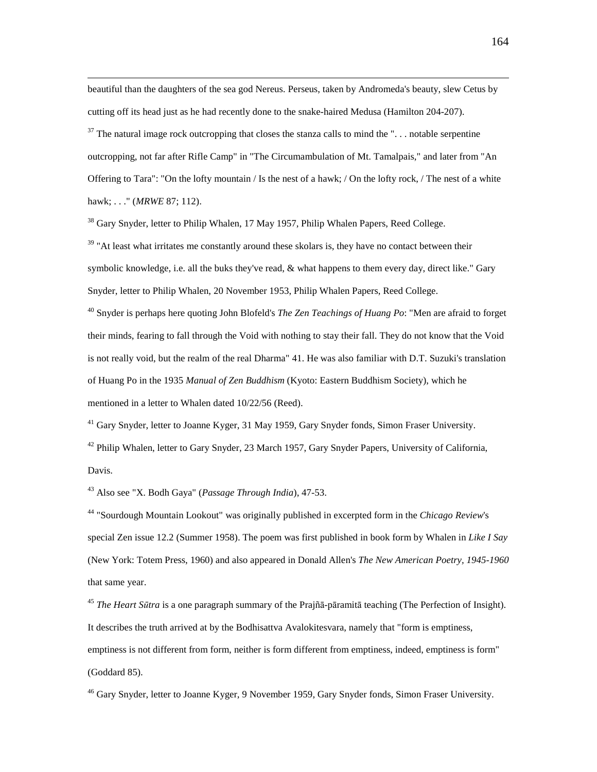beautiful than the daughters of the sea god Nereus. Perseus, taken by Andromeda's beauty, slew Cetus by cutting off its head just as he had recently done to the snake-haired Medusa (Hamilton 204-207).

 $37$  The natural image rock outcropping that closes the stanza calls to mind the "... notable serpentine outcropping, not far after Rifle Camp" in "The Circumambulation of Mt. Tamalpais," and later from "An Offering to Tara": "On the lofty mountain / Is the nest of a hawk; / On the lofty rock, / The nest of a white hawk; . . ." (*MRWE* 87; 112).

<sup>38</sup> Gary Snyder, letter to Philip Whalen, 17 May 1957, Philip Whalen Papers, Reed College.

 $39$  "At least what irritates me constantly around these skolars is, they have no contact between their symbolic knowledge, i.e. all the buks they've read, & what happens to them every day, direct like." Gary Snyder, letter to Philip Whalen, 20 November 1953, Philip Whalen Papers, Reed College.

<sup>40</sup> Snyder is perhaps here quoting John Blofeld's *The Zen Teachings of Huang Po*: "Men are afraid to forget their minds, fearing to fall through the Void with nothing to stay their fall. They do not know that the Void is not really void, but the realm of the real Dharma" 41. He was also familiar with D.T. Suzuki's translation of Huang Po in the 1935 *Manual of Zen Buddhism* (Kyoto: Eastern Buddhism Society), which he mentioned in a letter to Whalen dated 10/22/56 (Reed).

 $41$  Gary Snyder, letter to Joanne Kyger, 31 May 1959, Gary Snyder fonds, Simon Fraser University.

 $42$  Philip Whalen, letter to Gary Snyder, 23 March 1957, Gary Snyder Papers, University of California, Davis.

<sup>43</sup> Also see "X. Bodh Gaya" (*Passage Through India*), 47-53.

 $\overline{a}$ 

<sup>44</sup> "Sourdough Mountain Lookout" was originally published in excerpted form in the *Chicago Review*'s special Zen issue 12.2 (Summer 1958). The poem was first published in book form by Whalen in *Like I Say* (New York: Totem Press, 1960) and also appeared in Donald Allen's *The New American Poetry, 1945-1960* that same year.

<sup>45</sup> *The Heart S*ū*tra* is a one paragraph summary of the Prajñā-pāramitā teaching (The Perfection of Insight). It describes the truth arrived at by the Bodhisattva Avalokitesvara, namely that "form is emptiness, emptiness is not different from form, neither is form different from emptiness, indeed, emptiness is form" (Goddard 85).

<sup>46</sup> Gary Snyder, letter to Joanne Kyger, 9 November 1959, Gary Snyder fonds, Simon Fraser University.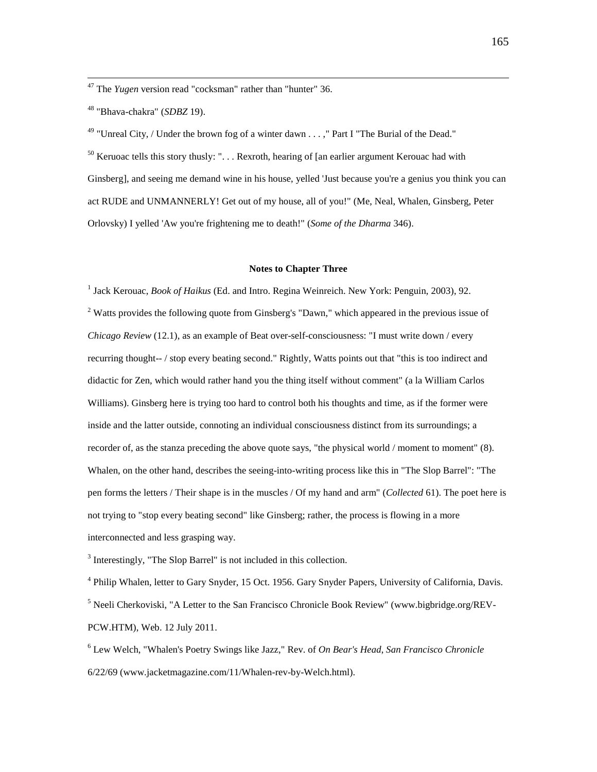<sup>47</sup> The *Yugen* version read "cocksman" rather than "hunter" 36.

<sup>48</sup> "Bhava-chakra" (*SDBZ* 19).

 $\overline{a}$ 

<sup>49</sup> "Unreal City, / Under the brown fog of a winter dawn . . . ," Part I "The Burial of the Dead."  $50$  Keruoac tells this story thusly: "... Rexroth, hearing of [an earlier argument Kerouac had with

Ginsberg], and seeing me demand wine in his house, yelled 'Just because you're a genius you think you can act RUDE and UNMANNERLY! Get out of my house, all of you!" (Me, Neal, Whalen, Ginsberg, Peter Orlovsky) I yelled 'Aw you're frightening me to death!" (*Some of the Dharma* 346).

### **Notes to Chapter Three**

<sup>1</sup> Jack Kerouac, *Book of Haikus* (Ed. and Intro. Regina Weinreich. New York: Penguin, 2003), 92. <sup>2</sup> Watts provides the following quote from Ginsberg's "Dawn," which appeared in the previous issue of *Chicago Review* (12.1), as an example of Beat over-self-consciousness: "I must write down / every recurring thought-- / stop every beating second." Rightly, Watts points out that "this is too indirect and didactic for Zen, which would rather hand you the thing itself without comment" (a la William Carlos Williams). Ginsberg here is trying too hard to control both his thoughts and time, as if the former were inside and the latter outside, connoting an individual consciousness distinct from its surroundings; a recorder of, as the stanza preceding the above quote says, "the physical world / moment to moment" (8). Whalen, on the other hand, describes the seeing-into-writing process like this in "The Slop Barrel": "The pen forms the letters / Their shape is in the muscles / Of my hand and arm" (*Collected* 61). The poet here is not trying to "stop every beating second" like Ginsberg; rather, the process is flowing in a more interconnected and less grasping way.

<sup>3</sup> Interestingly, "The Slop Barrel" is not included in this collection.

<sup>4</sup> Philip Whalen, letter to Gary Snyder, 15 Oct. 1956. Gary Snyder Papers, University of California, Davis. <sup>5</sup> Neeli Cherkoviski, "A Letter to the San Francisco Chronicle Book Review" (www.bigbridge.org/REV-PCW.HTM), Web. 12 July 2011.

6 Lew Welch, "Whalen's Poetry Swings like Jazz," Rev. of *On Bear's Head*, *San Francisco Chronicle* 6/22/69 (www.jacketmagazine.com/11/Whalen-rev-by-Welch.html).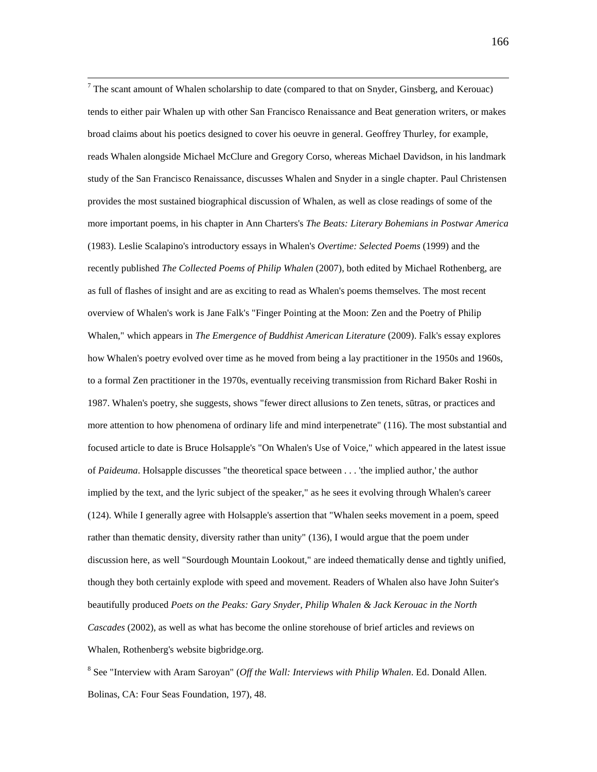$\overline{a}$  $<sup>7</sup>$  The scant amount of Whalen scholarship to date (compared to that on Snyder, Ginsberg, and Kerouac)</sup> tends to either pair Whalen up with other San Francisco Renaissance and Beat generation writers, or makes broad claims about his poetics designed to cover his oeuvre in general. Geoffrey Thurley, for example, reads Whalen alongside Michael McClure and Gregory Corso, whereas Michael Davidson, in his landmark study of the San Francisco Renaissance, discusses Whalen and Snyder in a single chapter. Paul Christensen provides the most sustained biographical discussion of Whalen, as well as close readings of some of the more important poems, in his chapter in Ann Charters's *The Beats: Literary Bohemians in Postwar America* (1983). Leslie Scalapino's introductory essays in Whalen's *Overtime: Selected Poems* (1999) and the recently published *The Collected Poems of Philip Whalen* (2007), both edited by Michael Rothenberg, are as full of flashes of insight and are as exciting to read as Whalen's poems themselves. The most recent overview of Whalen's work is Jane Falk's "Finger Pointing at the Moon: Zen and the Poetry of Philip Whalen," which appears in *The Emergence of Buddhist American Literature* (2009). Falk's essay explores how Whalen's poetry evolved over time as he moved from being a lay practitioner in the 1950s and 1960s, to a formal Zen practitioner in the 1970s, eventually receiving transmission from Richard Baker Roshi in 1987. Whalen's poetry, she suggests, shows "fewer direct allusions to Zen tenets, sūtras, or practices and more attention to how phenomena of ordinary life and mind interpenetrate" (116). The most substantial and focused article to date is Bruce Holsapple's "On Whalen's Use of Voice," which appeared in the latest issue of *Paideuma*. Holsapple discusses "the theoretical space between . . . 'the implied author,' the author implied by the text, and the lyric subject of the speaker," as he sees it evolving through Whalen's career (124). While I generally agree with Holsapple's assertion that "Whalen seeks movement in a poem, speed rather than thematic density, diversity rather than unity" (136), I would argue that the poem under discussion here, as well "Sourdough Mountain Lookout," are indeed thematically dense and tightly unified, though they both certainly explode with speed and movement. Readers of Whalen also have John Suiter's beautifully produced *Poets on the Peaks: Gary Snyder, Philip Whalen & Jack Kerouac in the North Cascades* (2002), as well as what has become the online storehouse of brief articles and reviews on Whalen, Rothenberg's website bigbridge.org.

8 See "Interview with Aram Saroyan" (*Off the Wall: Interviews with Philip Whalen*. Ed. Donald Allen. Bolinas, CA: Four Seas Foundation, 197), 48.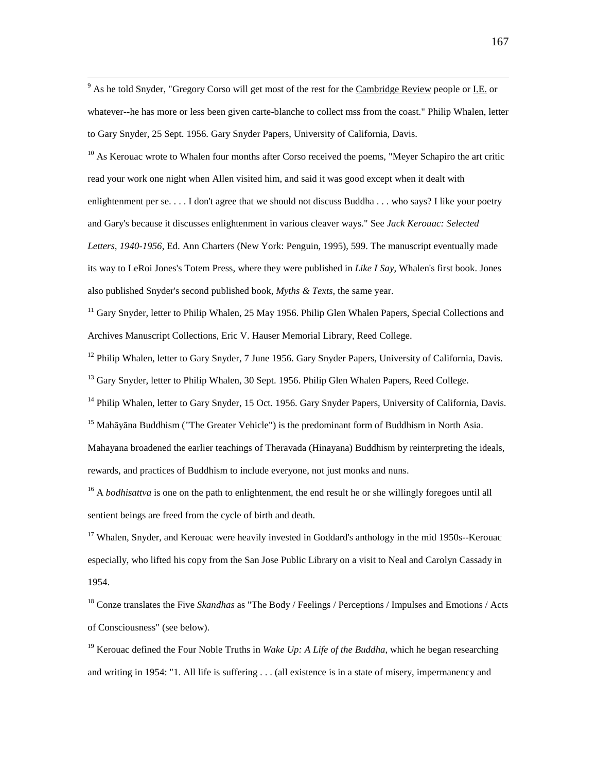<sup>9</sup> As he told Snyder, "Gregory Corso will get most of the rest for the <u>Cambridge Review</u> people or <u>I.E.</u> or whatever--he has more or less been given carte-blanche to collect mss from the coast." Philip Whalen, letter to Gary Snyder, 25 Sept. 1956. Gary Snyder Papers, University of California, Davis.

<sup>10</sup> As Kerouac wrote to Whalen four months after Corso received the poems, "Meyer Schapiro the art critic read your work one night when Allen visited him, and said it was good except when it dealt with enlightenment per se. . . . I don't agree that we should not discuss Buddha . . . who says? I like your poetry and Gary's because it discusses enlightenment in various cleaver ways." See *Jack Kerouac: Selected Letters, 1940-1956*, Ed. Ann Charters (New York: Penguin, 1995), 599. The manuscript eventually made its way to LeRoi Jones's Totem Press, where they were published in *Like I Say*, Whalen's first book. Jones also published Snyder's second published book, *Myths & Texts*, the same year.

<sup>11</sup> Gary Snyder, letter to Philip Whalen, 25 May 1956. Philip Glen Whalen Papers, Special Collections and Archives Manuscript Collections, Eric V. Hauser Memorial Library, Reed College.

<sup>12</sup> Philip Whalen, letter to Gary Snyder, 7 June 1956. Gary Snyder Papers, University of California, Davis. <sup>13</sup> Gary Snyder, letter to Philip Whalen, 30 Sept. 1956. Philip Glen Whalen Papers, Reed College.

<sup>14</sup> Philip Whalen, letter to Gary Snyder, 15 Oct. 1956. Gary Snyder Papers, University of California, Davis. <sup>15</sup> Mahāyāna Buddhism ("The Greater Vehicle") is the predominant form of Buddhism in North Asia. Mahayana broadened the earlier teachings of Theravada (Hinayana) Buddhism by reinterpreting the ideals, rewards, and practices of Buddhism to include everyone, not just monks and nuns.

<sup>16</sup> A *bodhisattva* is one on the path to enlightenment, the end result he or she willingly foregoes until all sentient beings are freed from the cycle of birth and death.

 $17$  Whalen, Snyder, and Kerouac were heavily invested in Goddard's anthology in the mid 1950s--Kerouac especially, who lifted his copy from the San Jose Public Library on a visit to Neal and Carolyn Cassady in 1954.

<sup>18</sup> Conze translates the Five *Skandhas* as "The Body / Feelings / Perceptions / Impulses and Emotions / Acts of Consciousness" (see below).

<sup>19</sup> Kerouac defined the Four Noble Truths in *Wake Up: A Life of the Buddha*, which he began researching and writing in 1954: "1. All life is suffering . . . (all existence is in a state of misery, impermanency and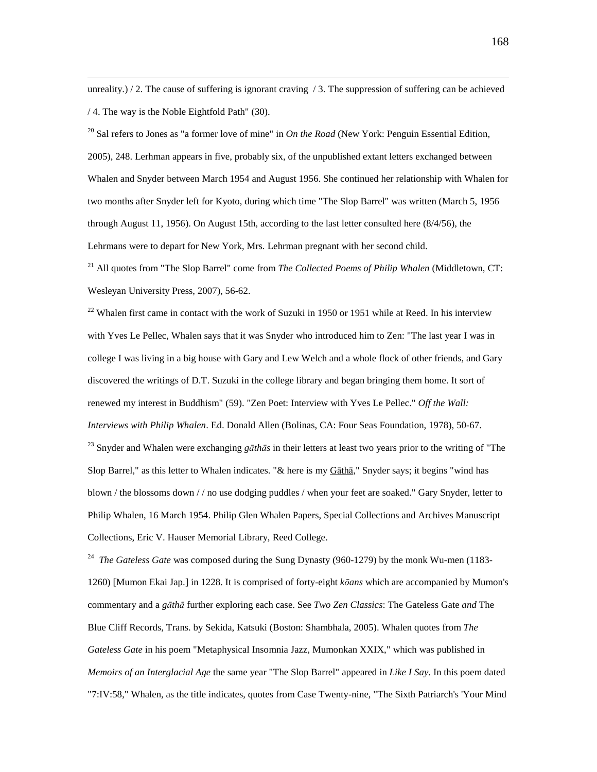unreality.) / 2. The cause of suffering is ignorant craving / 3. The suppression of suffering can be achieved / 4. The way is the Noble Eightfold Path" (30).

 $\overline{a}$ 

<sup>20</sup> Sal refers to Jones as "a former love of mine" in *On the Road* (New York: Penguin Essential Edition, 2005), 248. Lerhman appears in five, probably six, of the unpublished extant letters exchanged between Whalen and Snyder between March 1954 and August 1956. She continued her relationship with Whalen for two months after Snyder left for Kyoto, during which time "The Slop Barrel" was written (March 5, 1956 through August 11, 1956). On August 15th, according to the last letter consulted here (8/4/56), the Lehrmans were to depart for New York, Mrs. Lehrman pregnant with her second child.

<sup>21</sup> All quotes from "The Slop Barrel" come from *The Collected Poems of Philip Whalen* (Middletown, CT: Wesleyan University Press, 2007), 56-62.

<sup>22</sup> Whalen first came in contact with the work of Suzuki in 1950 or 1951 while at Reed. In his interview with Yves Le Pellec, Whalen says that it was Snyder who introduced him to Zen: "The last year I was in college I was living in a big house with Gary and Lew Welch and a whole flock of other friends, and Gary discovered the writings of D.T. Suzuki in the college library and began bringing them home. It sort of renewed my interest in Buddhism" (59). "Zen Poet: Interview with Yves Le Pellec." *Off the Wall: Interviews with Philip Whalen*. Ed. Donald Allen (Bolinas, CA: Four Seas Foundation, 1978), 50-67. <sup>23</sup> Snyder and Whalen were exchanging *g*ā*th*ā*s* in their letters at least two years prior to the writing of "The Slop Barrel," as this letter to Whalen indicates. "& here is my Gāthā," Snyder says; it begins "wind has blown / the blossoms down / / no use dodging puddles / when your feet are soaked." Gary Snyder, letter to Philip Whalen, 16 March 1954. Philip Glen Whalen Papers, Special Collections and Archives Manuscript Collections, Eric V. Hauser Memorial Library, Reed College.

<sup>24</sup> *The Gateless Gate* was composed during the Sung Dynasty (960-1279) by the monk Wu-men (1183-1260) [Mumon Ekai Jap.] in 1228. It is comprised of forty-eight *k*ō*ans* which are accompanied by Mumon's commentary and a *g*ā*th*ā further exploring each case. See *Two Zen Classics*: The Gateless Gate *and* The Blue Cliff Records, Trans. by Sekida, Katsuki (Boston: Shambhala, 2005). Whalen quotes from *The Gateless Gate* in his poem "Metaphysical Insomnia Jazz, Mumonkan XXIX," which was published in *Memoirs of an Interglacial Age* the same year "The Slop Barrel" appeared in *Like I Say*. In this poem dated "7:IV:58," Whalen, as the title indicates, quotes from Case Twenty-nine, "The Sixth Patriarch's 'Your Mind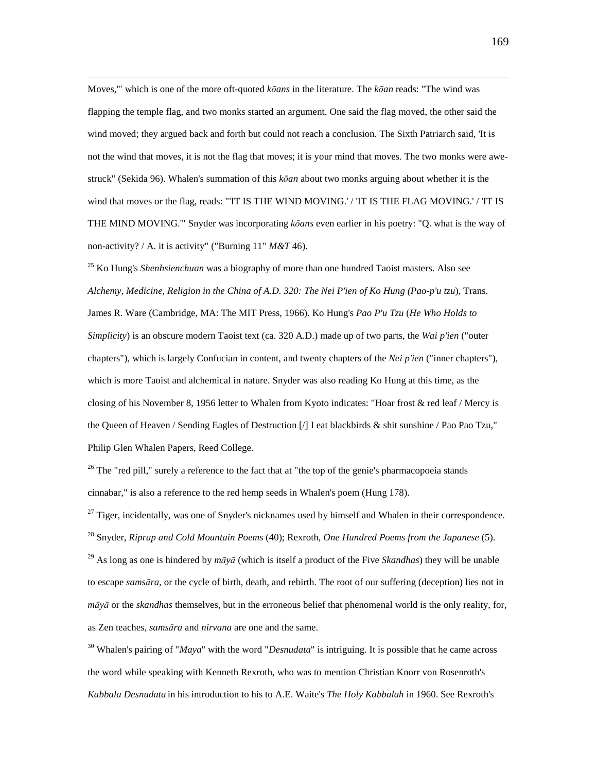$\overline{a}$ Moves,'" which is one of the more oft-quoted *k*ō*ans* in the literature. The *k*ō*an* reads: "The wind was flapping the temple flag, and two monks started an argument. One said the flag moved, the other said the wind moved; they argued back and forth but could not reach a conclusion. The Sixth Patriarch said, 'It is not the wind that moves, it is not the flag that moves; it is your mind that moves. The two monks were awestruck" (Sekida 96). Whalen's summation of this *k*ō*an* about two monks arguing about whether it is the wind that moves or the flag, reads: "IT IS THE WIND MOVING.' / IT IS THE FLAG MOVING.' / IT IS THE MIND MOVING.'" Snyder was incorporating *k*ō*ans* even earlier in his poetry: "Q. what is the way of non-activity? / A. it is activity" ("Burning 11" *M&T* 46).

<sup>25</sup> Ko Hung's *Shenhsienchuan* was a biography of more than one hundred Taoist masters. Also see *Alchemy, Medicine, Religion in the China of A.D. 320: The Nei P'ien of Ko Hung (Pao-p'u tzu*), Trans. James R. Ware (Cambridge, MA: The MIT Press, 1966). Ko Hung's *Pao P'u Tzu* (*He Who Holds to Simplicity*) is an obscure modern Taoist text (ca. 320 A.D.) made up of two parts, the *Wai p'ien* ("outer chapters"), which is largely Confucian in content, and twenty chapters of the *Nei p'ien* ("inner chapters"), which is more Taoist and alchemical in nature. Snyder was also reading Ko Hung at this time, as the closing of his November 8, 1956 letter to Whalen from Kyoto indicates: "Hoar frost & red leaf / Mercy is the Queen of Heaven / Sending Eagles of Destruction [/] I eat blackbirds & shit sunshine / Pao Pao Tzu," Philip Glen Whalen Papers, Reed College.

<sup>26</sup> The "red pill," surely a reference to the fact that at "the top of the genie's pharmacopoeia stands cinnabar," is also a reference to the red hemp seeds in Whalen's poem (Hung 178).

 $^{27}$  Tiger, incidentally, was one of Snyder's nicknames used by himself and Whalen in their correspondence. <sup>28</sup> Snyder, *Riprap and Cold Mountain Poems* (40); Rexroth, *One Hundred Poems from the Japanese* (5).

<sup>29</sup> As long as one is hindered by *m*ā*y*ā (which is itself a product of the Five *Skandhas*) they will be unable to escape *sams*ā*ra*, or the cycle of birth, death, and rebirth. The root of our suffering (deception) lies not in *m*ā*y*ā or the *skandhas* themselves, but in the erroneous belief that phenomenal world is the only reality, for, as Zen teaches, *sams*ā*ra* and *nirvana* are one and the same.

<sup>30</sup> Whalen's pairing of "*Maya*" with the word "*Desnudata*" is intriguing. It is possible that he came across the word while speaking with Kenneth Rexroth, who was to mention Christian Knorr von Rosenroth's *Kabbala Desnudata* in his introduction to his to A.E. Waite's *The Holy Kabbalah* in 1960. See Rexroth's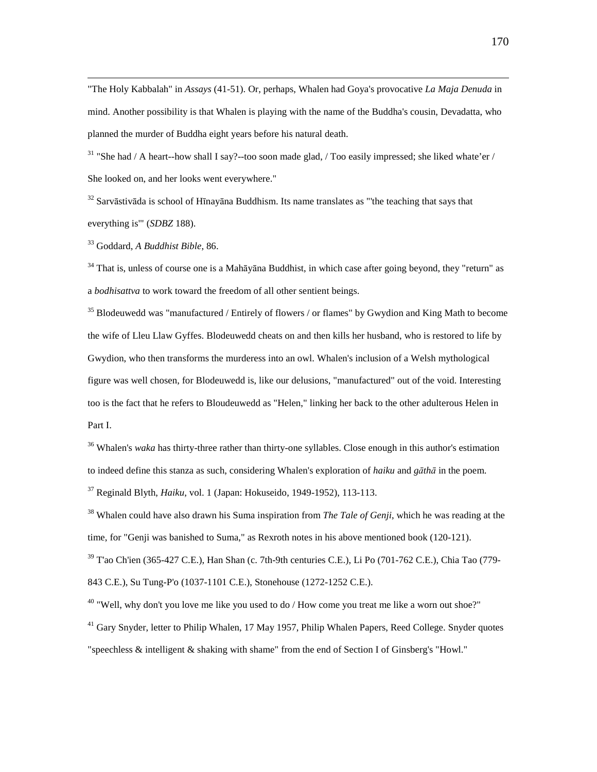"The Holy Kabbalah" in *Assays* (41-51). Or, perhaps, Whalen had Goya's provocative *La Maja Denuda* in mind. Another possibility is that Whalen is playing with the name of the Buddha's cousin, Devadatta, who planned the murder of Buddha eight years before his natural death.

<sup>31</sup> "She had / A heart--how shall I say?--too soon made glad, / Too easily impressed; she liked whate'er / She looked on, and her looks went everywhere."

 $32$  Sarvāstivāda is school of Hīnayāna Buddhism. Its name translates as "'the teaching that says that everything is'" (*SDBZ* 188).

<sup>33</sup> Goddard, *A Buddhist Bible*, 86.

 $\overline{a}$ 

 $34$  That is, unless of course one is a Mah $\bar{a}$ yana Buddhist, in which case after going beyond, they "return" as a *bodhisattva* to work toward the freedom of all other sentient beings.

 $35$  Blodeuwedd was "manufactured / Entirely of flowers / or flames" by Gwydion and King Math to become the wife of Lleu Llaw Gyffes. Blodeuwedd cheats on and then kills her husband, who is restored to life by Gwydion, who then transforms the murderess into an owl. Whalen's inclusion of a Welsh mythological figure was well chosen, for Blodeuwedd is, like our delusions, "manufactured" out of the void. Interesting too is the fact that he refers to Bloudeuwedd as "Helen," linking her back to the other adulterous Helen in Part I.

<sup>36</sup> Whalen's *waka* has thirty-three rather than thirty-one syllables. Close enough in this author's estimation to indeed define this stanza as such, considering Whalen's exploration of *haiku* and *g*ā*th*ā in the poem. <sup>37</sup> Reginald Blyth, *Haiku*, vol. 1 (Japan: Hokuseido, 1949-1952), 113-113.

<sup>38</sup> Whalen could have also drawn his Suma inspiration from *The Tale of Genji*, which he was reading at the time, for "Genji was banished to Suma," as Rexroth notes in his above mentioned book (120-121).  $39$  T'ao Ch'ien (365-427 C.E.), Han Shan (c. 7th-9th centuries C.E.), Li Po (701-762 C.E.), Chia Tao (779-843 C.E.), Su Tung-P'o (1037-1101 C.E.), Stonehouse (1272-1252 C.E.).

 $40$  "Well, why don't you love me like you used to do / How come you treat me like a worn out shoe?"

 $41$  Gary Snyder, letter to Philip Whalen, 17 May 1957, Philip Whalen Papers, Reed College. Snyder quotes "speechless & intelligent & shaking with shame" from the end of Section I of Ginsberg's "Howl."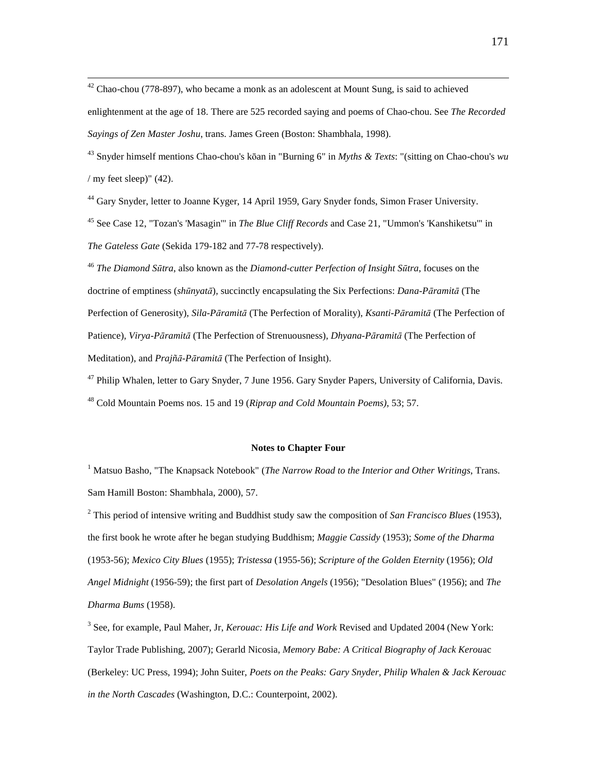$42$  Chao-chou (778-897), who became a monk as an adolescent at Mount Sung, is said to achieved

 $\overline{a}$ 

enlightenment at the age of 18. There are 525 recorded saying and poems of Chao-chou. See *The Recorded Sayings of Zen Master Joshu*, trans. James Green (Boston: Shambhala, 1998).

<sup>43</sup> Snyder himself mentions Chao-chou's kōan in "Burning 6" in *Myths & Texts*: "(sitting on Chao-chou's *wu*  $/$  my feet sleep)" (42).

<sup>44</sup> Gary Snyder, letter to Joanne Kyger, 14 April 1959, Gary Snyder fonds, Simon Fraser University.

<sup>45</sup> See Case 12, "Tozan's 'Masagin'" in *The Blue Cliff Records* and Case 21, "Ummon's 'Kanshiketsu'" in *The Gateless Gate* (Sekida 179-182 and 77-78 respectively).

<sup>46</sup> *The Diamond S*ū*tra*, also known as the *Diamond-cutter Perfection of Insight S*ū*tra*, focuses on the doctrine of emptiness (*sh*ū*nyat*ā), succinctly encapsulating the Six Perfections: *Dana-P*ā*ramit*ā (The Perfection of Generosity), *Sila-P*ā*ramit*ā (The Perfection of Morality), *Ksanti-P*ā*ramit*ā (The Perfection of Patience), *Virya-P*ā*ramit*ā (The Perfection of Strenuousness), *Dhyana-P*ā*ramit*ā (The Perfection of Meditation), and *Prajñ*ā*-P*ā*ramit*ā (The Perfection of Insight).

<sup>47</sup> Philip Whalen, letter to Gary Snyder, 7 June 1956. Gary Snyder Papers, University of California, Davis. <sup>48</sup> Cold Mountain Poems nos. 15 and 19 (*Riprap and Cold Mountain Poems)*, 53; 57.

### **Notes to Chapter Four**

<sup>1</sup> Matsuo Basho, "The Knapsack Notebook" (*The Narrow Road to the Interior and Other Writings*, Trans. Sam Hamill Boston: Shambhala, 2000), 57.

2 This period of intensive writing and Buddhist study saw the composition of *San Francisco Blues* (1953), the first book he wrote after he began studying Buddhism; *Maggie Cassidy* (1953); *Some of the Dharma* (1953-56); *Mexico City Blues* (1955); *Tristessa* (1955-56); *Scripture of the Golden Eternity* (1956); *Old Angel Midnight* (1956-59); the first part of *Desolation Angels* (1956); "Desolation Blues" (1956); and *The Dharma Bums* (1958).

3 See, for example, Paul Maher, Jr, *Kerouac: His Life and Work* Revised and Updated 2004 (New York: Taylor Trade Publishing, 2007); Gerarld Nicosia, *Memory Babe: A Critical Biography of Jack Kerou*ac (Berkeley: UC Press, 1994); John Suiter, *Poets on the Peaks: Gary Snyder, Philip Whalen & Jack Kerouac in the North Cascades* (Washington, D.C.: Counterpoint, 2002).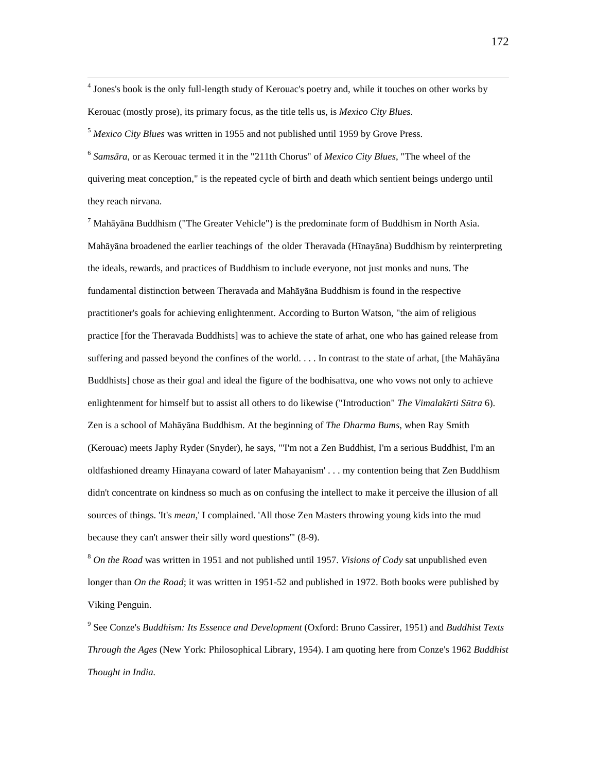<sup>4</sup> Jones's book is the only full-length study of Kerouac's poetry and, while it touches on other works by Kerouac (mostly prose), its primary focus, as the title tells us, is *Mexico City Blues*.

<sup>5</sup> *Mexico City Blues* was written in 1955 and not published until 1959 by Grove Press.

 $\overline{a}$ 

6 *Sams*ā*ra*, or as Kerouac termed it in the "211th Chorus" of *Mexico City Blues*, "The wheel of the quivering meat conception," is the repeated cycle of birth and death which sentient beings undergo until they reach nirvana.

 $^7$  Mahāyāna Buddhism ("The Greater Vehicle") is the predominate form of Buddhism in North Asia. Mahāyāna broadened the earlier teachings of the older Theravada (Hīnayāna) Buddhism by reinterpreting the ideals, rewards, and practices of Buddhism to include everyone, not just monks and nuns. The fundamental distinction between Theravada and Mahāyāna Buddhism is found in the respective practitioner's goals for achieving enlightenment. According to Burton Watson, "the aim of religious practice [for the Theravada Buddhists] was to achieve the state of arhat, one who has gained release from suffering and passed beyond the confines of the world. . . . In contrast to the state of arhat, [the Mahāyāna Buddhists] chose as their goal and ideal the figure of the bodhisattva, one who vows not only to achieve enlightenment for himself but to assist all others to do likewise ("Introduction" *The Vimalak*ī*rti S*ū*tra* 6). Zen is a school of Mahāyāna Buddhism. At the beginning of *The Dharma Bums*, when Ray Smith (Kerouac) meets Japhy Ryder (Snyder), he says, "'I'm not a Zen Buddhist, I'm a serious Buddhist, I'm an oldfashioned dreamy Hinayana coward of later Mahayanism' . . . my contention being that Zen Buddhism didn't concentrate on kindness so much as on confusing the intellect to make it perceive the illusion of all sources of things. 'It's *mean*,' I complained. 'All those Zen Masters throwing young kids into the mud because they can't answer their silly word questions'" (8-9).

<sup>8</sup> *On the Road* was written in 1951 and not published until 1957. *Visions of Cody* sat unpublished even longer than *On the Road*; it was written in 1951-52 and published in 1972. Both books were published by Viking Penguin.

9 See Conze's *Buddhism: Its Essence and Development* (Oxford: Bruno Cassirer, 1951) and *Buddhist Texts Through the Ages* (New York: Philosophical Library, 1954). I am quoting here from Conze's 1962 *Buddhist Thought in India.*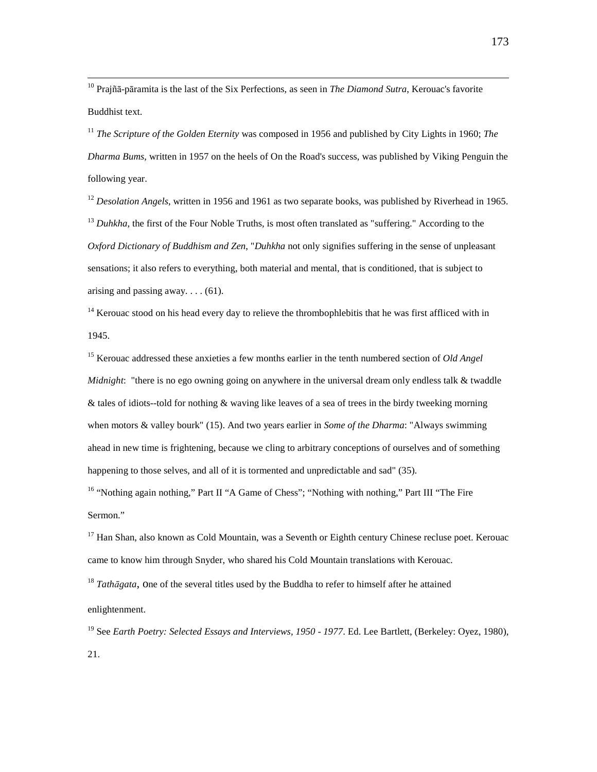<sup>10</sup> Prajñā-pāramita is the last of the Six Perfections, as seen in *The Diamond Sutra*, Kerouac's favorite Buddhist text.

<sup>11</sup> *The Scripture of the Golden Eternity* was composed in 1956 and published by City Lights in 1960; *The Dharma Bums*, written in 1957 on the heels of On the Road's success, was published by Viking Penguin the following year.

<sup>12</sup> *Desolation Angels*, written in 1956 and 1961 as two separate books, was published by Riverhead in 1965. <sup>13</sup> Duhkha, the first of the Four Noble Truths, is most often translated as "suffering." According to the *Oxford Dictionary of Buddhism and Zen*, "*Duhkha* not only signifies suffering in the sense of unpleasant sensations; it also refers to everything, both material and mental, that is conditioned, that is subject to arising and passing away.... $(61)$ .

 $14$  Kerouac stood on his head every day to relieve the thrombophlebitis that he was first affliced with in 1945.

<sup>15</sup> Kerouac addressed these anxieties a few months earlier in the tenth numbered section of *Old Angel Midnight*: "there is no ego owning going on anywhere in the universal dream only endless talk & twaddle & tales of idiots--told for nothing & waving like leaves of a sea of trees in the birdy tweeking morning when motors & valley bourk" (15). And two years earlier in *Some of the Dharma*: "Always swimming ahead in new time is frightening, because we cling to arbitrary conceptions of ourselves and of something happening to those selves, and all of it is tormented and unpredictable and sad" (35).

<sup>16</sup> "Nothing again nothing," Part II "A Game of Chess"; "Nothing with nothing," Part III "The Fire Sermon."

 $17$  Han Shan, also known as Cold Mountain, was a Seventh or Eighth century Chinese recluse poet. Kerouac came to know him through Snyder, who shared his Cold Mountain translations with Kerouac.

<sup>18</sup> *Tath*ā*gata*, one of the several titles used by the Buddha to refer to himself after he attained

#### enlightenment.

<sup>19</sup> See *Earth Poetry: Selected Essays and Interviews, 1950 - 1977*. Ed. Lee Bartlett, (Berkeley: Oyez, 1980),

21.

 $\overline{a}$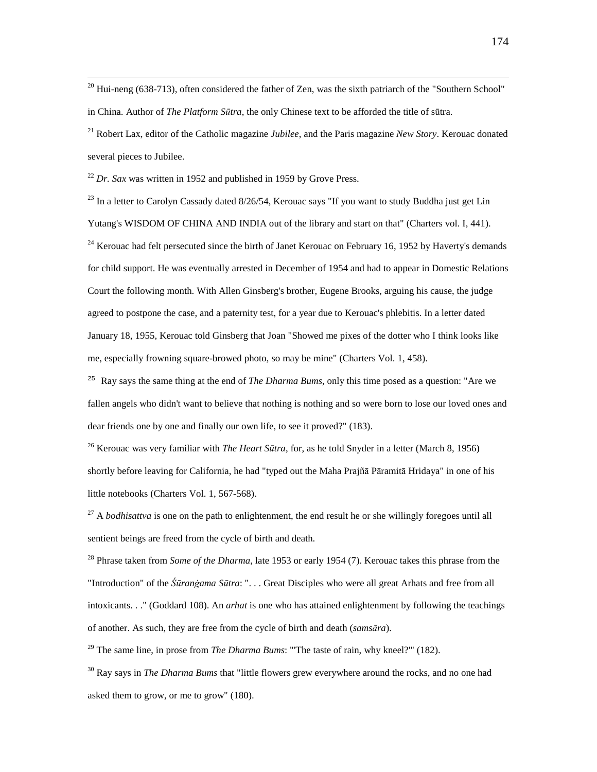$20$  Hui-neng (638-713), often considered the father of Zen, was the sixth patriarch of the "Southern School" in China. Author of *The Platform S*ū*tra*, the only Chinese text to be afforded the title of sūtra.

<sup>21</sup> Robert Lax, editor of the Catholic magazine *Jubilee*, and the Paris magazine *New Story*. Kerouac donated several pieces to Jubilee.

 $^{22}$  *Dr. Sax* was written in 1952 and published in 1959 by Grove Press.

 $\overline{a}$ 

<sup>23</sup> In a letter to Carolyn Cassady dated 8/26/54, Kerouac says "If you want to study Buddha just get Lin Yutang's WISDOM OF CHINA AND INDIA out of the library and start on that" (Charters vol. I, 441).

<sup>24</sup> Kerouac had felt persecuted since the birth of Janet Kerouac on February 16, 1952 by Haverty's demands for child support. He was eventually arrested in December of 1954 and had to appear in Domestic Relations Court the following month. With Allen Ginsberg's brother, Eugene Brooks, arguing his cause, the judge agreed to postpone the case, and a paternity test, for a year due to Kerouac's phlebitis. In a letter dated January 18, 1955, Kerouac told Ginsberg that Joan "Showed me pixes of the dotter who I think looks like me, especially frowning square-browed photo, so may be mine" (Charters Vol. 1, 458).

<sup>25</sup> Ray says the same thing at the end of *The Dharma Bums*, only this time posed as a question: "Are we fallen angels who didn't want to believe that nothing is nothing and so were born to lose our loved ones and dear friends one by one and finally our own life, to see it proved?" (183).

<sup>26</sup> Kerouac was very familiar with *The Heart S*ū*tra*, for, as he told Snyder in a letter (March 8, 1956) shortly before leaving for California, he had "typed out the Maha Prajñā Pāramitā Hridaya" in one of his little notebooks (Charters Vol. 1, 567-568).

<sup>27</sup> A *bodhisattva* is one on the path to enlightenment, the end result he or she willingly foregoes until all sentient beings are freed from the cycle of birth and death.

<sup>28</sup> Phrase taken from *Some of the Dharma*, late 1953 or early 1954 (7). Kerouac takes this phrase from the "Introduction" of the *Śūranġama Sūtra*: ". . . Great Disciples who were all great Arhats and free from all intoxicants. . ." (Goddard 108). An *arhat* is one who has attained enlightenment by following the teachings of another. As such, they are free from the cycle of birth and death (*sams*ā*ra*).

<sup>29</sup> The same line, in prose from *The Dharma Bums*: "The taste of rain, why kneel?"' (182).

<sup>30</sup> Ray says in *The Dharma Bums* that "little flowers grew everywhere around the rocks, and no one had asked them to grow, or me to grow" (180).